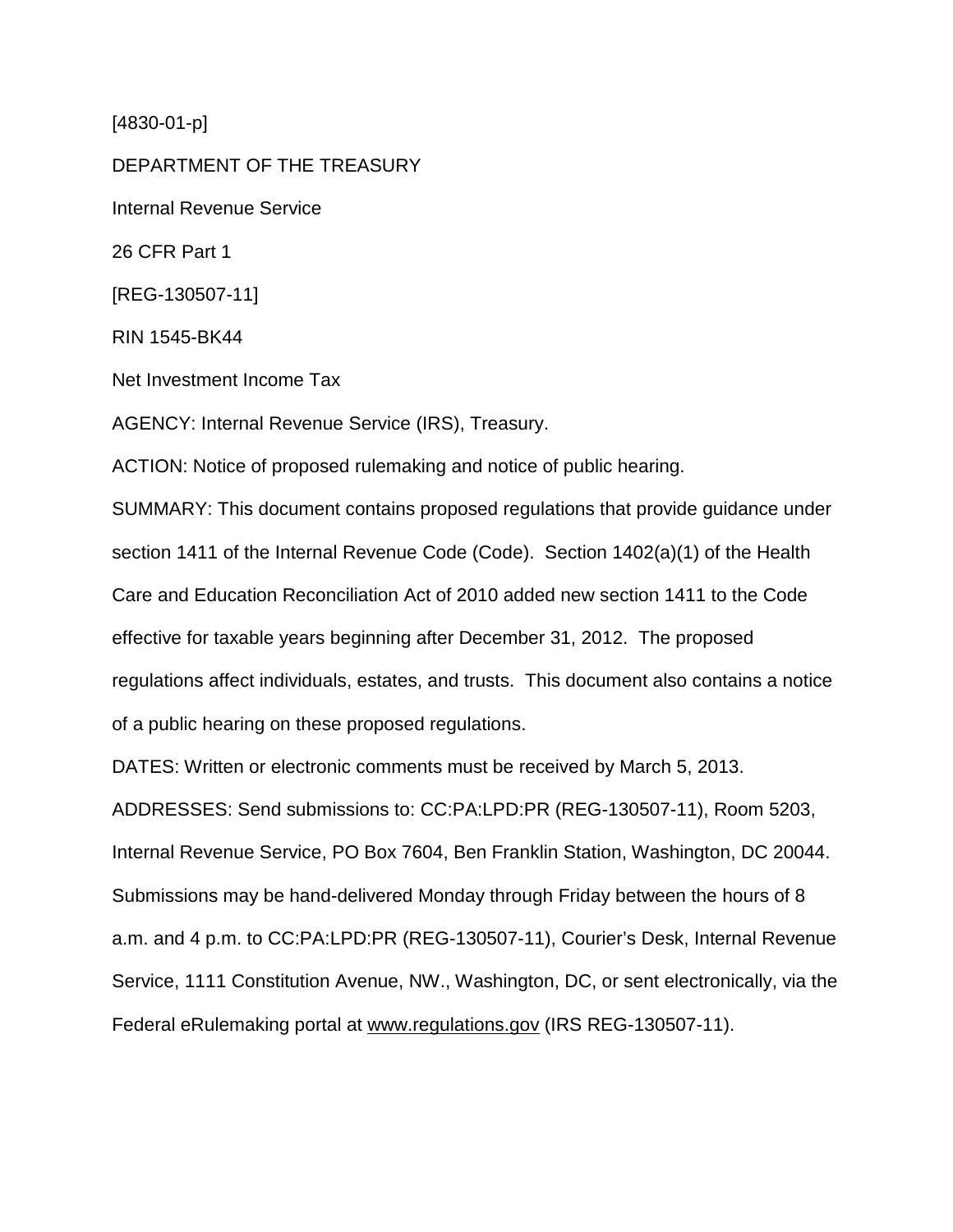[4830-01-p]

DEPARTMENT OF THE TREASURY Internal Revenue Service 26 CFR Part 1 [REG-130507-11] RIN 1545-BK44 Net Investment Income Tax AGENCY: Internal Revenue Service (IRS), Treasury. ACTION: Notice of proposed rulemaking and notice of public hearing. SUMMARY: This document contains proposed regulations that provide guidance under section 1411 of the Internal Revenue Code (Code). Section 1402(a)(1) of the Health Care and Education Reconciliation Act of 2010 added new section 1411 to the Code effective for taxable years beginning after December 31, 2012. The proposed regulations affect individuals, estates, and trusts. This document also contains a notice

of a public hearing on these proposed regulations.

DATES: Written or electronic comments must be received by March 5, 2013.

ADDRESSES: Send submissions to: CC:PA:LPD:PR (REG-130507-11), Room 5203, Internal Revenue Service, PO Box 7604, Ben Franklin Station, Washington, DC 20044. Submissions may be hand-delivered Monday through Friday between the hours of 8 a.m. and 4 p.m. to CC:PA:LPD:PR (REG-130507-11), Courier's Desk, Internal Revenue Service, 1111 Constitution Avenue, NW., Washington, DC, or sent electronically, via the Federal eRulemaking portal at www.regulations.gov (IRS REG-130507-11).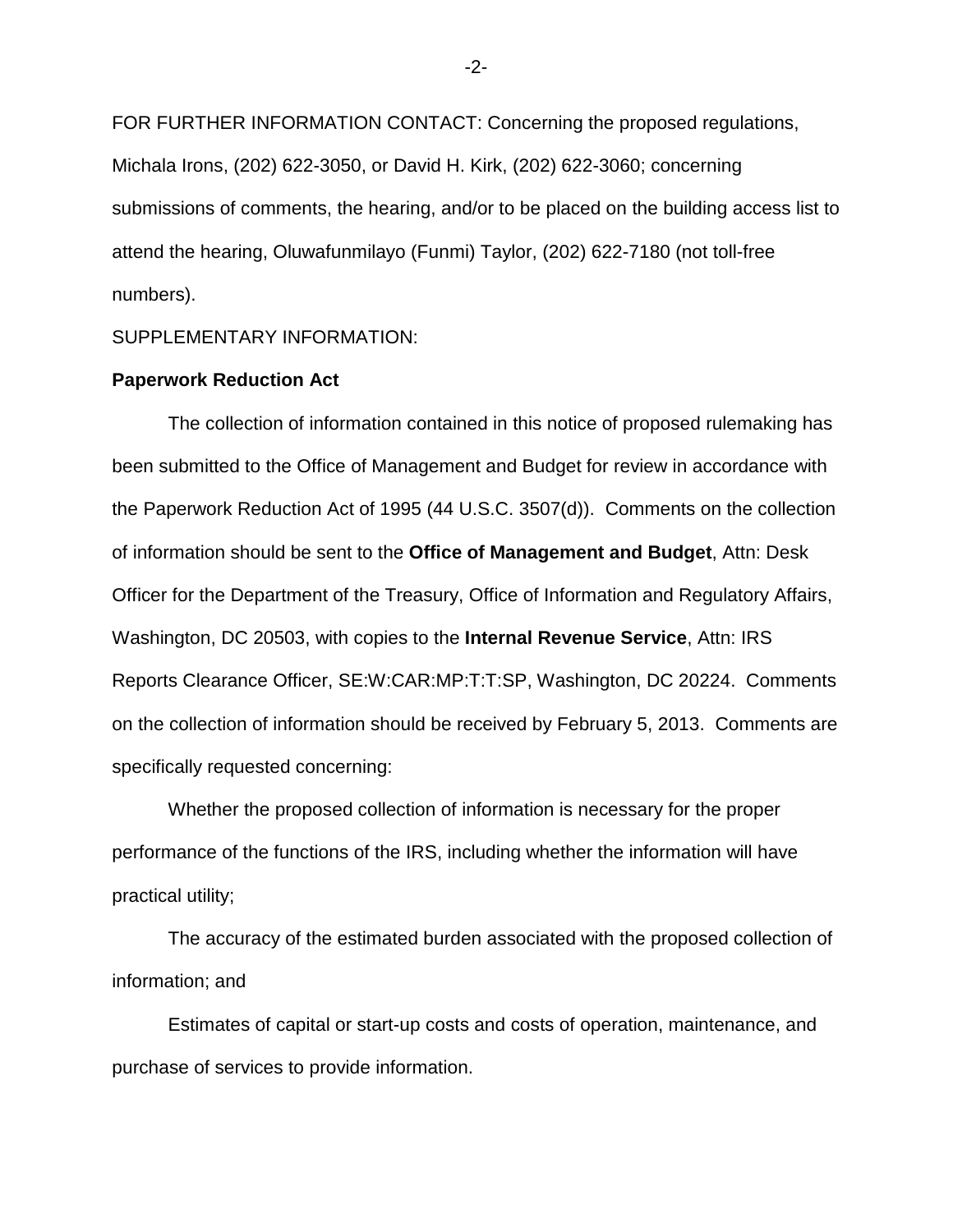FOR FURTHER INFORMATION CONTACT: Concerning the proposed regulations, Michala Irons, (202) 622-3050, or David H. Kirk, (202) 622-3060; concerning submissions of comments, the hearing, and/or to be placed on the building access list to attend the hearing, Oluwafunmilayo (Funmi) Taylor, (202) 622-7180 (not toll-free numbers).

SUPPLEMENTARY INFORMATION:

# **Paperwork Reduction Act**

The collection of information contained in this notice of proposed rulemaking has been submitted to the Office of Management and Budget for review in accordance with the Paperwork Reduction Act of 1995 (44 U.S.C. 3507(d)). Comments on the collection of information should be sent to the **Office of Management and Budget**, Attn: Desk Officer for the Department of the Treasury, Office of Information and Regulatory Affairs, Washington, DC 20503, with copies to the **Internal Revenue Service**, Attn: IRS Reports Clearance Officer, SE:W:CAR:MP:T:T:SP, Washington, DC 20224. Comments on the collection of information should be received by February 5, 2013. Comments are specifically requested concerning:

Whether the proposed collection of information is necessary for the proper performance of the functions of the IRS, including whether the information will have practical utility;

The accuracy of the estimated burden associated with the proposed collection of information; and

Estimates of capital or start-up costs and costs of operation, maintenance, and purchase of services to provide information.

-2-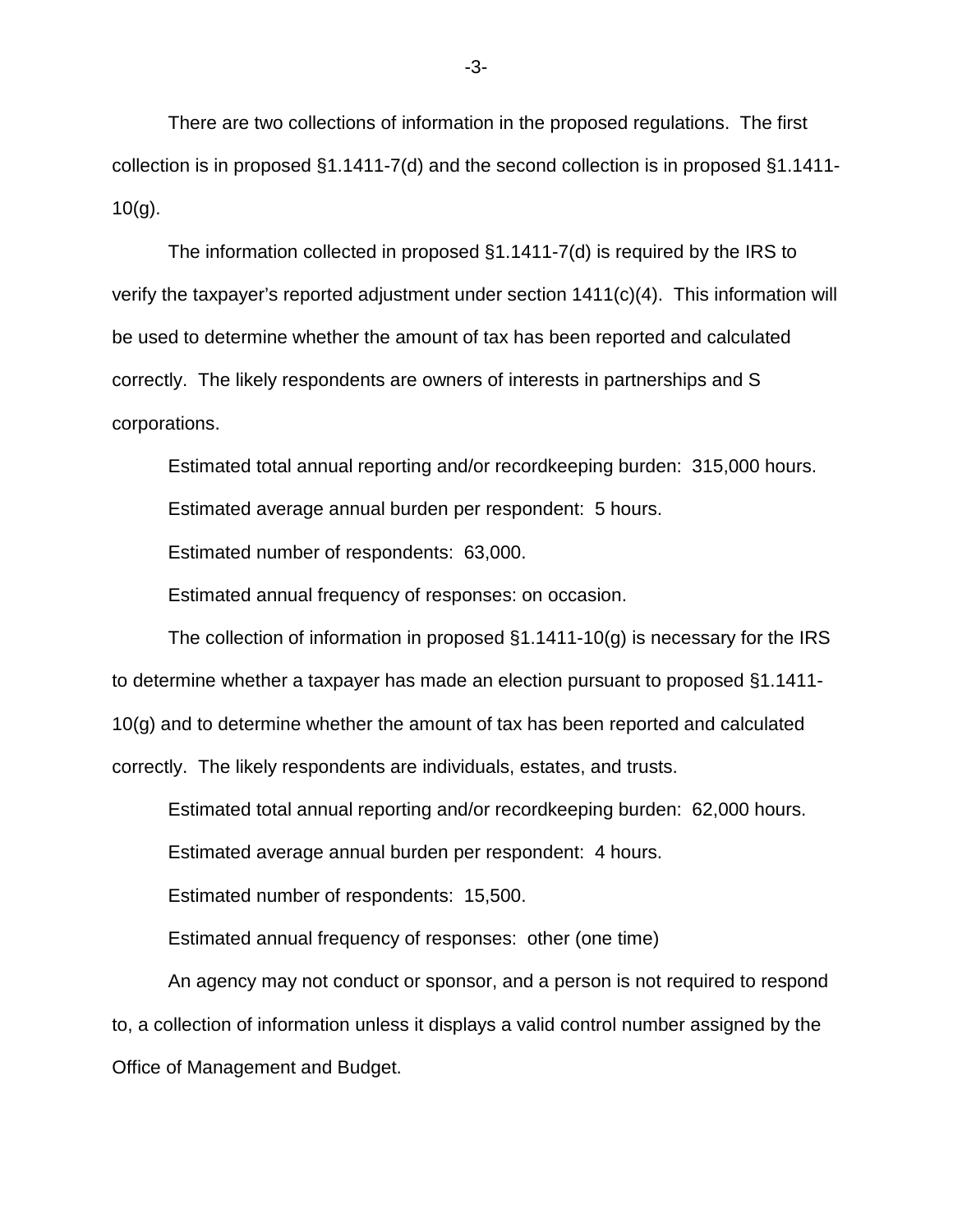There are two collections of information in the proposed regulations. The first collection is in proposed §1.1411-7(d) and the second collection is in proposed §1.1411-  $10(q)$ .

The information collected in proposed §1.1411-7(d) is required by the IRS to verify the taxpayer's reported adjustment under section  $1411(c)(4)$ . This information will be used to determine whether the amount of tax has been reported and calculated correctly. The likely respondents are owners of interests in partnerships and S corporations.

Estimated total annual reporting and/or recordkeeping burden: 315,000 hours.

Estimated average annual burden per respondent: 5 hours.

Estimated number of respondents: 63,000.

Estimated annual frequency of responses: on occasion.

The collection of information in proposed  $\S1.1411-10(q)$  is necessary for the IRS to determine whether a taxpayer has made an election pursuant to proposed §1.1411- 10(g) and to determine whether the amount of tax has been reported and calculated correctly. The likely respondents are individuals, estates, and trusts.

Estimated total annual reporting and/or recordkeeping burden: 62,000 hours.

Estimated average annual burden per respondent: 4 hours.

Estimated number of respondents: 15,500.

Estimated annual frequency of responses: other (one time)

An agency may not conduct or sponsor, and a person is not required to respond to, a collection of information unless it displays a valid control number assigned by the Office of Management and Budget.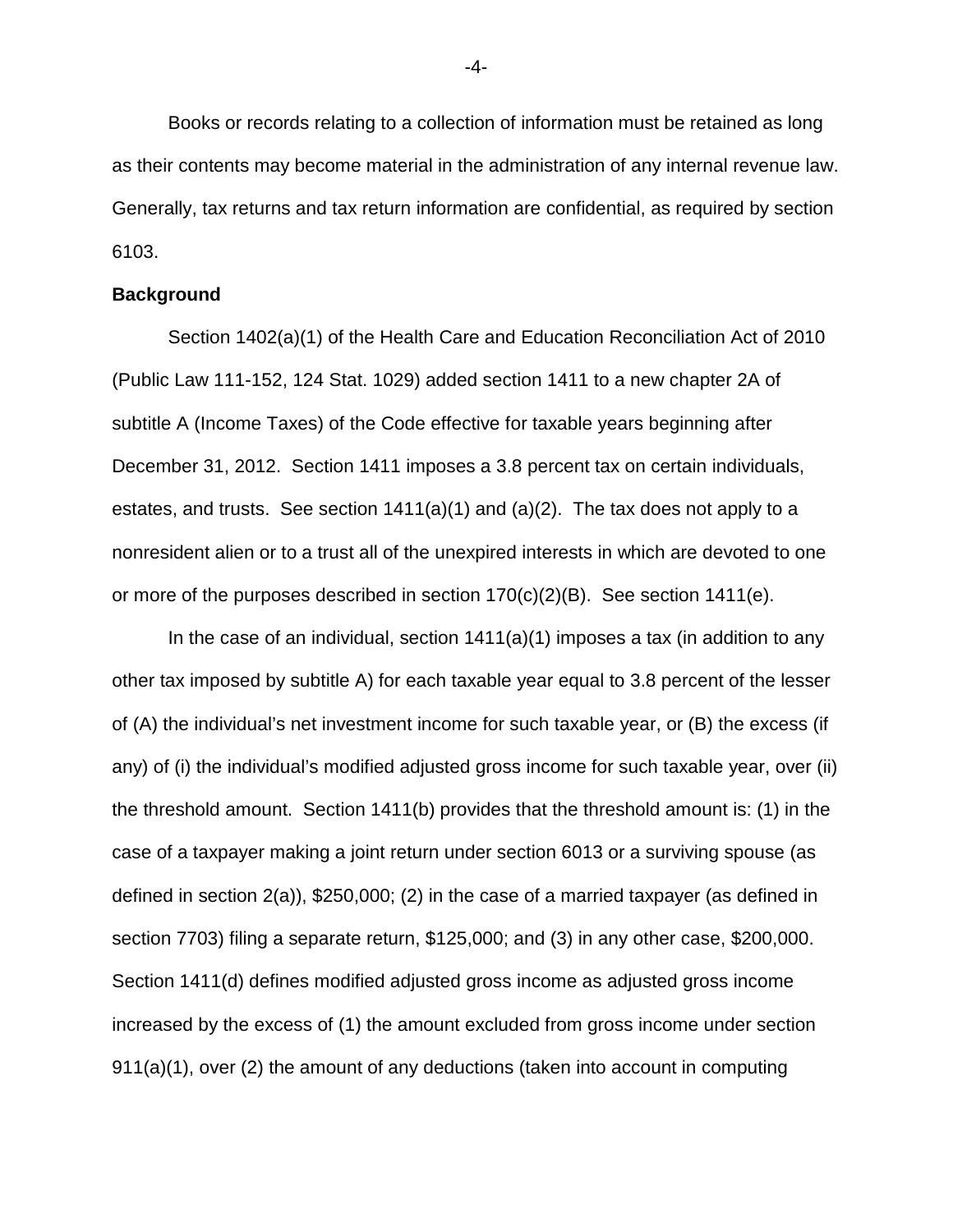Books or records relating to a collection of information must be retained as long as their contents may become material in the administration of any internal revenue law. Generally, tax returns and tax return information are confidential, as required by section 6103.

## **Background**

Section 1402(a)(1) of the Health Care and Education Reconciliation Act of 2010 (Public Law 111-152, 124 Stat. 1029) added section 1411 to a new chapter 2A of subtitle A (Income Taxes) of the Code effective for taxable years beginning after December 31, 2012. Section 1411 imposes a 3.8 percent tax on certain individuals, estates, and trusts. See section  $1411(a)(1)$  and  $(a)(2)$ . The tax does not apply to a nonresident alien or to a trust all of the unexpired interests in which are devoted to one or more of the purposes described in section  $170(c)(2)(B)$ . See section  $1411(e)$ .

In the case of an individual, section 1411(a)(1) imposes a tax (in addition to any other tax imposed by subtitle A) for each taxable year equal to 3.8 percent of the lesser of (A) the individual's net investment income for such taxable year, or (B) the excess (if any) of (i) the individual's modified adjusted gross income for such taxable year, over (ii) the threshold amount. Section 1411(b) provides that the threshold amount is: (1) in the case of a taxpayer making a joint return under section 6013 or a surviving spouse (as defined in section 2(a)), \$250,000; (2) in the case of a married taxpayer (as defined in section 7703) filing a separate return, \$125,000; and (3) in any other case, \$200,000. Section 1411(d) defines modified adjusted gross income as adjusted gross income increased by the excess of (1) the amount excluded from gross income under section 911(a)(1), over (2) the amount of any deductions (taken into account in computing

-4-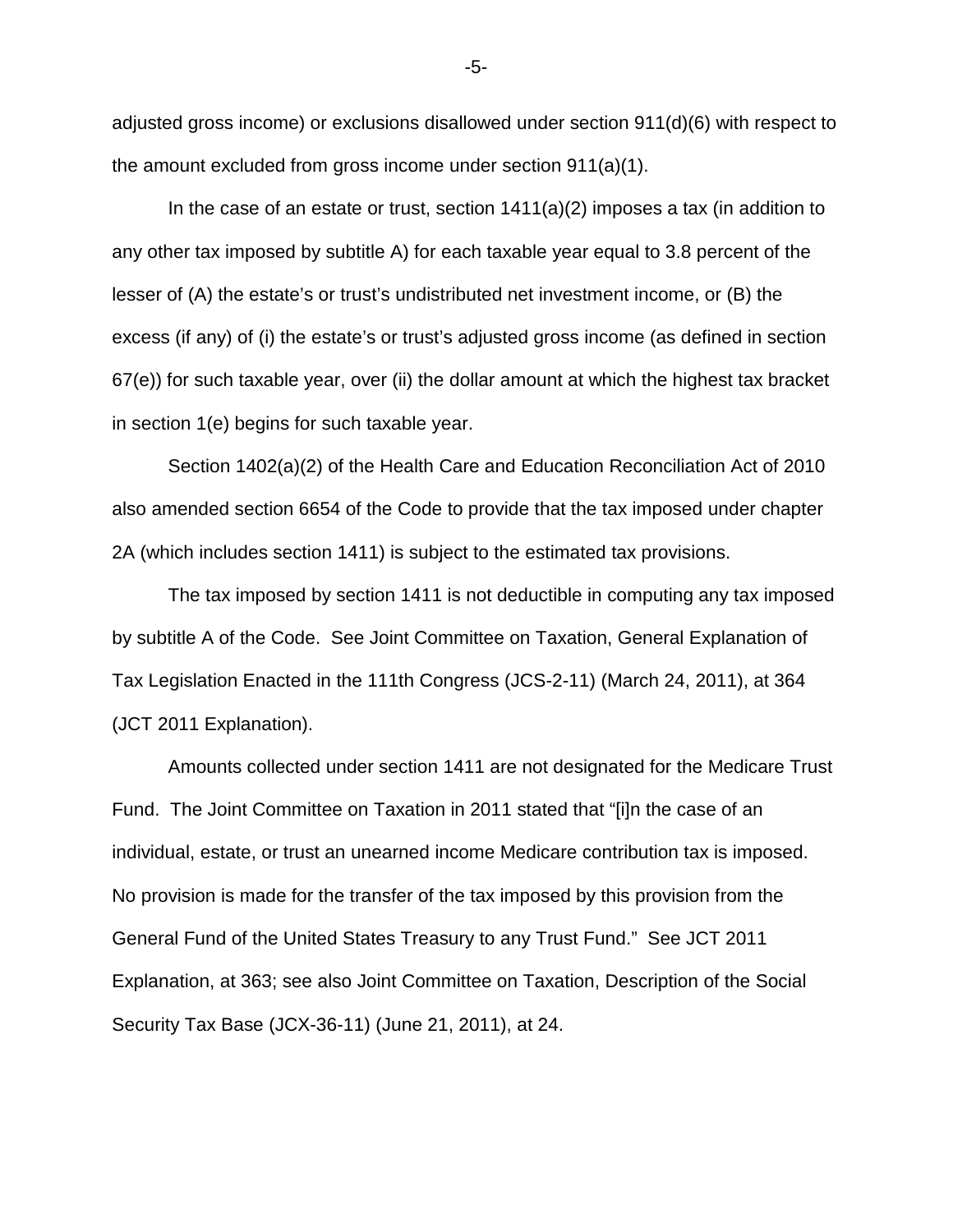adjusted gross income) or exclusions disallowed under section 911(d)(6) with respect to the amount excluded from gross income under section 911(a)(1).

In the case of an estate or trust, section  $1411(a)(2)$  imposes a tax (in addition to any other tax imposed by subtitle A) for each taxable year equal to 3.8 percent of the lesser of (A) the estate's or trust's undistributed net investment income, or (B) the excess (if any) of (i) the estate's or trust's adjusted gross income (as defined in section 67(e)) for such taxable year, over (ii) the dollar amount at which the highest tax bracket in section 1(e) begins for such taxable year.

Section 1402(a)(2) of the Health Care and Education Reconciliation Act of 2010 also amended section 6654 of the Code to provide that the tax imposed under chapter 2A (which includes section 1411) is subject to the estimated tax provisions.

The tax imposed by section 1411 is not deductible in computing any tax imposed by subtitle A of the Code. See Joint Committee on Taxation, General Explanation of Tax Legislation Enacted in the 111th Congress (JCS-2-11) (March 24, 2011), at 364 (JCT 2011 Explanation).

Amounts collected under section 1411 are not designated for the Medicare Trust Fund. The Joint Committee on Taxation in 2011 stated that "[i]n the case of an individual, estate, or trust an unearned income Medicare contribution tax is imposed. No provision is made for the transfer of the tax imposed by this provision from the General Fund of the United States Treasury to any Trust Fund." See JCT 2011 Explanation, at 363; see also Joint Committee on Taxation, Description of the Social Security Tax Base (JCX-36-11) (June 21, 2011), at 24.

-5-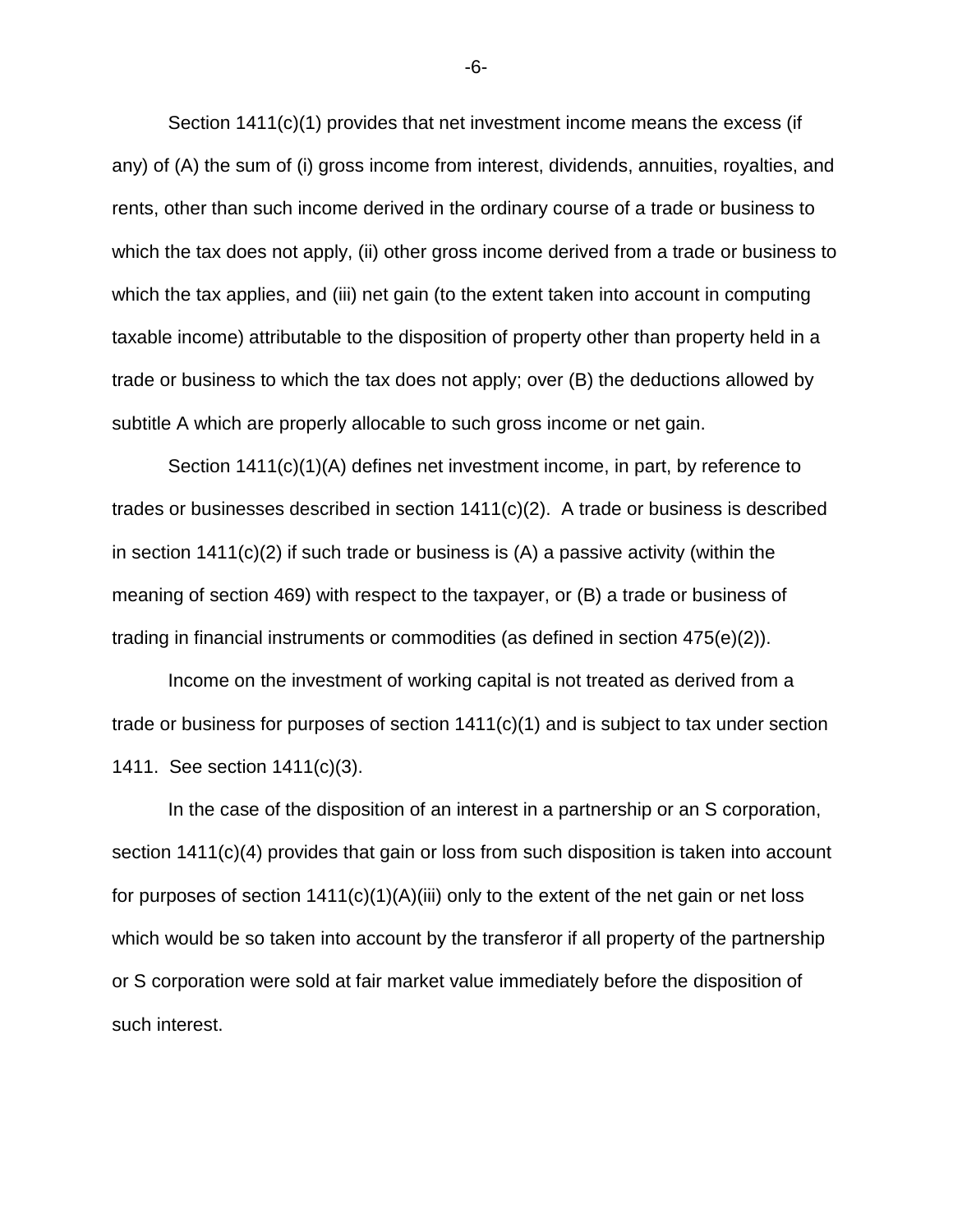Section 1411(c)(1) provides that net investment income means the excess (if any) of (A) the sum of (i) gross income from interest, dividends, annuities, royalties, and rents, other than such income derived in the ordinary course of a trade or business to which the tax does not apply, (ii) other gross income derived from a trade or business to which the tax applies, and (iii) net gain (to the extent taken into account in computing taxable income) attributable to the disposition of property other than property held in a trade or business to which the tax does not apply; over (B) the deductions allowed by subtitle A which are properly allocable to such gross income or net gain.

Section 1411(c)(1)(A) defines net investment income, in part, by reference to trades or businesses described in section 1411(c)(2). A trade or business is described in section  $1411(c)(2)$  if such trade or business is  $(A)$  a passive activity (within the meaning of section 469) with respect to the taxpayer, or (B) a trade or business of trading in financial instruments or commodities (as defined in section 475(e)(2)).

Income on the investment of working capital is not treated as derived from a trade or business for purposes of section 1411(c)(1) and is subject to tax under section 1411. See section 1411(c)(3).

In the case of the disposition of an interest in a partnership or an S corporation, section 1411(c)(4) provides that gain or loss from such disposition is taken into account for purposes of section  $1411(c)(1)(A)(iii)$  only to the extent of the net gain or net loss which would be so taken into account by the transferor if all property of the partnership or S corporation were sold at fair market value immediately before the disposition of such interest.

-6-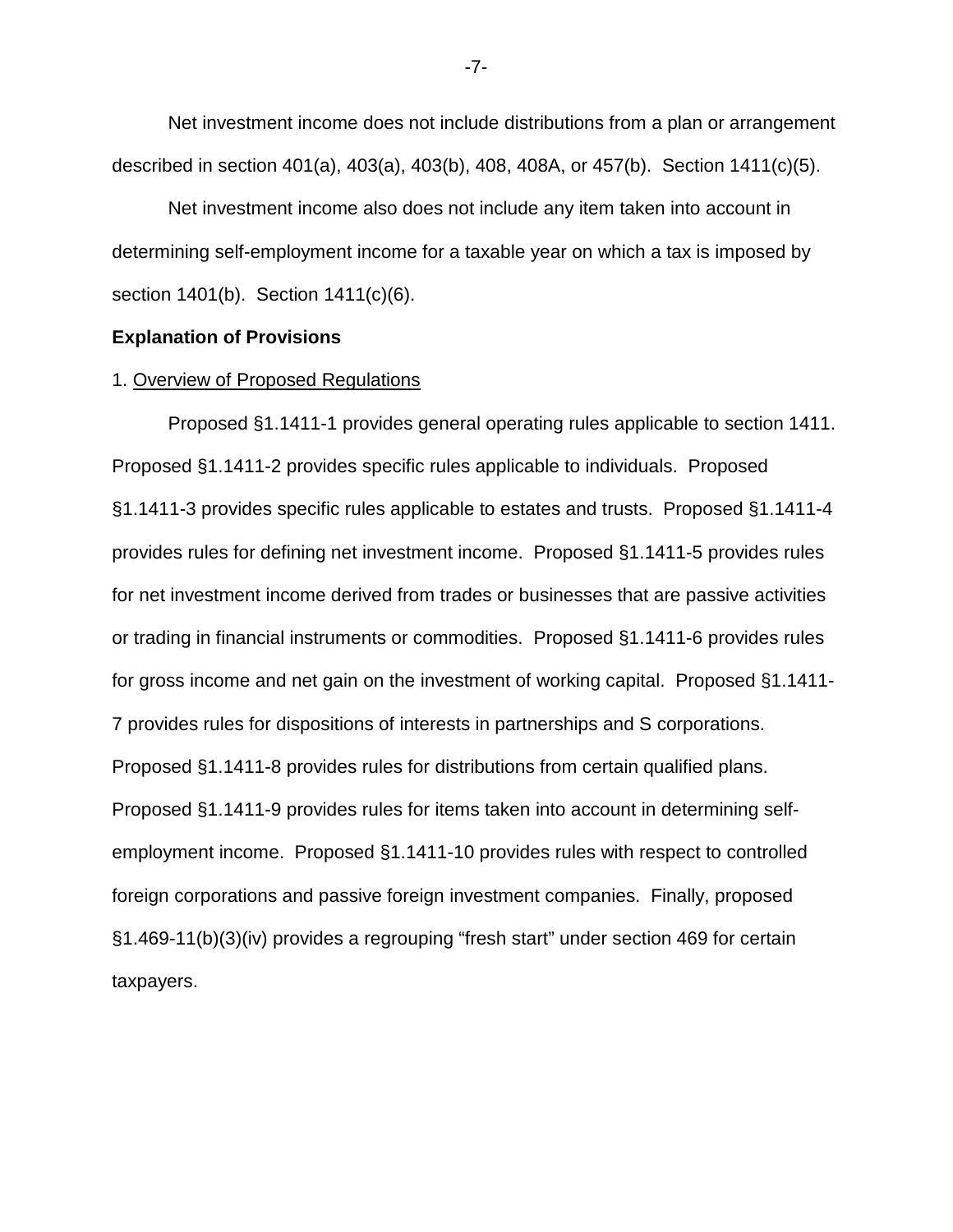Net investment income does not include distributions from a plan or arrangement described in section 401(a), 403(a), 403(b), 408, 408A, or 457(b). Section 1411(c)(5).

Net investment income also does not include any item taken into account in determining self-employment income for a taxable year on which a tax is imposed by section 1401(b). Section 1411(c)(6).

# **Explanation of Provisions**

# 1. Overview of Proposed Regulations

Proposed §1.1411-1 provides general operating rules applicable to section 1411. Proposed §1.1411-2 provides specific rules applicable to individuals. Proposed §1.1411-3 provides specific rules applicable to estates and trusts. Proposed §1.1411-4 provides rules for defining net investment income. Proposed §1.1411-5 provides rules for net investment income derived from trades or businesses that are passive activities or trading in financial instruments or commodities. Proposed §1.1411-6 provides rules for gross income and net gain on the investment of working capital. Proposed §1.1411- 7 provides rules for dispositions of interests in partnerships and S corporations. Proposed §1.1411-8 provides rules for distributions from certain qualified plans. Proposed §1.1411-9 provides rules for items taken into account in determining selfemployment income. Proposed §1.1411-10 provides rules with respect to controlled foreign corporations and passive foreign investment companies. Finally, proposed §1.469-11(b)(3)(iv) provides a regrouping "fresh start" under section 469 for certain taxpayers.

-7-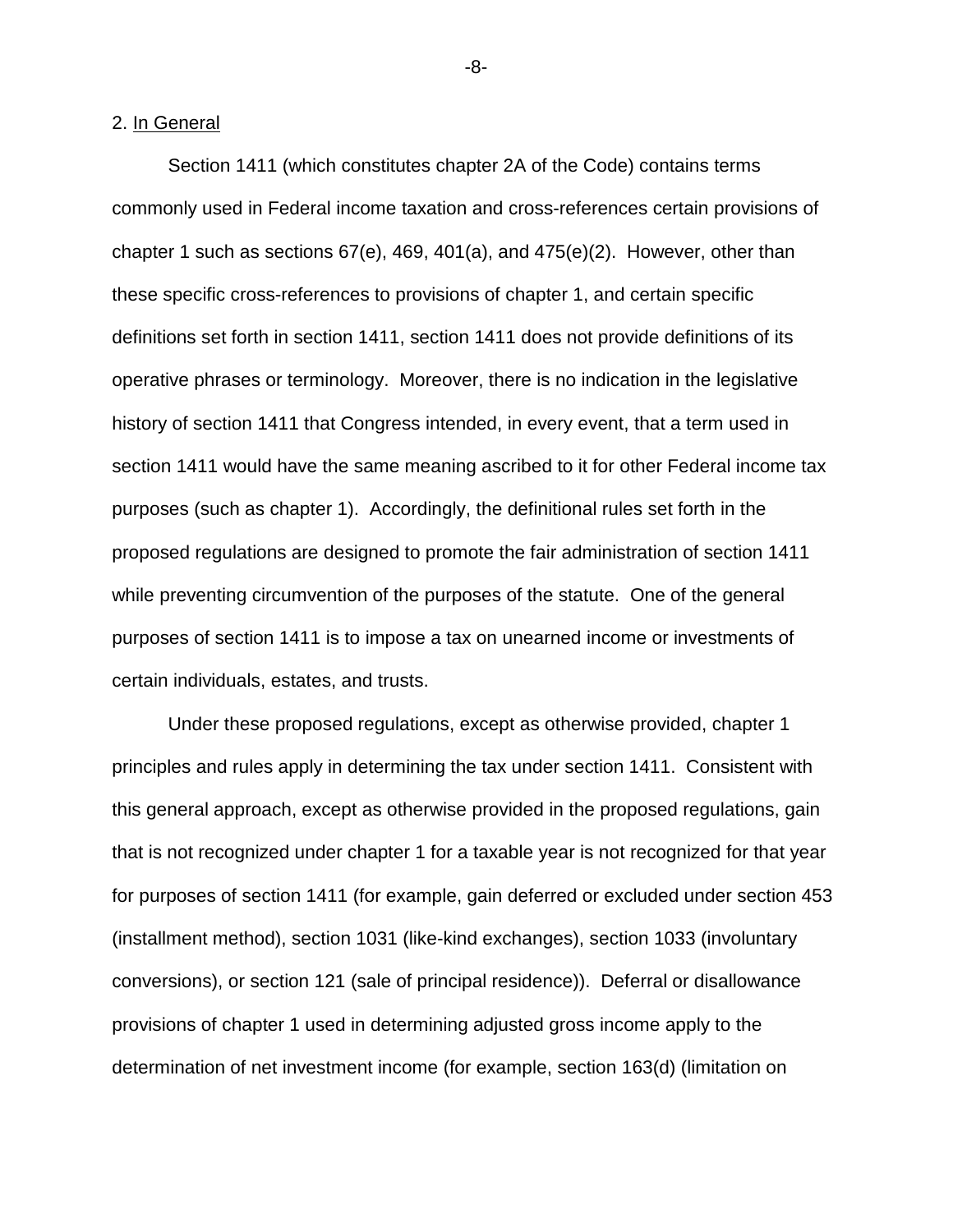# 2. In General

Section 1411 (which constitutes chapter 2A of the Code) contains terms commonly used in Federal income taxation and cross-references certain provisions of chapter 1 such as sections 67(e), 469, 401(a), and 475(e)(2). However, other than these specific cross-references to provisions of chapter 1, and certain specific definitions set forth in section 1411, section 1411 does not provide definitions of its operative phrases or terminology. Moreover, there is no indication in the legislative history of section 1411 that Congress intended, in every event, that a term used in section 1411 would have the same meaning ascribed to it for other Federal income tax purposes (such as chapter 1). Accordingly, the definitional rules set forth in the proposed regulations are designed to promote the fair administration of section 1411 while preventing circumvention of the purposes of the statute. One of the general purposes of section 1411 is to impose a tax on unearned income or investments of certain individuals, estates, and trusts.

Under these proposed regulations, except as otherwise provided, chapter 1 principles and rules apply in determining the tax under section 1411. Consistent with this general approach, except as otherwise provided in the proposed regulations, gain that is not recognized under chapter 1 for a taxable year is not recognized for that year for purposes of section 1411 (for example, gain deferred or excluded under section 453 (installment method), section 1031 (like-kind exchanges), section 1033 (involuntary conversions), or section 121 (sale of principal residence)). Deferral or disallowance provisions of chapter 1 used in determining adjusted gross income apply to the determination of net investment income (for example, section 163(d) (limitation on

-8-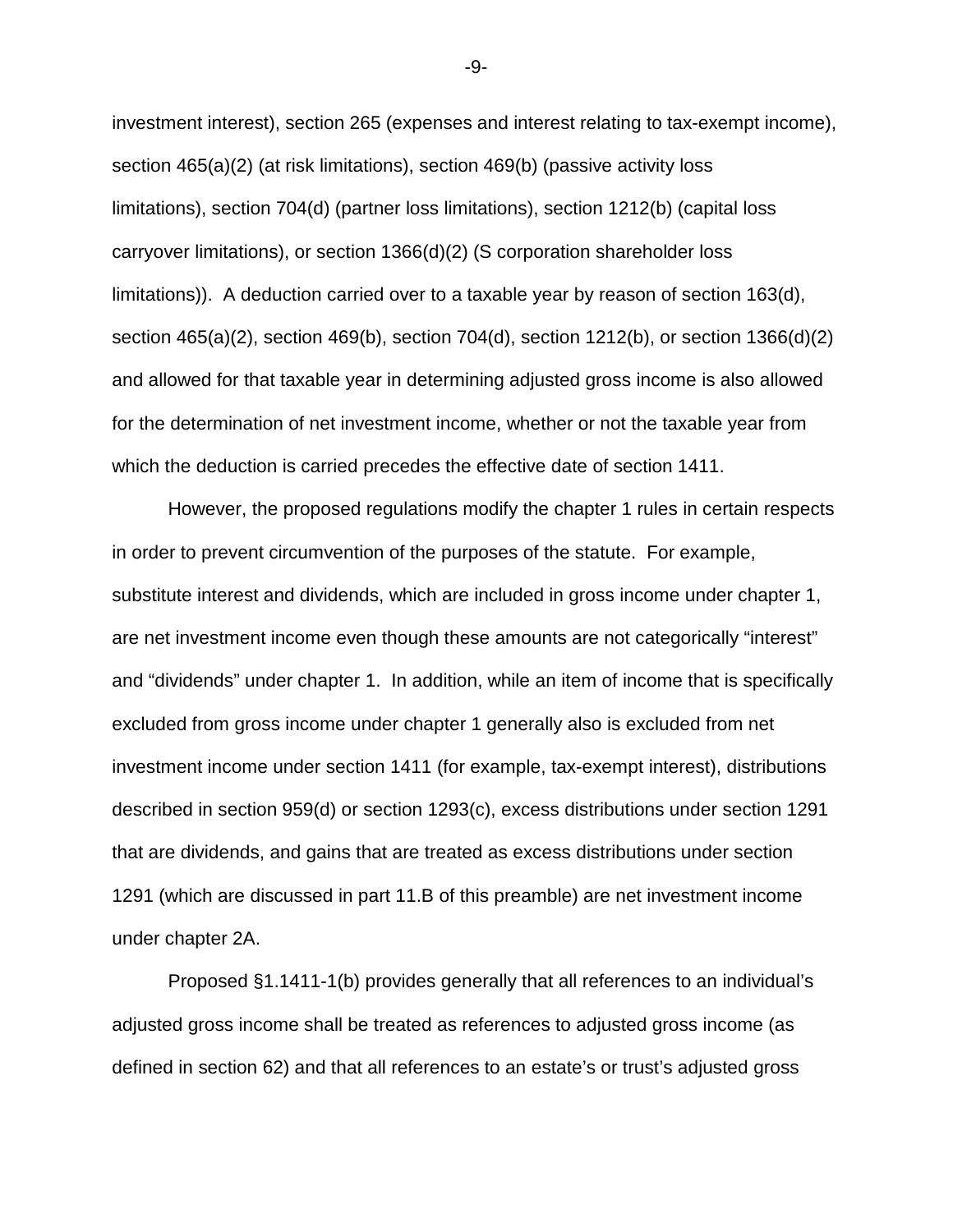investment interest), section 265 (expenses and interest relating to tax-exempt income), section 465(a)(2) (at risk limitations), section 469(b) (passive activity loss limitations), section 704(d) (partner loss limitations), section 1212(b) (capital loss carryover limitations), or section 1366(d)(2) (S corporation shareholder loss limitations)). A deduction carried over to a taxable year by reason of section 163(d), section 465(a)(2), section 469(b), section 704(d), section 1212(b), or section 1366(d)(2) and allowed for that taxable year in determining adjusted gross income is also allowed for the determination of net investment income, whether or not the taxable year from which the deduction is carried precedes the effective date of section 1411.

However, the proposed regulations modify the chapter 1 rules in certain respects in order to prevent circumvention of the purposes of the statute. For example, substitute interest and dividends, which are included in gross income under chapter 1, are net investment income even though these amounts are not categorically "interest" and "dividends" under chapter 1. In addition, while an item of income that is specifically excluded from gross income under chapter 1 generally also is excluded from net investment income under section 1411 (for example, tax-exempt interest), distributions described in section 959(d) or section 1293(c), excess distributions under section 1291 that are dividends, and gains that are treated as excess distributions under section 1291 (which are discussed in part 11.B of this preamble) are net investment income under chapter 2A.

Proposed §1.1411-1(b) provides generally that all references to an individual's adjusted gross income shall be treated as references to adjusted gross income (as defined in section 62) and that all references to an estate's or trust's adjusted gross

-9-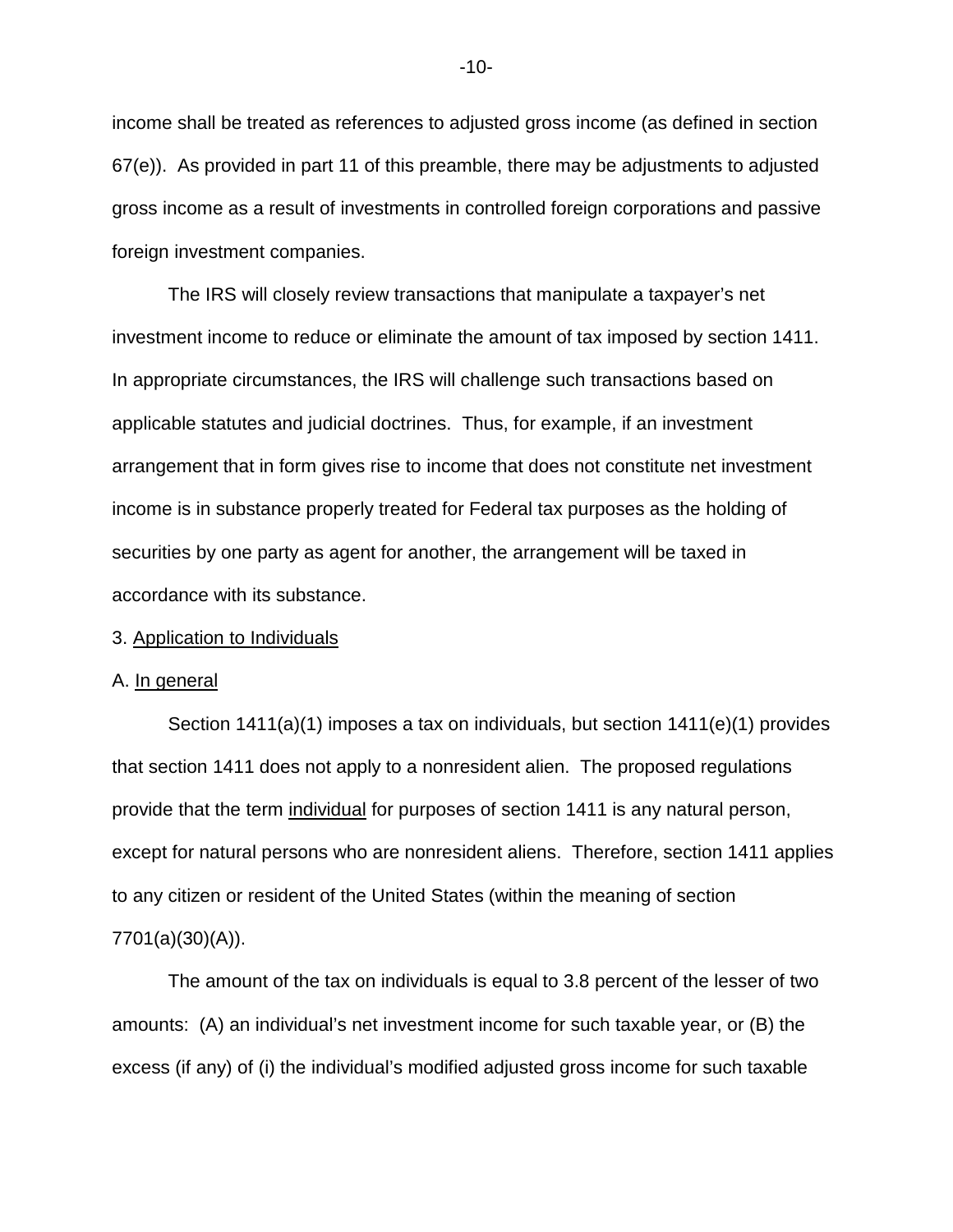income shall be treated as references to adjusted gross income (as defined in section 67(e)). As provided in part 11 of this preamble, there may be adjustments to adjusted gross income as a result of investments in controlled foreign corporations and passive foreign investment companies.

The IRS will closely review transactions that manipulate a taxpayer's net investment income to reduce or eliminate the amount of tax imposed by section 1411. In appropriate circumstances, the IRS will challenge such transactions based on applicable statutes and judicial doctrines. Thus, for example, if an investment arrangement that in form gives rise to income that does not constitute net investment income is in substance properly treated for Federal tax purposes as the holding of securities by one party as agent for another, the arrangement will be taxed in accordance with its substance.

# 3. Application to Individuals

### A. In general

Section 1411(a)(1) imposes a tax on individuals, but section 1411(e)(1) provides that section 1411 does not apply to a nonresident alien. The proposed regulations provide that the term individual for purposes of section 1411 is any natural person, except for natural persons who are nonresident aliens. Therefore, section 1411 applies to any citizen or resident of the United States (within the meaning of section 7701(a)(30)(A)).

The amount of the tax on individuals is equal to 3.8 percent of the lesser of two amounts: (A) an individual's net investment income for such taxable year, or (B) the excess (if any) of (i) the individual's modified adjusted gross income for such taxable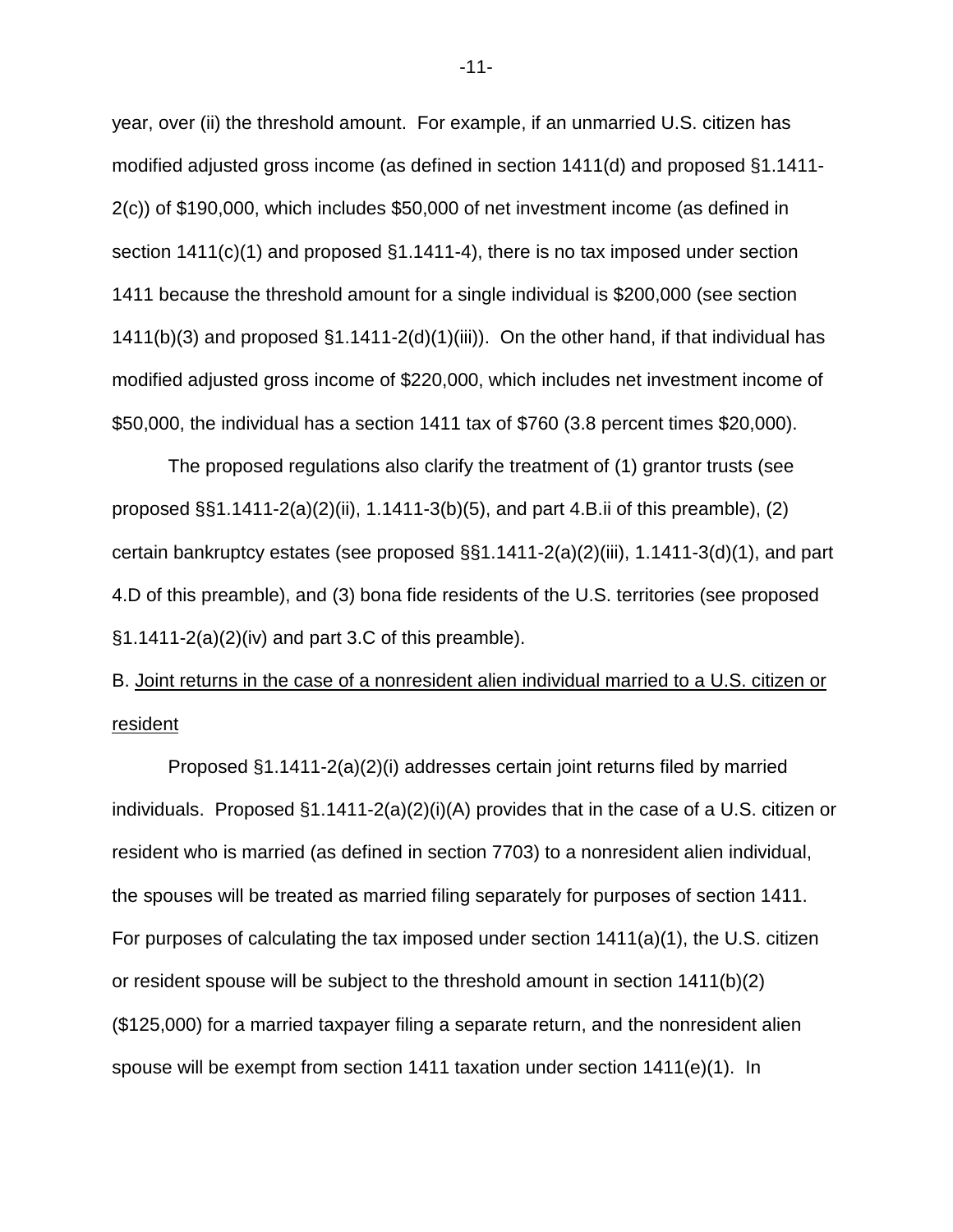year, over (ii) the threshold amount. For example, if an unmarried U.S. citizen has modified adjusted gross income (as defined in section 1411(d) and proposed §1.1411- 2(c)) of \$190,000, which includes \$50,000 of net investment income (as defined in section 1411(c)(1) and proposed §1.1411-4), there is no tax imposed under section 1411 because the threshold amount for a single individual is \$200,000 (see section 1411(b)(3) and proposed  $\S1.1411-2(d)(1)(iii)$ . On the other hand, if that individual has modified adjusted gross income of \$220,000, which includes net investment income of \$50,000, the individual has a section 1411 tax of \$760 (3.8 percent times \$20,000).

The proposed regulations also clarify the treatment of (1) grantor trusts (see proposed §§1.1411-2(a)(2)(ii), 1.1411-3(b)(5), and part 4.B.ii of this preamble), (2) certain bankruptcy estates (see proposed §§1.1411-2(a)(2)(iii), 1.1411-3(d)(1), and part 4.D of this preamble), and (3) bona fide residents of the U.S. territories (see proposed §1.1411-2(a)(2)(iv) and part 3.C of this preamble).

# B. Joint returns in the case of a nonresident alien individual married to a U.S. citizen or resident

 Proposed §1.1411-2(a)(2)(i) addresses certain joint returns filed by married individuals. Proposed §1.1411-2(a)(2)(i)(A) provides that in the case of a U.S. citizen or resident who is married (as defined in section 7703) to a nonresident alien individual, the spouses will be treated as married filing separately for purposes of section 1411. For purposes of calculating the tax imposed under section 1411(a)(1), the U.S. citizen or resident spouse will be subject to the threshold amount in section 1411(b)(2) (\$125,000) for a married taxpayer filing a separate return, and the nonresident alien spouse will be exempt from section 1411 taxation under section 1411(e)(1). In

-11-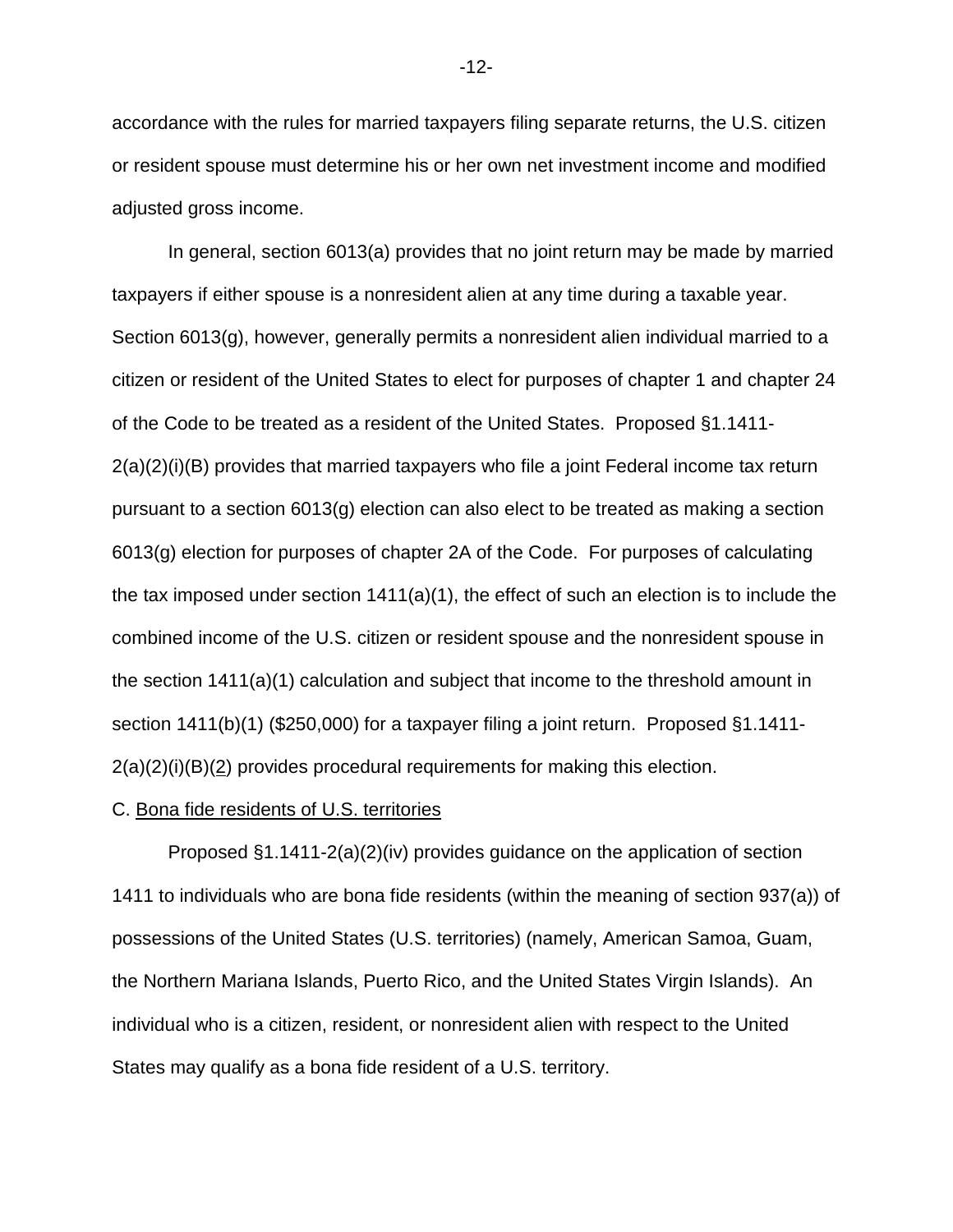accordance with the rules for married taxpayers filing separate returns, the U.S. citizen or resident spouse must determine his or her own net investment income and modified adjusted gross income.

In general, section 6013(a) provides that no joint return may be made by married taxpayers if either spouse is a nonresident alien at any time during a taxable year. Section 6013(g), however, generally permits a nonresident alien individual married to a citizen or resident of the United States to elect for purposes of chapter 1 and chapter 24 of the Code to be treated as a resident of the United States. Proposed §1.1411- 2(a)(2)(i)(B) provides that married taxpayers who file a joint Federal income tax return pursuant to a section 6013(g) election can also elect to be treated as making a section 6013(g) election for purposes of chapter 2A of the Code. For purposes of calculating the tax imposed under section  $1411(a)(1)$ , the effect of such an election is to include the combined income of the U.S. citizen or resident spouse and the nonresident spouse in the section 1411(a)(1) calculation and subject that income to the threshold amount in section 1411(b)(1) (\$250,000) for a taxpayer filing a joint return. Proposed §1.1411-  $2(a)(2)(i)(B)(2)$  provides procedural requirements for making this election.

# C. Bona fide residents of U.S. territories

Proposed §1.1411-2(a)(2)(iv) provides guidance on the application of section 1411 to individuals who are bona fide residents (within the meaning of section 937(a)) of possessions of the United States (U.S. territories) (namely, American Samoa, Guam, the Northern Mariana Islands, Puerto Rico, and the United States Virgin Islands). An individual who is a citizen, resident, or nonresident alien with respect to the United States may qualify as a bona fide resident of a U.S. territory.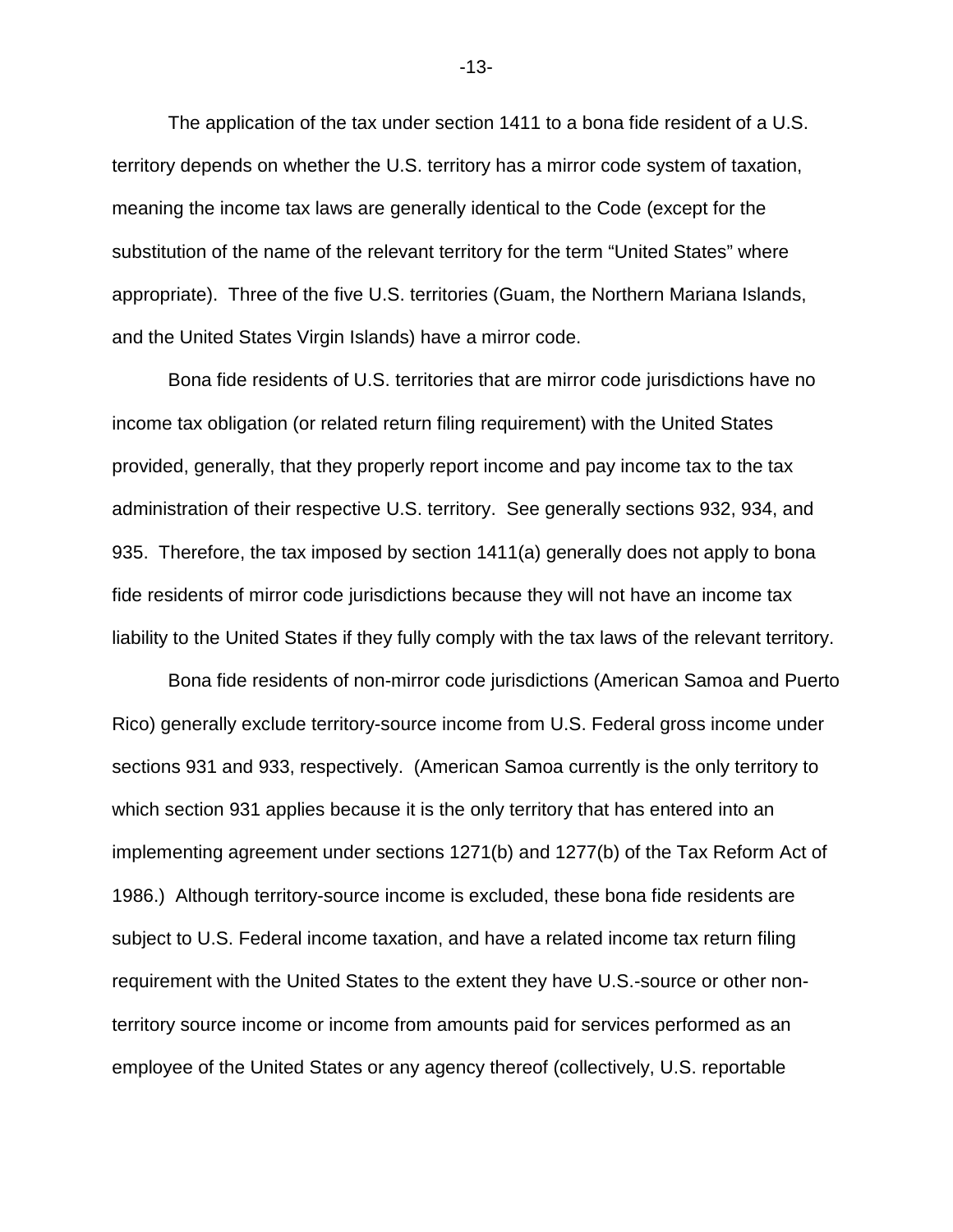The application of the tax under section 1411 to a bona fide resident of a U.S. territory depends on whether the U.S. territory has a mirror code system of taxation, meaning the income tax laws are generally identical to the Code (except for the substitution of the name of the relevant territory for the term "United States" where appropriate). Three of the five U.S. territories (Guam, the Northern Mariana Islands, and the United States Virgin Islands) have a mirror code.

Bona fide residents of U.S. territories that are mirror code jurisdictions have no income tax obligation (or related return filing requirement) with the United States provided, generally, that they properly report income and pay income tax to the tax administration of their respective U.S. territory. See generally sections 932, 934, and 935. Therefore, the tax imposed by section 1411(a) generally does not apply to bona fide residents of mirror code jurisdictions because they will not have an income tax liability to the United States if they fully comply with the tax laws of the relevant territory.

Bona fide residents of non-mirror code jurisdictions (American Samoa and Puerto Rico) generally exclude territory-source income from U.S. Federal gross income under sections 931 and 933, respectively. (American Samoa currently is the only territory to which section 931 applies because it is the only territory that has entered into an implementing agreement under sections 1271(b) and 1277(b) of the Tax Reform Act of 1986.) Although territory-source income is excluded, these bona fide residents are subject to U.S. Federal income taxation, and have a related income tax return filing requirement with the United States to the extent they have U.S.-source or other nonterritory source income or income from amounts paid for services performed as an employee of the United States or any agency thereof (collectively, U.S. reportable

-13-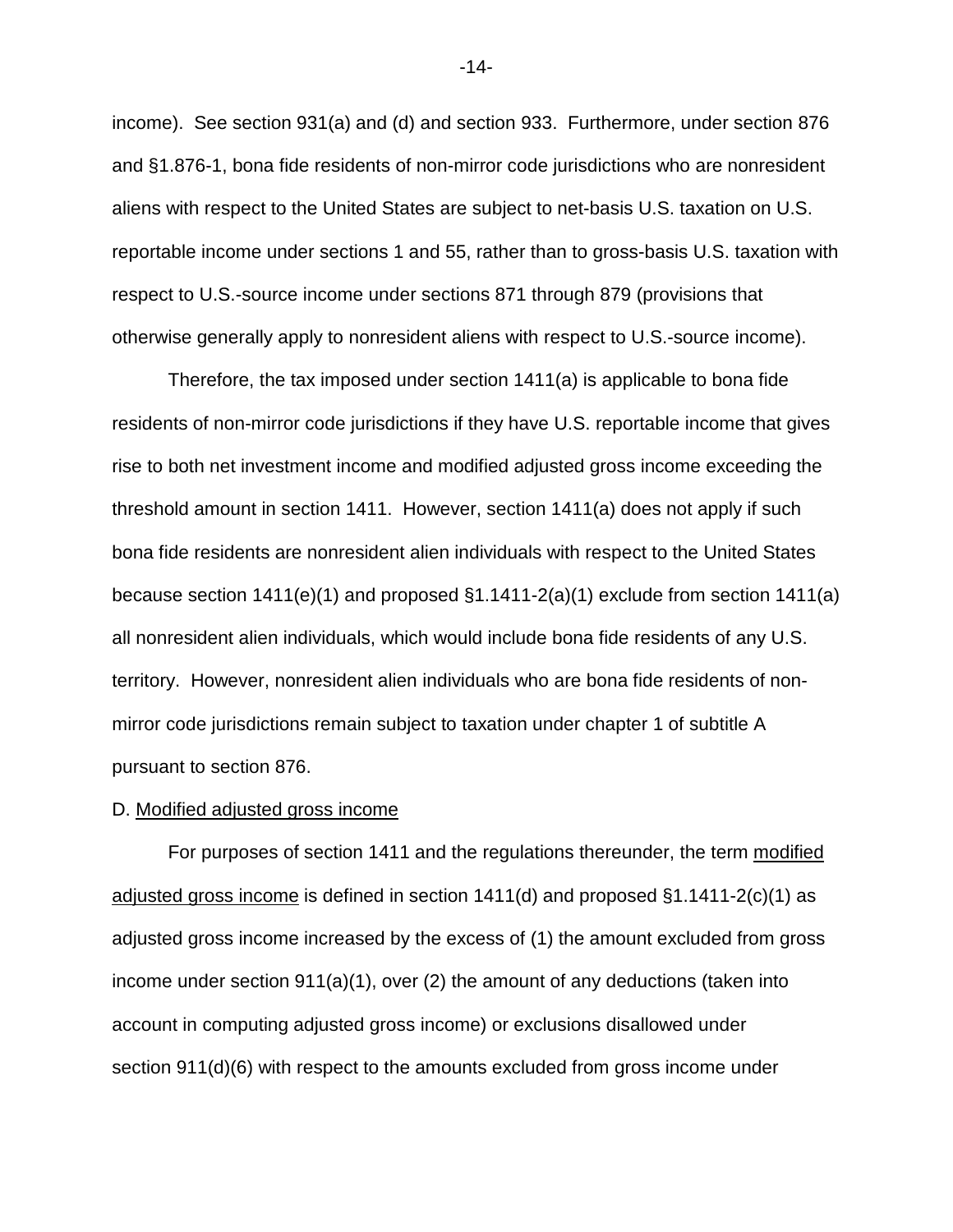income). See section 931(a) and (d) and section 933. Furthermore, under section 876 and §1.876-1, bona fide residents of non-mirror code jurisdictions who are nonresident aliens with respect to the United States are subject to net-basis U.S. taxation on U.S. reportable income under sections 1 and 55, rather than to gross-basis U.S. taxation with respect to U.S.-source income under sections 871 through 879 (provisions that otherwise generally apply to nonresident aliens with respect to U.S.-source income).

Therefore, the tax imposed under section 1411(a) is applicable to bona fide residents of non-mirror code jurisdictions if they have U.S. reportable income that gives rise to both net investment income and modified adjusted gross income exceeding the threshold amount in section 1411. However, section 1411(a) does not apply if such bona fide residents are nonresident alien individuals with respect to the United States because section 1411(e)(1) and proposed §1.1411-2(a)(1) exclude from section 1411(a) all nonresident alien individuals, which would include bona fide residents of any U.S. territory. However, nonresident alien individuals who are bona fide residents of nonmirror code jurisdictions remain subject to taxation under chapter 1 of subtitle A pursuant to section 876.

# D. Modified adjusted gross income

For purposes of section 1411 and the regulations thereunder, the term modified adjusted gross income is defined in section 1411(d) and proposed §1.1411-2(c)(1) as adjusted gross income increased by the excess of (1) the amount excluded from gross income under section 911(a)(1), over (2) the amount of any deductions (taken into account in computing adjusted gross income) or exclusions disallowed under section 911(d)(6) with respect to the amounts excluded from gross income under

-14-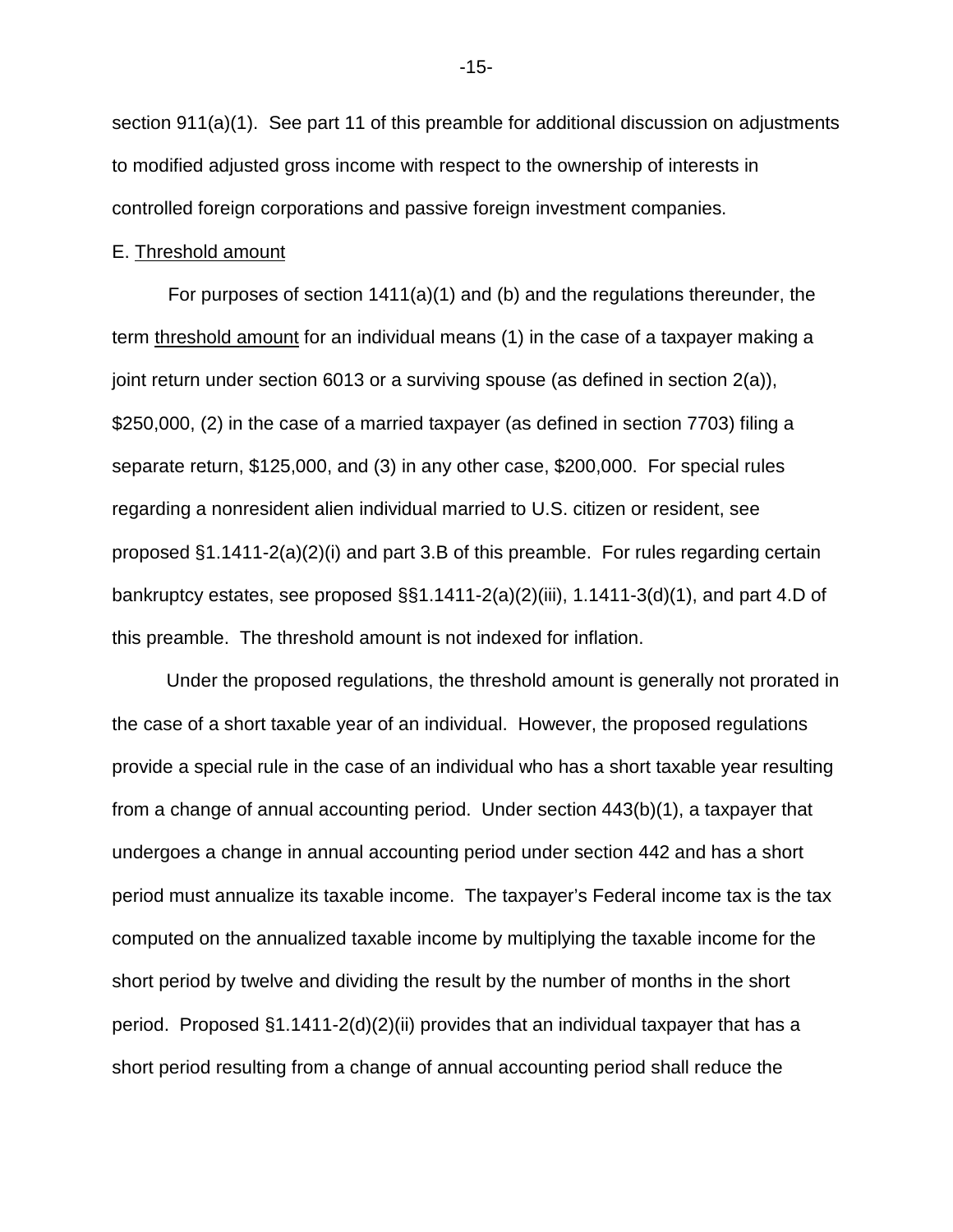section 911(a)(1). See part 11 of this preamble for additional discussion on adjustments to modified adjusted gross income with respect to the ownership of interests in controlled foreign corporations and passive foreign investment companies.

## E. Threshold amount

For purposes of section  $1411(a)(1)$  and (b) and the regulations thereunder, the term threshold amount for an individual means (1) in the case of a taxpayer making a joint return under section 6013 or a surviving spouse (as defined in section 2(a)), \$250,000, (2) in the case of a married taxpayer (as defined in section 7703) filing a separate return, \$125,000, and (3) in any other case, \$200,000. For special rules regarding a nonresident alien individual married to U.S. citizen or resident, see proposed  $\S1.1411-2(a)(2)(i)$  and part 3.B of this preamble. For rules regarding certain bankruptcy estates, see proposed  $\S$ §1.1411-2(a)(2)(iii), 1.1411-3(d)(1), and part 4.D of this preamble. The threshold amount is not indexed for inflation.

Under the proposed regulations, the threshold amount is generally not prorated in the case of a short taxable year of an individual. However, the proposed regulations provide a special rule in the case of an individual who has a short taxable year resulting from a change of annual accounting period. Under section 443(b)(1), a taxpayer that undergoes a change in annual accounting period under section 442 and has a short period must annualize its taxable income. The taxpayer's Federal income tax is the tax computed on the annualized taxable income by multiplying the taxable income for the short period by twelve and dividing the result by the number of months in the short period. Proposed §1.1411-2(d)(2)(ii) provides that an individual taxpayer that has a short period resulting from a change of annual accounting period shall reduce the

-15-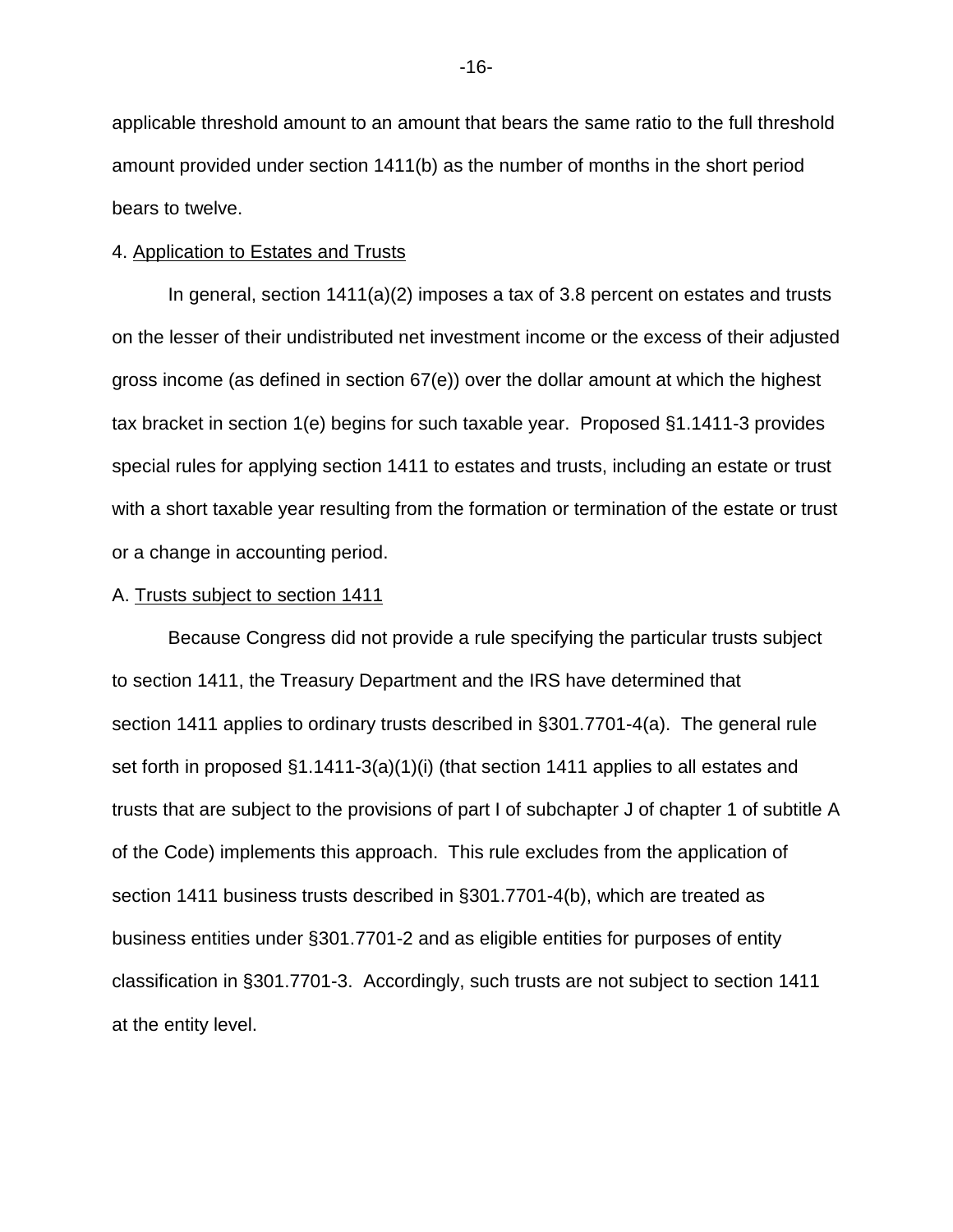applicable threshold amount to an amount that bears the same ratio to the full threshold amount provided under section 1411(b) as the number of months in the short period bears to twelve.

# 4. Application to Estates and Trusts

In general, section  $1411(a)(2)$  imposes a tax of 3.8 percent on estates and trusts on the lesser of their undistributed net investment income or the excess of their adjusted gross income (as defined in section 67(e)) over the dollar amount at which the highest tax bracket in section 1(e) begins for such taxable year. Proposed §1.1411-3 provides special rules for applying section 1411 to estates and trusts, including an estate or trust with a short taxable year resulting from the formation or termination of the estate or trust or a change in accounting period.

# A. Trusts subject to section 1411

Because Congress did not provide a rule specifying the particular trusts subject to section 1411, the Treasury Department and the IRS have determined that section 1411 applies to ordinary trusts described in §301.7701-4(a). The general rule set forth in proposed §1.1411-3(a)(1)(i) (that section 1411 applies to all estates and trusts that are subject to the provisions of part I of subchapter J of chapter 1 of subtitle A of the Code) implements this approach. This rule excludes from the application of section 1411 business trusts described in §301.7701-4(b), which are treated as business entities under §301.7701-2 and as eligible entities for purposes of entity classification in §301.7701-3. Accordingly, such trusts are not subject to section 1411 at the entity level.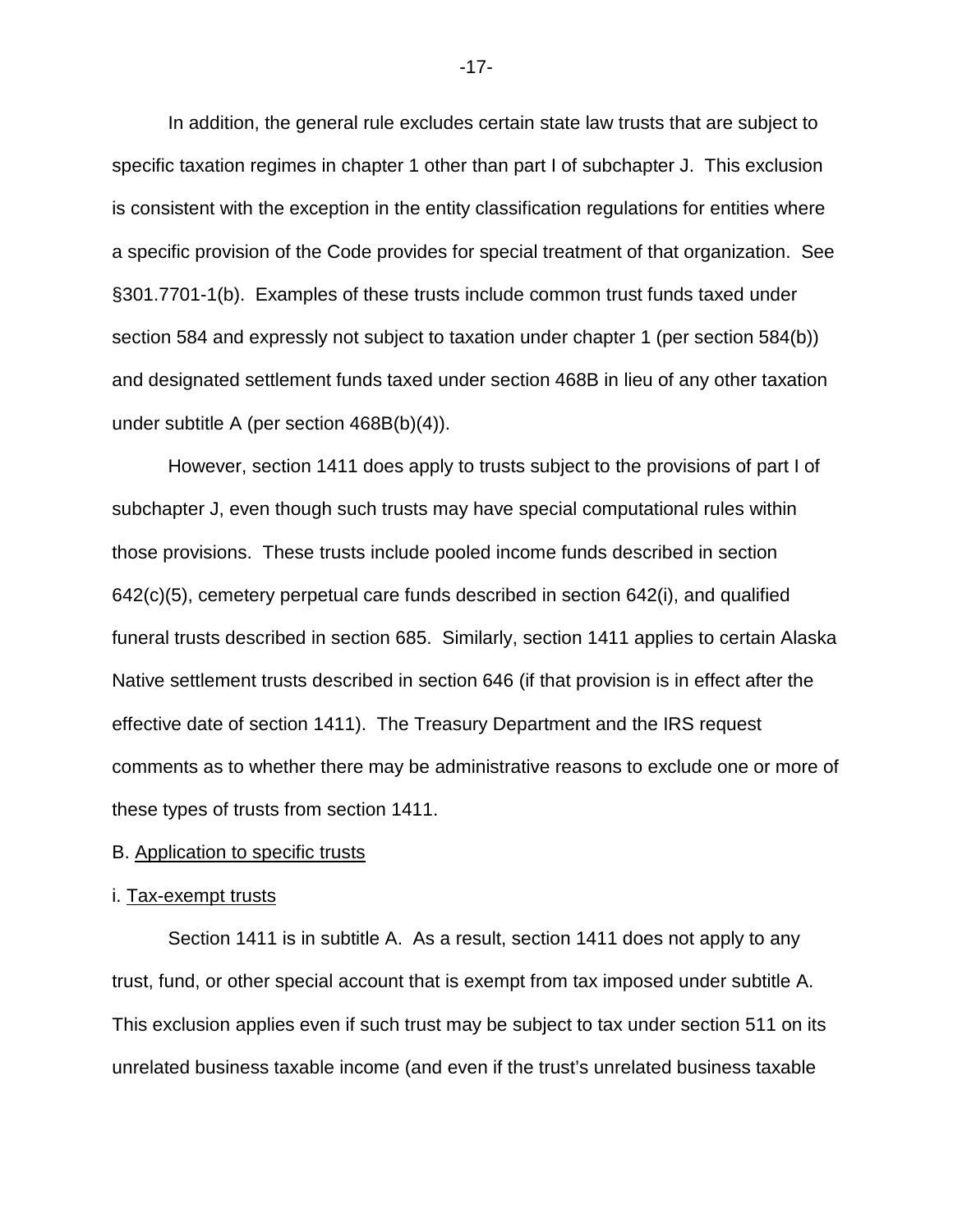In addition, the general rule excludes certain state law trusts that are subject to specific taxation regimes in chapter 1 other than part I of subchapter J. This exclusion is consistent with the exception in the entity classification regulations for entities where a specific provision of the Code provides for special treatment of that organization. See §301.7701-1(b). Examples of these trusts include common trust funds taxed under section 584 and expressly not subject to taxation under chapter 1 (per section 584(b)) and designated settlement funds taxed under section 468B in lieu of any other taxation under subtitle A (per section 468B(b)(4)).

However, section 1411 does apply to trusts subject to the provisions of part I of subchapter J, even though such trusts may have special computational rules within those provisions. These trusts include pooled income funds described in section  $642(c)(5)$ , cemetery perpetual care funds described in section  $642(i)$ , and qualified funeral trusts described in section 685. Similarly, section 1411 applies to certain Alaska Native settlement trusts described in section 646 (if that provision is in effect after the effective date of section 1411). The Treasury Department and the IRS request comments as to whether there may be administrative reasons to exclude one or more of these types of trusts from section 1411.

# B. Application to specific trusts

## i. Tax-exempt trusts

Section 1411 is in subtitle A. As a result, section 1411 does not apply to any trust, fund, or other special account that is exempt from tax imposed under subtitle A. This exclusion applies even if such trust may be subject to tax under section 511 on its unrelated business taxable income (and even if the trust's unrelated business taxable

-17-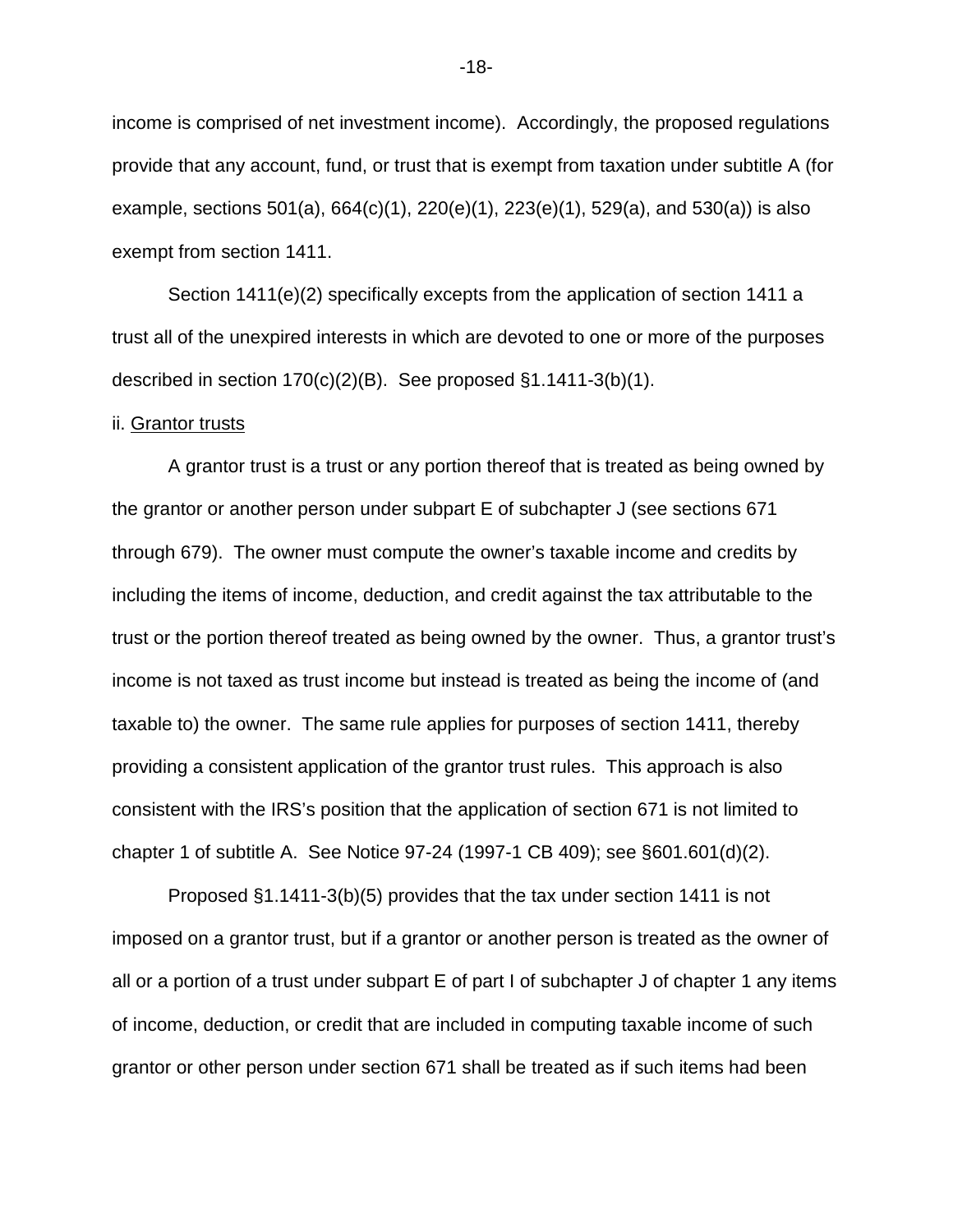income is comprised of net investment income). Accordingly, the proposed regulations provide that any account, fund, or trust that is exempt from taxation under subtitle A (for example, sections 501(a), 664(c)(1), 220(e)(1), 223(e)(1), 529(a), and 530(a)) is also exempt from section 1411.

Section 1411(e)(2) specifically excepts from the application of section 1411 a trust all of the unexpired interests in which are devoted to one or more of the purposes described in section 170(c)(2)(B). See proposed §1.1411-3(b)(1).

#### ii. Grantor trusts

A grantor trust is a trust or any portion thereof that is treated as being owned by the grantor or another person under subpart E of subchapter J (see sections 671 through 679). The owner must compute the owner's taxable income and credits by including the items of income, deduction, and credit against the tax attributable to the trust or the portion thereof treated as being owned by the owner. Thus, a grantor trust's income is not taxed as trust income but instead is treated as being the income of (and taxable to) the owner. The same rule applies for purposes of section 1411, thereby providing a consistent application of the grantor trust rules. This approach is also consistent with the IRS's position that the application of section 671 is not limited to chapter 1 of subtitle A. See Notice 97-24 (1997-1 CB 409); see §601.601(d)(2).

Proposed §1.1411-3(b)(5) provides that the tax under section 1411 is not imposed on a grantor trust, but if a grantor or another person is treated as the owner of all or a portion of a trust under subpart E of part I of subchapter J of chapter 1 any items of income, deduction, or credit that are included in computing taxable income of such grantor or other person under section 671 shall be treated as if such items had been

-18-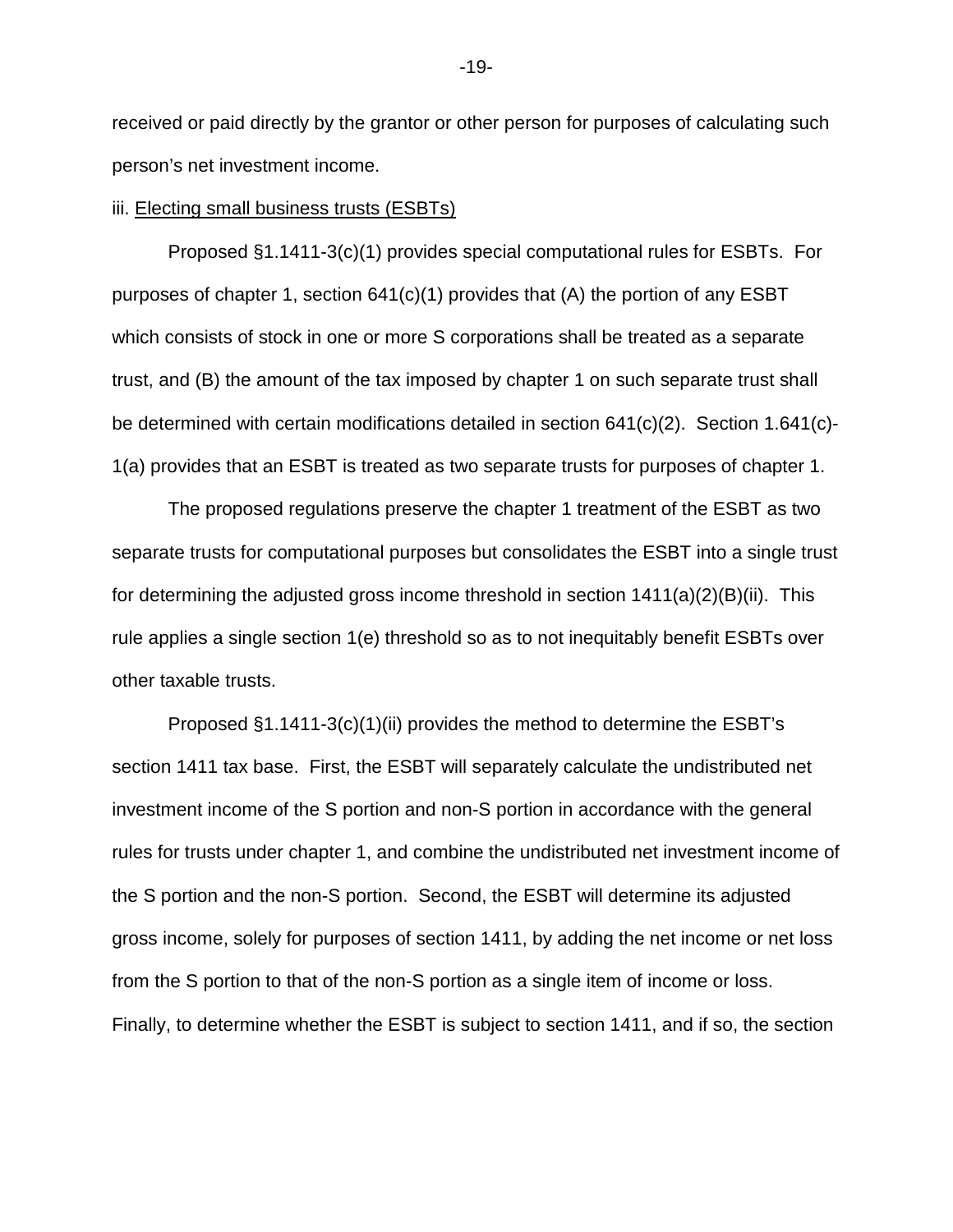received or paid directly by the grantor or other person for purposes of calculating such person's net investment income.

# iii. Electing small business trusts (ESBTs)

Proposed §1.1411-3(c)(1) provides special computational rules for ESBTs. For purposes of chapter 1, section  $641(c)(1)$  provides that (A) the portion of any ESBT which consists of stock in one or more S corporations shall be treated as a separate trust, and (B) the amount of the tax imposed by chapter 1 on such separate trust shall be determined with certain modifications detailed in section 641(c)(2). Section 1.641(c)- 1(a) provides that an ESBT is treated as two separate trusts for purposes of chapter 1.

The proposed regulations preserve the chapter 1 treatment of the ESBT as two separate trusts for computational purposes but consolidates the ESBT into a single trust for determining the adjusted gross income threshold in section  $1411(a)(2)(B)(ii)$ . This rule applies a single section 1(e) threshold so as to not inequitably benefit ESBTs over other taxable trusts.

Proposed §1.1411-3(c)(1)(ii) provides the method to determine the ESBT's section 1411 tax base. First, the ESBT will separately calculate the undistributed net investment income of the S portion and non-S portion in accordance with the general rules for trusts under chapter 1, and combine the undistributed net investment income of the S portion and the non-S portion. Second, the ESBT will determine its adjusted gross income, solely for purposes of section 1411, by adding the net income or net loss from the S portion to that of the non-S portion as a single item of income or loss. Finally, to determine whether the ESBT is subject to section 1411, and if so, the section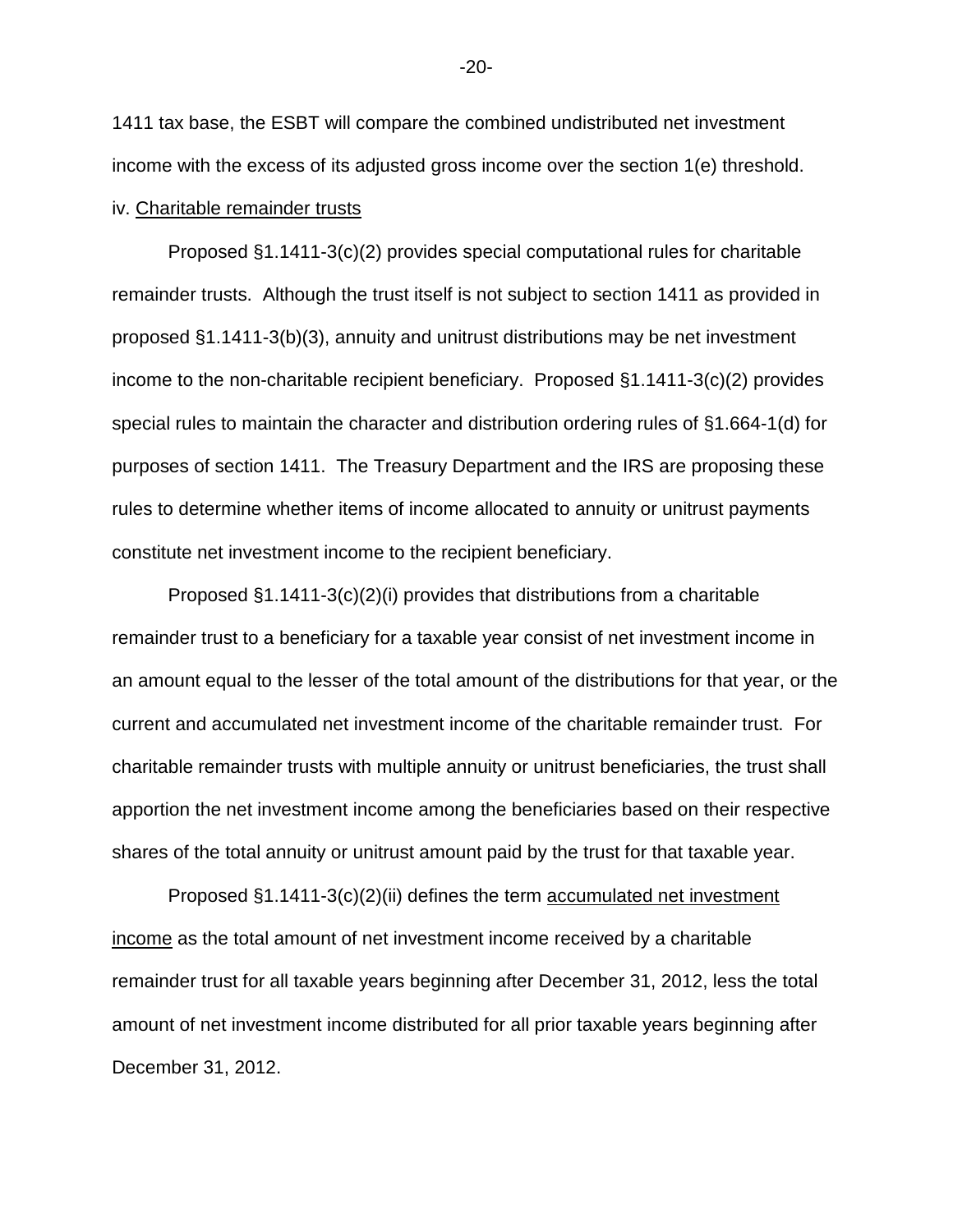1411 tax base, the ESBT will compare the combined undistributed net investment income with the excess of its adjusted gross income over the section 1(e) threshold.

# iv. Charitable remainder trusts

Proposed §1.1411-3(c)(2) provides special computational rules for charitable remainder trusts. Although the trust itself is not subject to section 1411 as provided in proposed §1.1411-3(b)(3), annuity and unitrust distributions may be net investment income to the non-charitable recipient beneficiary. Proposed §1.1411-3(c)(2) provides special rules to maintain the character and distribution ordering rules of §1.664-1(d) for purposes of section 1411. The Treasury Department and the IRS are proposing these rules to determine whether items of income allocated to annuity or unitrust payments constitute net investment income to the recipient beneficiary.

Proposed  $\S1.1411-3(c)(2)(i)$  provides that distributions from a charitable remainder trust to a beneficiary for a taxable year consist of net investment income in an amount equal to the lesser of the total amount of the distributions for that year, or the current and accumulated net investment income of the charitable remainder trust. For charitable remainder trusts with multiple annuity or unitrust beneficiaries, the trust shall apportion the net investment income among the beneficiaries based on their respective shares of the total annuity or unitrust amount paid by the trust for that taxable year.

Proposed §1.1411-3(c)(2)(ii) defines the term accumulated net investment income as the total amount of net investment income received by a charitable remainder trust for all taxable years beginning after December 31, 2012, less the total amount of net investment income distributed for all prior taxable years beginning after December 31, 2012.

-20-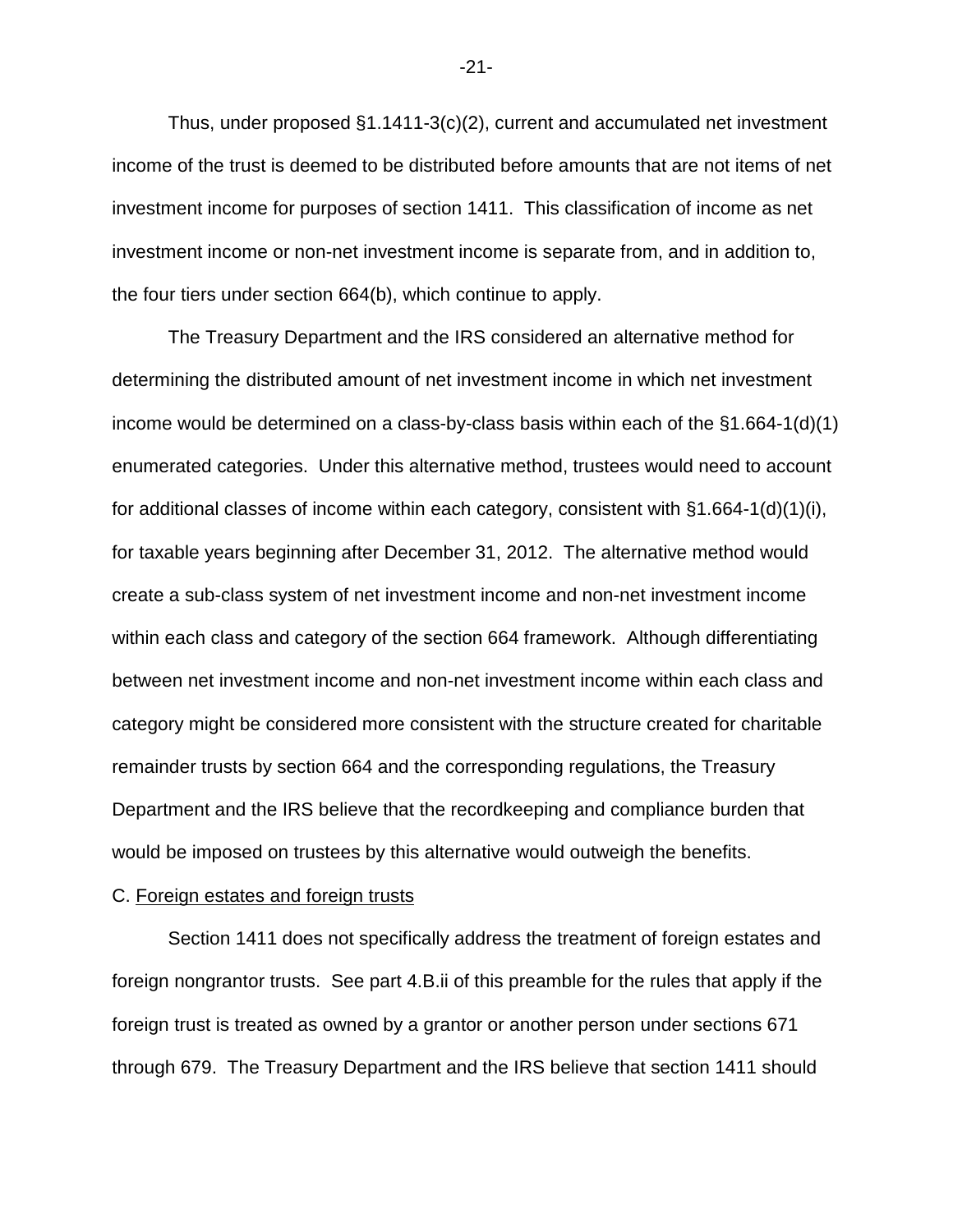Thus, under proposed §1.1411-3(c)(2), current and accumulated net investment income of the trust is deemed to be distributed before amounts that are not items of net investment income for purposes of section 1411. This classification of income as net investment income or non-net investment income is separate from, and in addition to, the four tiers under section 664(b), which continue to apply.

The Treasury Department and the IRS considered an alternative method for determining the distributed amount of net investment income in which net investment income would be determined on a class-by-class basis within each of the §1.664-1(d)(1) enumerated categories. Under this alternative method, trustees would need to account for additional classes of income within each category, consistent with  $\S 1.664-1(d)(1)(i)$ , for taxable years beginning after December 31, 2012. The alternative method would create a sub-class system of net investment income and non-net investment income within each class and category of the section 664 framework. Although differentiating between net investment income and non-net investment income within each class and category might be considered more consistent with the structure created for charitable remainder trusts by section 664 and the corresponding regulations, the Treasury Department and the IRS believe that the recordkeeping and compliance burden that would be imposed on trustees by this alternative would outweigh the benefits.

## C. Foreign estates and foreign trusts

Section 1411 does not specifically address the treatment of foreign estates and foreign nongrantor trusts. See part 4.B.ii of this preamble for the rules that apply if the foreign trust is treated as owned by a grantor or another person under sections 671 through 679. The Treasury Department and the IRS believe that section 1411 should

-21-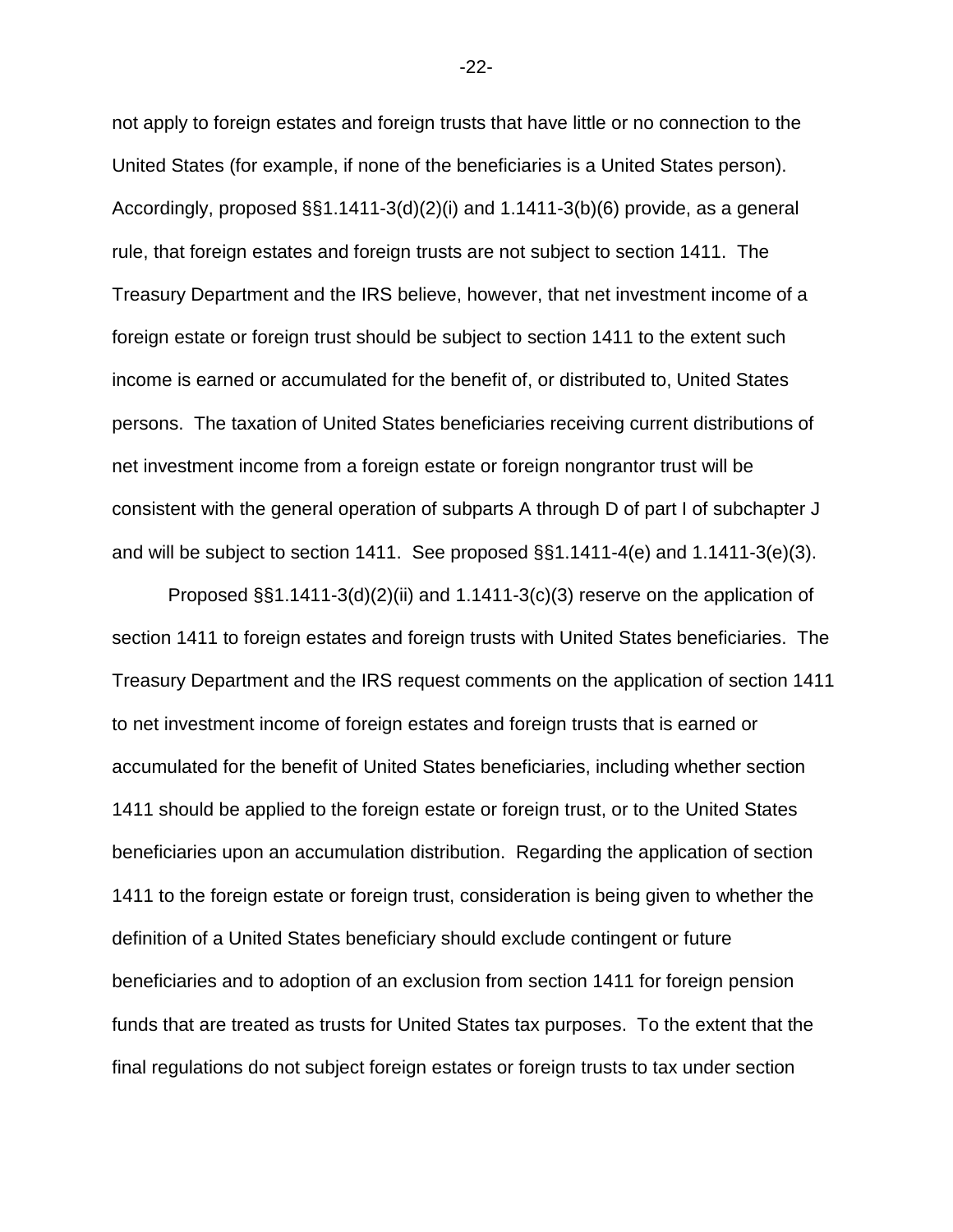not apply to foreign estates and foreign trusts that have little or no connection to the United States (for example, if none of the beneficiaries is a United States person). Accordingly, proposed §§1.1411-3(d)(2)(i) and 1.1411-3(b)(6) provide, as a general rule, that foreign estates and foreign trusts are not subject to section 1411. The Treasury Department and the IRS believe, however, that net investment income of a foreign estate or foreign trust should be subject to section 1411 to the extent such income is earned or accumulated for the benefit of, or distributed to, United States persons. The taxation of United States beneficiaries receiving current distributions of net investment income from a foreign estate or foreign nongrantor trust will be consistent with the general operation of subparts A through D of part I of subchapter J and will be subject to section 1411. See proposed §§1.1411-4(e) and 1.1411-3(e)(3).

Proposed §§1.1411-3(d)(2)(ii) and 1.1411-3(c)(3) reserve on the application of section 1411 to foreign estates and foreign trusts with United States beneficiaries. The Treasury Department and the IRS request comments on the application of section 1411 to net investment income of foreign estates and foreign trusts that is earned or accumulated for the benefit of United States beneficiaries, including whether section 1411 should be applied to the foreign estate or foreign trust, or to the United States beneficiaries upon an accumulation distribution. Regarding the application of section 1411 to the foreign estate or foreign trust, consideration is being given to whether the definition of a United States beneficiary should exclude contingent or future beneficiaries and to adoption of an exclusion from section 1411 for foreign pension funds that are treated as trusts for United States tax purposes. To the extent that the final regulations do not subject foreign estates or foreign trusts to tax under section

-22-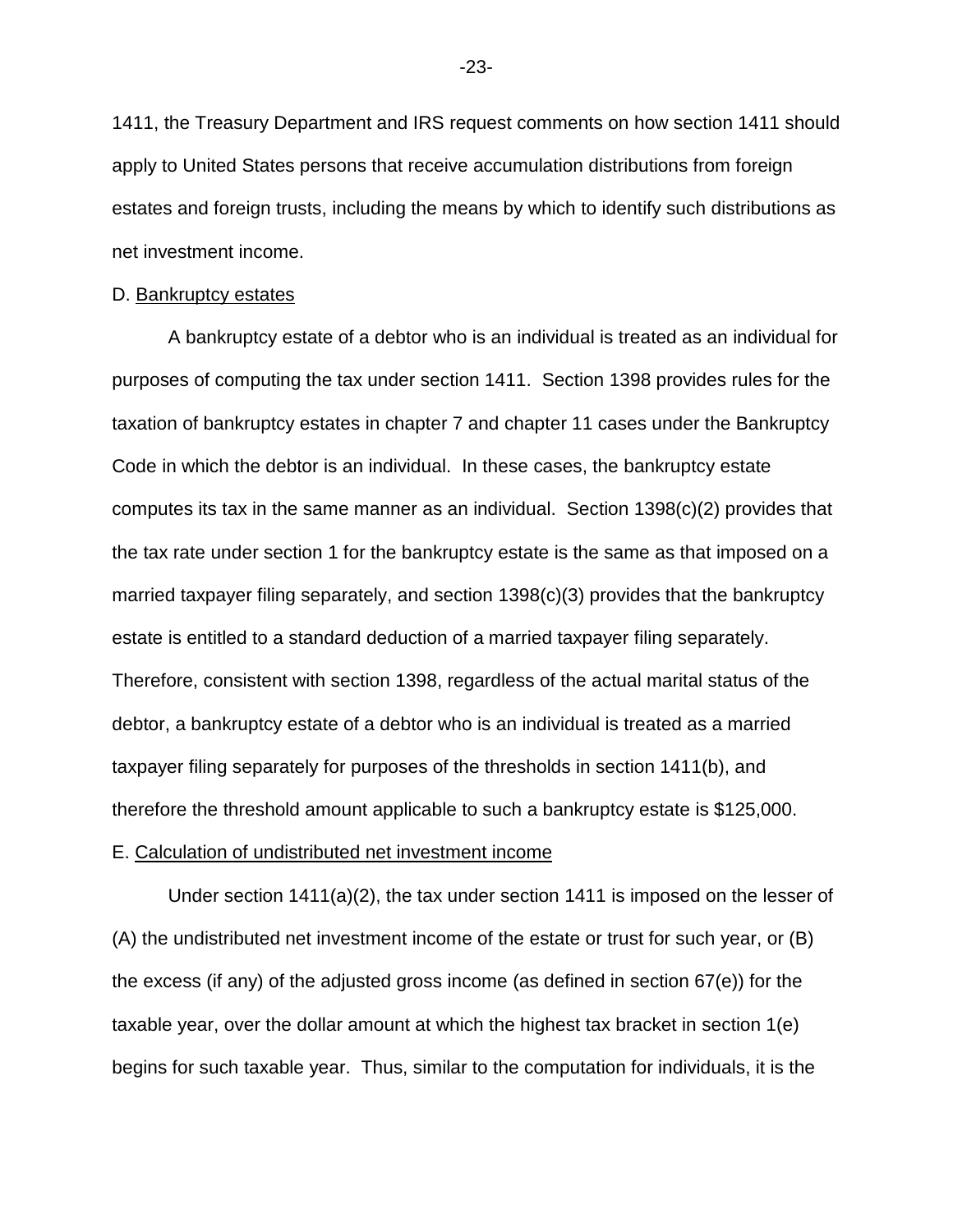1411, the Treasury Department and IRS request comments on how section 1411 should apply to United States persons that receive accumulation distributions from foreign estates and foreign trusts, including the means by which to identify such distributions as net investment income.

# D. Bankruptcy estates

A bankruptcy estate of a debtor who is an individual is treated as an individual for purposes of computing the tax under section 1411. Section 1398 provides rules for the taxation of bankruptcy estates in chapter 7 and chapter 11 cases under the Bankruptcy Code in which the debtor is an individual. In these cases, the bankruptcy estate computes its tax in the same manner as an individual. Section 1398(c)(2) provides that the tax rate under section 1 for the bankruptcy estate is the same as that imposed on a married taxpayer filing separately, and section 1398(c)(3) provides that the bankruptcy estate is entitled to a standard deduction of a married taxpayer filing separately. Therefore, consistent with section 1398, regardless of the actual marital status of the debtor, a bankruptcy estate of a debtor who is an individual is treated as a married taxpayer filing separately for purposes of the thresholds in section 1411(b), and therefore the threshold amount applicable to such a bankruptcy estate is \$125,000.

# E. Calculation of undistributed net investment income

Under section 1411(a)(2), the tax under section 1411 is imposed on the lesser of (A) the undistributed net investment income of the estate or trust for such year, or (B) the excess (if any) of the adjusted gross income (as defined in section 67(e)) for the taxable year, over the dollar amount at which the highest tax bracket in section 1(e) begins for such taxable year. Thus, similar to the computation for individuals, it is the

-23-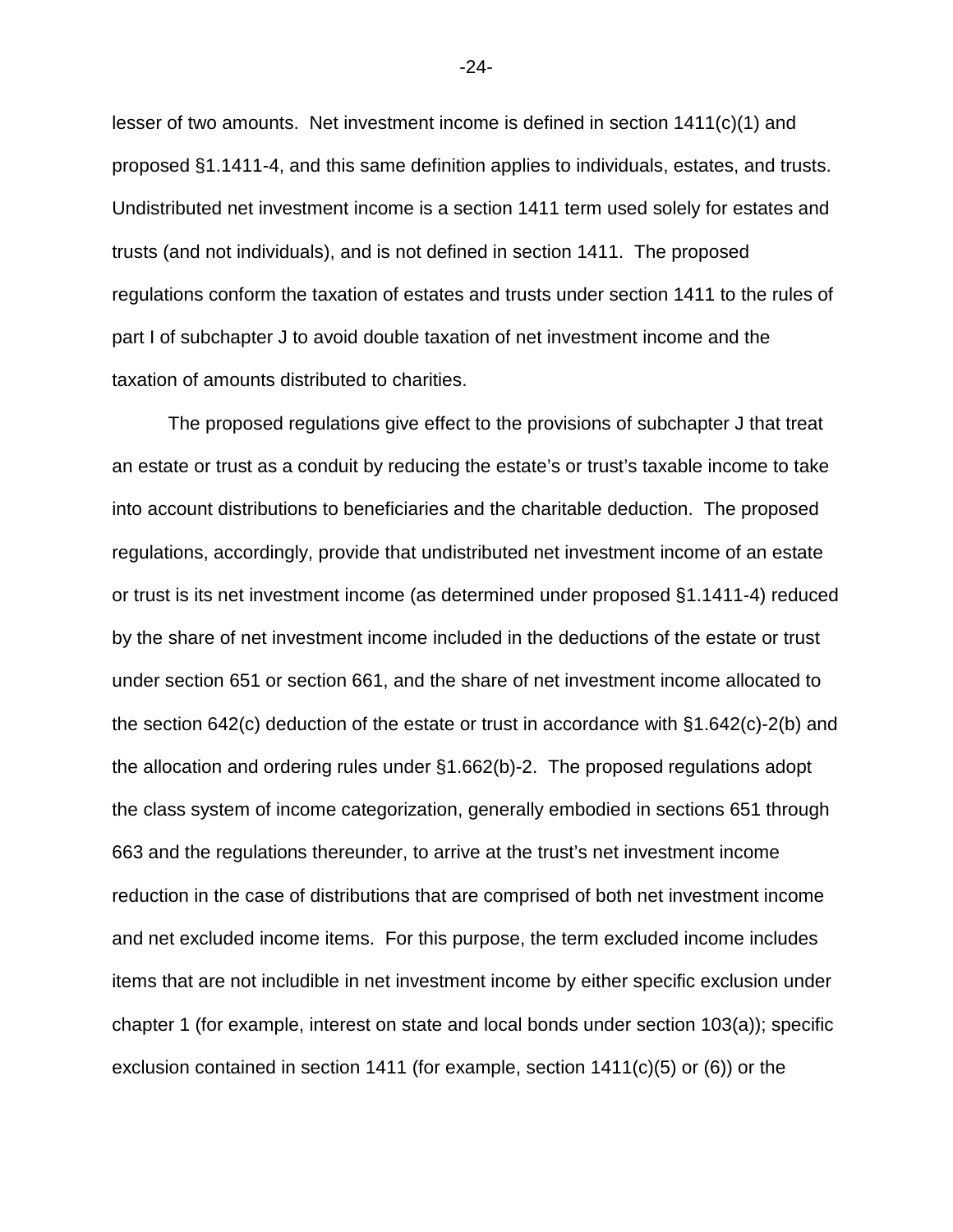lesser of two amounts. Net investment income is defined in section 1411(c)(1) and proposed §1.1411-4, and this same definition applies to individuals, estates, and trusts. Undistributed net investment income is a section 1411 term used solely for estates and trusts (and not individuals), and is not defined in section 1411. The proposed regulations conform the taxation of estates and trusts under section 1411 to the rules of part I of subchapter J to avoid double taxation of net investment income and the taxation of amounts distributed to charities.

The proposed regulations give effect to the provisions of subchapter J that treat an estate or trust as a conduit by reducing the estate's or trust's taxable income to take into account distributions to beneficiaries and the charitable deduction. The proposed regulations, accordingly, provide that undistributed net investment income of an estate or trust is its net investment income (as determined under proposed §1.1411-4) reduced by the share of net investment income included in the deductions of the estate or trust under section 651 or section 661, and the share of net investment income allocated to the section 642(c) deduction of the estate or trust in accordance with §1.642(c)-2(b) and the allocation and ordering rules under §1.662(b)-2. The proposed regulations adopt the class system of income categorization, generally embodied in sections 651 through 663 and the regulations thereunder, to arrive at the trust's net investment income reduction in the case of distributions that are comprised of both net investment income and net excluded income items. For this purpose, the term excluded income includes items that are not includible in net investment income by either specific exclusion under chapter 1 (for example, interest on state and local bonds under section 103(a)); specific exclusion contained in section 1411 (for example, section 1411(c)(5) or (6)) or the

-24-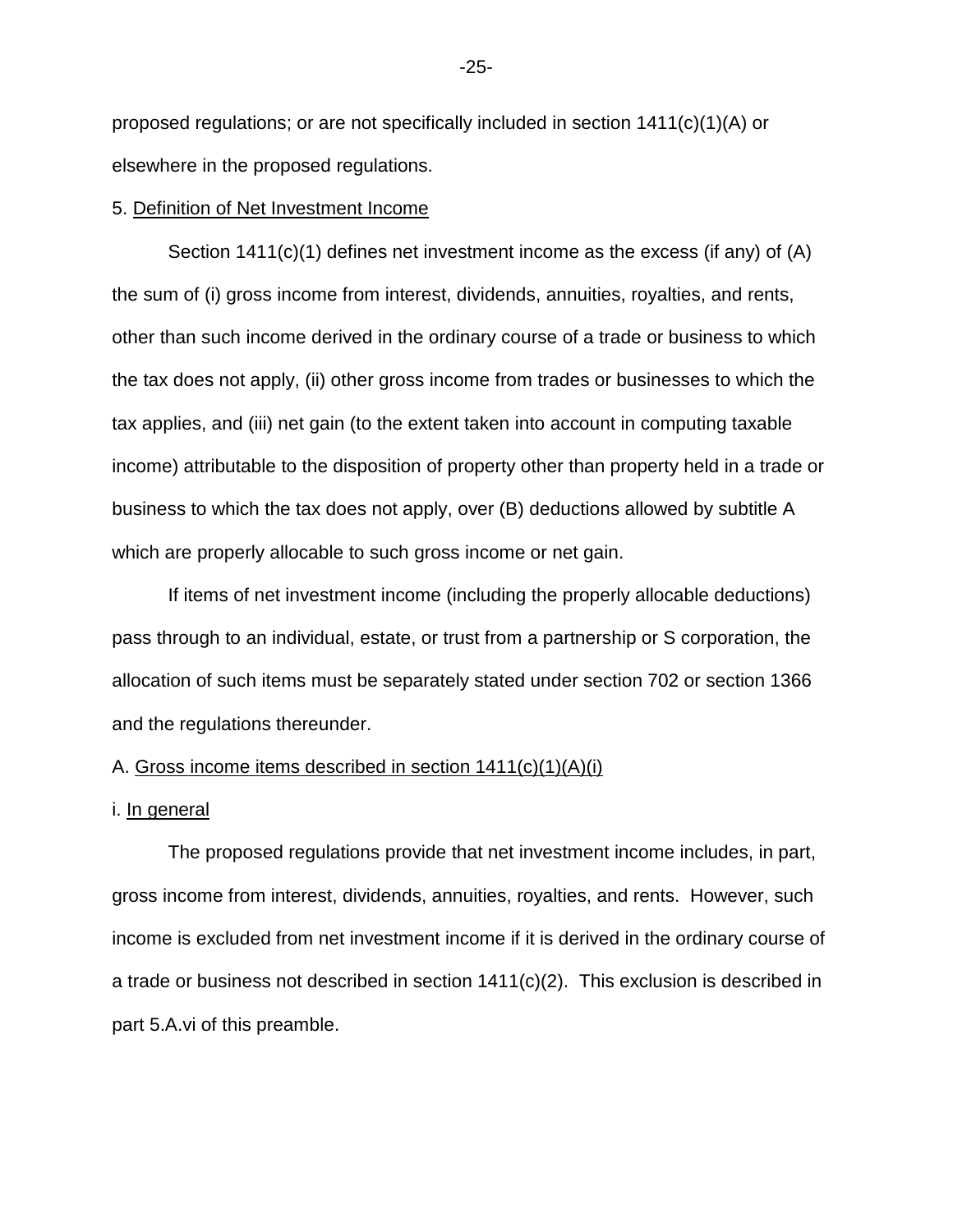proposed regulations; or are not specifically included in section  $1411(c)(1)(A)$  or elsewhere in the proposed regulations.

# 5. Definition of Net Investment Income

Section 1411(c)(1) defines net investment income as the excess (if any) of (A) the sum of (i) gross income from interest, dividends, annuities, royalties, and rents, other than such income derived in the ordinary course of a trade or business to which the tax does not apply, (ii) other gross income from trades or businesses to which the tax applies, and (iii) net gain (to the extent taken into account in computing taxable income) attributable to the disposition of property other than property held in a trade or business to which the tax does not apply, over (B) deductions allowed by subtitle A which are properly allocable to such gross income or net gain.

If items of net investment income (including the properly allocable deductions) pass through to an individual, estate, or trust from a partnership or S corporation, the allocation of such items must be separately stated under section 702 or section 1366 and the regulations thereunder.

# A. Gross income items described in section 1411(c)(1)(A)(i)

# i. In general

The proposed regulations provide that net investment income includes, in part, gross income from interest, dividends, annuities, royalties, and rents. However, such income is excluded from net investment income if it is derived in the ordinary course of a trade or business not described in section 1411(c)(2). This exclusion is described in part 5.A.vi of this preamble.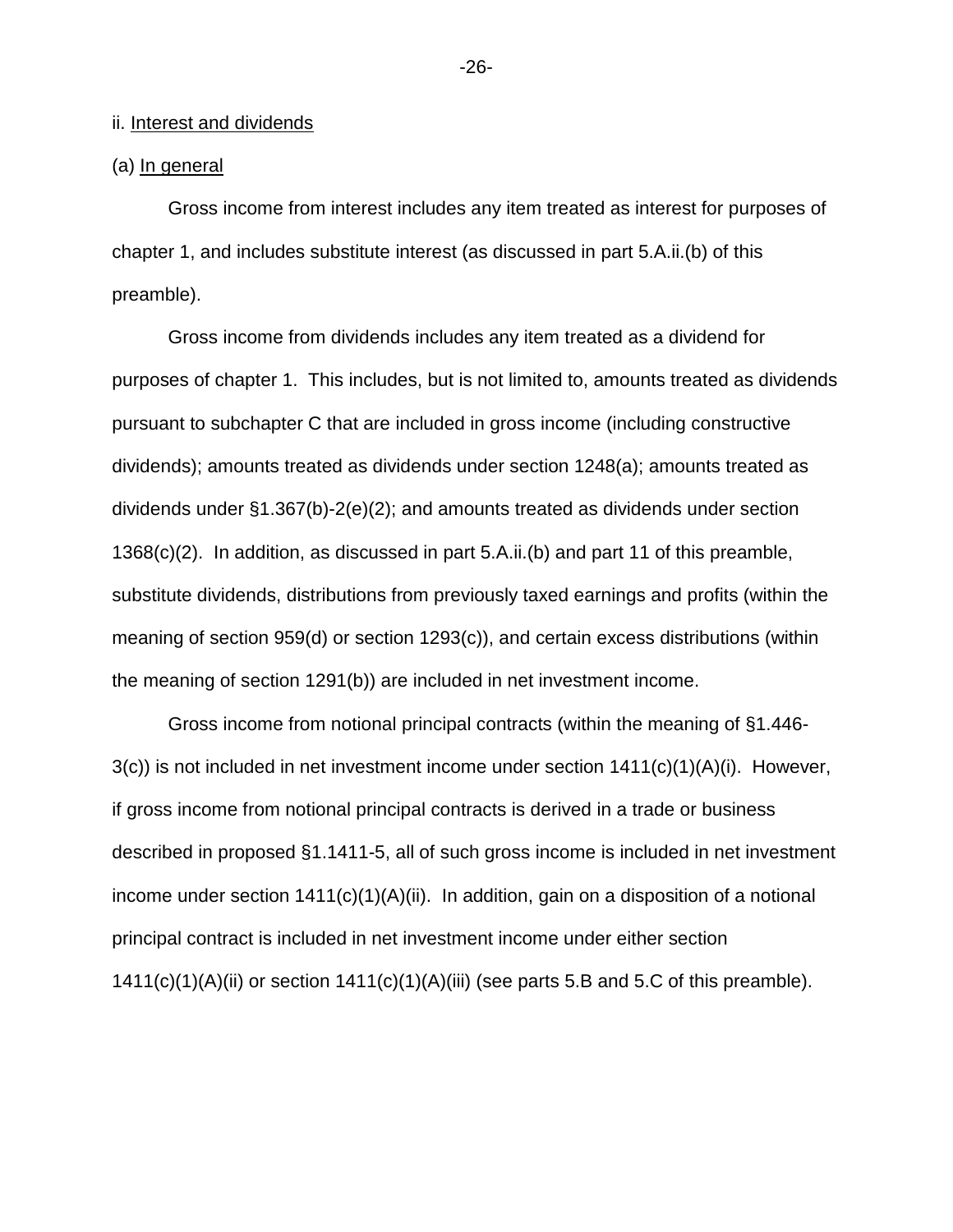# ii. Interest and dividends

# (a) In general

Gross income from interest includes any item treated as interest for purposes of chapter 1, and includes substitute interest (as discussed in part 5.A.ii.(b) of this preamble).

Gross income from dividends includes any item treated as a dividend for purposes of chapter 1. This includes, but is not limited to, amounts treated as dividends pursuant to subchapter C that are included in gross income (including constructive dividends); amounts treated as dividends under section 1248(a); amounts treated as dividends under §1.367(b)-2(e)(2); and amounts treated as dividends under section 1368(c)(2). In addition, as discussed in part 5.A.ii.(b) and part 11 of this preamble, substitute dividends, distributions from previously taxed earnings and profits (within the meaning of section 959(d) or section 1293(c)), and certain excess distributions (within the meaning of section 1291(b)) are included in net investment income.

Gross income from notional principal contracts (within the meaning of §1.446-  $3(c)$ ) is not included in net investment income under section  $1411(c)(1)(A)(i)$ . However, if gross income from notional principal contracts is derived in a trade or business described in proposed §1.1411-5, all of such gross income is included in net investment income under section  $1411(c)(1)(A)(ii)$ . In addition, gain on a disposition of a notional principal contract is included in net investment income under either section  $1411(c)(1)(A)(ii)$  or section  $1411(c)(1)(A)(iii)$  (see parts 5.B and 5.C of this preamble).

-26-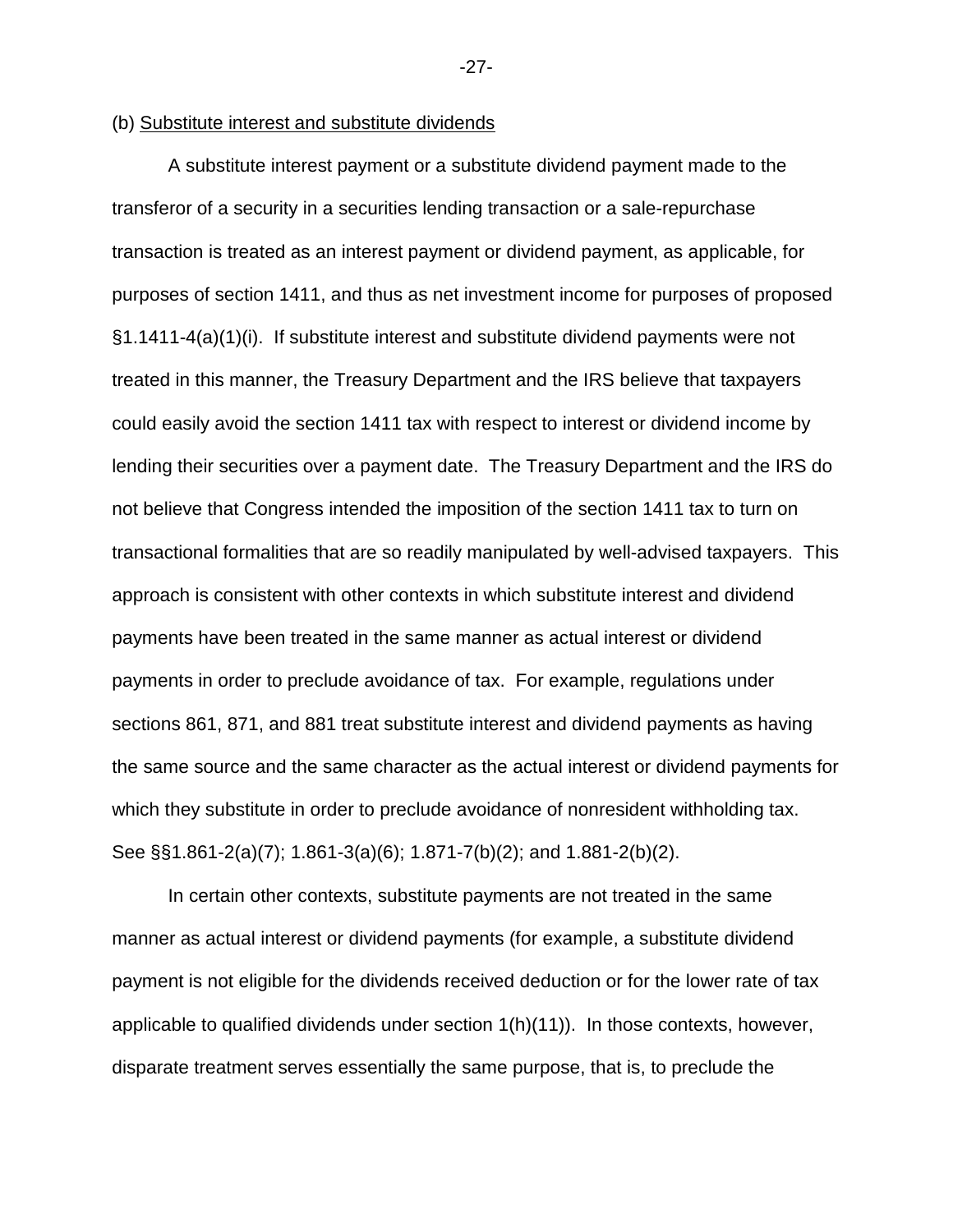# (b) Substitute interest and substitute dividends

A substitute interest payment or a substitute dividend payment made to the transferor of a security in a securities lending transaction or a sale-repurchase transaction is treated as an interest payment or dividend payment, as applicable, for purposes of section 1411, and thus as net investment income for purposes of proposed §1.1411-4(a)(1)(i). If substitute interest and substitute dividend payments were not treated in this manner, the Treasury Department and the IRS believe that taxpayers could easily avoid the section 1411 tax with respect to interest or dividend income by lending their securities over a payment date. The Treasury Department and the IRS do not believe that Congress intended the imposition of the section 1411 tax to turn on transactional formalities that are so readily manipulated by well-advised taxpayers. This approach is consistent with other contexts in which substitute interest and dividend payments have been treated in the same manner as actual interest or dividend payments in order to preclude avoidance of tax. For example, regulations under sections 861, 871, and 881 treat substitute interest and dividend payments as having the same source and the same character as the actual interest or dividend payments for which they substitute in order to preclude avoidance of nonresident withholding tax. See §§1.861-2(a)(7); 1.861-3(a)(6); 1.871-7(b)(2); and 1.881-2(b)(2).

In certain other contexts, substitute payments are not treated in the same manner as actual interest or dividend payments (for example, a substitute dividend payment is not eligible for the dividends received deduction or for the lower rate of tax applicable to qualified dividends under section  $1(h)(11)$ . In those contexts, however, disparate treatment serves essentially the same purpose, that is, to preclude the

-27-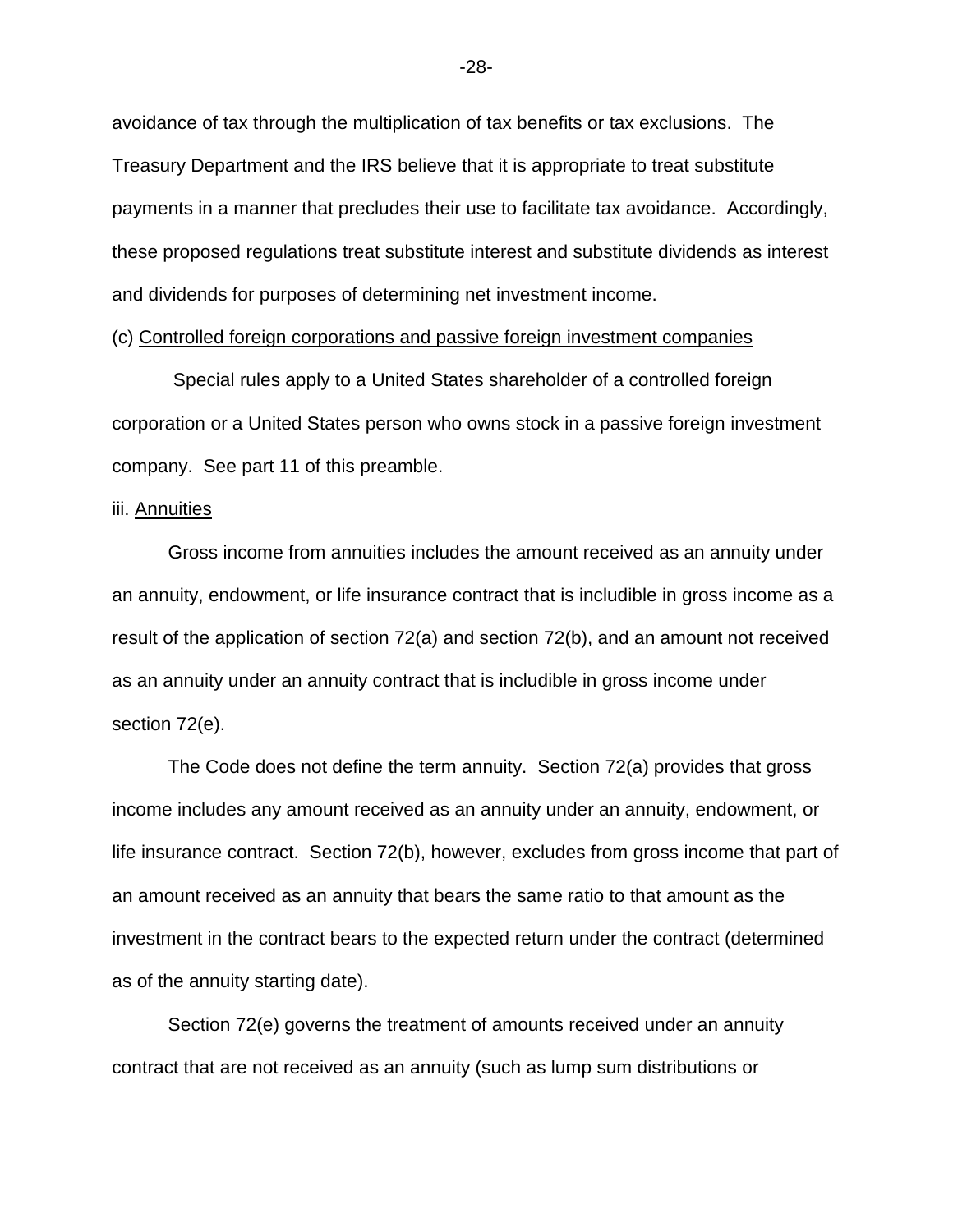avoidance of tax through the multiplication of tax benefits or tax exclusions. The Treasury Department and the IRS believe that it is appropriate to treat substitute payments in a manner that precludes their use to facilitate tax avoidance. Accordingly, these proposed regulations treat substitute interest and substitute dividends as interest and dividends for purposes of determining net investment income.

# (c) Controlled foreign corporations and passive foreign investment companies

 Special rules apply to a United States shareholder of a controlled foreign corporation or a United States person who owns stock in a passive foreign investment company. See part 11 of this preamble.

# iii. Annuities

Gross income from annuities includes the amount received as an annuity under an annuity, endowment, or life insurance contract that is includible in gross income as a result of the application of section 72(a) and section 72(b), and an amount not received as an annuity under an annuity contract that is includible in gross income under section 72(e).

The Code does not define the term annuity. Section 72(a) provides that gross income includes any amount received as an annuity under an annuity, endowment, or life insurance contract. Section 72(b), however, excludes from gross income that part of an amount received as an annuity that bears the same ratio to that amount as the investment in the contract bears to the expected return under the contract (determined as of the annuity starting date).

Section 72(e) governs the treatment of amounts received under an annuity contract that are not received as an annuity (such as lump sum distributions or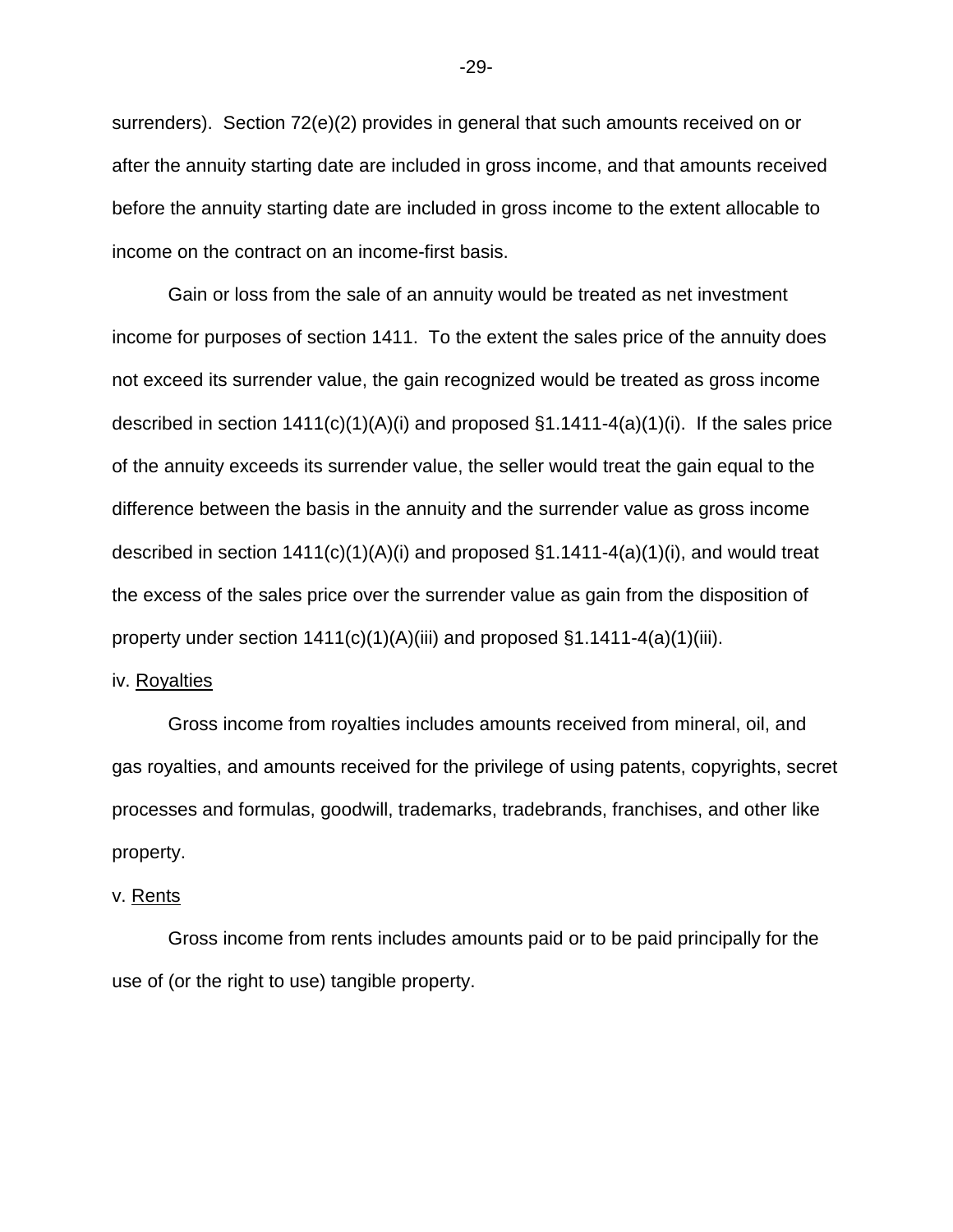surrenders). Section 72(e)(2) provides in general that such amounts received on or after the annuity starting date are included in gross income, and that amounts received before the annuity starting date are included in gross income to the extent allocable to income on the contract on an income-first basis.

Gain or loss from the sale of an annuity would be treated as net investment income for purposes of section 1411. To the extent the sales price of the annuity does not exceed its surrender value, the gain recognized would be treated as gross income described in section  $1411(c)(1)(A)(i)$  and proposed  $\S1.1411-4(a)(1)(i)$ . If the sales price of the annuity exceeds its surrender value, the seller would treat the gain equal to the difference between the basis in the annuity and the surrender value as gross income described in section  $1411(c)(1)(A)(i)$  and proposed  $\S1.1411-4(a)(1)(i)$ , and would treat the excess of the sales price over the surrender value as gain from the disposition of property under section 1411(c)(1)(A)(iii) and proposed §1.1411-4(a)(1)(iii).

# iv. Royalties

Gross income from royalties includes amounts received from mineral, oil, and gas royalties, and amounts received for the privilege of using patents, copyrights, secret processes and formulas, goodwill, trademarks, tradebrands, franchises, and other like property.

### v. Rents

Gross income from rents includes amounts paid or to be paid principally for the use of (or the right to use) tangible property.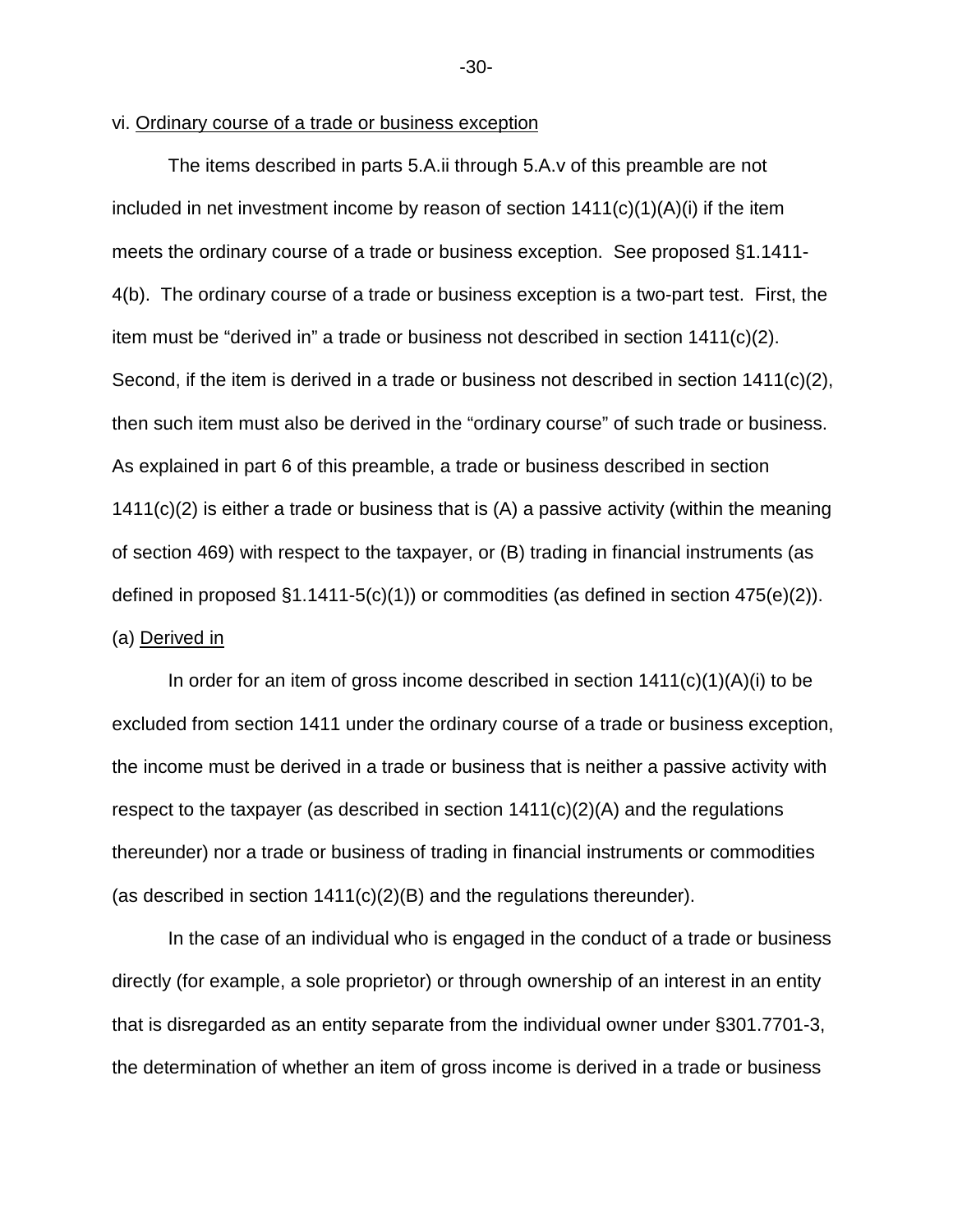# vi. Ordinary course of a trade or business exception

 The items described in parts 5.A.ii through 5.A.v of this preamble are not included in net investment income by reason of section  $1411(c)(1)(A)(i)$  if the item meets the ordinary course of a trade or business exception. See proposed §1.1411- 4(b). The ordinary course of a trade or business exception is a two-part test. First, the item must be "derived in" a trade or business not described in section 1411(c)(2). Second, if the item is derived in a trade or business not described in section 1411(c)(2), then such item must also be derived in the "ordinary course" of such trade or business. As explained in part 6 of this preamble, a trade or business described in section 1411(c)(2) is either a trade or business that is (A) a passive activity (within the meaning of section 469) with respect to the taxpayer, or (B) trading in financial instruments (as defined in proposed  $\S1.1411-5(c)(1)$  or commodities (as defined in section 475(e)(2)). (a) Derived in

In order for an item of gross income described in section  $1411(c)(1)(A)(i)$  to be excluded from section 1411 under the ordinary course of a trade or business exception, the income must be derived in a trade or business that is neither a passive activity with respect to the taxpayer (as described in section  $1411(c)(2)(A)$  and the regulations thereunder) nor a trade or business of trading in financial instruments or commodities (as described in section 1411(c)(2)(B) and the regulations thereunder).

In the case of an individual who is engaged in the conduct of a trade or business directly (for example, a sole proprietor) or through ownership of an interest in an entity that is disregarded as an entity separate from the individual owner under §301.7701-3, the determination of whether an item of gross income is derived in a trade or business

-30-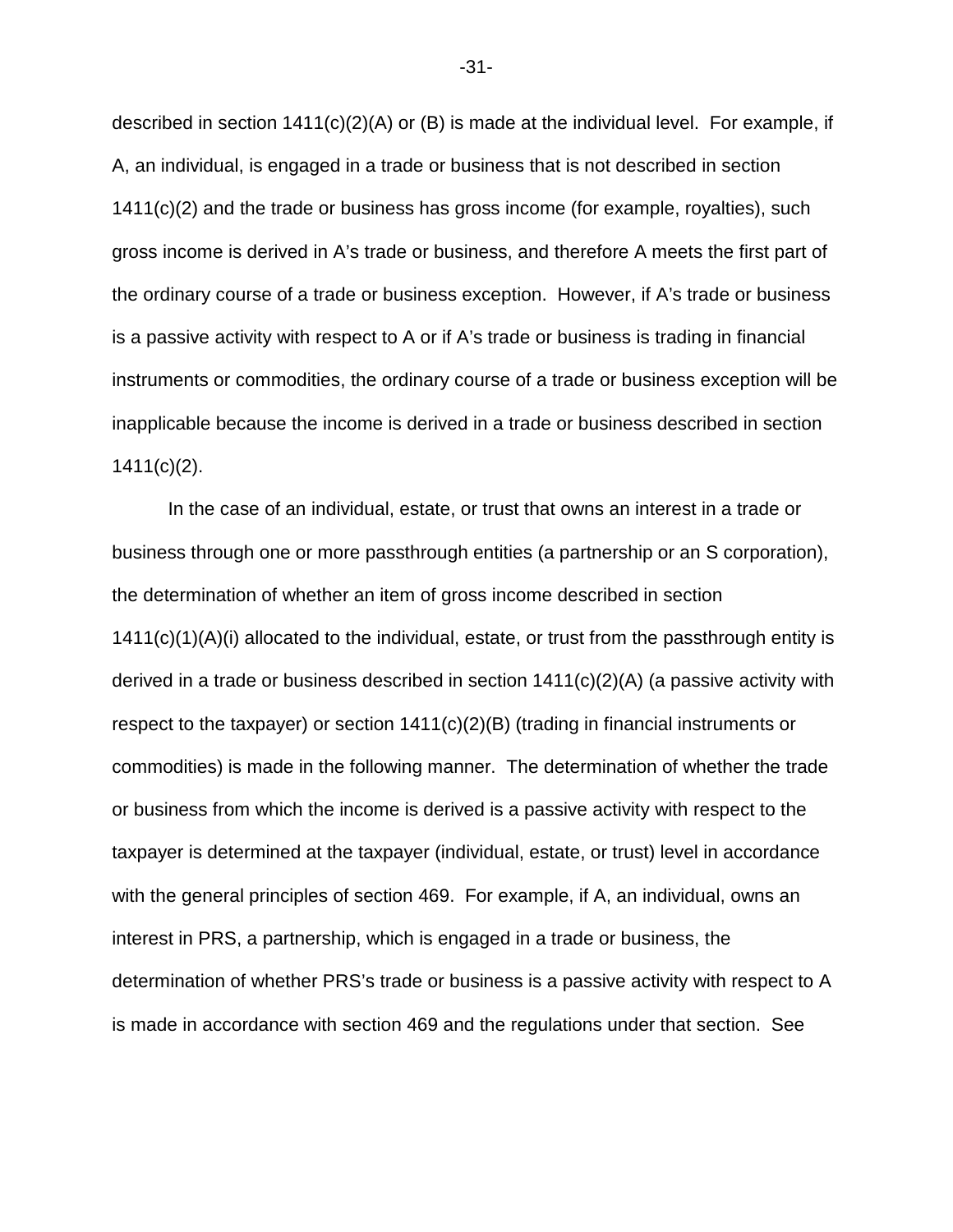described in section  $1411(c)(2)(A)$  or (B) is made at the individual level. For example, if A, an individual, is engaged in a trade or business that is not described in section 1411(c)(2) and the trade or business has gross income (for example, royalties), such gross income is derived in A's trade or business, and therefore A meets the first part of the ordinary course of a trade or business exception. However, if A's trade or business is a passive activity with respect to A or if A's trade or business is trading in financial instruments or commodities, the ordinary course of a trade or business exception will be inapplicable because the income is derived in a trade or business described in section  $1411(c)(2)$ .

In the case of an individual, estate, or trust that owns an interest in a trade or business through one or more passthrough entities (a partnership or an S corporation), the determination of whether an item of gross income described in section  $1411(c)(1)(A)(i)$  allocated to the individual, estate, or trust from the passthrough entity is derived in a trade or business described in section  $1411(c)(2)(A)$  (a passive activity with respect to the taxpayer) or section 1411(c)(2)(B) (trading in financial instruments or commodities) is made in the following manner. The determination of whether the trade or business from which the income is derived is a passive activity with respect to the taxpayer is determined at the taxpayer (individual, estate, or trust) level in accordance with the general principles of section 469. For example, if A, an individual, owns an interest in PRS, a partnership, which is engaged in a trade or business, the determination of whether PRS's trade or business is a passive activity with respect to A is made in accordance with section 469 and the regulations under that section. See

-31-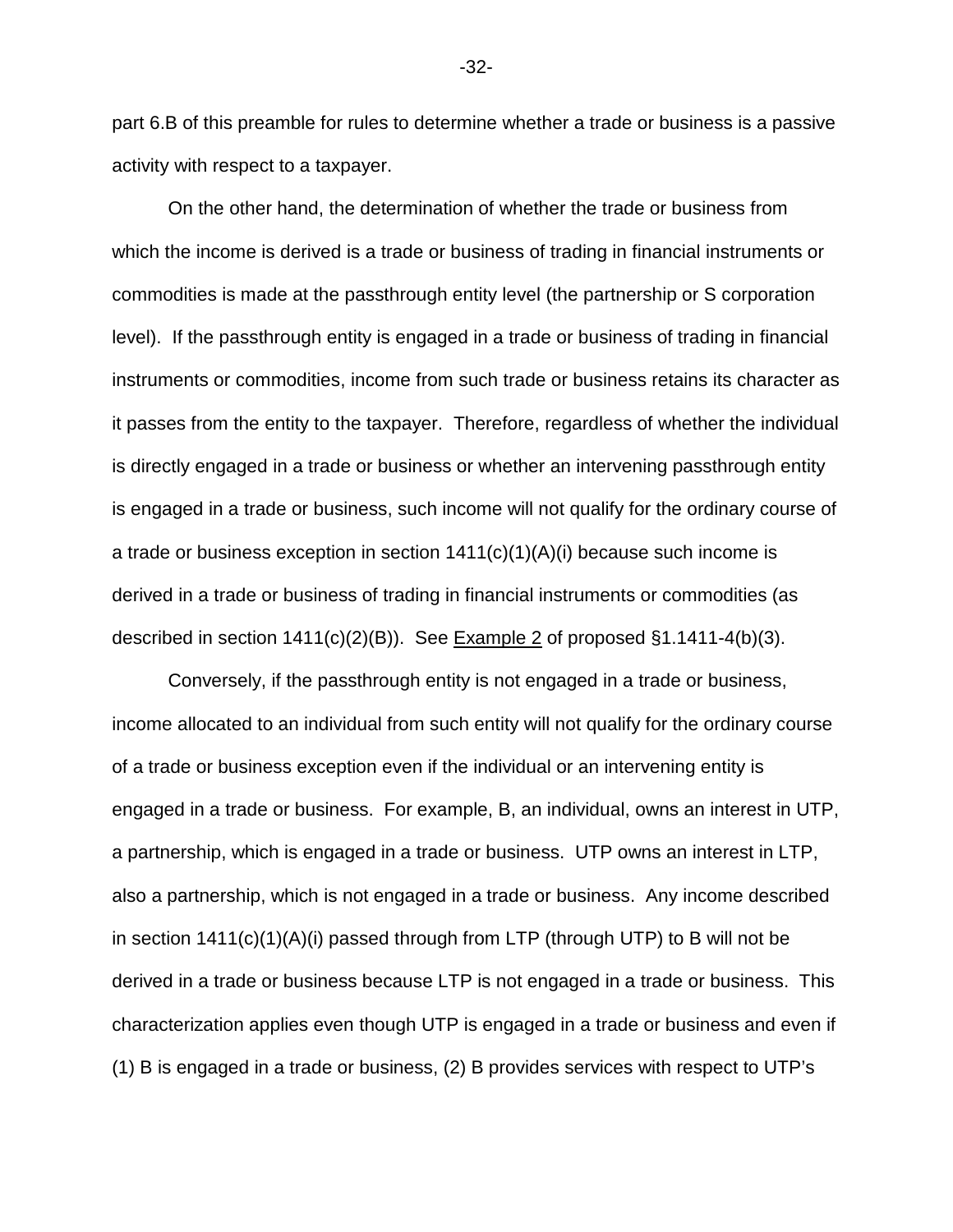part 6.B of this preamble for rules to determine whether a trade or business is a passive activity with respect to a taxpayer.

On the other hand, the determination of whether the trade or business from which the income is derived is a trade or business of trading in financial instruments or commodities is made at the passthrough entity level (the partnership or S corporation level). If the passthrough entity is engaged in a trade or business of trading in financial instruments or commodities, income from such trade or business retains its character as it passes from the entity to the taxpayer. Therefore, regardless of whether the individual is directly engaged in a trade or business or whether an intervening passthrough entity is engaged in a trade or business, such income will not qualify for the ordinary course of a trade or business exception in section  $1411(c)(1)(A)(i)$  because such income is derived in a trade or business of trading in financial instruments or commodities (as described in section 1411(c)(2)(B)). See Example 2 of proposed §1.1411-4(b)(3).

Conversely, if the passthrough entity is not engaged in a trade or business, income allocated to an individual from such entity will not qualify for the ordinary course of a trade or business exception even if the individual or an intervening entity is engaged in a trade or business. For example, B, an individual, owns an interest in UTP, a partnership, which is engaged in a trade or business. UTP owns an interest in LTP, also a partnership, which is not engaged in a trade or business. Any income described in section 1411(c)(1)(A)(i) passed through from LTP (through UTP) to B will not be derived in a trade or business because LTP is not engaged in a trade or business. This characterization applies even though UTP is engaged in a trade or business and even if (1) B is engaged in a trade or business, (2) B provides services with respect to UTP's

-32-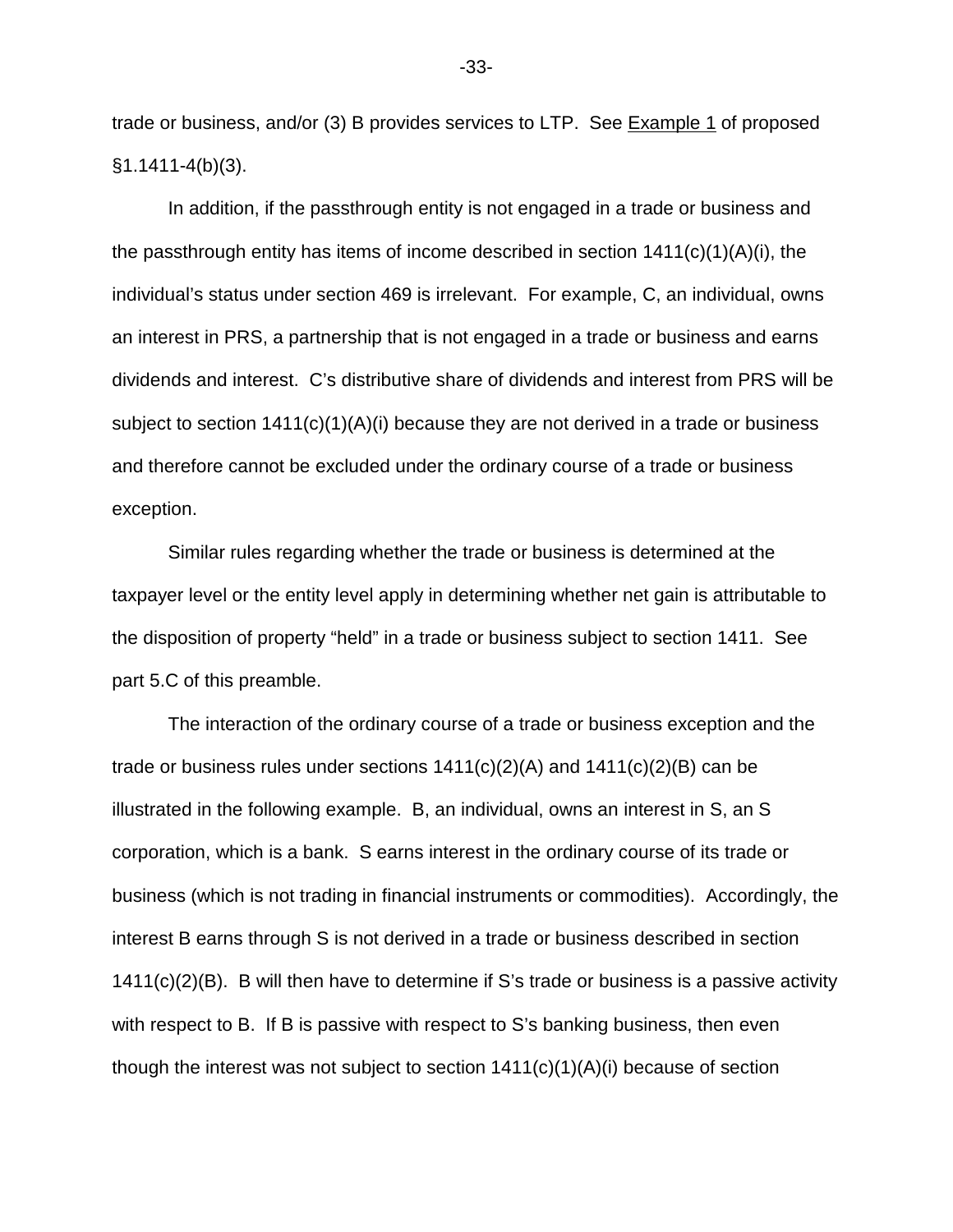trade or business, and/or (3) B provides services to LTP. See Example 1 of proposed §1.1411-4(b)(3).

In addition, if the passthrough entity is not engaged in a trade or business and the passthrough entity has items of income described in section  $1411(c)(1)(A)(i)$ , the individual's status under section 469 is irrelevant. For example, C, an individual, owns an interest in PRS, a partnership that is not engaged in a trade or business and earns dividends and interest. C's distributive share of dividends and interest from PRS will be subject to section 1411(c)(1)(A)(i) because they are not derived in a trade or business and therefore cannot be excluded under the ordinary course of a trade or business exception.

Similar rules regarding whether the trade or business is determined at the taxpayer level or the entity level apply in determining whether net gain is attributable to the disposition of property "held" in a trade or business subject to section 1411. See part 5.C of this preamble.

The interaction of the ordinary course of a trade or business exception and the trade or business rules under sections  $1411(c)(2)(A)$  and  $1411(c)(2)(B)$  can be illustrated in the following example. B, an individual, owns an interest in S, an S corporation, which is a bank. S earns interest in the ordinary course of its trade or business (which is not trading in financial instruments or commodities). Accordingly, the interest B earns through S is not derived in a trade or business described in section 1411(c)(2)(B). B will then have to determine if S's trade or business is a passive activity with respect to B. If B is passive with respect to S's banking business, then even though the interest was not subject to section  $1411(c)(1)(A)(i)$  because of section

-33-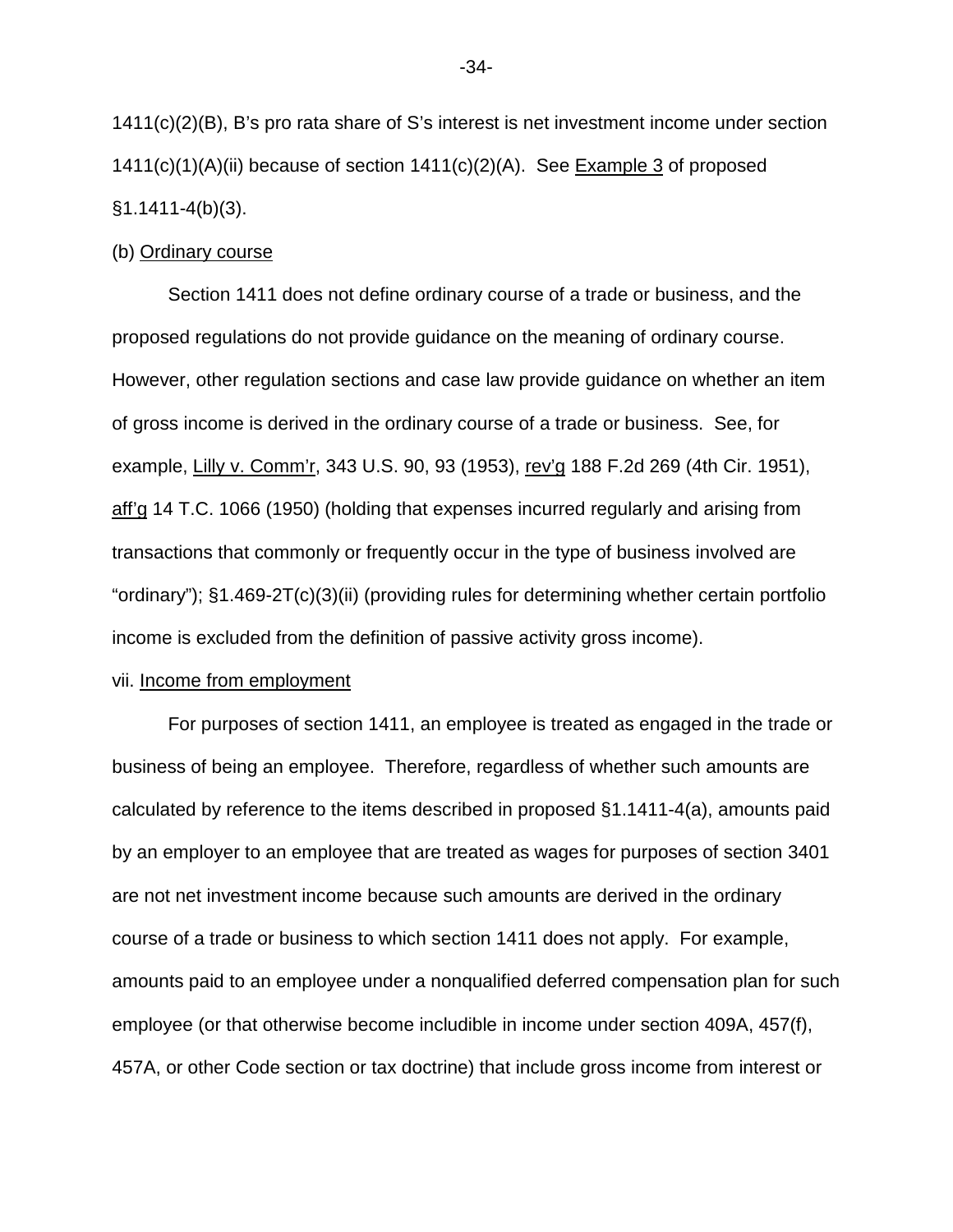1411(c)(2)(B), B's pro rata share of S's interest is net investment income under section  $1411(c)(1)(A)(ii)$  because of section  $1411(c)(2)(A)$ . See **Example 3** of proposed  $§1.1411-4(b)(3)$ .

# (b) Ordinary course

Section 1411 does not define ordinary course of a trade or business, and the proposed regulations do not provide guidance on the meaning of ordinary course. However, other regulation sections and case law provide guidance on whether an item of gross income is derived in the ordinary course of a trade or business. See, for example, Lilly v. Comm'r, 343 U.S. 90, 93 (1953), rev'g 188 F.2d 269 (4th Cir. 1951), aff'g 14 T.C. 1066 (1950) (holding that expenses incurred regularly and arising from transactions that commonly or frequently occur in the type of business involved are "ordinary"); §1.469-2T(c)(3)(ii) (providing rules for determining whether certain portfolio income is excluded from the definition of passive activity gross income).

# vii. Income from employment

For purposes of section 1411, an employee is treated as engaged in the trade or business of being an employee. Therefore, regardless of whether such amounts are calculated by reference to the items described in proposed §1.1411-4(a), amounts paid by an employer to an employee that are treated as wages for purposes of section 3401 are not net investment income because such amounts are derived in the ordinary course of a trade or business to which section 1411 does not apply. For example, amounts paid to an employee under a nonqualified deferred compensation plan for such employee (or that otherwise become includible in income under section 409A, 457(f), 457A, or other Code section or tax doctrine) that include gross income from interest or

-34-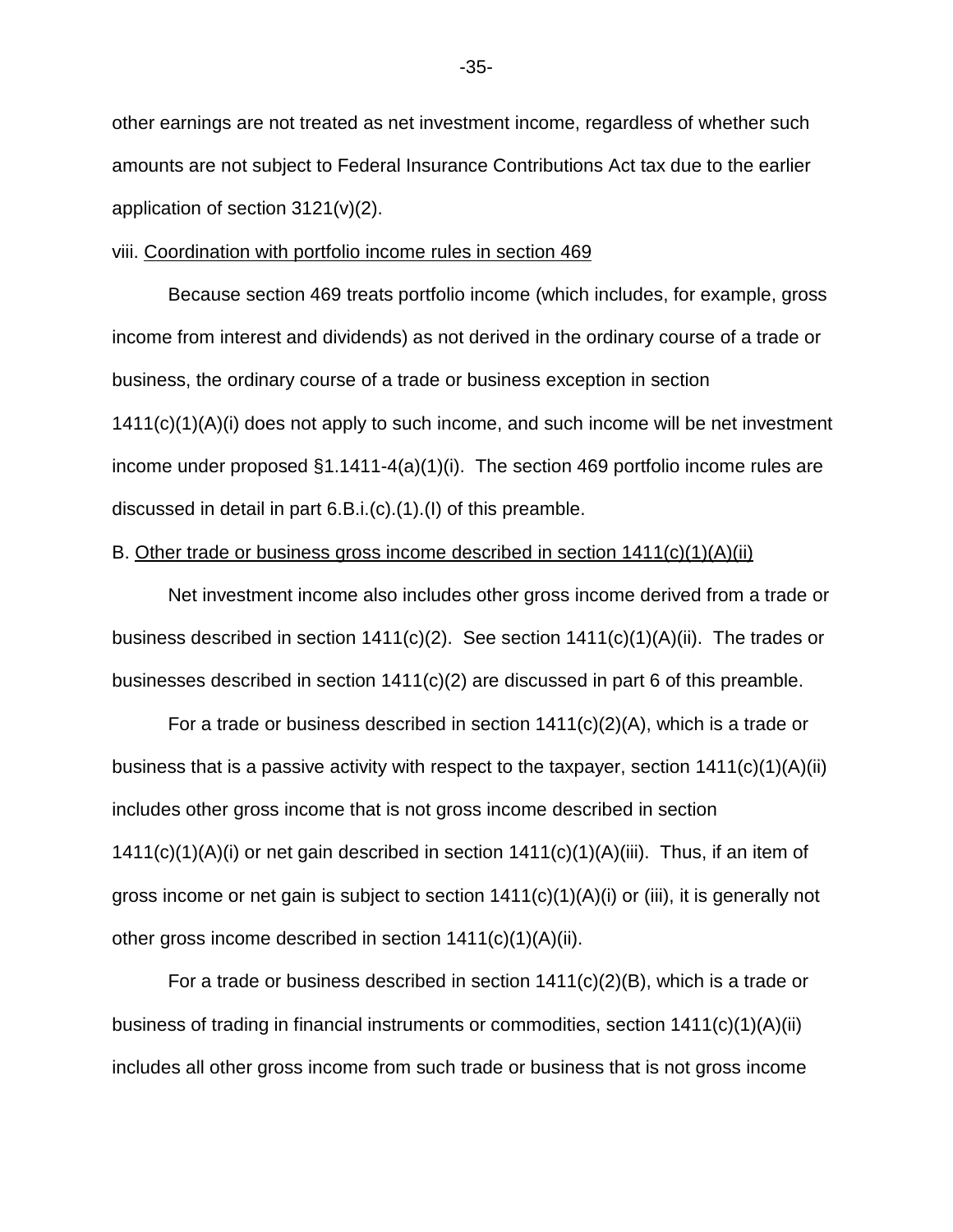other earnings are not treated as net investment income, regardless of whether such amounts are not subject to Federal Insurance Contributions Act tax due to the earlier application of section 3121(v)(2).

# viii. Coordination with portfolio income rules in section 469

Because section 469 treats portfolio income (which includes, for example, gross income from interest and dividends) as not derived in the ordinary course of a trade or business, the ordinary course of a trade or business exception in section 1411(c)(1)(A)(i) does not apply to such income, and such income will be net investment income under proposed §1.1411-4(a)(1)(i). The section 469 portfolio income rules are discussed in detail in part 6.B.i.(c).(1).(I) of this preamble.

# B. Other trade or business gross income described in section  $1411(c)(1)(A)(ii)$

Net investment income also includes other gross income derived from a trade or business described in section 1411(c)(2). See section 1411(c)(1)(A)(ii). The trades or businesses described in section 1411(c)(2) are discussed in part 6 of this preamble.

For a trade or business described in section 1411(c)(2)(A), which is a trade or business that is a passive activity with respect to the taxpayer, section  $1411(c)(1)(A)(ii)$ includes other gross income that is not gross income described in section  $1411(c)(1)(A)(i)$  or net gain described in section  $1411(c)(1)(A)(iii)$ . Thus, if an item of gross income or net gain is subject to section  $1411(c)(1)(A)(i)$  or (iii), it is generally not other gross income described in section 1411(c)(1)(A)(ii).

For a trade or business described in section  $1411(c)(2)(B)$ , which is a trade or business of trading in financial instruments or commodities, section  $1411(c)(1)(A)(ii)$ includes all other gross income from such trade or business that is not gross income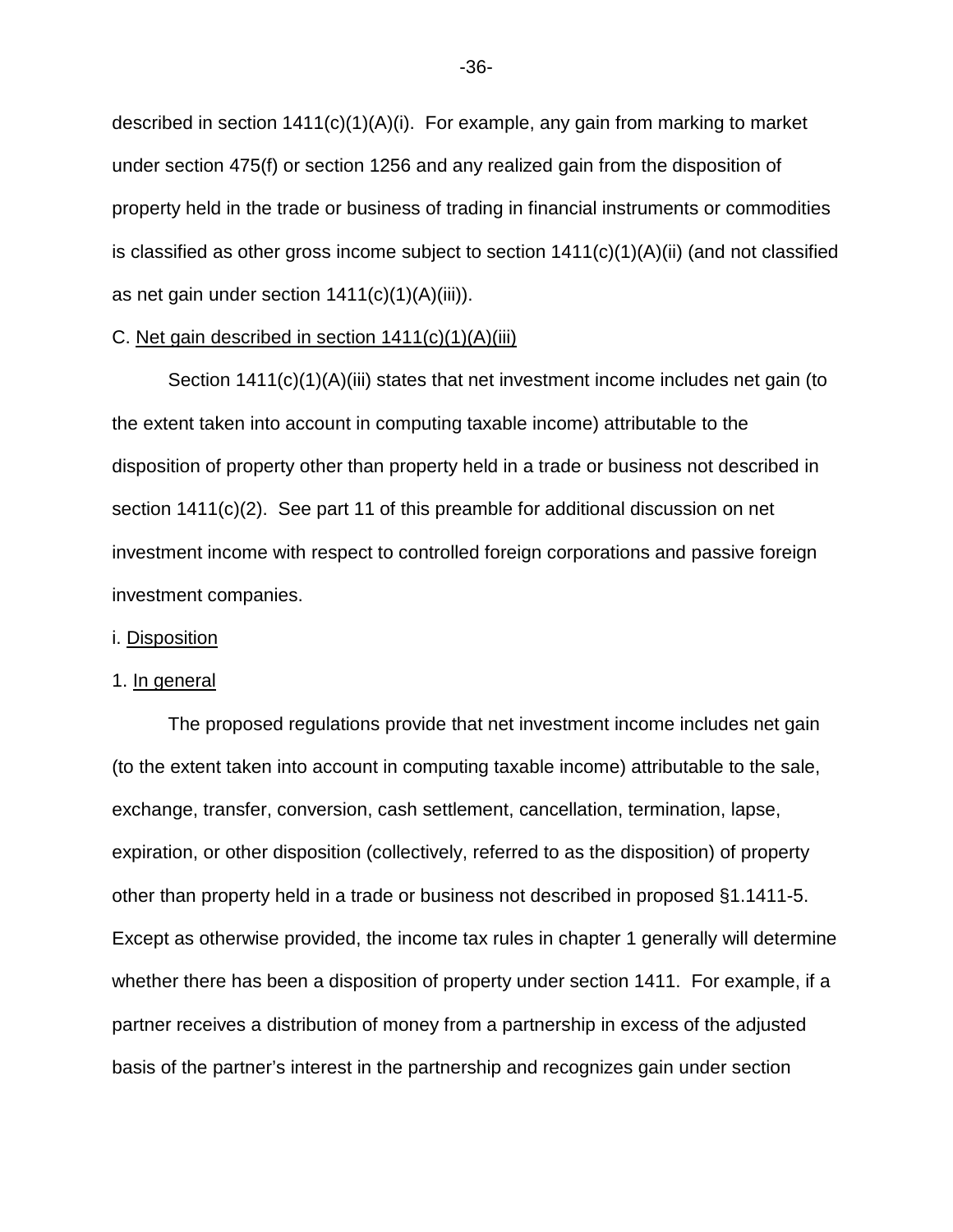described in section 1411(c)(1)(A)(i). For example, any gain from marking to market under section 475(f) or section 1256 and any realized gain from the disposition of property held in the trade or business of trading in financial instruments or commodities is classified as other gross income subject to section  $1411(c)(1)(A)(ii)$  (and not classified as net gain under section  $1411(c)(1)(A)(iii)$ .

## C. Net gain described in section  $1411(c)(1)(A)(iii)$

 Section 1411(c)(1)(A)(iii) states that net investment income includes net gain (to the extent taken into account in computing taxable income) attributable to the disposition of property other than property held in a trade or business not described in section 1411(c)(2). See part 11 of this preamble for additional discussion on net investment income with respect to controlled foreign corporations and passive foreign investment companies.

#### i. Disposition

# 1. In general

 The proposed regulations provide that net investment income includes net gain (to the extent taken into account in computing taxable income) attributable to the sale, exchange, transfer, conversion, cash settlement, cancellation, termination, lapse, expiration, or other disposition (collectively, referred to as the disposition) of property other than property held in a trade or business not described in proposed §1.1411-5. Except as otherwise provided, the income tax rules in chapter 1 generally will determine whether there has been a disposition of property under section 1411. For example, if a partner receives a distribution of money from a partnership in excess of the adjusted basis of the partner's interest in the partnership and recognizes gain under section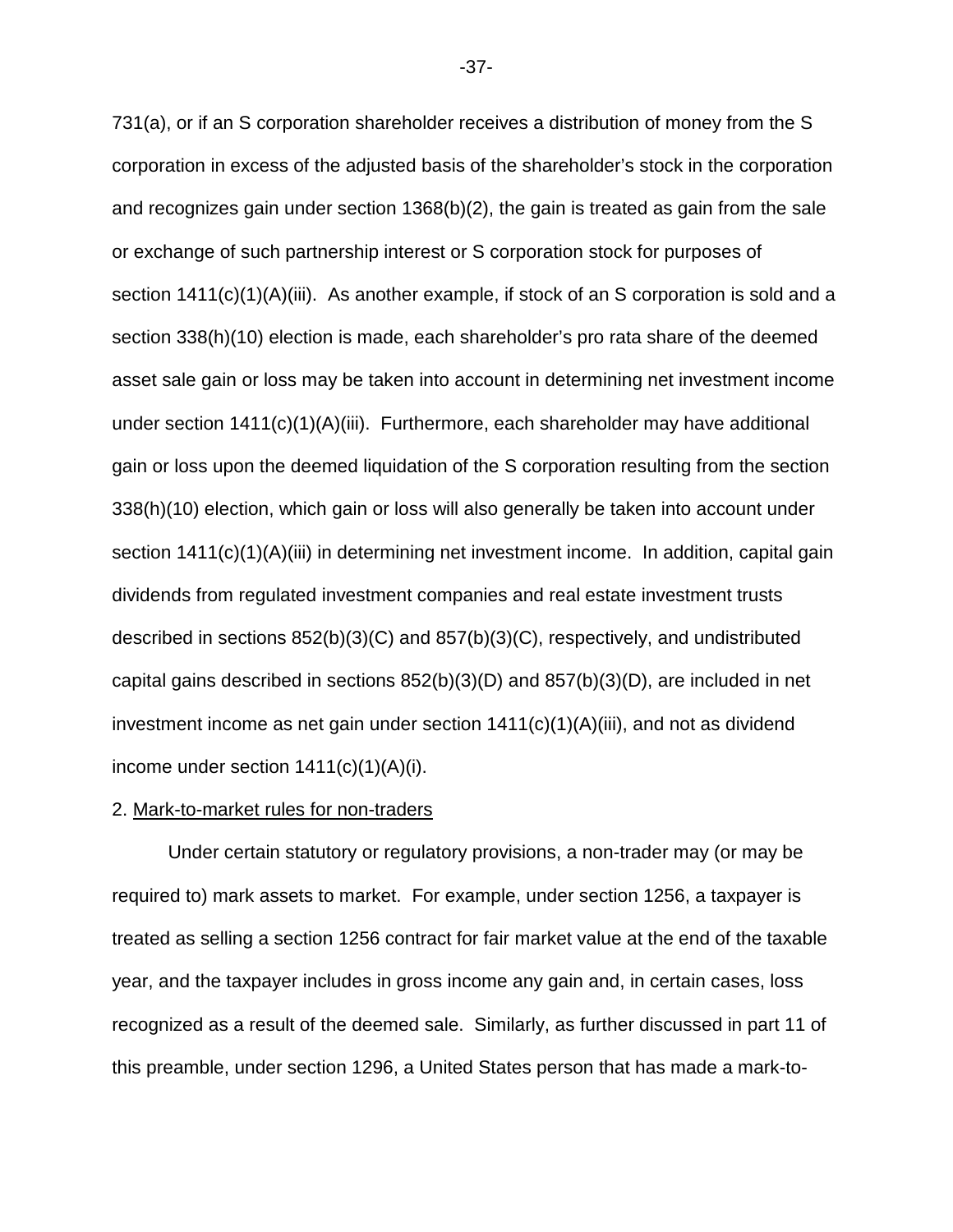731(a), or if an S corporation shareholder receives a distribution of money from the S corporation in excess of the adjusted basis of the shareholder's stock in the corporation and recognizes gain under section 1368(b)(2), the gain is treated as gain from the sale or exchange of such partnership interest or S corporation stock for purposes of section 1411(c)(1)(A)(iii). As another example, if stock of an S corporation is sold and a section 338(h)(10) election is made, each shareholder's pro rata share of the deemed asset sale gain or loss may be taken into account in determining net investment income under section 1411(c)(1)(A)(iii). Furthermore, each shareholder may have additional gain or loss upon the deemed liquidation of the S corporation resulting from the section 338(h)(10) election, which gain or loss will also generally be taken into account under section 1411(c)(1)(A)(iii) in determining net investment income. In addition, capital gain dividends from regulated investment companies and real estate investment trusts described in sections 852(b)(3)(C) and 857(b)(3)(C), respectively, and undistributed capital gains described in sections 852(b)(3)(D) and 857(b)(3)(D), are included in net investment income as net gain under section 1411(c)(1)(A)(iii), and not as dividend income under section  $1411(c)(1)(A)(i)$ .

## 2. Mark-to-market rules for non-traders

 Under certain statutory or regulatory provisions, a non-trader may (or may be required to) mark assets to market. For example, under section 1256, a taxpayer is treated as selling a section 1256 contract for fair market value at the end of the taxable year, and the taxpayer includes in gross income any gain and, in certain cases, loss recognized as a result of the deemed sale. Similarly, as further discussed in part 11 of this preamble, under section 1296, a United States person that has made a mark-to-

-37-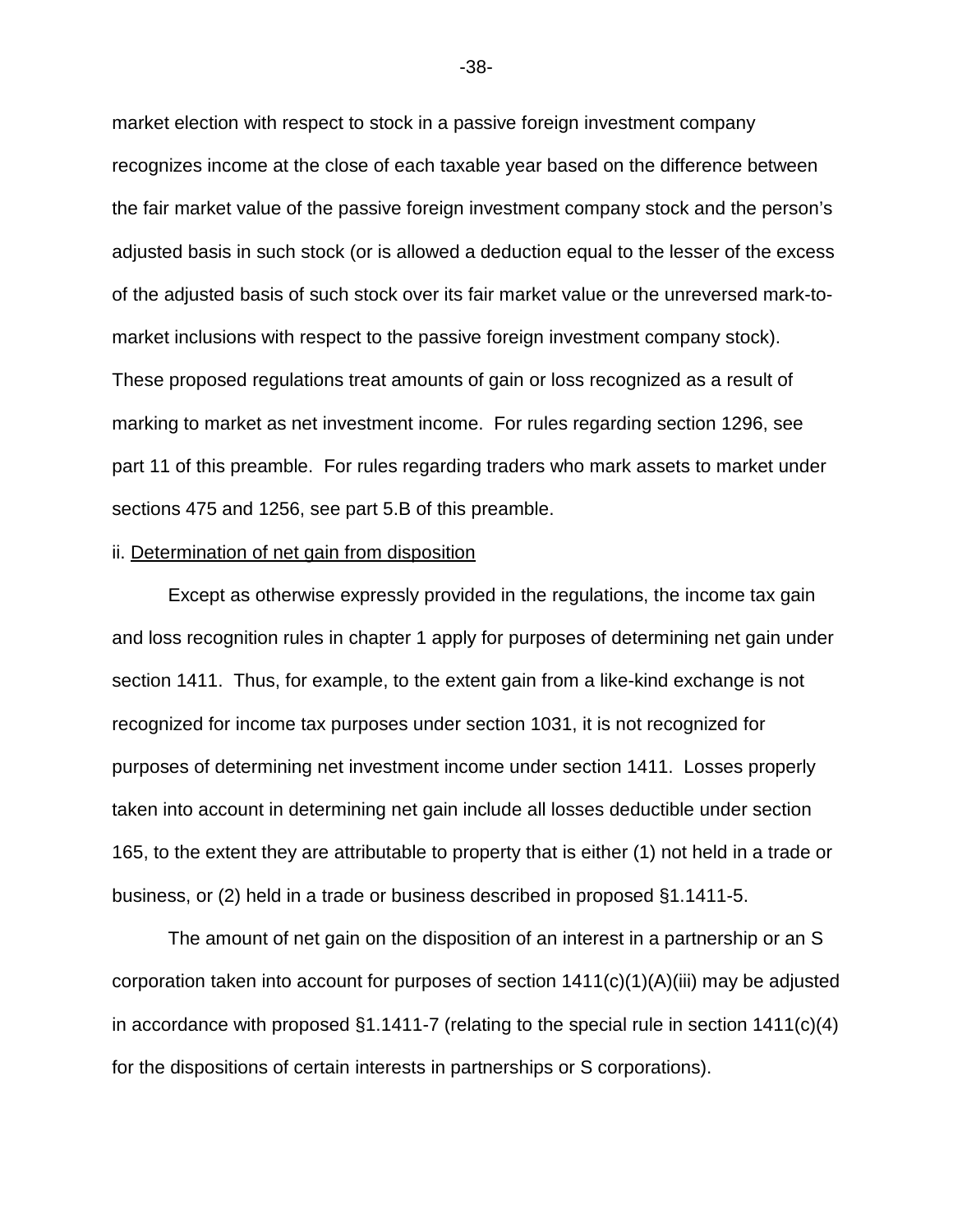market election with respect to stock in a passive foreign investment company recognizes income at the close of each taxable year based on the difference between the fair market value of the passive foreign investment company stock and the person's adjusted basis in such stock (or is allowed a deduction equal to the lesser of the excess of the adjusted basis of such stock over its fair market value or the unreversed mark-tomarket inclusions with respect to the passive foreign investment company stock). These proposed regulations treat amounts of gain or loss recognized as a result of marking to market as net investment income. For rules regarding section 1296, see part 11 of this preamble. For rules regarding traders who mark assets to market under sections 475 and 1256, see part 5.B of this preamble.

#### ii. Determination of net gain from disposition

 Except as otherwise expressly provided in the regulations, the income tax gain and loss recognition rules in chapter 1 apply for purposes of determining net gain under section 1411. Thus, for example, to the extent gain from a like-kind exchange is not recognized for income tax purposes under section 1031, it is not recognized for purposes of determining net investment income under section 1411. Losses properly taken into account in determining net gain include all losses deductible under section 165, to the extent they are attributable to property that is either (1) not held in a trade or business, or (2) held in a trade or business described in proposed §1.1411-5.

 The amount of net gain on the disposition of an interest in a partnership or an S corporation taken into account for purposes of section 1411(c)(1)(A)(iii) may be adjusted in accordance with proposed  $\S1.1411$ -7 (relating to the special rule in section  $1411(c)(4)$ for the dispositions of certain interests in partnerships or S corporations).

-38-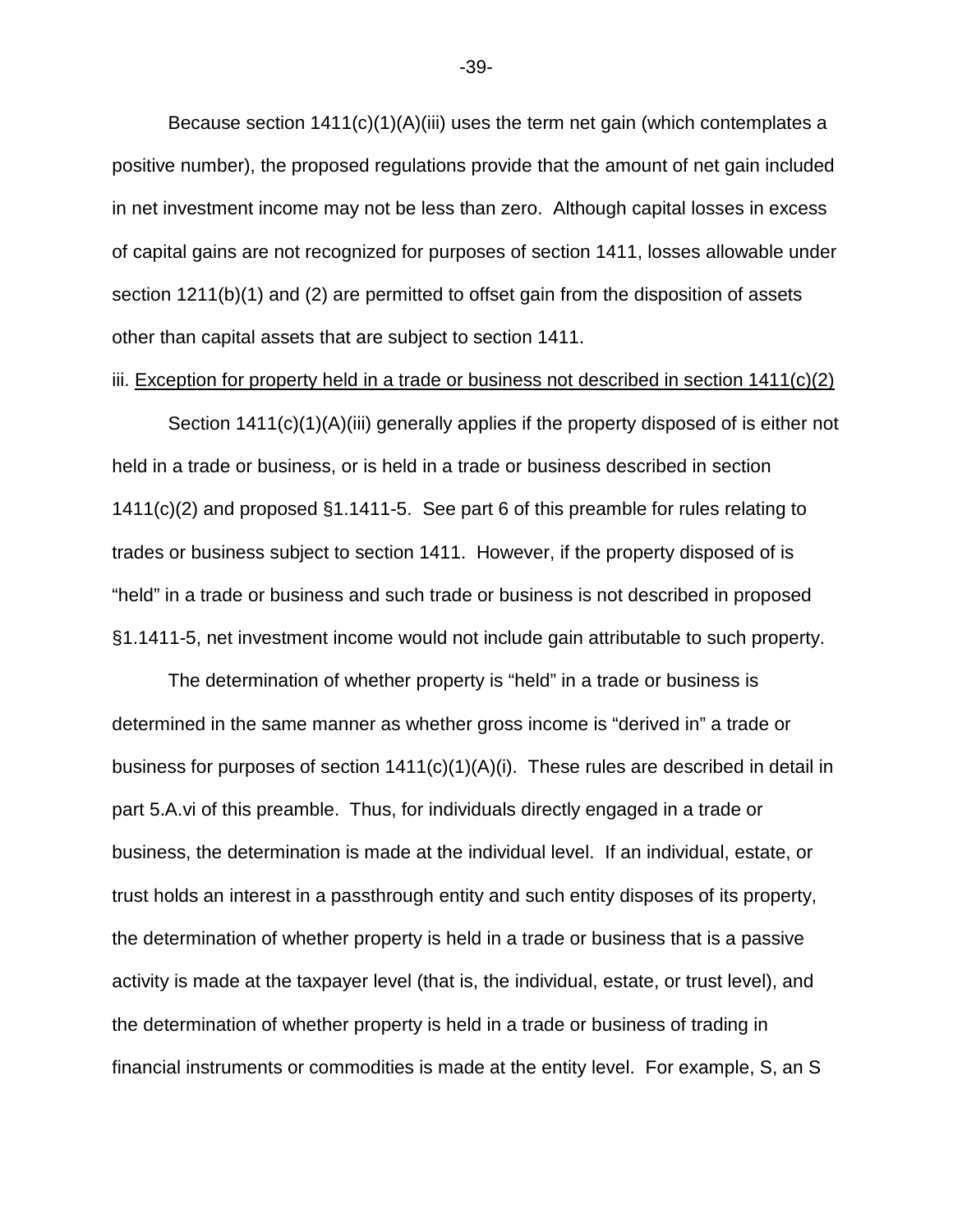Because section 1411(c)(1)(A)(iii) uses the term net gain (which contemplates a positive number), the proposed regulations provide that the amount of net gain included in net investment income may not be less than zero. Although capital losses in excess of capital gains are not recognized for purposes of section 1411, losses allowable under section 1211(b)(1) and (2) are permitted to offset gain from the disposition of assets other than capital assets that are subject to section 1411.

## iii. Exception for property held in a trade or business not described in section  $1411(c)(2)$

 Section 1411(c)(1)(A)(iii) generally applies if the property disposed of is either not held in a trade or business, or is held in a trade or business described in section 1411(c)(2) and proposed §1.1411-5. See part 6 of this preamble for rules relating to trades or business subject to section 1411. However, if the property disposed of is "held" in a trade or business and such trade or business is not described in proposed §1.1411-5, net investment income would not include gain attributable to such property.

 The determination of whether property is "held" in a trade or business is determined in the same manner as whether gross income is "derived in" a trade or business for purposes of section  $1411(c)(1)(A)(i)$ . These rules are described in detail in part 5.A.vi of this preamble. Thus, for individuals directly engaged in a trade or business, the determination is made at the individual level. If an individual, estate, or trust holds an interest in a passthrough entity and such entity disposes of its property, the determination of whether property is held in a trade or business that is a passive activity is made at the taxpayer level (that is, the individual, estate, or trust level), and the determination of whether property is held in a trade or business of trading in financial instruments or commodities is made at the entity level. For example, S, an S

-39-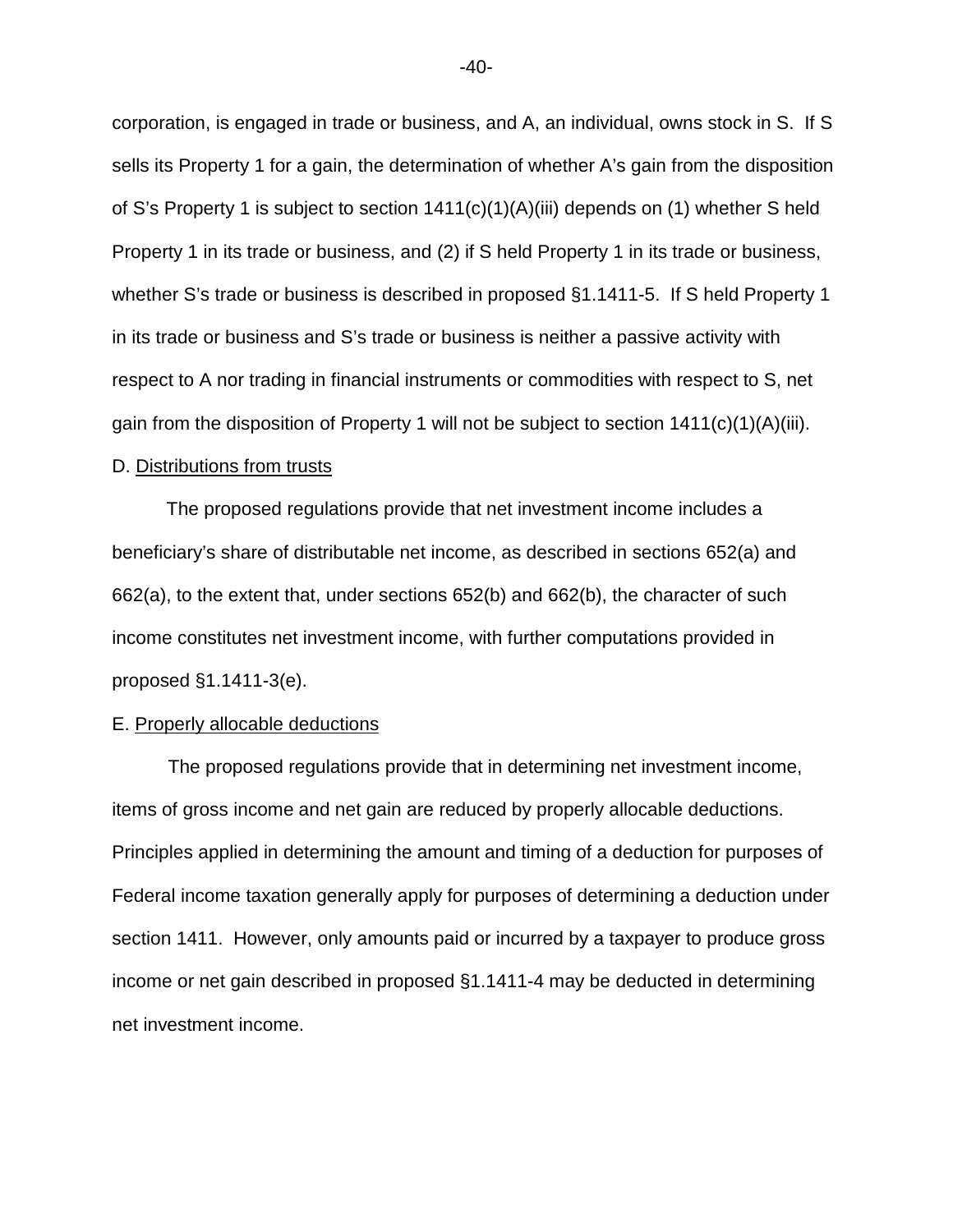corporation, is engaged in trade or business, and A, an individual, owns stock in S. If S sells its Property 1 for a gain, the determination of whether A's gain from the disposition of S's Property 1 is subject to section 1411(c)(1)(A)(iii) depends on (1) whether S held Property 1 in its trade or business, and (2) if S held Property 1 in its trade or business, whether S's trade or business is described in proposed §1.1411-5. If S held Property 1 in its trade or business and S's trade or business is neither a passive activity with respect to A nor trading in financial instruments or commodities with respect to S, net gain from the disposition of Property 1 will not be subject to section 1411(c)(1)(A)(iii).

#### D. Distributions from trusts

The proposed regulations provide that net investment income includes a beneficiary's share of distributable net income, as described in sections 652(a) and 662(a), to the extent that, under sections 652(b) and 662(b), the character of such income constitutes net investment income, with further computations provided in proposed §1.1411-3(e).

#### E. Properly allocable deductions

The proposed regulations provide that in determining net investment income, items of gross income and net gain are reduced by properly allocable deductions. Principles applied in determining the amount and timing of a deduction for purposes of Federal income taxation generally apply for purposes of determining a deduction under section 1411. However, only amounts paid or incurred by a taxpayer to produce gross income or net gain described in proposed §1.1411-4 may be deducted in determining net investment income.

-40-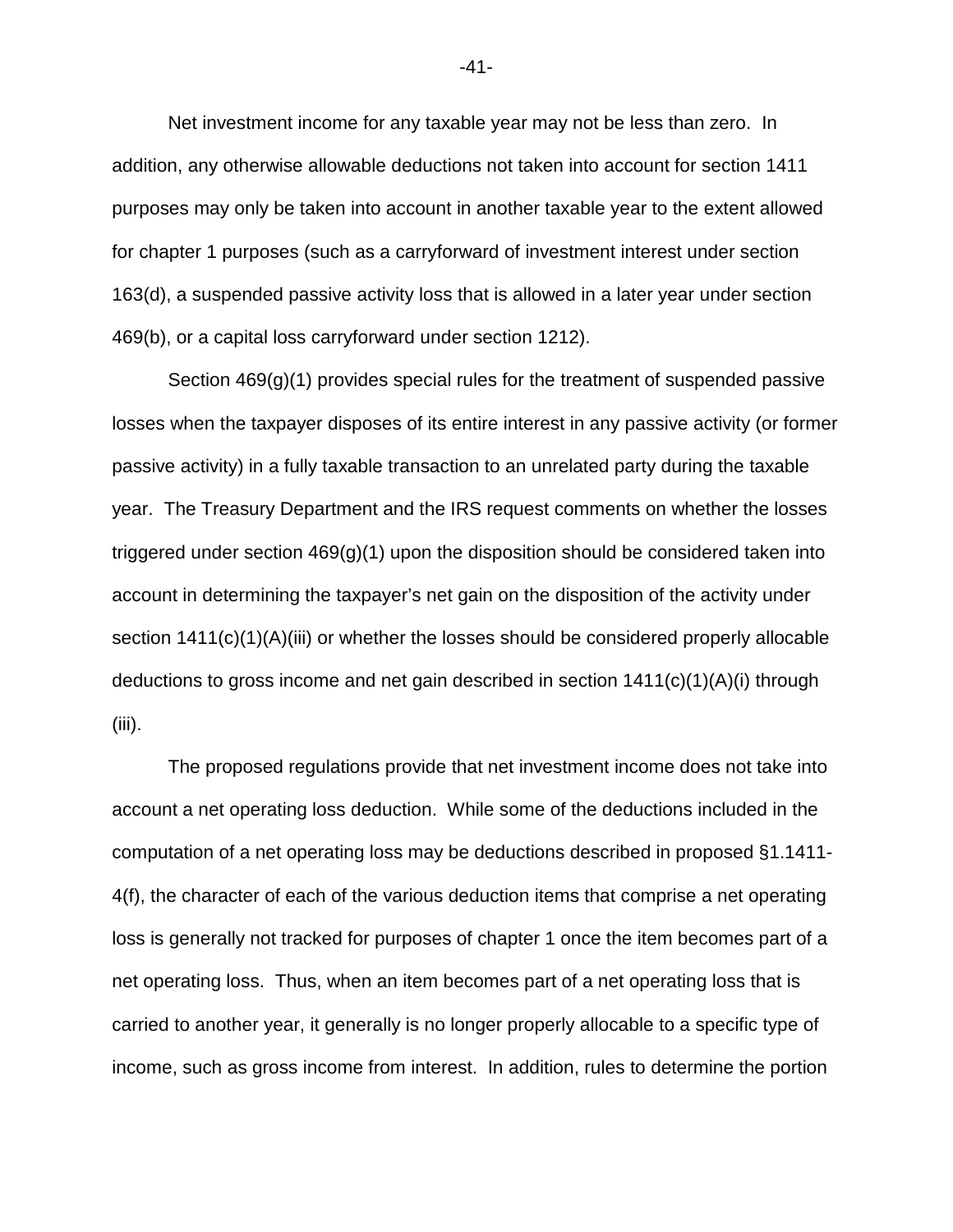Net investment income for any taxable year may not be less than zero. In addition, any otherwise allowable deductions not taken into account for section 1411 purposes may only be taken into account in another taxable year to the extent allowed for chapter 1 purposes (such as a carryforward of investment interest under section 163(d), a suspended passive activity loss that is allowed in a later year under section 469(b), or a capital loss carryforward under section 1212).

Section 469(g)(1) provides special rules for the treatment of suspended passive losses when the taxpayer disposes of its entire interest in any passive activity (or former passive activity) in a fully taxable transaction to an unrelated party during the taxable year. The Treasury Department and the IRS request comments on whether the losses triggered under section  $469(g)(1)$  upon the disposition should be considered taken into account in determining the taxpayer's net gain on the disposition of the activity under section 1411(c)(1)(A)(iii) or whether the losses should be considered properly allocable deductions to gross income and net gain described in section 1411(c)(1)(A)(i) through (iii).

The proposed regulations provide that net investment income does not take into account a net operating loss deduction. While some of the deductions included in the computation of a net operating loss may be deductions described in proposed §1.1411- 4(f), the character of each of the various deduction items that comprise a net operating loss is generally not tracked for purposes of chapter 1 once the item becomes part of a net operating loss. Thus, when an item becomes part of a net operating loss that is carried to another year, it generally is no longer properly allocable to a specific type of income, such as gross income from interest. In addition, rules to determine the portion

-41-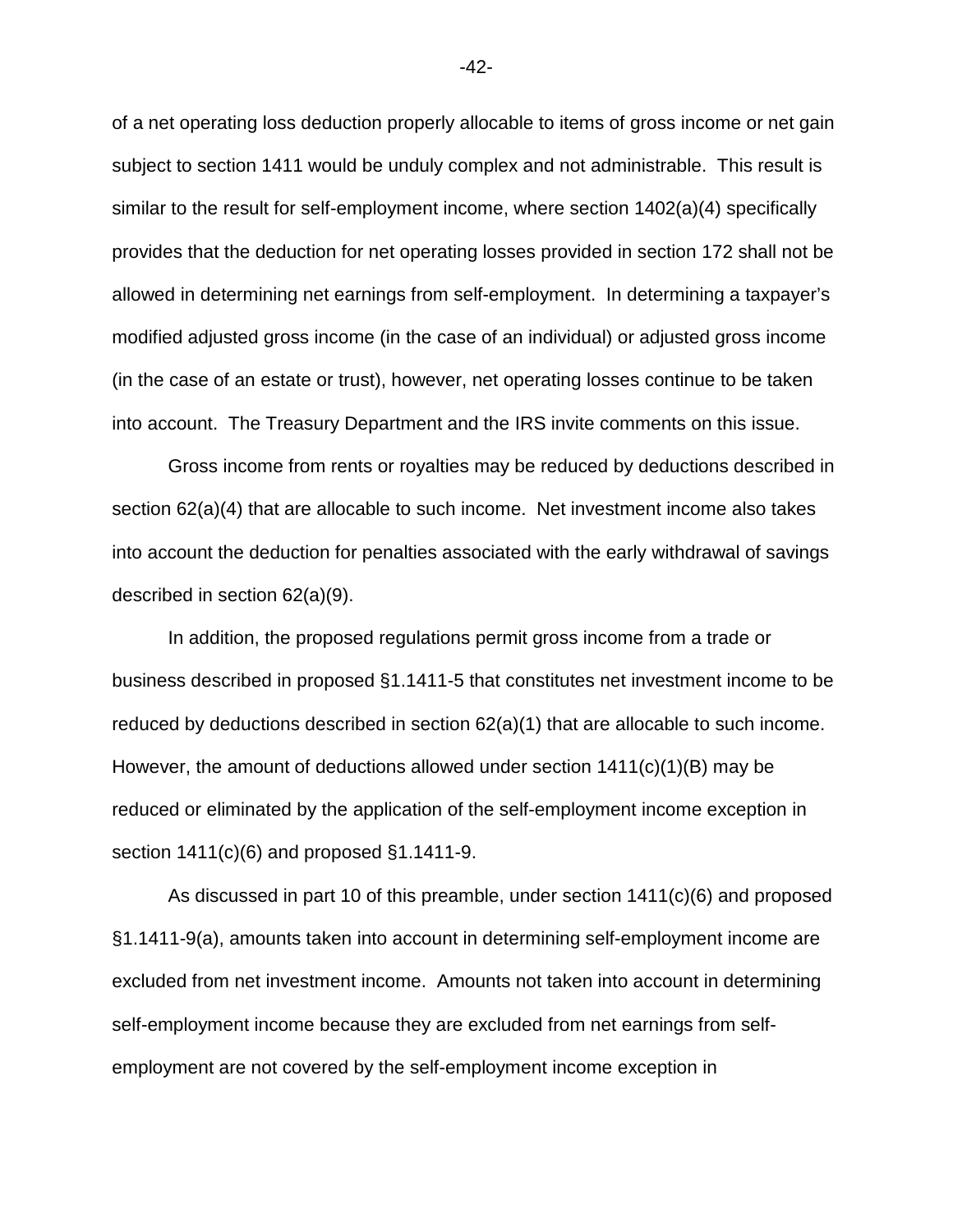of a net operating loss deduction properly allocable to items of gross income or net gain subject to section 1411 would be unduly complex and not administrable. This result is similar to the result for self-employment income, where section 1402(a)(4) specifically provides that the deduction for net operating losses provided in section 172 shall not be allowed in determining net earnings from self-employment. In determining a taxpayer's modified adjusted gross income (in the case of an individual) or adjusted gross income (in the case of an estate or trust), however, net operating losses continue to be taken into account. The Treasury Department and the IRS invite comments on this issue.

Gross income from rents or royalties may be reduced by deductions described in section 62(a)(4) that are allocable to such income. Net investment income also takes into account the deduction for penalties associated with the early withdrawal of savings described in section 62(a)(9).

In addition, the proposed regulations permit gross income from a trade or business described in proposed §1.1411-5 that constitutes net investment income to be reduced by deductions described in section 62(a)(1) that are allocable to such income. However, the amount of deductions allowed under section  $1411(c)(1)(B)$  may be reduced or eliminated by the application of the self-employment income exception in section 1411(c)(6) and proposed §1.1411-9.

As discussed in part 10 of this preamble, under section 1411(c)(6) and proposed §1.1411-9(a), amounts taken into account in determining self-employment income are excluded from net investment income. Amounts not taken into account in determining self-employment income because they are excluded from net earnings from selfemployment are not covered by the self-employment income exception in

-42-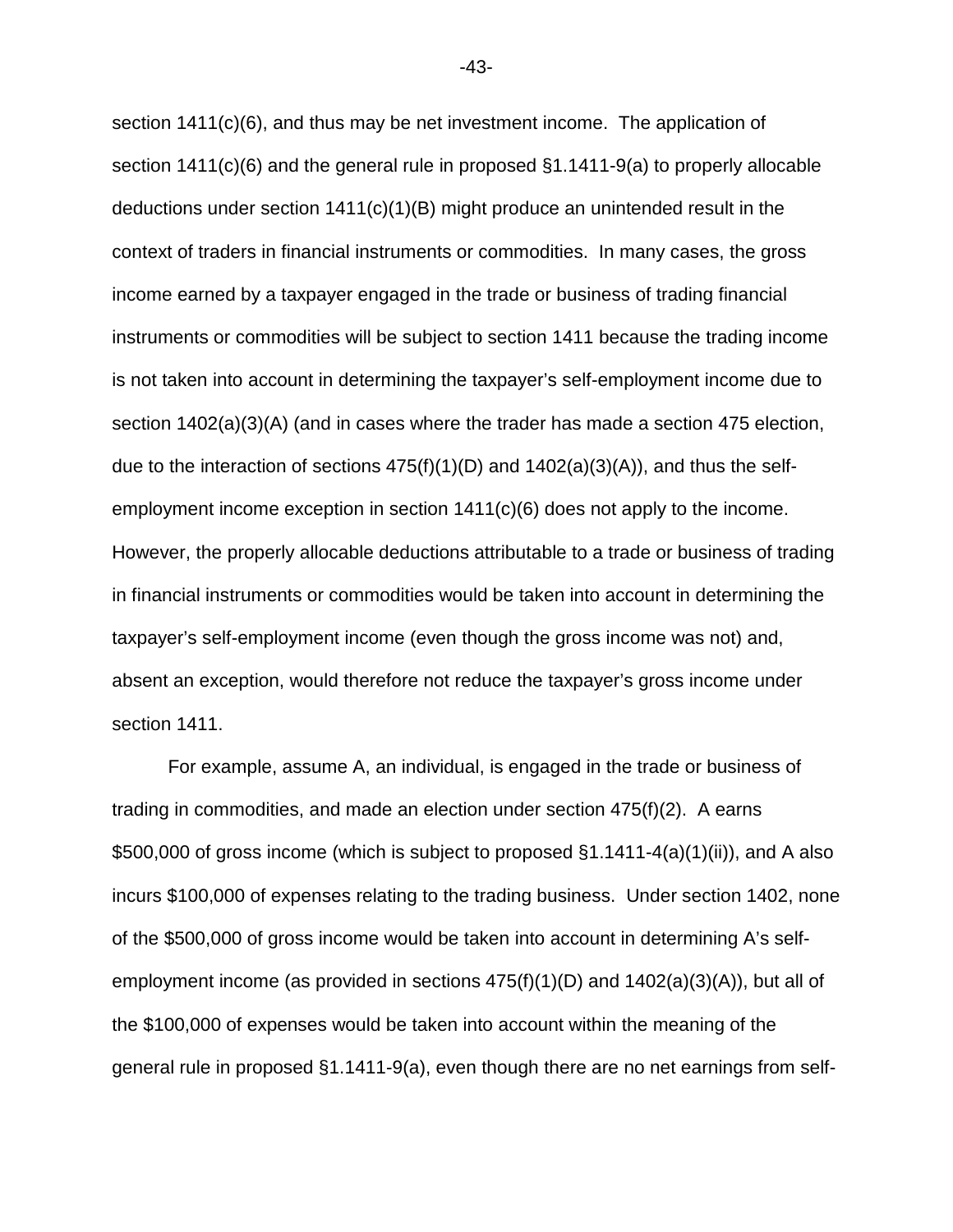section 1411(c)(6), and thus may be net investment income. The application of section 1411(c)(6) and the general rule in proposed §1.1411-9(a) to properly allocable deductions under section 1411(c)(1)(B) might produce an unintended result in the context of traders in financial instruments or commodities. In many cases, the gross income earned by a taxpayer engaged in the trade or business of trading financial instruments or commodities will be subject to section 1411 because the trading income is not taken into account in determining the taxpayer's self-employment income due to section 1402(a)(3)(A) (and in cases where the trader has made a section 475 election, due to the interaction of sections  $475(f)(1)(D)$  and  $1402(a)(3)(A)$ , and thus the selfemployment income exception in section 1411(c)(6) does not apply to the income. However, the properly allocable deductions attributable to a trade or business of trading in financial instruments or commodities would be taken into account in determining the taxpayer's self-employment income (even though the gross income was not) and, absent an exception, would therefore not reduce the taxpayer's gross income under section 1411.

For example, assume A, an individual, is engaged in the trade or business of trading in commodities, and made an election under section 475(f)(2). A earns \$500,000 of gross income (which is subject to proposed §1.1411-4(a)(1)(ii)), and A also incurs \$100,000 of expenses relating to the trading business. Under section 1402, none of the \$500,000 of gross income would be taken into account in determining A's selfemployment income (as provided in sections 475(f)(1)(D) and 1402(a)(3)(A)), but all of the \$100,000 of expenses would be taken into account within the meaning of the general rule in proposed §1.1411-9(a), even though there are no net earnings from self-

-43-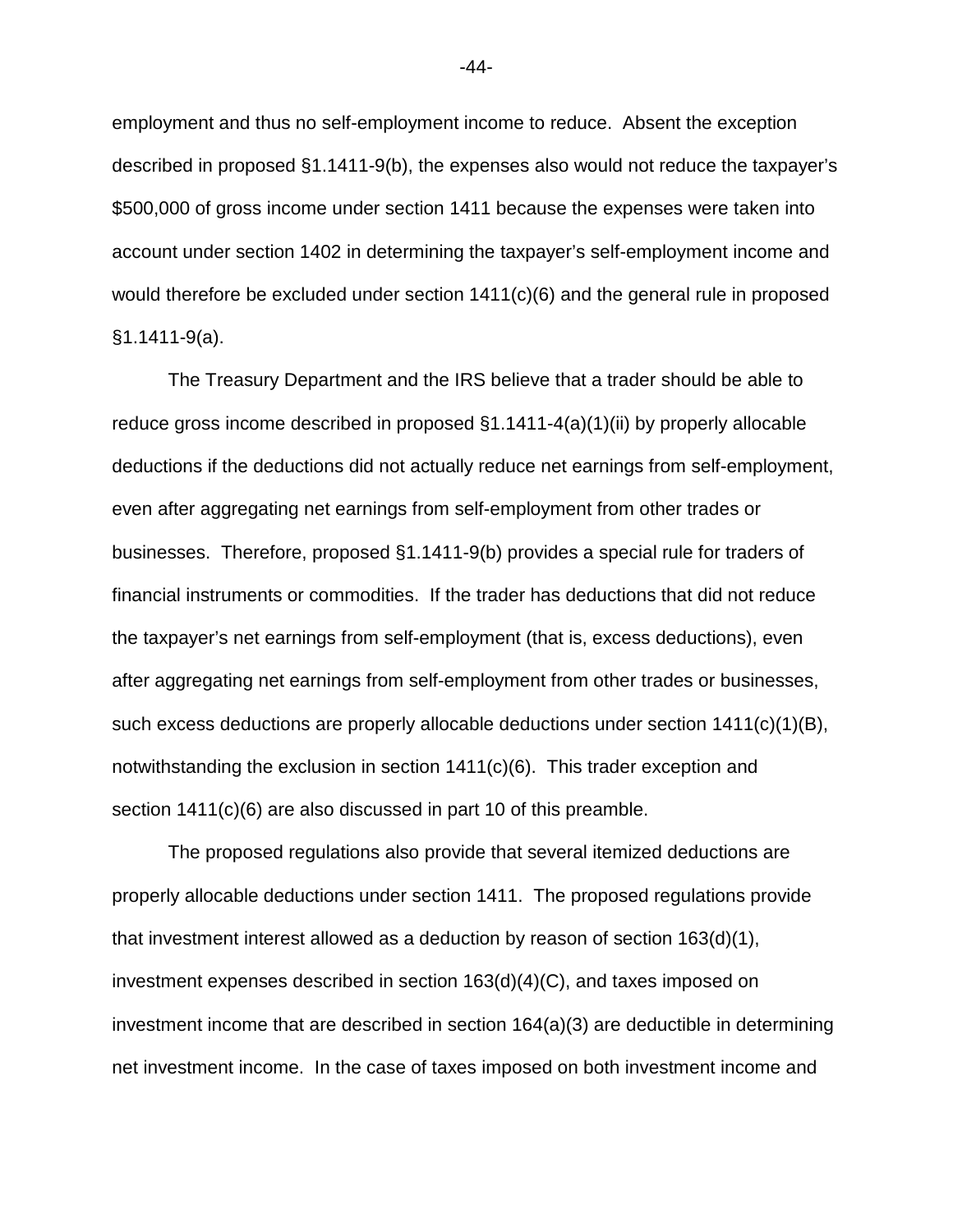employment and thus no self-employment income to reduce. Absent the exception described in proposed §1.1411-9(b), the expenses also would not reduce the taxpayer's \$500,000 of gross income under section 1411 because the expenses were taken into account under section 1402 in determining the taxpayer's self-employment income and would therefore be excluded under section  $1411(c)(6)$  and the general rule in proposed §1.1411-9(a).

The Treasury Department and the IRS believe that a trader should be able to reduce gross income described in proposed §1.1411-4(a)(1)(ii) by properly allocable deductions if the deductions did not actually reduce net earnings from self-employment, even after aggregating net earnings from self-employment from other trades or businesses. Therefore, proposed §1.1411-9(b) provides a special rule for traders of financial instruments or commodities. If the trader has deductions that did not reduce the taxpayer's net earnings from self-employment (that is, excess deductions), even after aggregating net earnings from self-employment from other trades or businesses, such excess deductions are properly allocable deductions under section 1411(c)(1)(B), notwithstanding the exclusion in section  $1411(c)(6)$ . This trader exception and section 1411(c)(6) are also discussed in part 10 of this preamble.

The proposed regulations also provide that several itemized deductions are properly allocable deductions under section 1411. The proposed regulations provide that investment interest allowed as a deduction by reason of section 163(d)(1), investment expenses described in section 163(d)(4)(C), and taxes imposed on investment income that are described in section 164(a)(3) are deductible in determining net investment income. In the case of taxes imposed on both investment income and

-44-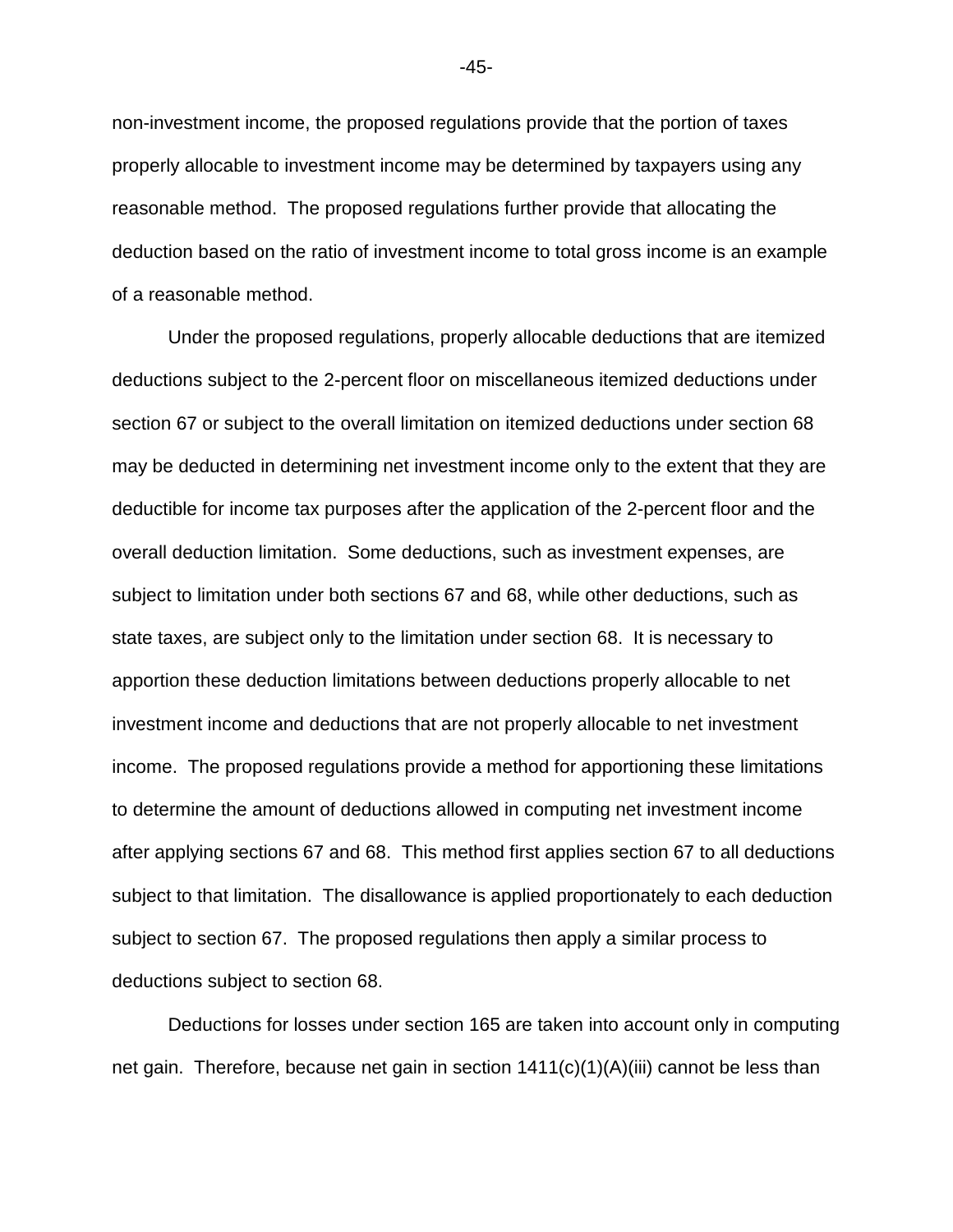non-investment income, the proposed regulations provide that the portion of taxes properly allocable to investment income may be determined by taxpayers using any reasonable method. The proposed regulations further provide that allocating the deduction based on the ratio of investment income to total gross income is an example of a reasonable method.

Under the proposed regulations, properly allocable deductions that are itemized deductions subject to the 2-percent floor on miscellaneous itemized deductions under section 67 or subject to the overall limitation on itemized deductions under section 68 may be deducted in determining net investment income only to the extent that they are deductible for income tax purposes after the application of the 2-percent floor and the overall deduction limitation. Some deductions, such as investment expenses, are subject to limitation under both sections 67 and 68, while other deductions, such as state taxes, are subject only to the limitation under section 68. It is necessary to apportion these deduction limitations between deductions properly allocable to net investment income and deductions that are not properly allocable to net investment income. The proposed regulations provide a method for apportioning these limitations to determine the amount of deductions allowed in computing net investment income after applying sections 67 and 68. This method first applies section 67 to all deductions subject to that limitation. The disallowance is applied proportionately to each deduction subject to section 67. The proposed regulations then apply a similar process to deductions subject to section 68.

Deductions for losses under section 165 are taken into account only in computing net gain. Therefore, because net gain in section  $1411(c)(1)(A)(iii)$  cannot be less than

-45-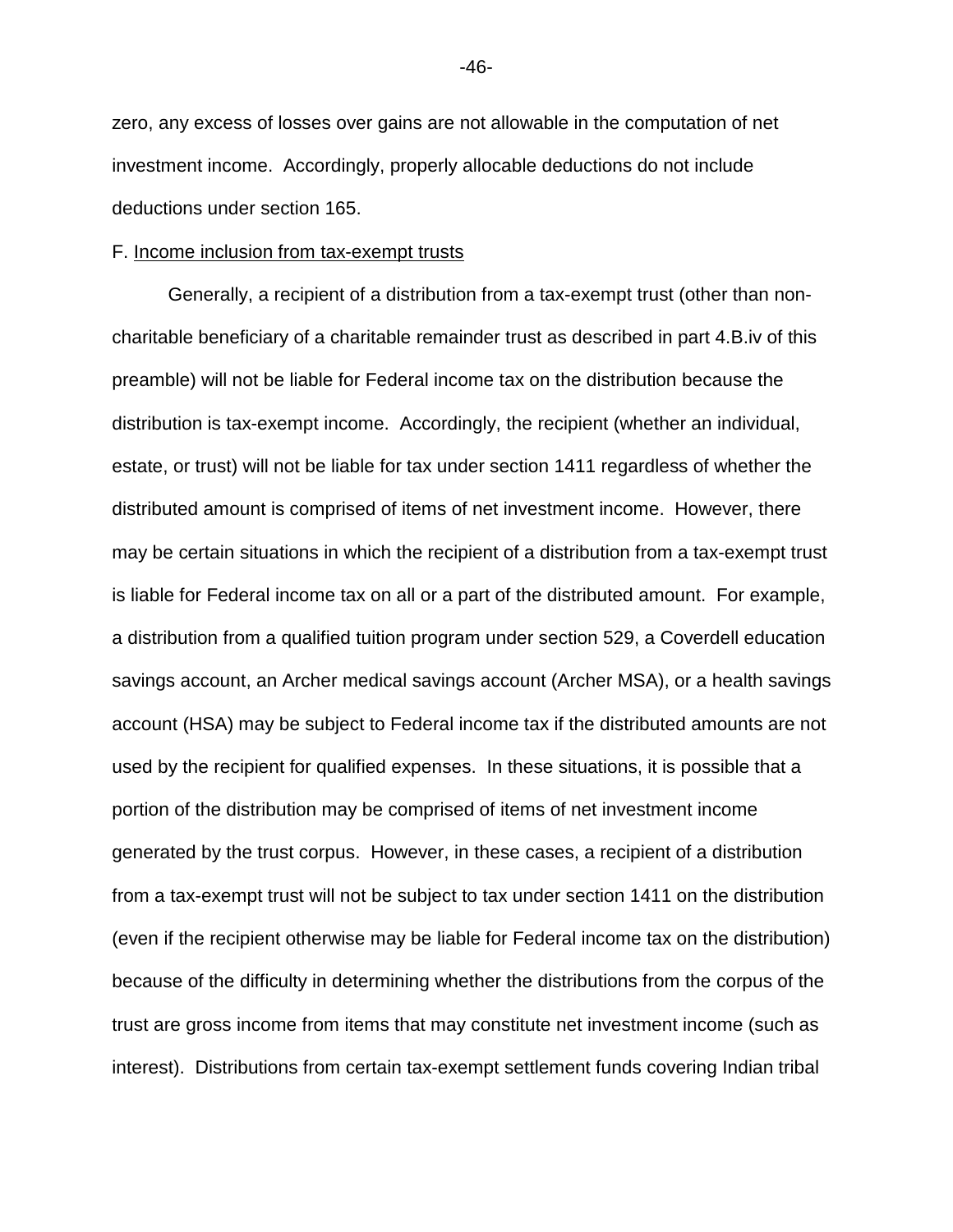zero, any excess of losses over gains are not allowable in the computation of net investment income. Accordingly, properly allocable deductions do not include deductions under section 165.

#### F. Income inclusion from tax-exempt trusts

Generally, a recipient of a distribution from a tax-exempt trust (other than noncharitable beneficiary of a charitable remainder trust as described in part 4.B.iv of this preamble) will not be liable for Federal income tax on the distribution because the distribution is tax-exempt income. Accordingly, the recipient (whether an individual, estate, or trust) will not be liable for tax under section 1411 regardless of whether the distributed amount is comprised of items of net investment income. However, there may be certain situations in which the recipient of a distribution from a tax-exempt trust is liable for Federal income tax on all or a part of the distributed amount. For example, a distribution from a qualified tuition program under section 529, a Coverdell education savings account, an Archer medical savings account (Archer MSA), or a health savings account (HSA) may be subject to Federal income tax if the distributed amounts are not used by the recipient for qualified expenses. In these situations, it is possible that a portion of the distribution may be comprised of items of net investment income generated by the trust corpus. However, in these cases, a recipient of a distribution from a tax-exempt trust will not be subject to tax under section 1411 on the distribution (even if the recipient otherwise may be liable for Federal income tax on the distribution) because of the difficulty in determining whether the distributions from the corpus of the trust are gross income from items that may constitute net investment income (such as interest). Distributions from certain tax-exempt settlement funds covering Indian tribal

-46-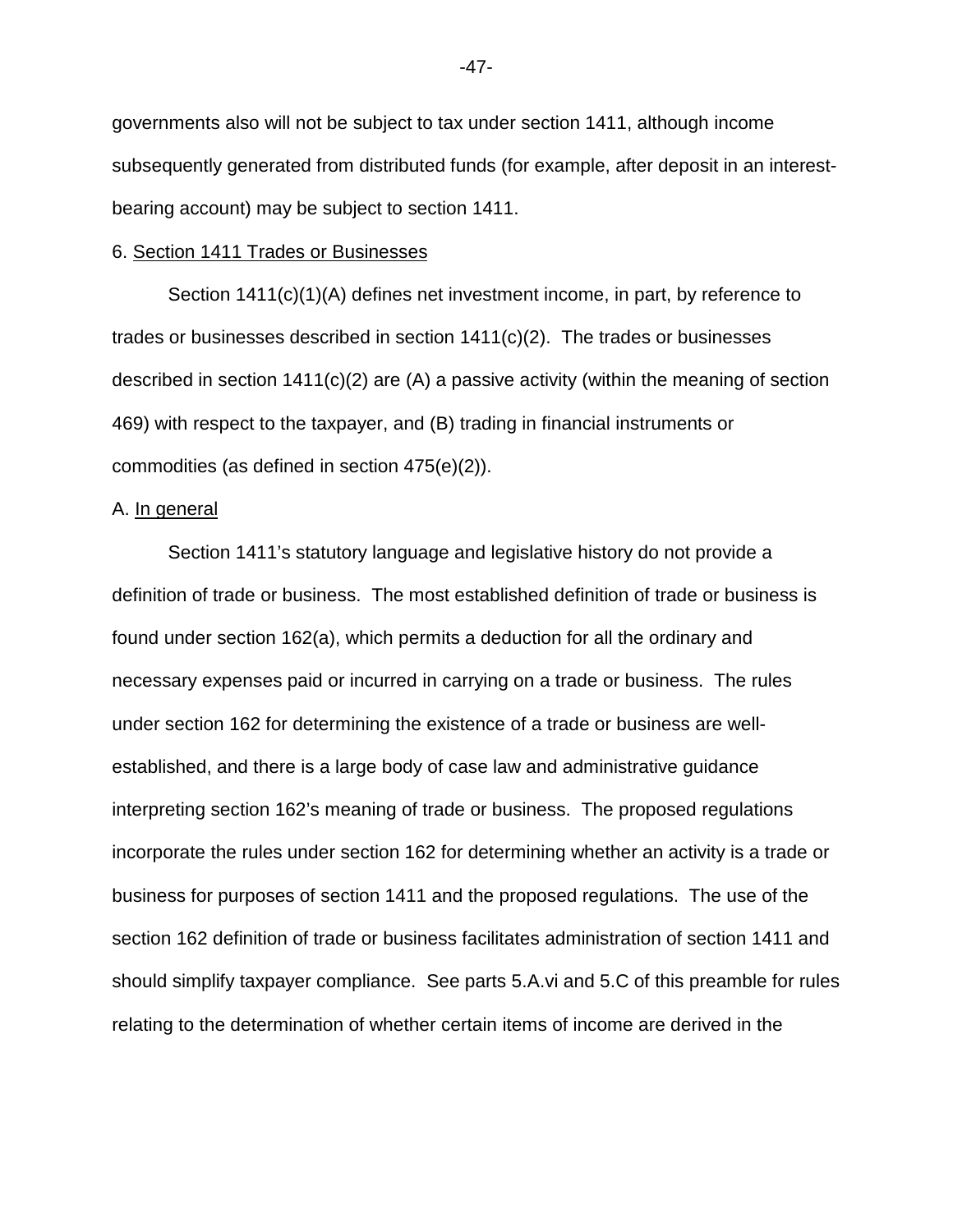governments also will not be subject to tax under section 1411, although income subsequently generated from distributed funds (for example, after deposit in an interestbearing account) may be subject to section 1411.

#### 6. Section 1411 Trades or Businesses

 Section 1411(c)(1)(A) defines net investment income, in part, by reference to trades or businesses described in section  $1411(c)(2)$ . The trades or businesses described in section  $1411(c)(2)$  are (A) a passive activity (within the meaning of section 469) with respect to the taxpayer, and (B) trading in financial instruments or commodities (as defined in section 475(e)(2)).

## A. In general

Section 1411's statutory language and legislative history do not provide a definition of trade or business. The most established definition of trade or business is found under section 162(a), which permits a deduction for all the ordinary and necessary expenses paid or incurred in carrying on a trade or business. The rules under section 162 for determining the existence of a trade or business are wellestablished, and there is a large body of case law and administrative guidance interpreting section 162's meaning of trade or business. The proposed regulations incorporate the rules under section 162 for determining whether an activity is a trade or business for purposes of section 1411 and the proposed regulations. The use of the section 162 definition of trade or business facilitates administration of section 1411 and should simplify taxpayer compliance. See parts 5.A.vi and 5.C of this preamble for rules relating to the determination of whether certain items of income are derived in the

-47-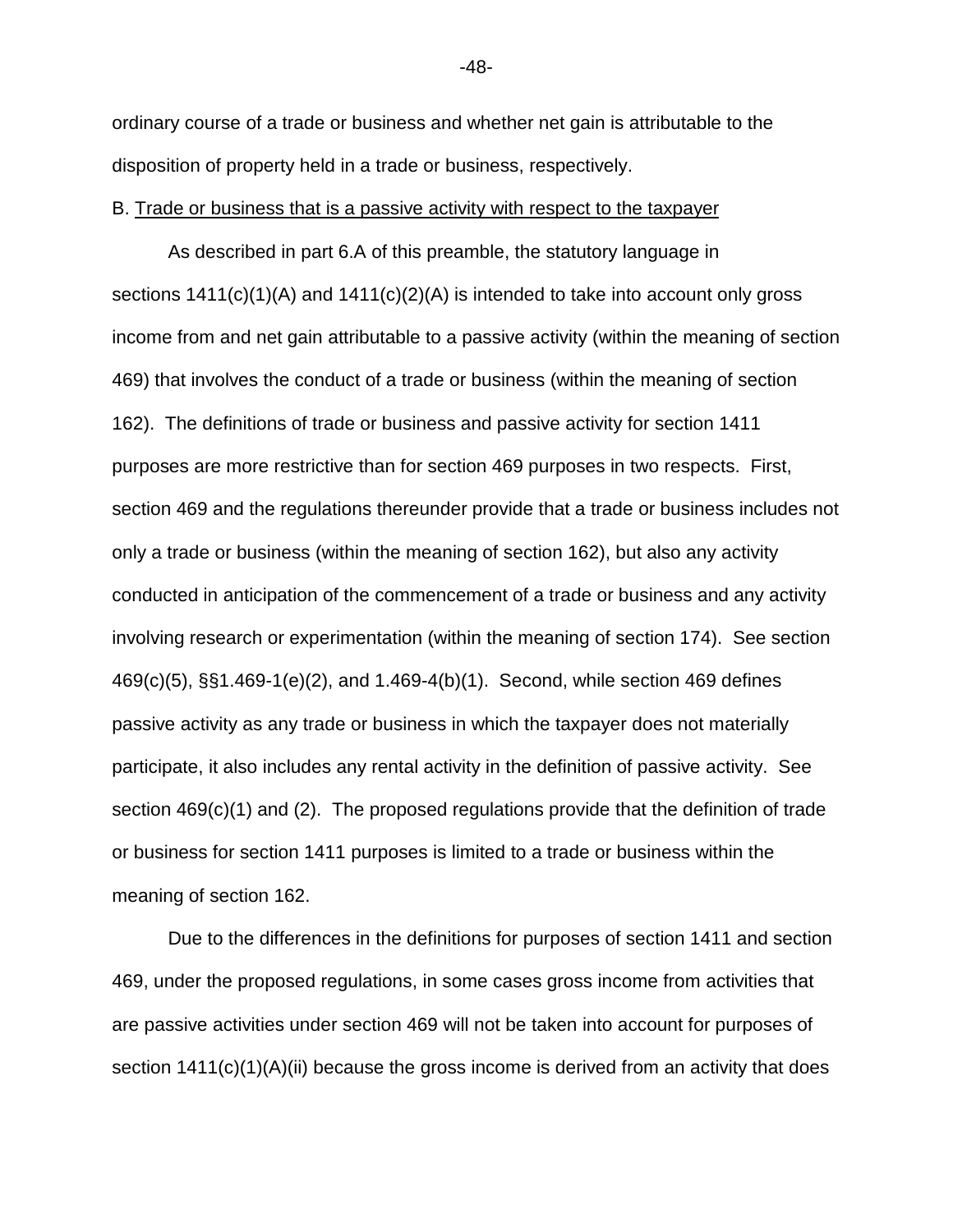ordinary course of a trade or business and whether net gain is attributable to the disposition of property held in a trade or business, respectively.

## B. Trade or business that is a passive activity with respect to the taxpayer

As described in part 6.A of this preamble, the statutory language in sections  $1411(c)(1)(A)$  and  $1411(c)(2)(A)$  is intended to take into account only gross income from and net gain attributable to a passive activity (within the meaning of section 469) that involves the conduct of a trade or business (within the meaning of section 162). The definitions of trade or business and passive activity for section 1411 purposes are more restrictive than for section 469 purposes in two respects. First, section 469 and the regulations thereunder provide that a trade or business includes not only a trade or business (within the meaning of section 162), but also any activity conducted in anticipation of the commencement of a trade or business and any activity involving research or experimentation (within the meaning of section 174). See section 469(c)(5), §§1.469-1(e)(2), and 1.469-4(b)(1). Second, while section 469 defines passive activity as any trade or business in which the taxpayer does not materially participate, it also includes any rental activity in the definition of passive activity. See section 469(c)(1) and (2). The proposed regulations provide that the definition of trade or business for section 1411 purposes is limited to a trade or business within the meaning of section 162.

Due to the differences in the definitions for purposes of section 1411 and section 469, under the proposed regulations, in some cases gross income from activities that are passive activities under section 469 will not be taken into account for purposes of section 1411(c)(1)(A)(ii) because the gross income is derived from an activity that does

-48-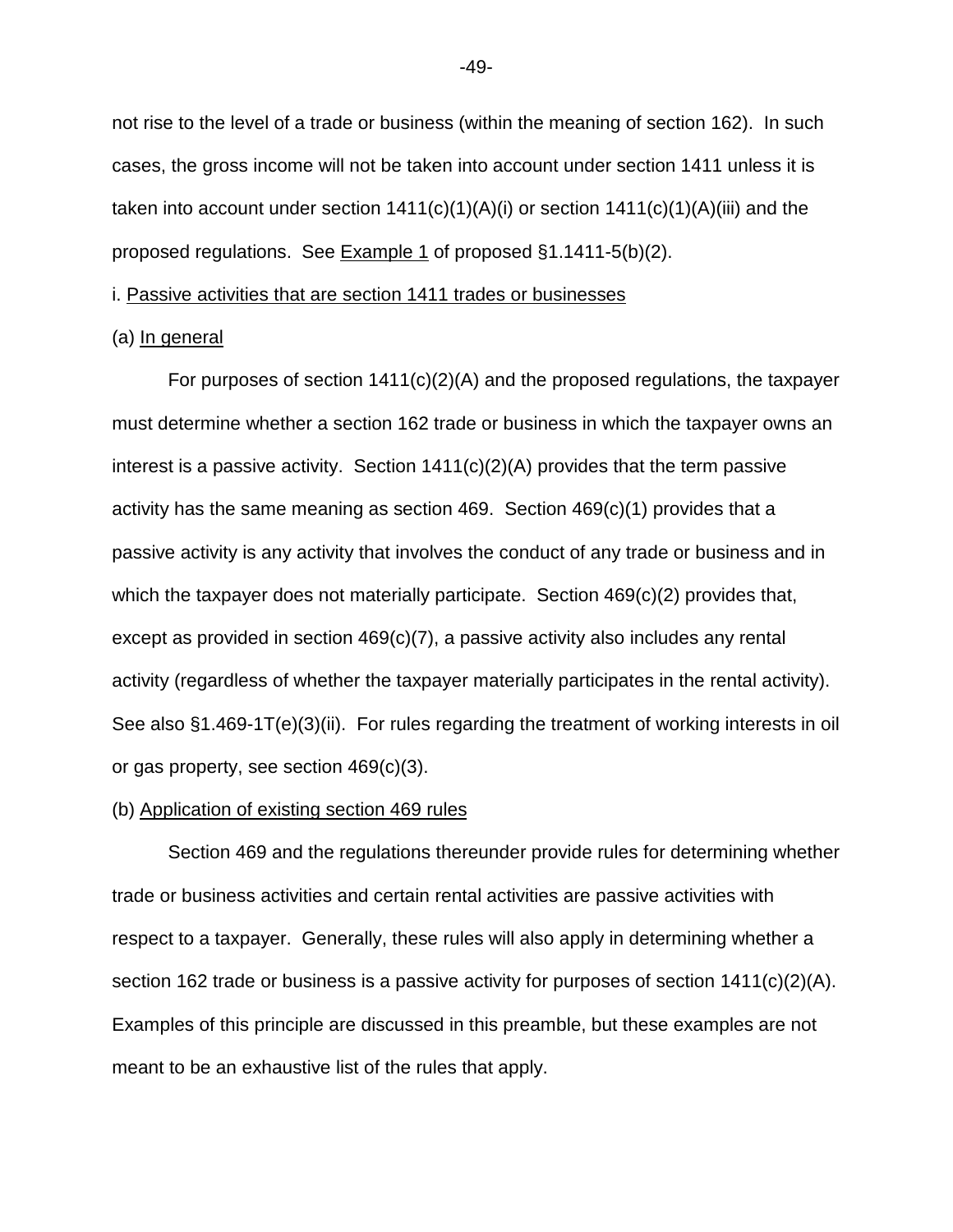not rise to the level of a trade or business (within the meaning of section 162). In such cases, the gross income will not be taken into account under section 1411 unless it is taken into account under section  $1411(c)(1)(A)(i)$  or section  $1411(c)(1)(A)(iii)$  and the proposed regulations. See Example 1 of proposed §1.1411-5(b)(2).

i. Passive activities that are section 1411 trades or businesses

## (a) In general

For purposes of section 1411(c)(2)(A) and the proposed regulations, the taxpayer must determine whether a section 162 trade or business in which the taxpayer owns an interest is a passive activity. Section  $1411(c)(2)(A)$  provides that the term passive activity has the same meaning as section 469. Section 469(c)(1) provides that a passive activity is any activity that involves the conduct of any trade or business and in which the taxpayer does not materially participate. Section 469(c)(2) provides that, except as provided in section 469(c)(7), a passive activity also includes any rental activity (regardless of whether the taxpayer materially participates in the rental activity). See also §1.469-1T(e)(3)(ii). For rules regarding the treatment of working interests in oil or gas property, see section 469(c)(3).

## (b) Application of existing section 469 rules

Section 469 and the regulations thereunder provide rules for determining whether trade or business activities and certain rental activities are passive activities with respect to a taxpayer. Generally, these rules will also apply in determining whether a section 162 trade or business is a passive activity for purposes of section 1411(c)(2)(A). Examples of this principle are discussed in this preamble, but these examples are not meant to be an exhaustive list of the rules that apply.

-49-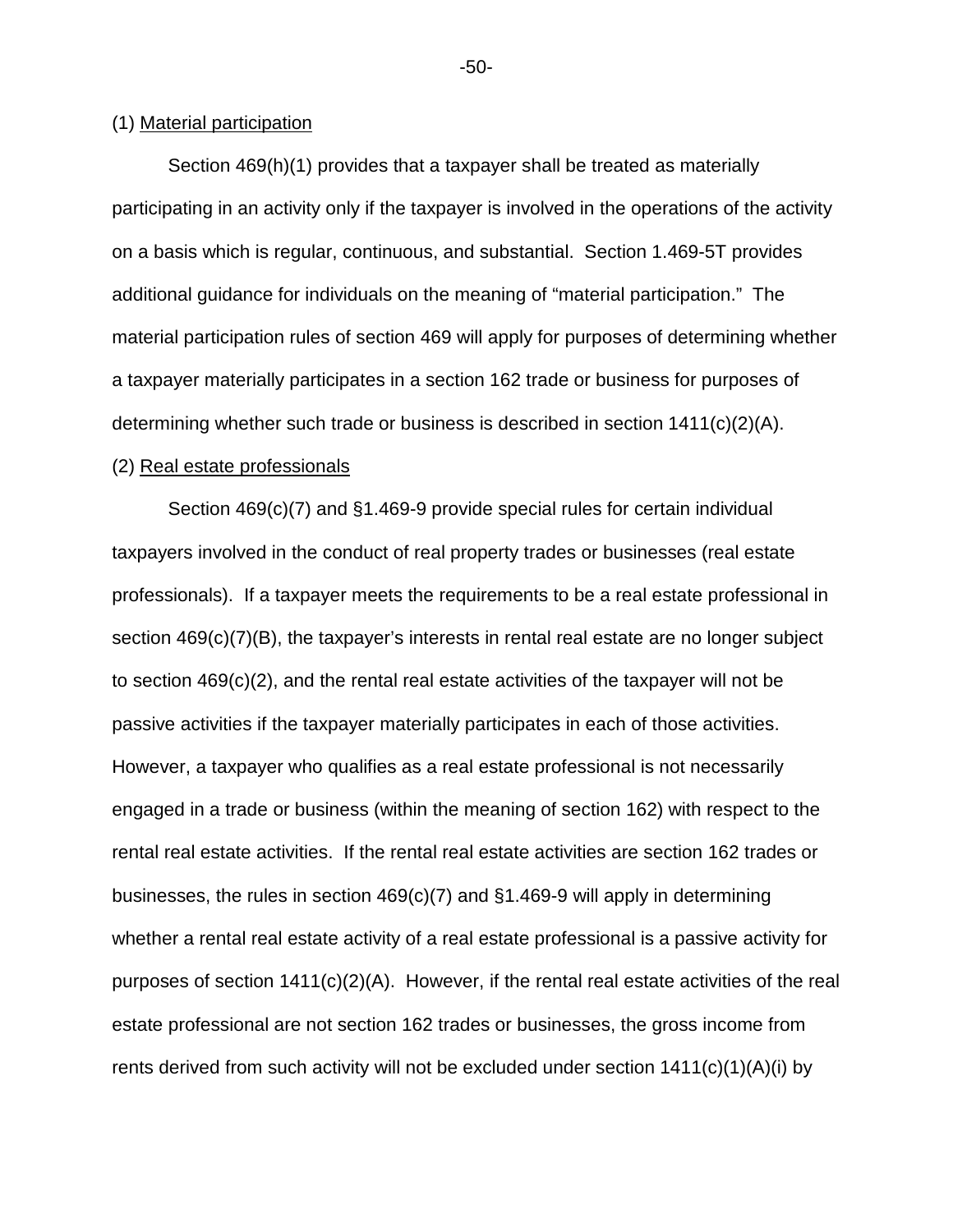## (1) Material participation

Section 469(h)(1) provides that a taxpayer shall be treated as materially participating in an activity only if the taxpayer is involved in the operations of the activity on a basis which is regular, continuous, and substantial. Section 1.469-5T provides additional guidance for individuals on the meaning of "material participation." The material participation rules of section 469 will apply for purposes of determining whether a taxpayer materially participates in a section 162 trade or business for purposes of determining whether such trade or business is described in section 1411(c)(2)(A).

#### (2) Real estate professionals

Section 469(c)(7) and §1.469-9 provide special rules for certain individual taxpayers involved in the conduct of real property trades or businesses (real estate professionals). If a taxpayer meets the requirements to be a real estate professional in section 469(c)(7)(B), the taxpayer's interests in rental real estate are no longer subject to section 469(c)(2), and the rental real estate activities of the taxpayer will not be passive activities if the taxpayer materially participates in each of those activities. However, a taxpayer who qualifies as a real estate professional is not necessarily engaged in a trade or business (within the meaning of section 162) with respect to the rental real estate activities. If the rental real estate activities are section 162 trades or businesses, the rules in section 469(c)(7) and §1.469-9 will apply in determining whether a rental real estate activity of a real estate professional is a passive activity for purposes of section 1411(c)(2)(A). However, if the rental real estate activities of the real estate professional are not section 162 trades or businesses, the gross income from rents derived from such activity will not be excluded under section  $1411(c)(1)(A)(i)$  by

-50-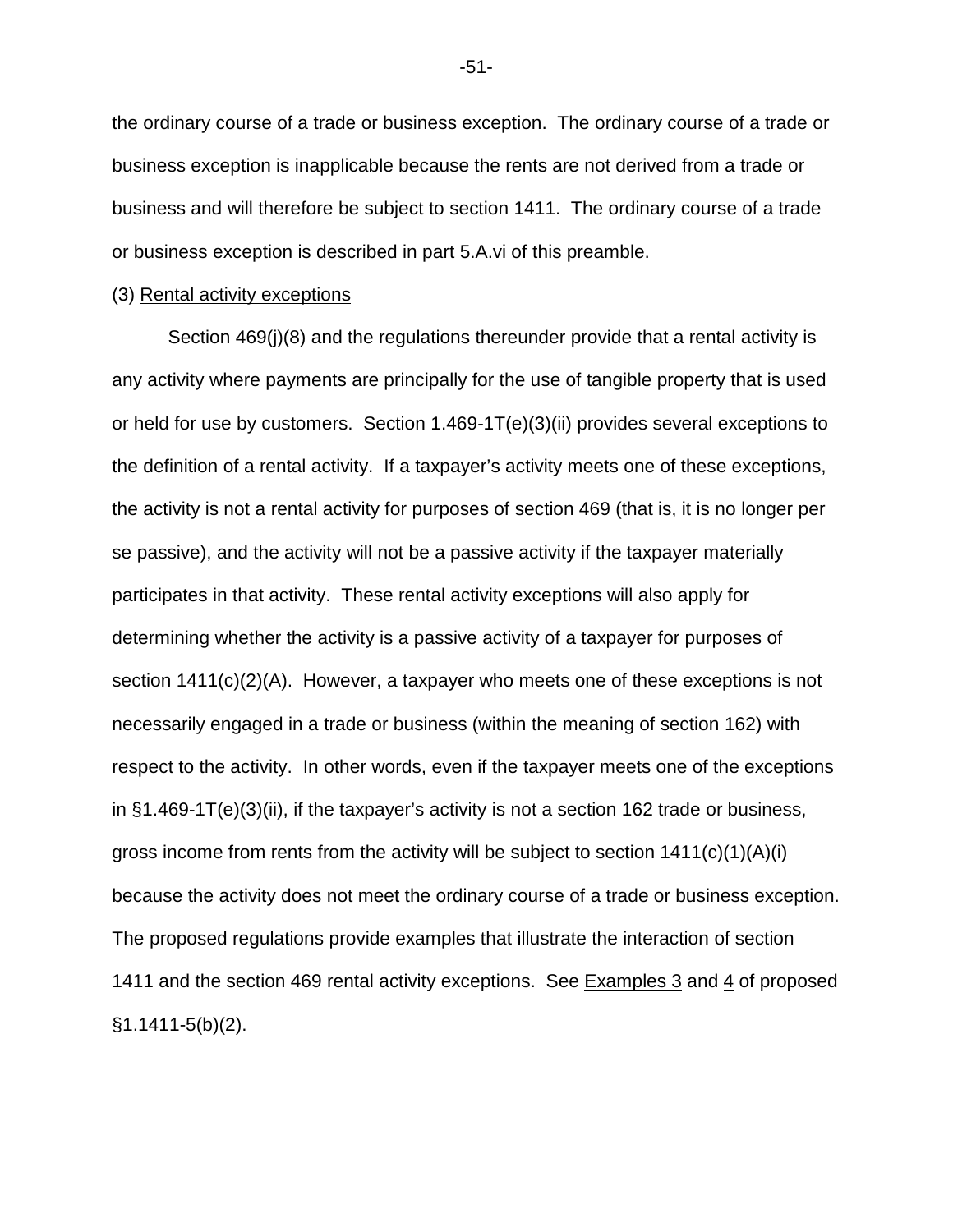the ordinary course of a trade or business exception. The ordinary course of a trade or business exception is inapplicable because the rents are not derived from a trade or business and will therefore be subject to section 1411. The ordinary course of a trade or business exception is described in part 5.A.vi of this preamble.

#### (3) Rental activity exceptions

Section 469(j)(8) and the regulations thereunder provide that a rental activity is any activity where payments are principally for the use of tangible property that is used or held for use by customers. Section 1.469-1T(e)(3)(ii) provides several exceptions to the definition of a rental activity. If a taxpayer's activity meets one of these exceptions, the activity is not a rental activity for purposes of section 469 (that is, it is no longer per se passive), and the activity will not be a passive activity if the taxpayer materially participates in that activity. These rental activity exceptions will also apply for determining whether the activity is a passive activity of a taxpayer for purposes of section 1411(c)(2)(A). However, a taxpayer who meets one of these exceptions is not necessarily engaged in a trade or business (within the meaning of section 162) with respect to the activity. In other words, even if the taxpayer meets one of the exceptions in §1.469-1T(e)(3)(ii), if the taxpayer's activity is not a section 162 trade or business, gross income from rents from the activity will be subject to section  $1411(c)(1)(A)(i)$ because the activity does not meet the ordinary course of a trade or business exception. The proposed regulations provide examples that illustrate the interaction of section 1411 and the section 469 rental activity exceptions. See Examples 3 and 4 of proposed §1.1411-5(b)(2).

-51-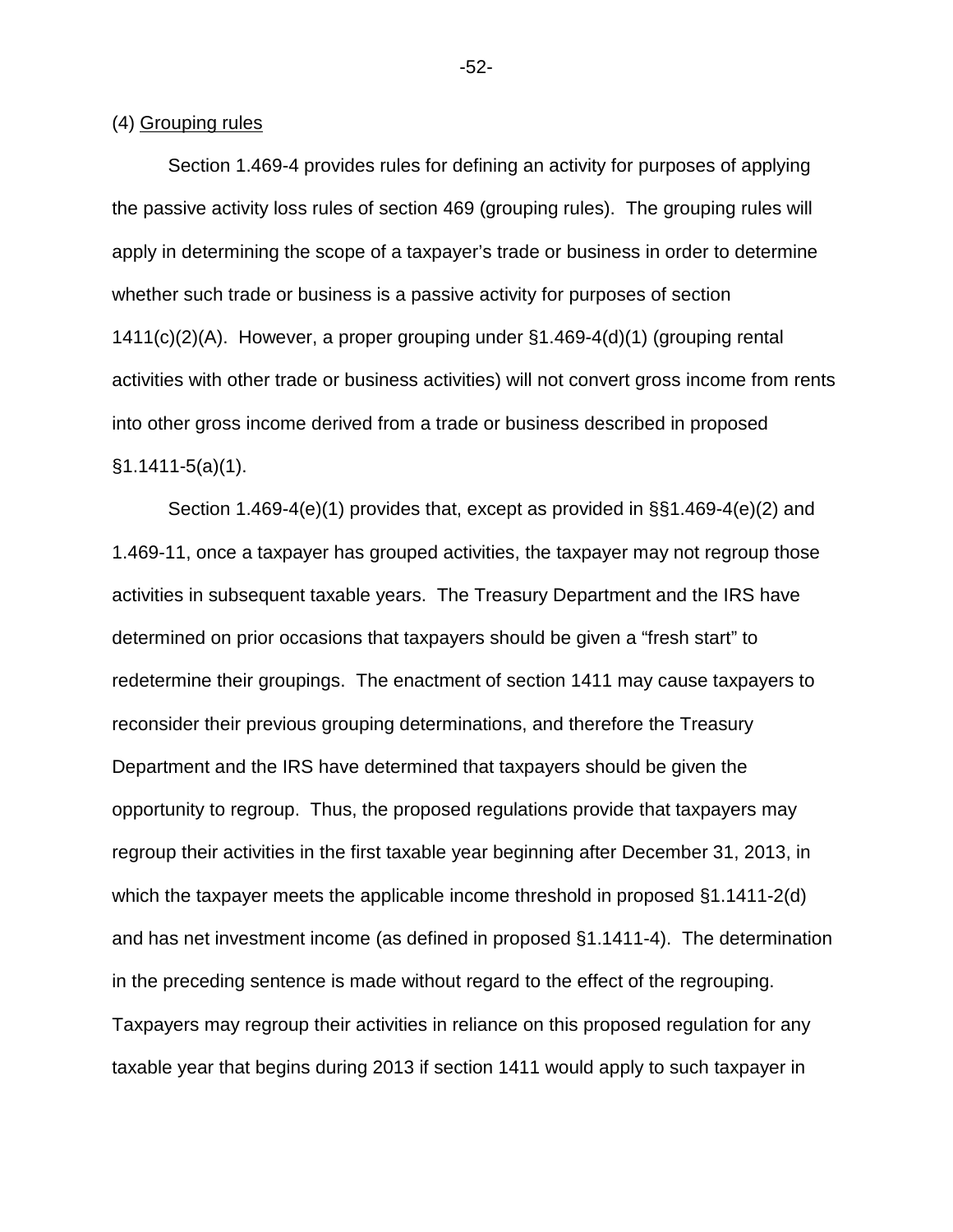(4) Grouping rules

Section 1.469-4 provides rules for defining an activity for purposes of applying the passive activity loss rules of section 469 (grouping rules). The grouping rules will apply in determining the scope of a taxpayer's trade or business in order to determine whether such trade or business is a passive activity for purposes of section 1411(c)(2)(A). However, a proper grouping under §1.469-4(d)(1) (grouping rental activities with other trade or business activities) will not convert gross income from rents into other gross income derived from a trade or business described in proposed  $§1.1411 - 5(a)(1)$ .

Section 1.469-4(e)(1) provides that, except as provided in §§1.469-4(e)(2) and 1.469-11, once a taxpayer has grouped activities, the taxpayer may not regroup those activities in subsequent taxable years. The Treasury Department and the IRS have determined on prior occasions that taxpayers should be given a "fresh start" to redetermine their groupings. The enactment of section 1411 may cause taxpayers to reconsider their previous grouping determinations, and therefore the Treasury Department and the IRS have determined that taxpayers should be given the opportunity to regroup. Thus, the proposed regulations provide that taxpayers may regroup their activities in the first taxable year beginning after December 31, 2013, in which the taxpayer meets the applicable income threshold in proposed §1.1411-2(d) and has net investment income (as defined in proposed §1.1411-4). The determination in the preceding sentence is made without regard to the effect of the regrouping. Taxpayers may regroup their activities in reliance on this proposed regulation for any taxable year that begins during 2013 if section 1411 would apply to such taxpayer in

-52-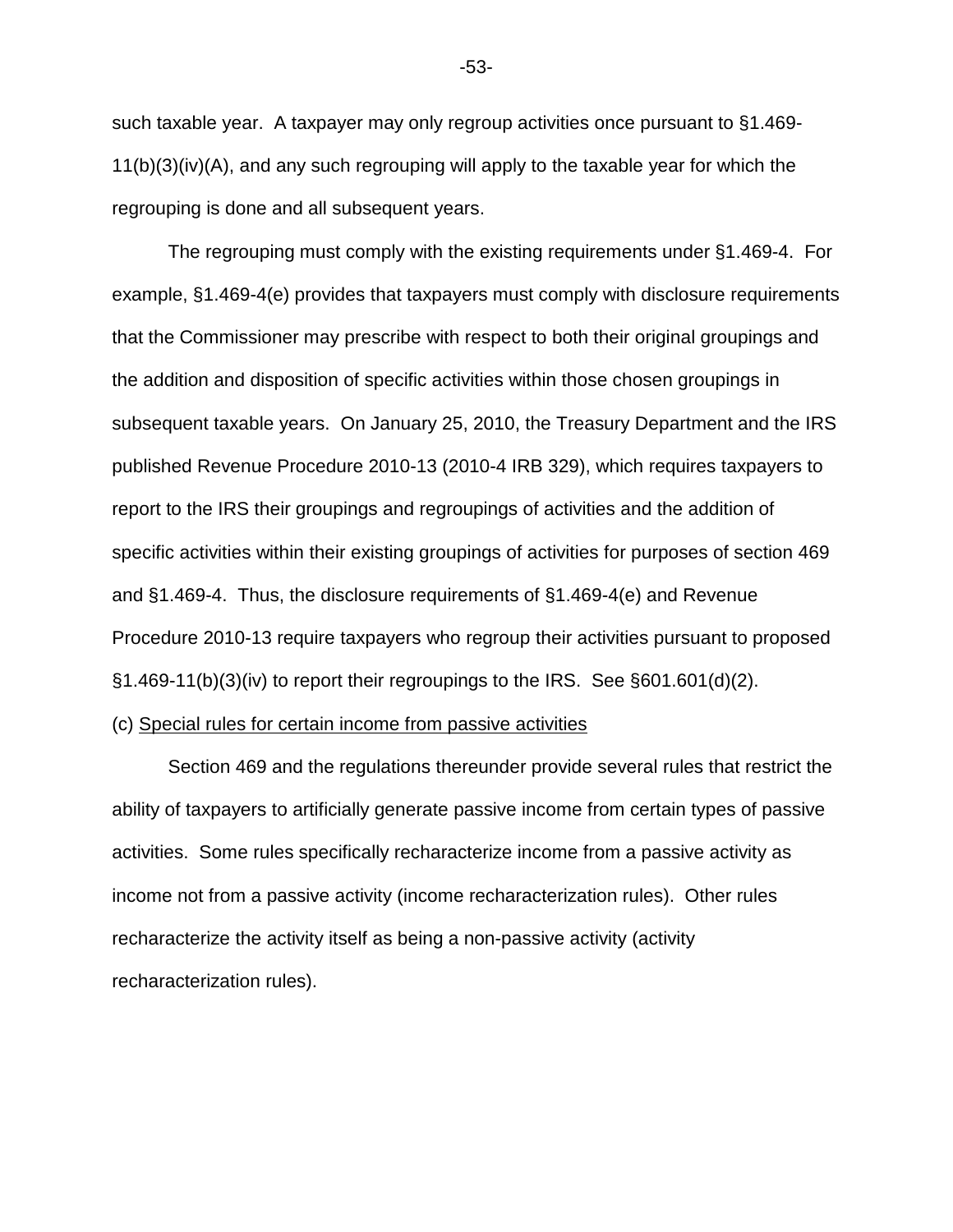such taxable year. A taxpayer may only regroup activities once pursuant to §1.469-  $11(b)(3)(iv)(A)$ , and any such regrouping will apply to the taxable year for which the regrouping is done and all subsequent years.

The regrouping must comply with the existing requirements under §1.469-4. For example, §1.469-4(e) provides that taxpayers must comply with disclosure requirements that the Commissioner may prescribe with respect to both their original groupings and the addition and disposition of specific activities within those chosen groupings in subsequent taxable years. On January 25, 2010, the Treasury Department and the IRS published Revenue Procedure 2010-13 (2010-4 IRB 329), which requires taxpayers to report to the IRS their groupings and regroupings of activities and the addition of specific activities within their existing groupings of activities for purposes of section 469 and §1.469-4. Thus, the disclosure requirements of §1.469-4(e) and Revenue Procedure 2010-13 require taxpayers who regroup their activities pursuant to proposed §1.469-11(b)(3)(iv) to report their regroupings to the IRS. See §601.601(d)(2).

## (c) Special rules for certain income from passive activities

Section 469 and the regulations thereunder provide several rules that restrict the ability of taxpayers to artificially generate passive income from certain types of passive activities. Some rules specifically recharacterize income from a passive activity as income not from a passive activity (income recharacterization rules). Other rules recharacterize the activity itself as being a non-passive activity (activity recharacterization rules).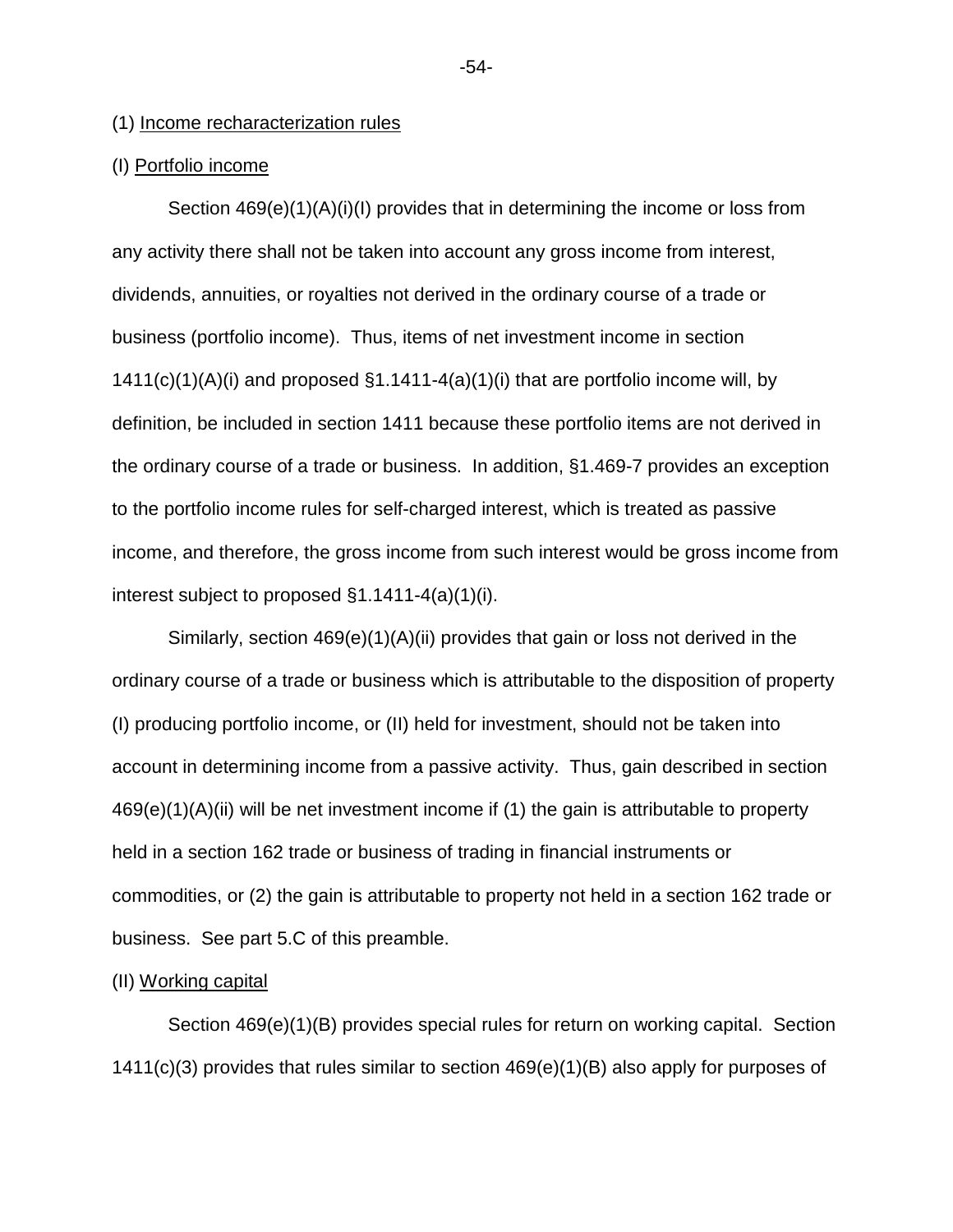## (1) Income recharacterization rules

## (I) Portfolio income

Section 469(e)(1)(A)(i)(I) provides that in determining the income or loss from any activity there shall not be taken into account any gross income from interest, dividends, annuities, or royalties not derived in the ordinary course of a trade or business (portfolio income). Thus, items of net investment income in section  $1411(c)(1)(A)(i)$  and proposed  $§1.1411-4(a)(1)(i)$  that are portfolio income will, by definition, be included in section 1411 because these portfolio items are not derived in the ordinary course of a trade or business. In addition, §1.469-7 provides an exception to the portfolio income rules for self-charged interest, which is treated as passive income, and therefore, the gross income from such interest would be gross income from interest subject to proposed §1.1411-4(a)(1)(i).

Similarly, section 469(e)(1)(A)(ii) provides that gain or loss not derived in the ordinary course of a trade or business which is attributable to the disposition of property (I) producing portfolio income, or (II) held for investment, should not be taken into account in determining income from a passive activity. Thus, gain described in section  $469(e)(1)(A)(ii)$  will be net investment income if (1) the gain is attributable to property held in a section 162 trade or business of trading in financial instruments or commodities, or (2) the gain is attributable to property not held in a section 162 trade or business. See part 5.C of this preamble.

## (II) Working capital

Section 469(e)(1)(B) provides special rules for return on working capital. Section 1411(c)(3) provides that rules similar to section 469(e)(1)(B) also apply for purposes of

-54-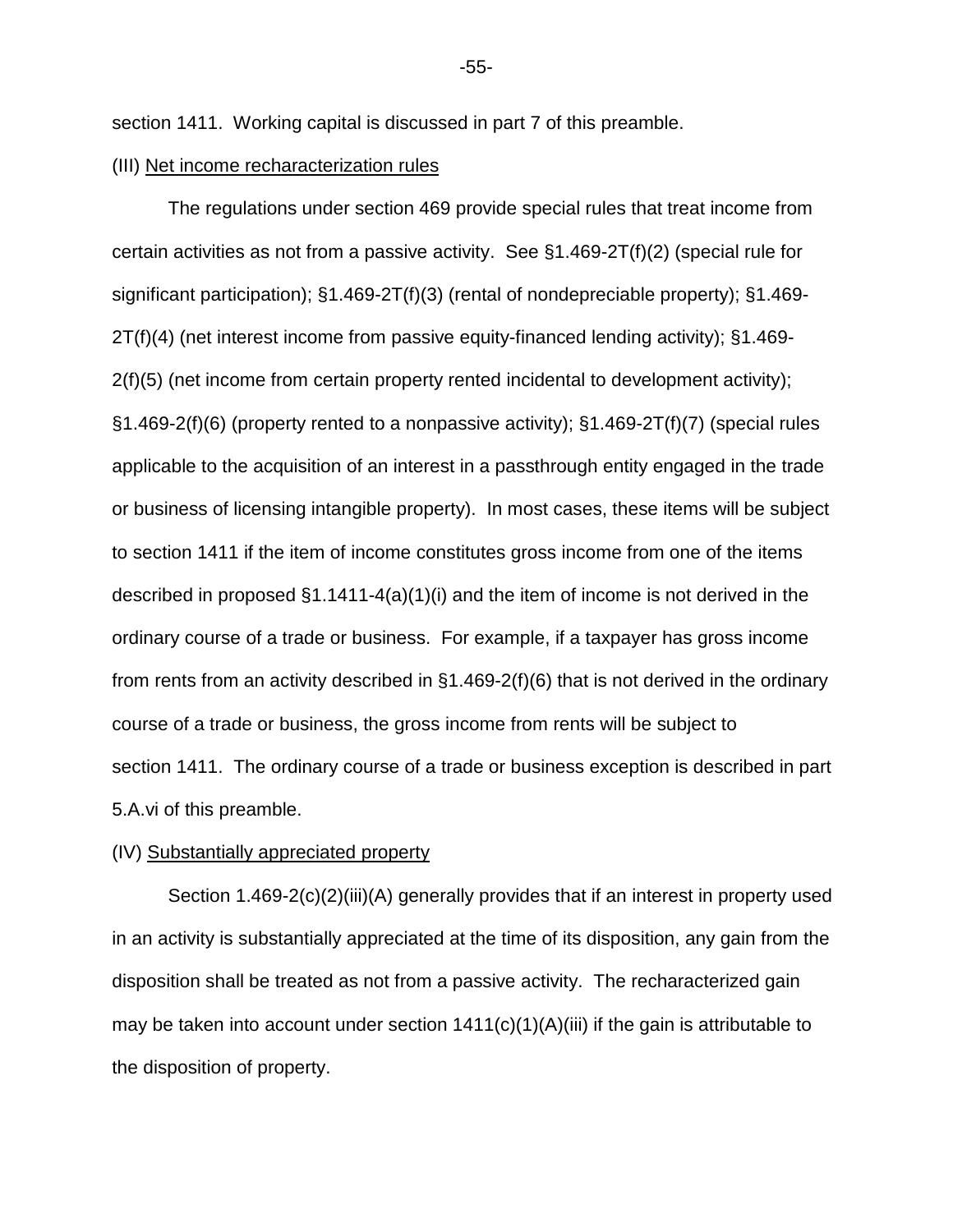section 1411. Working capital is discussed in part 7 of this preamble.

#### (III) Net income recharacterization rules

The regulations under section 469 provide special rules that treat income from certain activities as not from a passive activity. See §1.469-2T(f)(2) (special rule for significant participation); §1.469-2T(f)(3) (rental of nondepreciable property); §1.469- 2T(f)(4) (net interest income from passive equity-financed lending activity); §1.469- 2(f)(5) (net income from certain property rented incidental to development activity); §1.469-2(f)(6) (property rented to a nonpassive activity); §1.469-2T(f)(7) (special rules applicable to the acquisition of an interest in a passthrough entity engaged in the trade or business of licensing intangible property). In most cases, these items will be subject to section 1411 if the item of income constitutes gross income from one of the items described in proposed §1.1411-4(a)(1)(i) and the item of income is not derived in the ordinary course of a trade or business. For example, if a taxpayer has gross income from rents from an activity described in §1.469-2(f)(6) that is not derived in the ordinary course of a trade or business, the gross income from rents will be subject to section 1411. The ordinary course of a trade or business exception is described in part 5.A.vi of this preamble.

#### (IV) Substantially appreciated property

Section 1.469-2(c)(2)(iii)(A) generally provides that if an interest in property used in an activity is substantially appreciated at the time of its disposition, any gain from the disposition shall be treated as not from a passive activity. The recharacterized gain may be taken into account under section  $1411(c)(1)(A)(iii)$  if the gain is attributable to the disposition of property.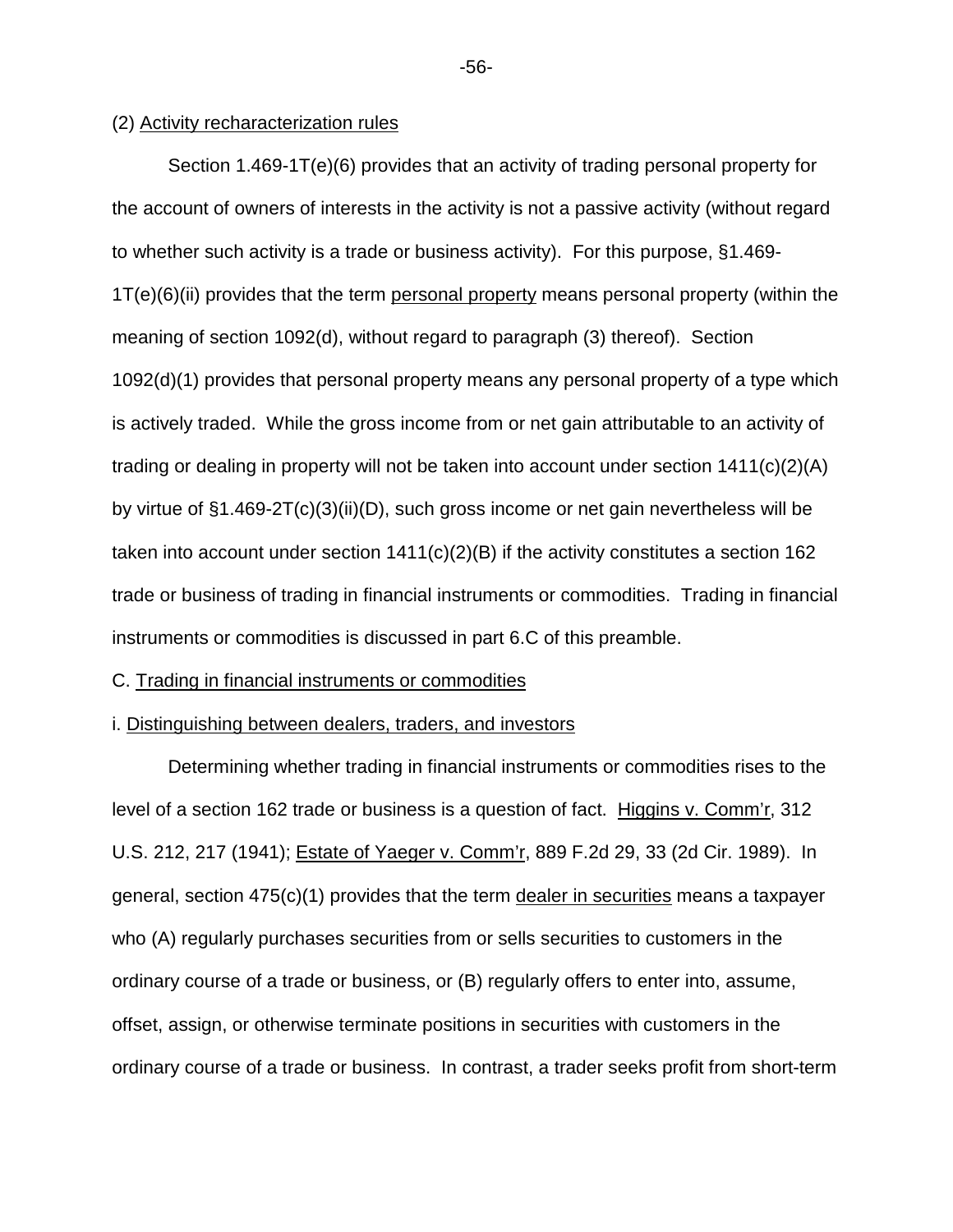## (2) Activity recharacterization rules

Section 1.469-1T(e)(6) provides that an activity of trading personal property for the account of owners of interests in the activity is not a passive activity (without regard to whether such activity is a trade or business activity). For this purpose, §1.469- 1T(e)(6)(ii) provides that the term personal property means personal property (within the meaning of section 1092(d), without regard to paragraph (3) thereof). Section 1092(d)(1) provides that personal property means any personal property of a type which is actively traded. While the gross income from or net gain attributable to an activity of trading or dealing in property will not be taken into account under section 1411(c)(2)(A) by virtue of §1.469-2T(c)(3)(ii)(D), such gross income or net gain nevertheless will be taken into account under section  $1411(c)(2)(B)$  if the activity constitutes a section 162 trade or business of trading in financial instruments or commodities. Trading in financial instruments or commodities is discussed in part 6.C of this preamble.

#### C. Trading in financial instruments or commodities

#### i. Distinguishing between dealers, traders, and investors

Determining whether trading in financial instruments or commodities rises to the level of a section 162 trade or business is a question of fact. Higgins v. Comm'r, 312 U.S. 212, 217 (1941); Estate of Yaeger v. Comm'r, 889 F.2d 29, 33 (2d Cir. 1989). In general, section 475(c)(1) provides that the term dealer in securities means a taxpayer who (A) regularly purchases securities from or sells securities to customers in the ordinary course of a trade or business, or (B) regularly offers to enter into, assume, offset, assign, or otherwise terminate positions in securities with customers in the ordinary course of a trade or business. In contrast, a trader seeks profit from short-term

-56-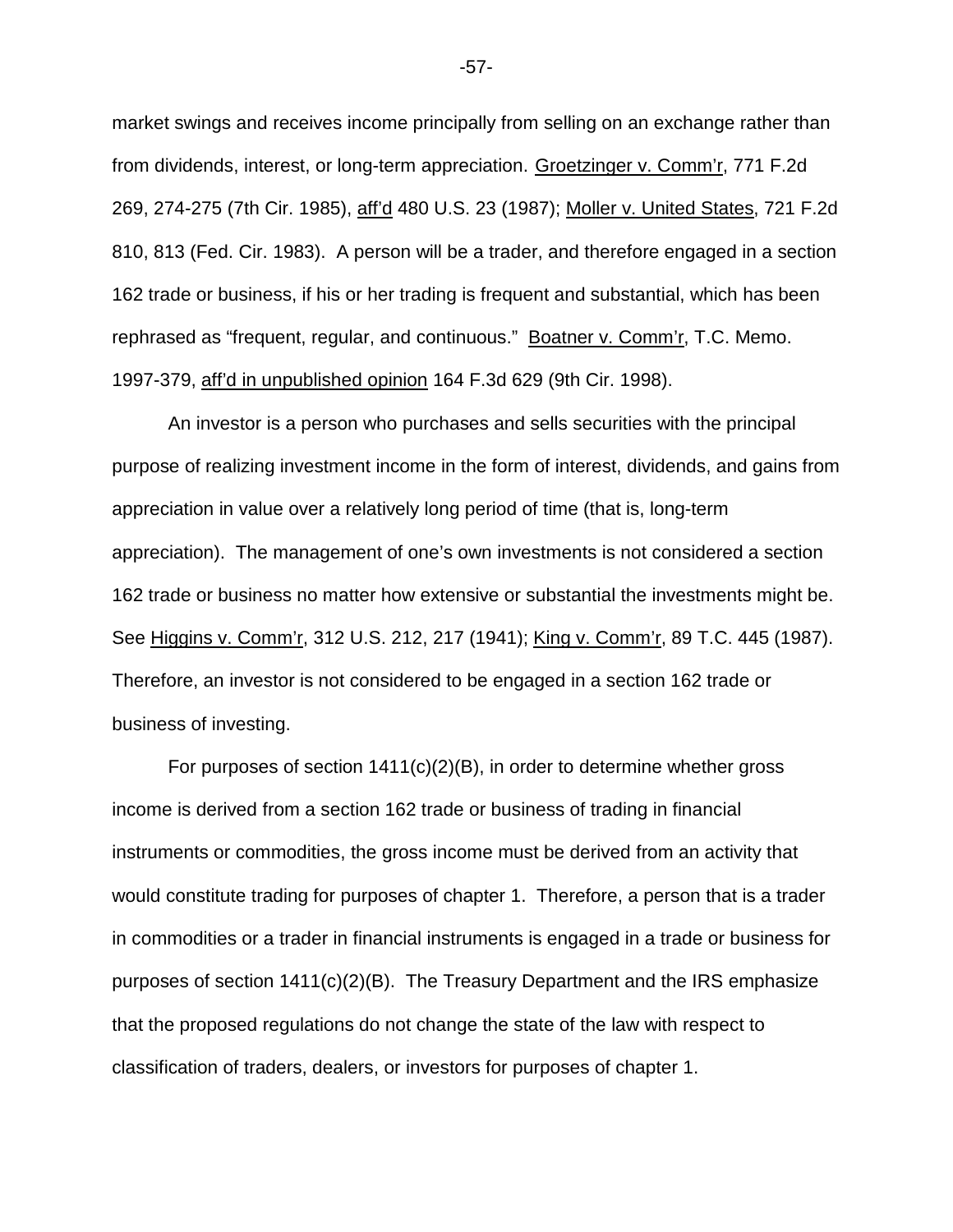market swings and receives income principally from selling on an exchange rather than from dividends, interest, or long-term appreciation. Groetzinger v. Comm'r, 771 F.2d 269, 274-275 (7th Cir. 1985), aff'd 480 U.S. 23 (1987); Moller v. United States, 721 F.2d 810, 813 (Fed. Cir. 1983). A person will be a trader, and therefore engaged in a section 162 trade or business, if his or her trading is frequent and substantial, which has been rephrased as "frequent, regular, and continuous." Boatner v. Comm'r, T.C. Memo. 1997-379, aff'd in unpublished opinion 164 F.3d 629 (9th Cir. 1998).

An investor is a person who purchases and sells securities with the principal purpose of realizing investment income in the form of interest, dividends, and gains from appreciation in value over a relatively long period of time (that is, long-term appreciation). The management of one's own investments is not considered a section 162 trade or business no matter how extensive or substantial the investments might be. See Higgins v. Comm'r, 312 U.S. 212, 217 (1941); King v. Comm'r, 89 T.C. 445 (1987). Therefore, an investor is not considered to be engaged in a section 162 trade or business of investing.

For purposes of section  $1411(c)(2)(B)$ , in order to determine whether gross income is derived from a section 162 trade or business of trading in financial instruments or commodities, the gross income must be derived from an activity that would constitute trading for purposes of chapter 1. Therefore, a person that is a trader in commodities or a trader in financial instruments is engaged in a trade or business for purposes of section 1411(c)(2)(B). The Treasury Department and the IRS emphasize that the proposed regulations do not change the state of the law with respect to classification of traders, dealers, or investors for purposes of chapter 1.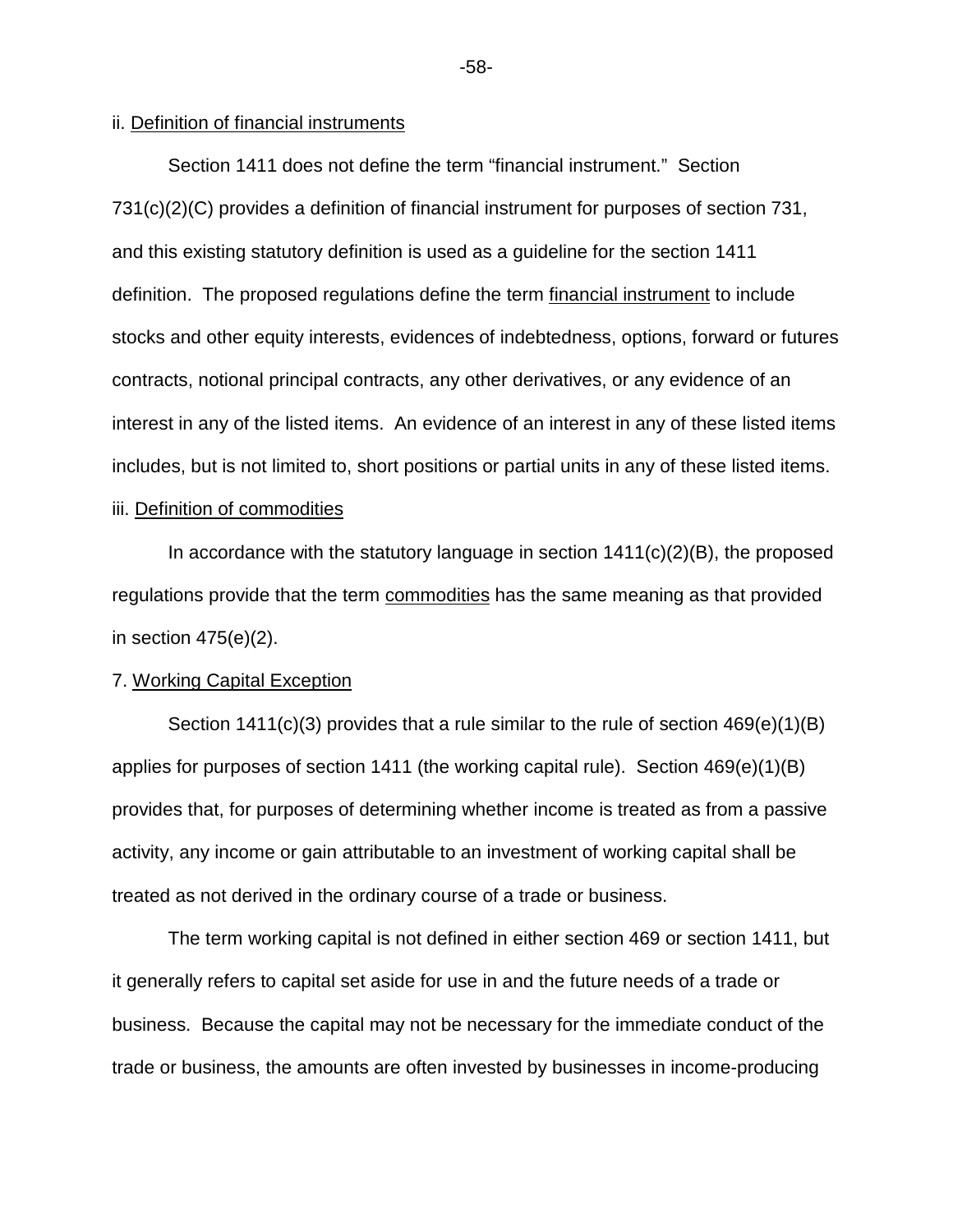## ii. Definition of financial instruments

Section 1411 does not define the term "financial instrument." Section 731(c)(2)(C) provides a definition of financial instrument for purposes of section 731, and this existing statutory definition is used as a guideline for the section 1411 definition. The proposed regulations define the term financial instrument to include stocks and other equity interests, evidences of indebtedness, options, forward or futures contracts, notional principal contracts, any other derivatives, or any evidence of an interest in any of the listed items. An evidence of an interest in any of these listed items includes, but is not limited to, short positions or partial units in any of these listed items.

## iii. Definition of commodities

In accordance with the statutory language in section  $1411(c)(2)(B)$ , the proposed regulations provide that the term commodities has the same meaning as that provided in section  $475(e)(2)$ .

#### 7. Working Capital Exception

Section 1411(c)(3) provides that a rule similar to the rule of section 469(e)(1)(B) applies for purposes of section 1411 (the working capital rule). Section 469(e)(1)(B) provides that, for purposes of determining whether income is treated as from a passive activity, any income or gain attributable to an investment of working capital shall be treated as not derived in the ordinary course of a trade or business.

The term working capital is not defined in either section 469 or section 1411, but it generally refers to capital set aside for use in and the future needs of a trade or business. Because the capital may not be necessary for the immediate conduct of the trade or business, the amounts are often invested by businesses in income-producing

-58-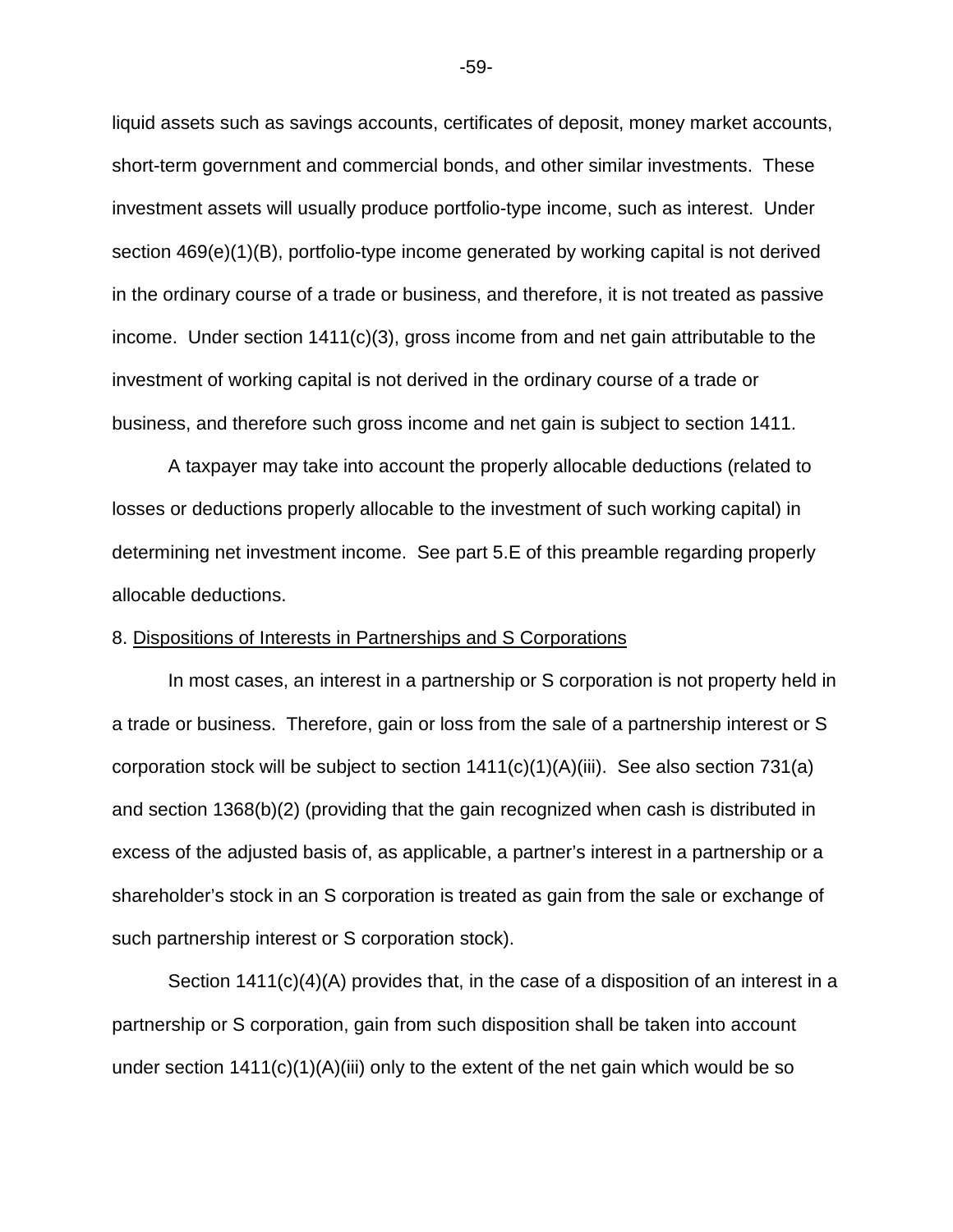liquid assets such as savings accounts, certificates of deposit, money market accounts, short-term government and commercial bonds, and other similar investments. These investment assets will usually produce portfolio-type income, such as interest. Under section 469(e)(1)(B), portfolio-type income generated by working capital is not derived in the ordinary course of a trade or business, and therefore, it is not treated as passive income. Under section  $1411(c)(3)$ , gross income from and net gain attributable to the investment of working capital is not derived in the ordinary course of a trade or business, and therefore such gross income and net gain is subject to section 1411.

A taxpayer may take into account the properly allocable deductions (related to losses or deductions properly allocable to the investment of such working capital) in determining net investment income. See part 5.E of this preamble regarding properly allocable deductions.

#### 8. Dispositions of Interests in Partnerships and S Corporations

In most cases, an interest in a partnership or S corporation is not property held in a trade or business. Therefore, gain or loss from the sale of a partnership interest or S corporation stock will be subject to section  $1411(c)(1)(A)(iii)$ . See also section 731(a) and section 1368(b)(2) (providing that the gain recognized when cash is distributed in excess of the adjusted basis of, as applicable, a partner's interest in a partnership or a shareholder's stock in an S corporation is treated as gain from the sale or exchange of such partnership interest or S corporation stock).

Section 1411(c)(4)(A) provides that, in the case of a disposition of an interest in a partnership or S corporation, gain from such disposition shall be taken into account under section  $1411(c)(1)(A)(iii)$  only to the extent of the net gain which would be so

-59-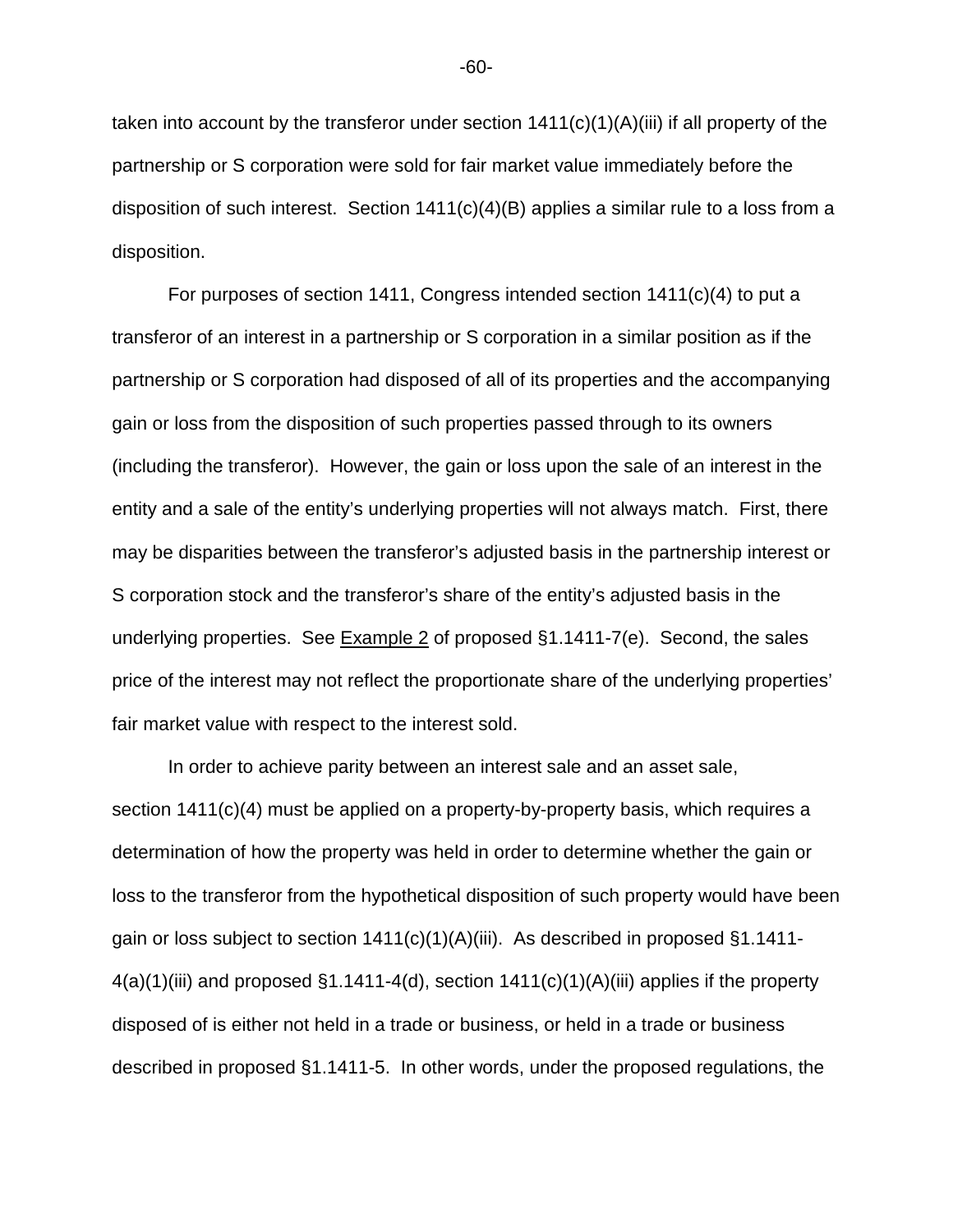taken into account by the transferor under section  $1411(c)(1)(A)(iii)$  if all property of the partnership or S corporation were sold for fair market value immediately before the disposition of such interest. Section 1411(c)(4)(B) applies a similar rule to a loss from a disposition.

For purposes of section 1411, Congress intended section  $1411(c)(4)$  to put a transferor of an interest in a partnership or S corporation in a similar position as if the partnership or S corporation had disposed of all of its properties and the accompanying gain or loss from the disposition of such properties passed through to its owners (including the transferor). However, the gain or loss upon the sale of an interest in the entity and a sale of the entity's underlying properties will not always match. First, there may be disparities between the transferor's adjusted basis in the partnership interest or S corporation stock and the transferor's share of the entity's adjusted basis in the underlying properties. See Example 2 of proposed §1.1411-7(e). Second, the sales price of the interest may not reflect the proportionate share of the underlying properties' fair market value with respect to the interest sold.

In order to achieve parity between an interest sale and an asset sale, section 1411(c)(4) must be applied on a property-by-property basis, which requires a determination of how the property was held in order to determine whether the gain or loss to the transferor from the hypothetical disposition of such property would have been gain or loss subject to section 1411(c)(1)(A)(iii). As described in proposed §1.1411-  $4(a)(1)$ (iii) and proposed §1.1411-4(d), section 1411(c)(1)(A)(iii) applies if the property disposed of is either not held in a trade or business, or held in a trade or business described in proposed §1.1411-5. In other words, under the proposed regulations, the

-60-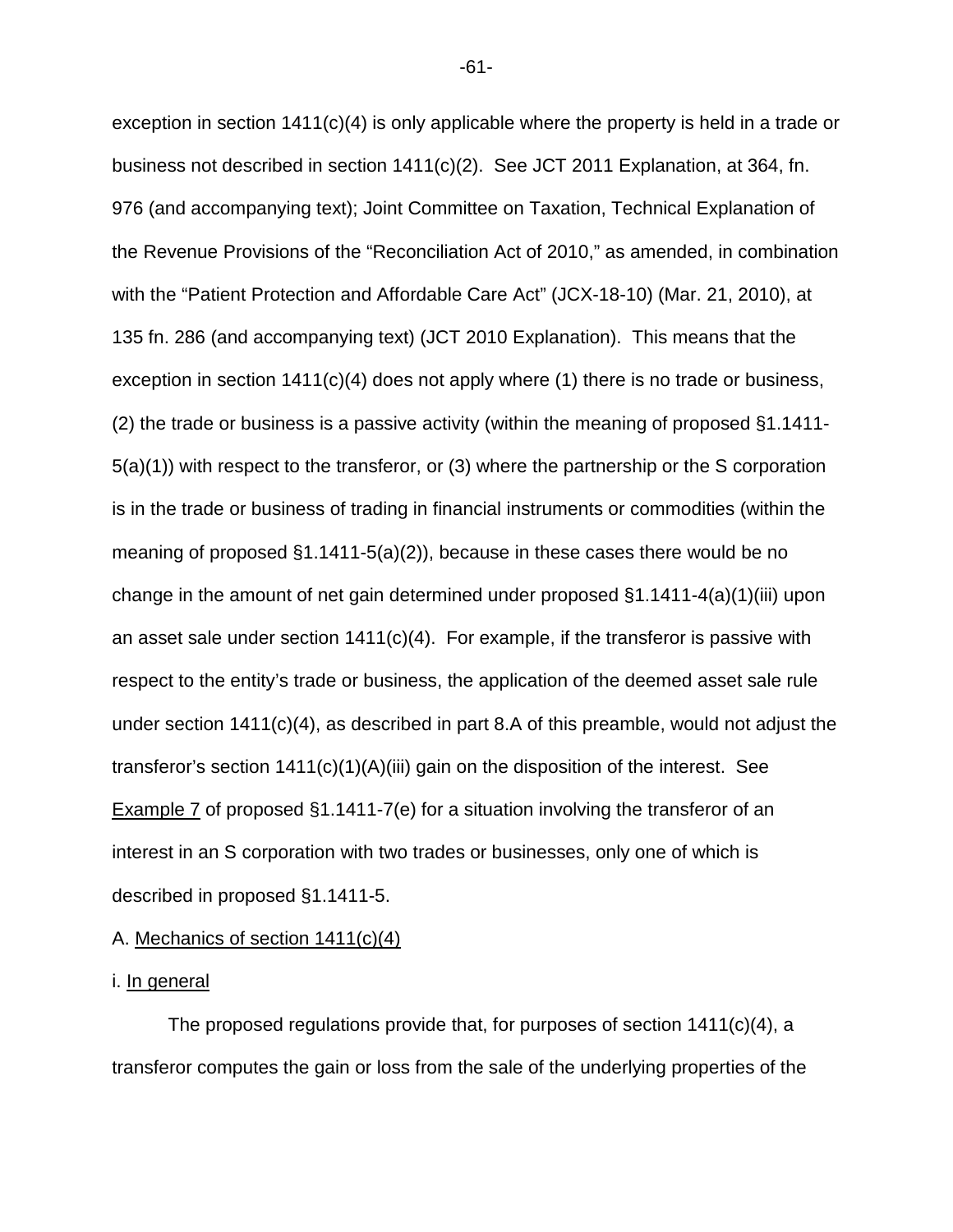exception in section  $1411(c)(4)$  is only applicable where the property is held in a trade or business not described in section 1411(c)(2). See JCT 2011 Explanation, at 364, fn. 976 (and accompanying text); Joint Committee on Taxation, Technical Explanation of the Revenue Provisions of the "Reconciliation Act of 2010," as amended, in combination with the "Patient Protection and Affordable Care Act" (JCX-18-10) (Mar. 21, 2010), at 135 fn. 286 (and accompanying text) (JCT 2010 Explanation). This means that the exception in section 1411(c)(4) does not apply where (1) there is no trade or business, (2) the trade or business is a passive activity (within the meaning of proposed §1.1411- 5(a)(1)) with respect to the transferor, or (3) where the partnership or the S corporation is in the trade or business of trading in financial instruments or commodities (within the meaning of proposed §1.1411-5(a)(2)), because in these cases there would be no change in the amount of net gain determined under proposed §1.1411-4(a)(1)(iii) upon an asset sale under section  $1411(c)(4)$ . For example, if the transferor is passive with respect to the entity's trade or business, the application of the deemed asset sale rule under section 1411(c)(4), as described in part 8.A of this preamble, would not adjust the transferor's section  $1411(c)(1)(A)(iii)$  gain on the disposition of the interest. See Example 7 of proposed §1.1411-7(e) for a situation involving the transferor of an interest in an S corporation with two trades or businesses, only one of which is described in proposed §1.1411-5.

## A. Mechanics of section 1411(c)(4)

#### i. <u>In general</u>

The proposed regulations provide that, for purposes of section 1411(c)(4), a transferor computes the gain or loss from the sale of the underlying properties of the

-61-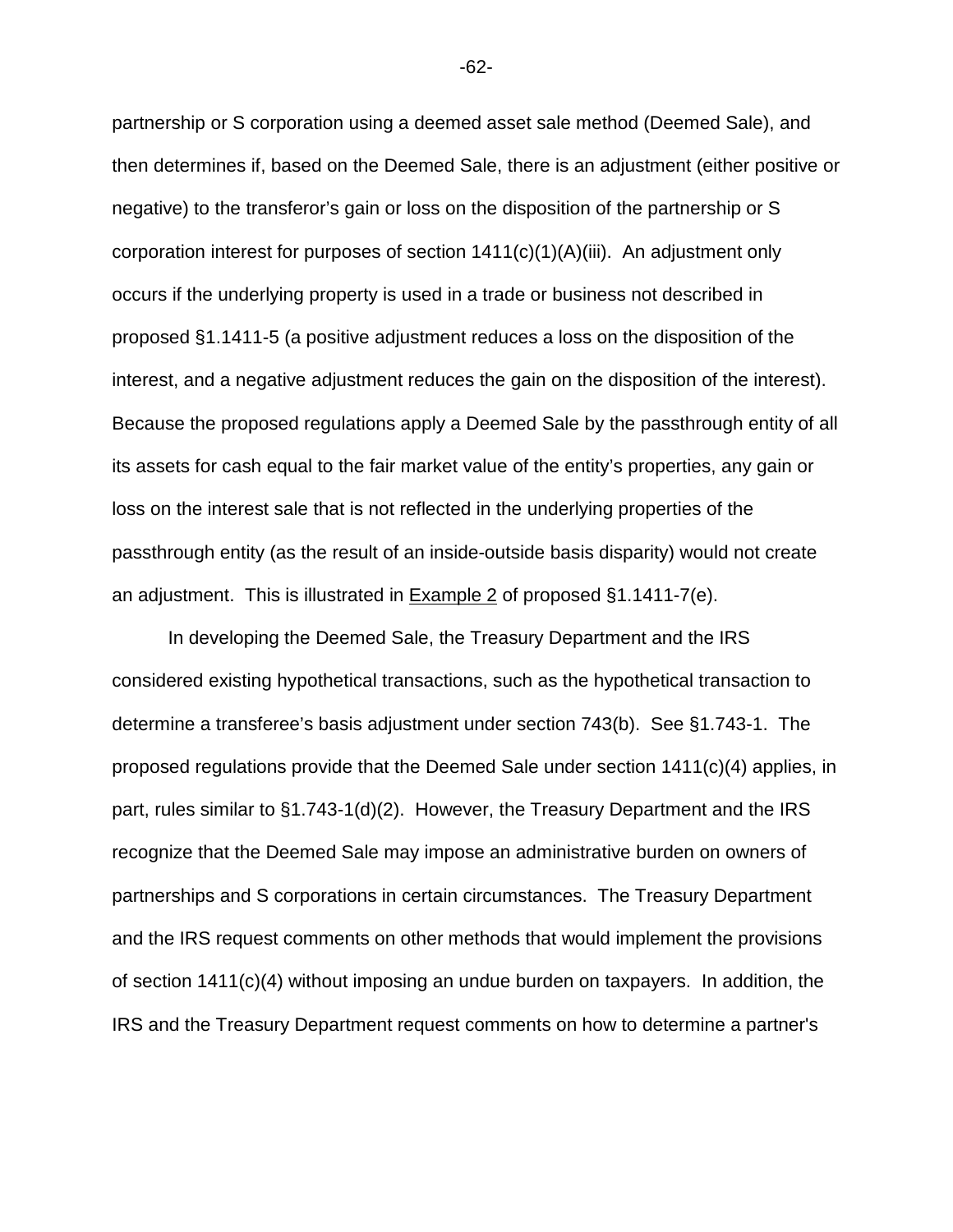partnership or S corporation using a deemed asset sale method (Deemed Sale), and then determines if, based on the Deemed Sale, there is an adjustment (either positive or negative) to the transferor's gain or loss on the disposition of the partnership or S corporation interest for purposes of section 1411(c)(1)(A)(iii). An adjustment only occurs if the underlying property is used in a trade or business not described in proposed §1.1411-5 (a positive adjustment reduces a loss on the disposition of the interest, and a negative adjustment reduces the gain on the disposition of the interest). Because the proposed regulations apply a Deemed Sale by the passthrough entity of all its assets for cash equal to the fair market value of the entity's properties, any gain or loss on the interest sale that is not reflected in the underlying properties of the passthrough entity (as the result of an inside-outside basis disparity) would not create an adjustment. This is illustrated in Example 2 of proposed §1.1411-7(e).

In developing the Deemed Sale, the Treasury Department and the IRS considered existing hypothetical transactions, such as the hypothetical transaction to determine a transferee's basis adjustment under section 743(b). See §1.743-1. The proposed regulations provide that the Deemed Sale under section 1411(c)(4) applies, in part, rules similar to §1.743-1(d)(2). However, the Treasury Department and the IRS recognize that the Deemed Sale may impose an administrative burden on owners of partnerships and S corporations in certain circumstances. The Treasury Department and the IRS request comments on other methods that would implement the provisions of section  $1411(c)(4)$  without imposing an undue burden on taxpayers. In addition, the IRS and the Treasury Department request comments on how to determine a partner's

-62-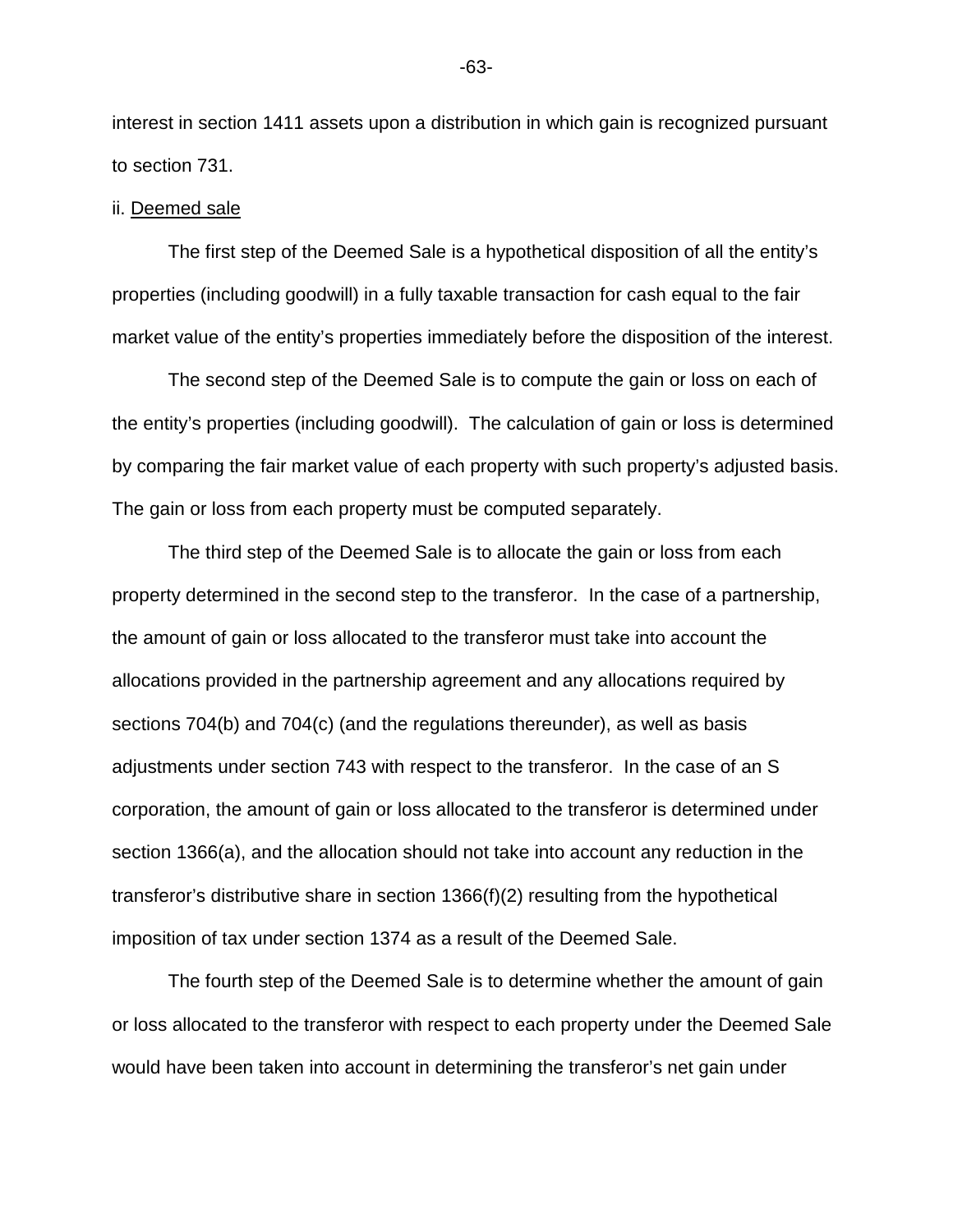interest in section 1411 assets upon a distribution in which gain is recognized pursuant to section 731.

## ii. Deemed sale

The first step of the Deemed Sale is a hypothetical disposition of all the entity's properties (including goodwill) in a fully taxable transaction for cash equal to the fair market value of the entity's properties immediately before the disposition of the interest.

The second step of the Deemed Sale is to compute the gain or loss on each of the entity's properties (including goodwill). The calculation of gain or loss is determined by comparing the fair market value of each property with such property's adjusted basis. The gain or loss from each property must be computed separately.

The third step of the Deemed Sale is to allocate the gain or loss from each property determined in the second step to the transferor. In the case of a partnership, the amount of gain or loss allocated to the transferor must take into account the allocations provided in the partnership agreement and any allocations required by sections 704(b) and 704(c) (and the regulations thereunder), as well as basis adjustments under section 743 with respect to the transferor. In the case of an S corporation, the amount of gain or loss allocated to the transferor is determined under section 1366(a), and the allocation should not take into account any reduction in the transferor's distributive share in section 1366(f)(2) resulting from the hypothetical imposition of tax under section 1374 as a result of the Deemed Sale.

The fourth step of the Deemed Sale is to determine whether the amount of gain or loss allocated to the transferor with respect to each property under the Deemed Sale would have been taken into account in determining the transferor's net gain under

-63-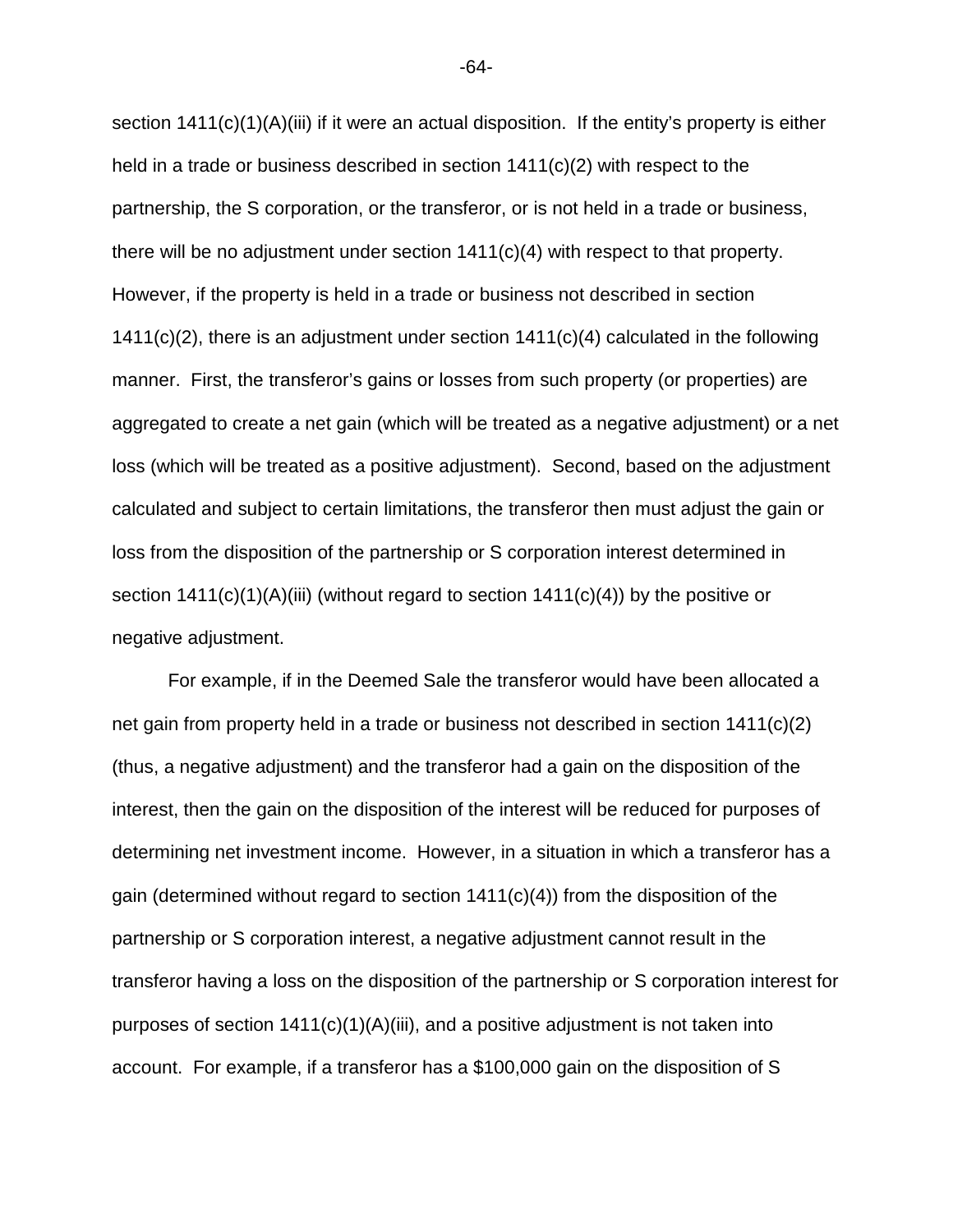section  $1411(c)(1)(A)(iii)$  if it were an actual disposition. If the entity's property is either held in a trade or business described in section 1411(c)(2) with respect to the partnership, the S corporation, or the transferor, or is not held in a trade or business, there will be no adjustment under section 1411(c)(4) with respect to that property. However, if the property is held in a trade or business not described in section  $1411(c)(2)$ , there is an adjustment under section  $1411(c)(4)$  calculated in the following manner. First, the transferor's gains or losses from such property (or properties) are aggregated to create a net gain (which will be treated as a negative adjustment) or a net loss (which will be treated as a positive adjustment). Second, based on the adjustment calculated and subject to certain limitations, the transferor then must adjust the gain or loss from the disposition of the partnership or S corporation interest determined in section  $1411(c)(1)(A)(iii)$  (without regard to section  $1411(c)(4)$ ) by the positive or negative adjustment.

For example, if in the Deemed Sale the transferor would have been allocated a net gain from property held in a trade or business not described in section 1411(c)(2) (thus, a negative adjustment) and the transferor had a gain on the disposition of the interest, then the gain on the disposition of the interest will be reduced for purposes of determining net investment income. However, in a situation in which a transferor has a gain (determined without regard to section  $1411(c)(4)$ ) from the disposition of the partnership or S corporation interest, a negative adjustment cannot result in the transferor having a loss on the disposition of the partnership or S corporation interest for purposes of section  $1411(c)(1)(A)(iii)$ , and a positive adjustment is not taken into account. For example, if a transferor has a \$100,000 gain on the disposition of S

-64-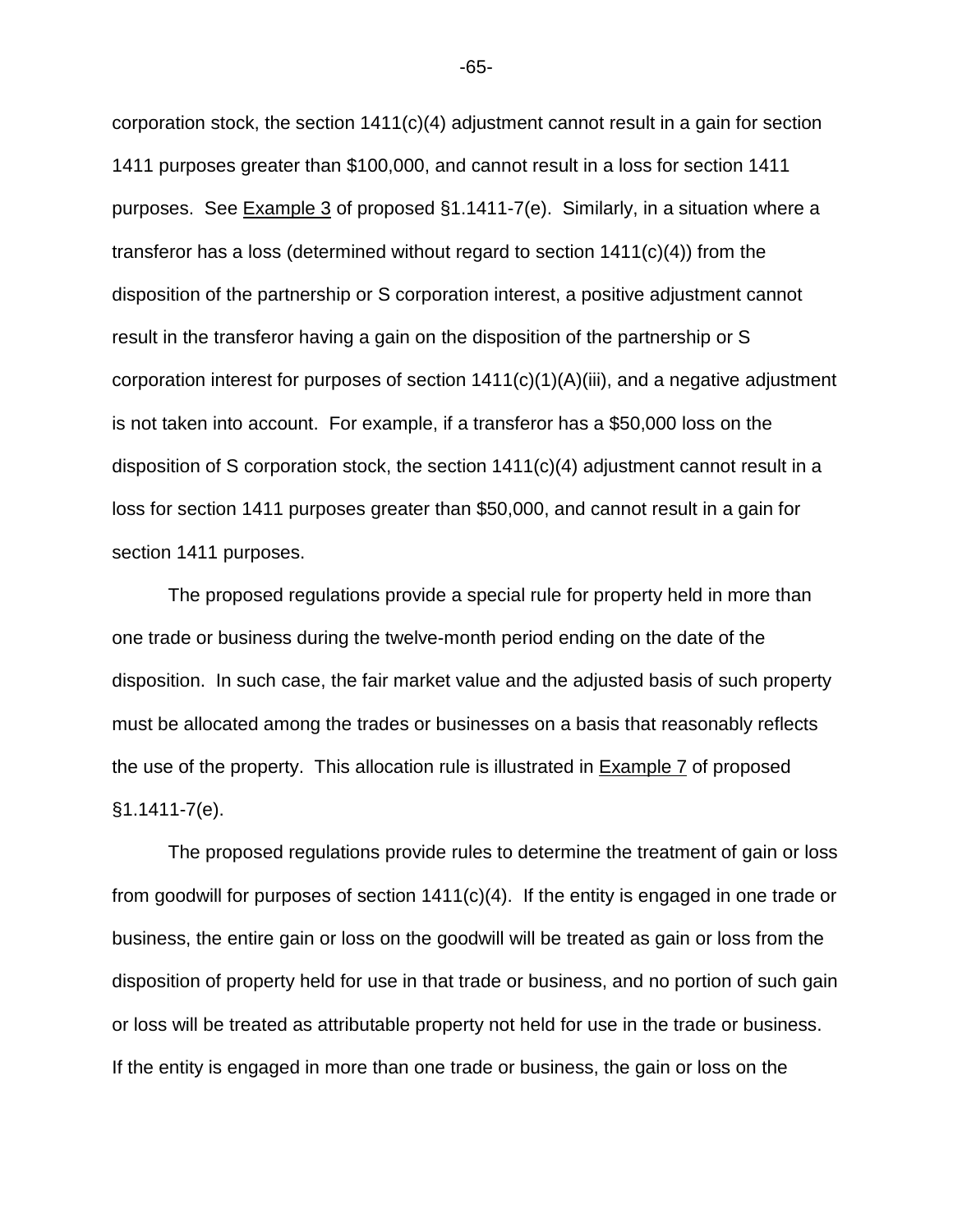corporation stock, the section  $1411(c)(4)$  adjustment cannot result in a gain for section 1411 purposes greater than \$100,000, and cannot result in a loss for section 1411 purposes. See Example 3 of proposed §1.1411-7(e). Similarly, in a situation where a transferor has a loss (determined without regard to section 1411(c)(4)) from the disposition of the partnership or S corporation interest, a positive adjustment cannot result in the transferor having a gain on the disposition of the partnership or S corporation interest for purposes of section 1411(c)(1)(A)(iii), and a negative adjustment is not taken into account. For example, if a transferor has a \$50,000 loss on the disposition of S corporation stock, the section 1411(c)(4) adjustment cannot result in a loss for section 1411 purposes greater than \$50,000, and cannot result in a gain for section 1411 purposes.

The proposed regulations provide a special rule for property held in more than one trade or business during the twelve-month period ending on the date of the disposition. In such case, the fair market value and the adjusted basis of such property must be allocated among the trades or businesses on a basis that reasonably reflects the use of the property. This allocation rule is illustrated in Example 7 of proposed §1.1411-7(e).

The proposed regulations provide rules to determine the treatment of gain or loss from goodwill for purposes of section 1411(c)(4). If the entity is engaged in one trade or business, the entire gain or loss on the goodwill will be treated as gain or loss from the disposition of property held for use in that trade or business, and no portion of such gain or loss will be treated as attributable property not held for use in the trade or business. If the entity is engaged in more than one trade or business, the gain or loss on the

-65-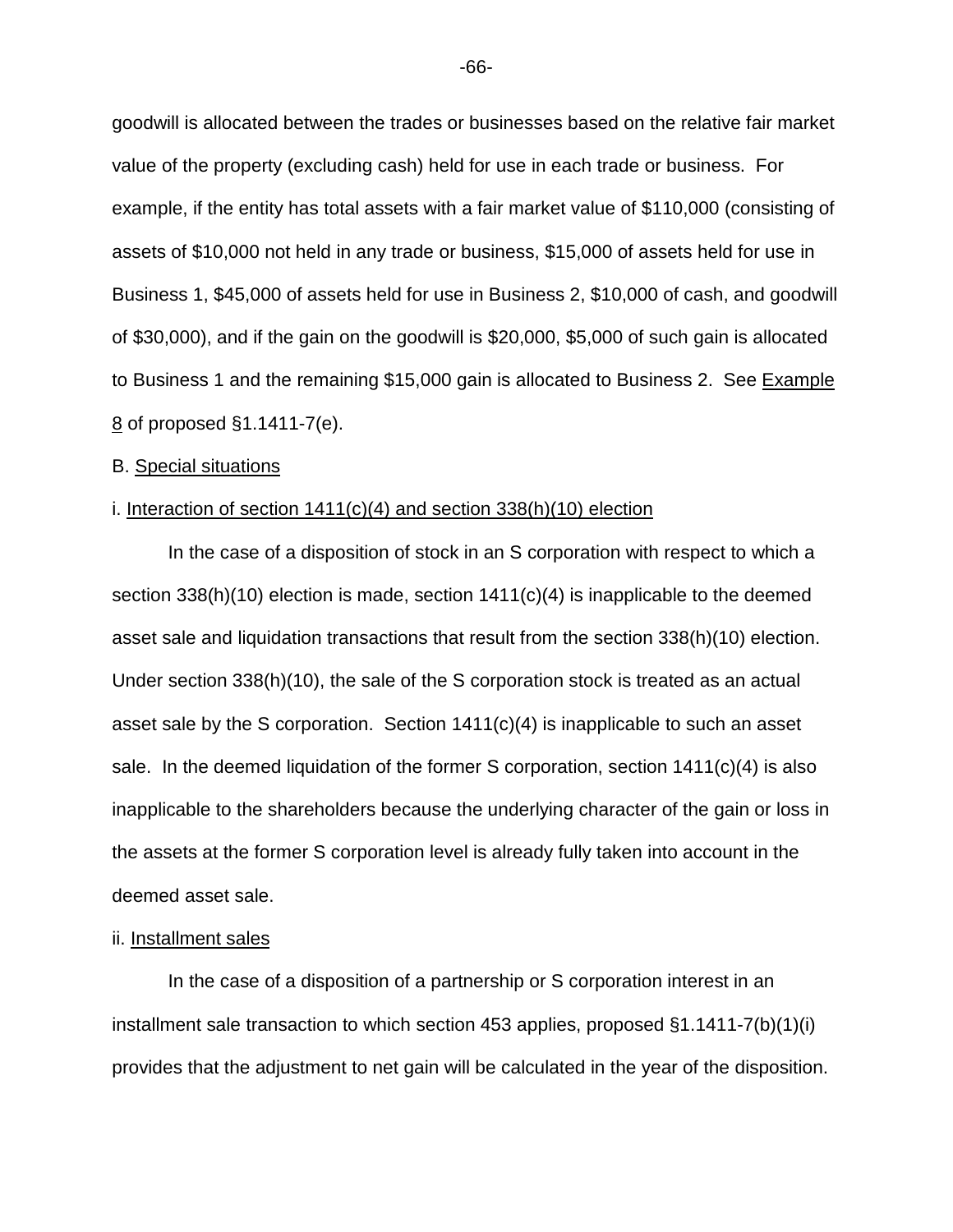goodwill is allocated between the trades or businesses based on the relative fair market value of the property (excluding cash) held for use in each trade or business. For example, if the entity has total assets with a fair market value of \$110,000 (consisting of assets of \$10,000 not held in any trade or business, \$15,000 of assets held for use in Business 1, \$45,000 of assets held for use in Business 2, \$10,000 of cash, and goodwill of \$30,000), and if the gain on the goodwill is \$20,000, \$5,000 of such gain is allocated to Business 1 and the remaining \$15,000 gain is allocated to Business 2. See Example 8 of proposed §1.1411-7(e).

## B. Special situations

#### i. Interaction of section 1411(c)(4) and section 338(h)(10) election

In the case of a disposition of stock in an S corporation with respect to which a section  $338(h)(10)$  election is made, section  $1411(c)(4)$  is inapplicable to the deemed asset sale and liquidation transactions that result from the section 338(h)(10) election. Under section 338(h)(10), the sale of the S corporation stock is treated as an actual asset sale by the S corporation. Section 1411(c)(4) is inapplicable to such an asset sale. In the deemed liquidation of the former S corporation, section 1411(c)(4) is also inapplicable to the shareholders because the underlying character of the gain or loss in the assets at the former S corporation level is already fully taken into account in the deemed asset sale.

# ii. Installment sales

In the case of a disposition of a partnership or S corporation interest in an installment sale transaction to which section 453 applies, proposed §1.1411-7(b)(1)(i) provides that the adjustment to net gain will be calculated in the year of the disposition.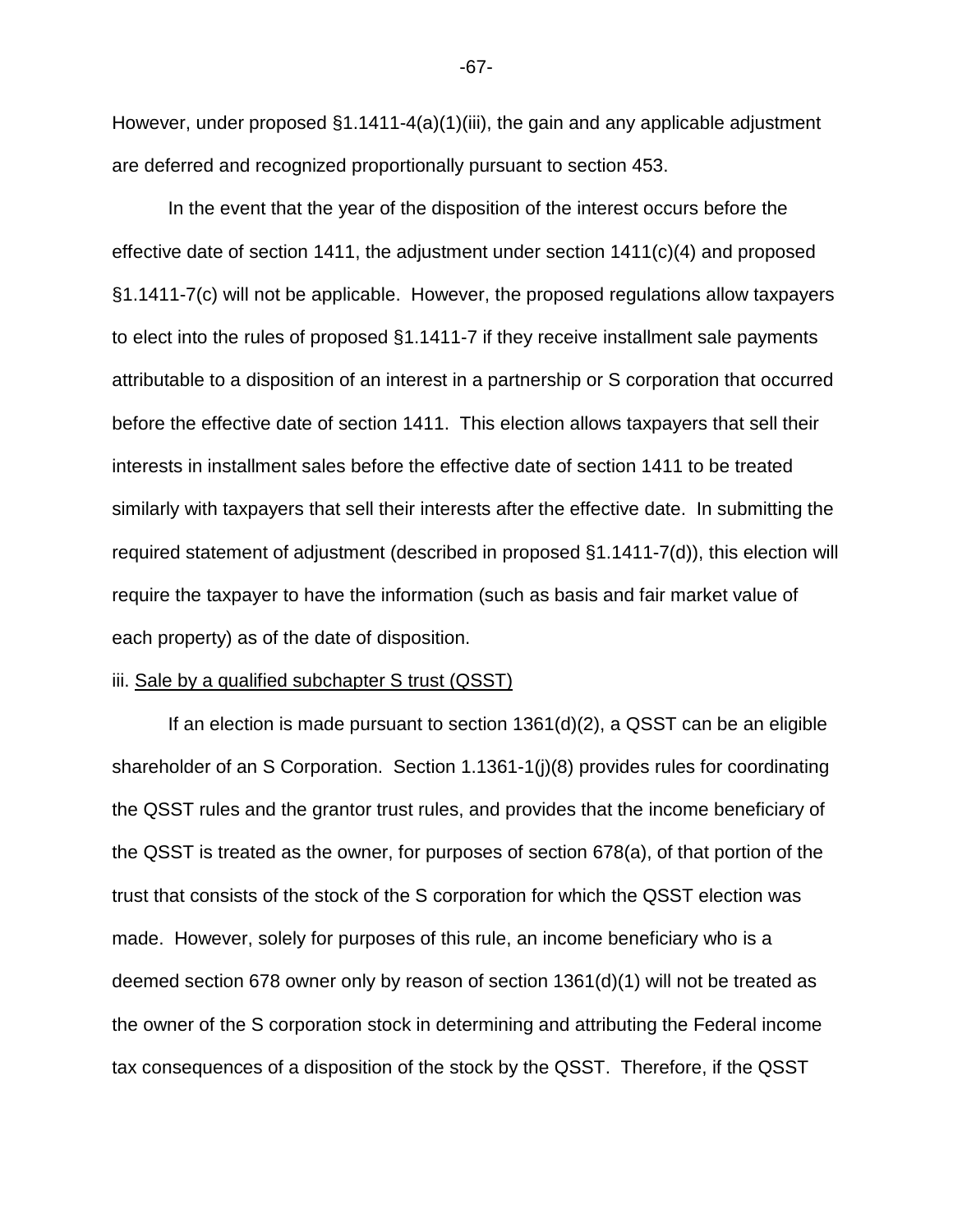However, under proposed §1.1411-4(a)(1)(iii), the gain and any applicable adjustment are deferred and recognized proportionally pursuant to section 453.

In the event that the year of the disposition of the interest occurs before the effective date of section 1411, the adjustment under section 1411(c)(4) and proposed §1.1411-7(c) will not be applicable. However, the proposed regulations allow taxpayers to elect into the rules of proposed §1.1411-7 if they receive installment sale payments attributable to a disposition of an interest in a partnership or S corporation that occurred before the effective date of section 1411. This election allows taxpayers that sell their interests in installment sales before the effective date of section 1411 to be treated similarly with taxpayers that sell their interests after the effective date. In submitting the required statement of adjustment (described in proposed §1.1411-7(d)), this election will require the taxpayer to have the information (such as basis and fair market value of each property) as of the date of disposition.

#### iii. Sale by a qualified subchapter S trust (QSST)

 If an election is made pursuant to section 1361(d)(2), a QSST can be an eligible shareholder of an S Corporation. Section 1.1361-1(j)(8) provides rules for coordinating the QSST rules and the grantor trust rules, and provides that the income beneficiary of the QSST is treated as the owner, for purposes of section 678(a), of that portion of the trust that consists of the stock of the S corporation for which the QSST election was made. However, solely for purposes of this rule, an income beneficiary who is a deemed section 678 owner only by reason of section 1361(d)(1) will not be treated as the owner of the S corporation stock in determining and attributing the Federal income tax consequences of a disposition of the stock by the QSST. Therefore, if the QSST

-67-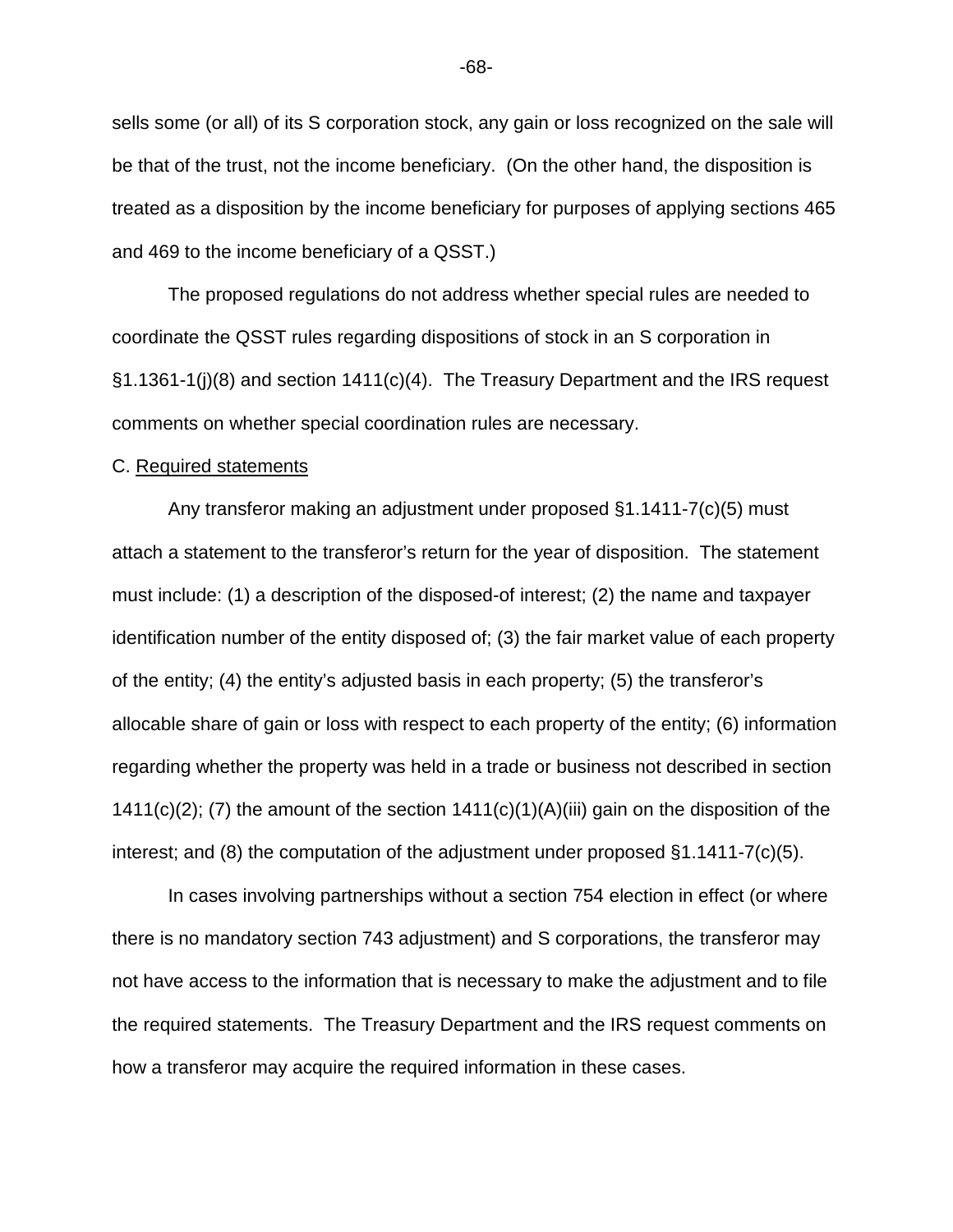sells some (or all) of its S corporation stock, any gain or loss recognized on the sale will be that of the trust, not the income beneficiary. (On the other hand, the disposition is treated as a disposition by the income beneficiary for purposes of applying sections 465 and 469 to the income beneficiary of a QSST.)

The proposed regulations do not address whether special rules are needed to coordinate the QSST rules regarding dispositions of stock in an S corporation in §1.1361-1(j)(8) and section 1411(c)(4). The Treasury Department and the IRS request comments on whether special coordination rules are necessary.

#### C. Required statements

Any transferor making an adjustment under proposed §1.1411-7(c)(5) must attach a statement to the transferor's return for the year of disposition. The statement must include: (1) a description of the disposed-of interest; (2) the name and taxpayer identification number of the entity disposed of; (3) the fair market value of each property of the entity; (4) the entity's adjusted basis in each property; (5) the transferor's allocable share of gain or loss with respect to each property of the entity; (6) information regarding whether the property was held in a trade or business not described in section 1411(c)(2); (7) the amount of the section  $1411(c)(1)(A)(iii)$  gain on the disposition of the interest; and (8) the computation of the adjustment under proposed §1.1411-7(c)(5).

In cases involving partnerships without a section 754 election in effect (or where there is no mandatory section 743 adjustment) and S corporations, the transferor may not have access to the information that is necessary to make the adjustment and to file the required statements. The Treasury Department and the IRS request comments on how a transferor may acquire the required information in these cases.

-68-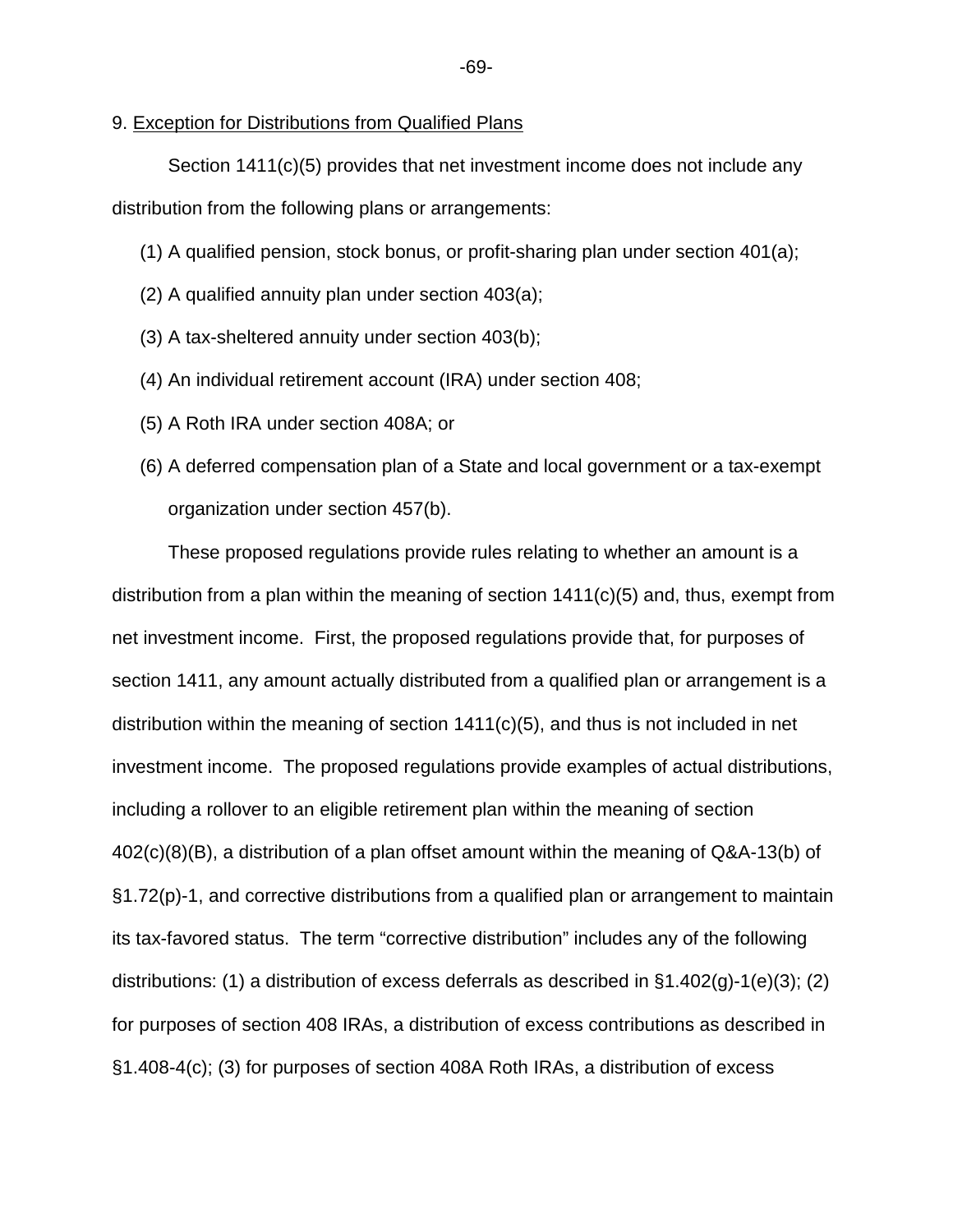## 9. Exception for Distributions from Qualified Plans

Section 1411(c)(5) provides that net investment income does not include any distribution from the following plans or arrangements:

- (1) A qualified pension, stock bonus, or profit-sharing plan under section 401(a);
- (2) A qualified annuity plan under section 403(a);
- (3) A tax-sheltered annuity under section 403(b);
- (4) An individual retirement account (IRA) under section 408;
- (5) A Roth IRA under section 408A; or
- (6) A deferred compensation plan of a State and local government or a tax-exempt organization under section 457(b).

These proposed regulations provide rules relating to whether an amount is a distribution from a plan within the meaning of section  $1411(c)(5)$  and, thus, exempt from net investment income. First, the proposed regulations provide that, for purposes of section 1411, any amount actually distributed from a qualified plan or arrangement is a distribution within the meaning of section 1411(c)(5), and thus is not included in net investment income. The proposed regulations provide examples of actual distributions, including a rollover to an eligible retirement plan within the meaning of section 402(c)(8)(B), a distribution of a plan offset amount within the meaning of Q&A-13(b) of §1.72(p)-1, and corrective distributions from a qualified plan or arrangement to maintain its tax-favored status. The term "corrective distribution" includes any of the following distributions: (1) a distribution of excess deferrals as described in §1.402(g)-1(e)(3); (2) for purposes of section 408 IRAs, a distribution of excess contributions as described in §1.408-4(c); (3) for purposes of section 408A Roth IRAs, a distribution of excess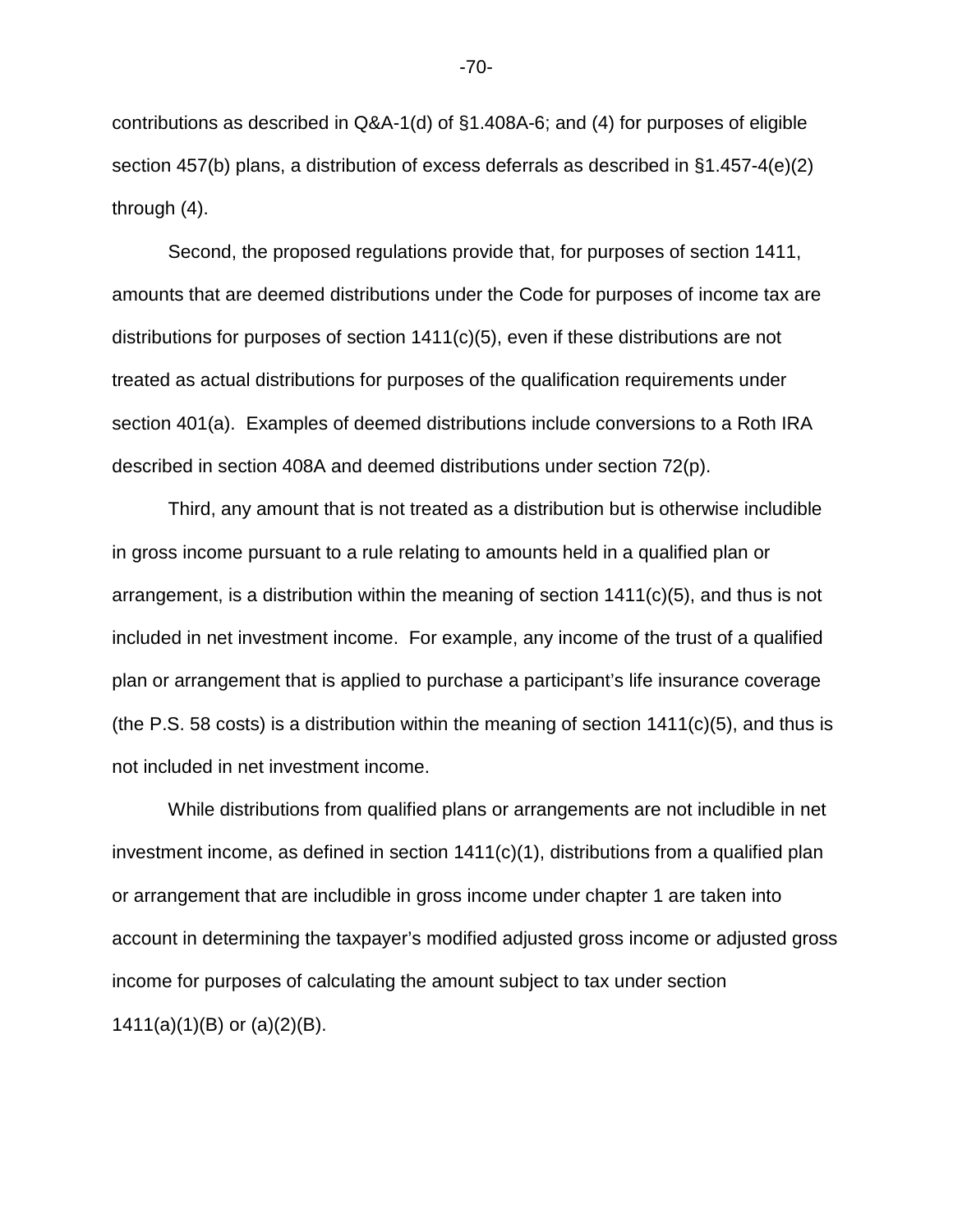contributions as described in Q&A-1(d) of §1.408A-6; and (4) for purposes of eligible section 457(b) plans, a distribution of excess deferrals as described in §1.457-4(e)(2) through (4).

 Second, the proposed regulations provide that, for purposes of section 1411, amounts that are deemed distributions under the Code for purposes of income tax are distributions for purposes of section  $1411(c)(5)$ , even if these distributions are not treated as actual distributions for purposes of the qualification requirements under section 401(a). Examples of deemed distributions include conversions to a Roth IRA described in section 408A and deemed distributions under section 72(p).

Third, any amount that is not treated as a distribution but is otherwise includible in gross income pursuant to a rule relating to amounts held in a qualified plan or arrangement, is a distribution within the meaning of section  $1411(c)(5)$ , and thus is not included in net investment income. For example, any income of the trust of a qualified plan or arrangement that is applied to purchase a participant's life insurance coverage (the P.S. 58 costs) is a distribution within the meaning of section  $1411(c)(5)$ , and thus is not included in net investment income.

 While distributions from qualified plans or arrangements are not includible in net investment income, as defined in section 1411(c)(1), distributions from a qualified plan or arrangement that are includible in gross income under chapter 1 are taken into account in determining the taxpayer's modified adjusted gross income or adjusted gross income for purposes of calculating the amount subject to tax under section 1411(a)(1)(B) or (a)(2)(B).

-70-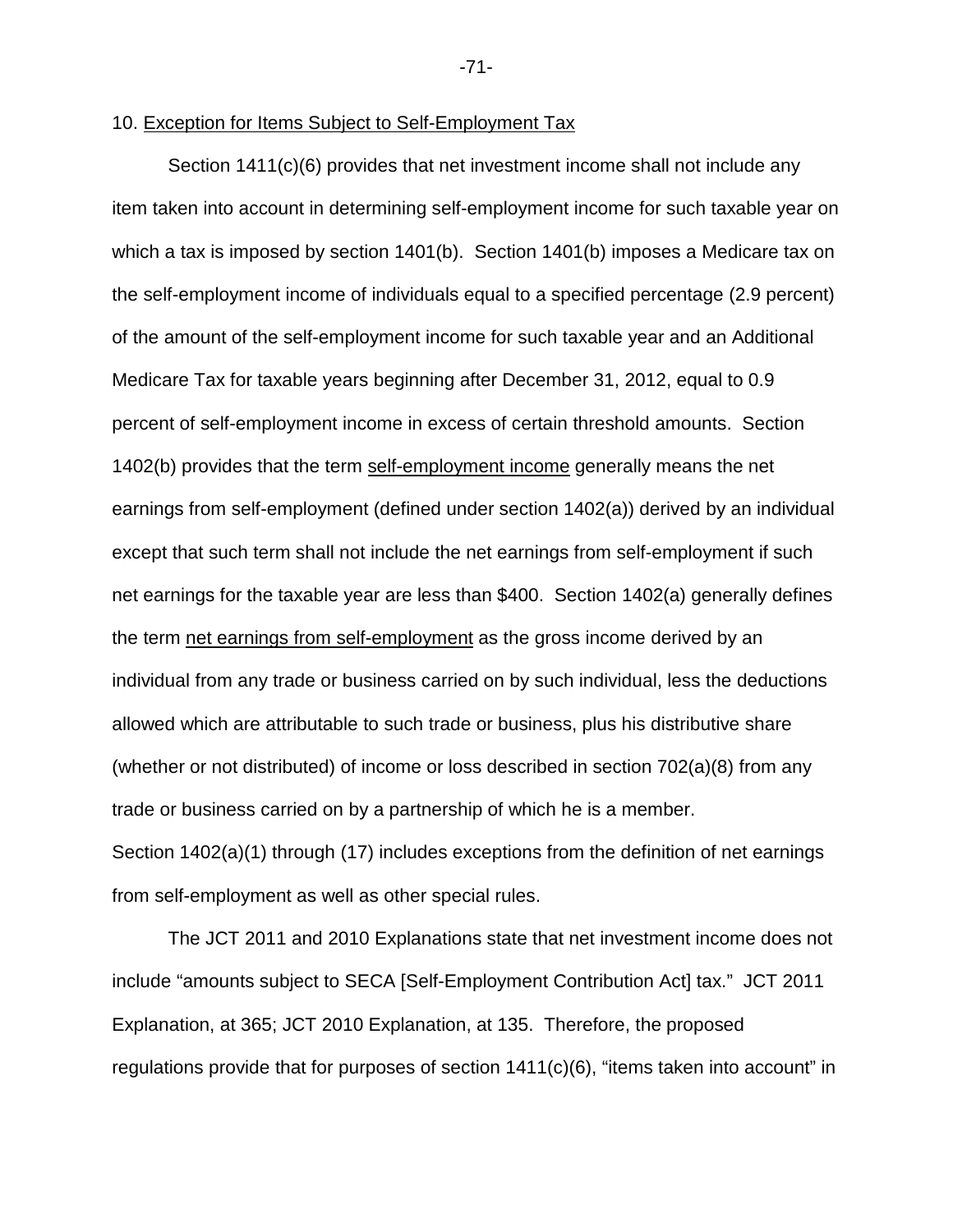#### 10. Exception for Items Subject to Self-Employment Tax

Section 1411(c)(6) provides that net investment income shall not include any item taken into account in determining self-employment income for such taxable year on which a tax is imposed by section 1401(b). Section 1401(b) imposes a Medicare tax on the self-employment income of individuals equal to a specified percentage (2.9 percent) of the amount of the self-employment income for such taxable year and an Additional Medicare Tax for taxable years beginning after December 31, 2012, equal to 0.9 percent of self-employment income in excess of certain threshold amounts. Section 1402(b) provides that the term self-employment income generally means the net earnings from self-employment (defined under section 1402(a)) derived by an individual except that such term shall not include the net earnings from self-employment if such net earnings for the taxable year are less than \$400. Section 1402(a) generally defines the term net earnings from self-employment as the gross income derived by an individual from any trade or business carried on by such individual, less the deductions allowed which are attributable to such trade or business, plus his distributive share (whether or not distributed) of income or loss described in section 702(a)(8) from any trade or business carried on by a partnership of which he is a member. Section 1402(a)(1) through (17) includes exceptions from the definition of net earnings from self-employment as well as other special rules.

The JCT 2011 and 2010 Explanations state that net investment income does not include "amounts subject to SECA [Self-Employment Contribution Act] tax." JCT 2011 Explanation, at 365; JCT 2010 Explanation, at 135. Therefore, the proposed regulations provide that for purposes of section 1411(c)(6), "items taken into account" in

-71-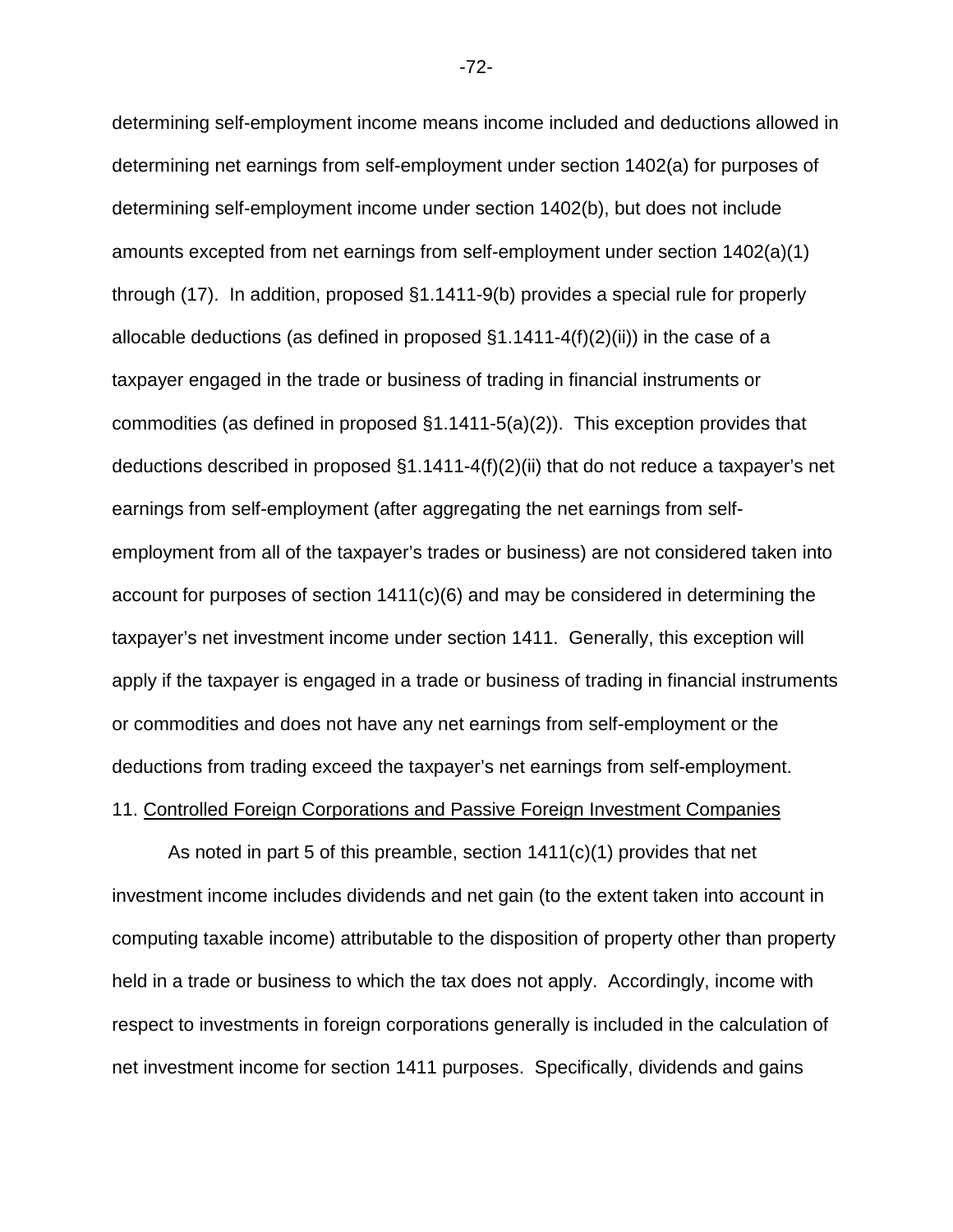determining self-employment income means income included and deductions allowed in determining net earnings from self-employment under section 1402(a) for purposes of determining self-employment income under section 1402(b), but does not include amounts excepted from net earnings from self-employment under section 1402(a)(1) through (17). In addition, proposed §1.1411-9(b) provides a special rule for properly allocable deductions (as defined in proposed  $\S1.1411-4(f)(2)(ii)$ ) in the case of a taxpayer engaged in the trade or business of trading in financial instruments or commodities (as defined in proposed §1.1411-5(a)(2)). This exception provides that deductions described in proposed §1.1411-4(f)(2)(ii) that do not reduce a taxpayer's net earnings from self-employment (after aggregating the net earnings from selfemployment from all of the taxpayer's trades or business) are not considered taken into account for purposes of section  $1411(c)(6)$  and may be considered in determining the taxpayer's net investment income under section 1411. Generally, this exception will apply if the taxpayer is engaged in a trade or business of trading in financial instruments or commodities and does not have any net earnings from self-employment or the deductions from trading exceed the taxpayer's net earnings from self-employment.

# 11. Controlled Foreign Corporations and Passive Foreign Investment Companies

As noted in part 5 of this preamble, section  $1411(c)(1)$  provides that net investment income includes dividends and net gain (to the extent taken into account in computing taxable income) attributable to the disposition of property other than property held in a trade or business to which the tax does not apply. Accordingly, income with respect to investments in foreign corporations generally is included in the calculation of net investment income for section 1411 purposes. Specifically, dividends and gains

-72-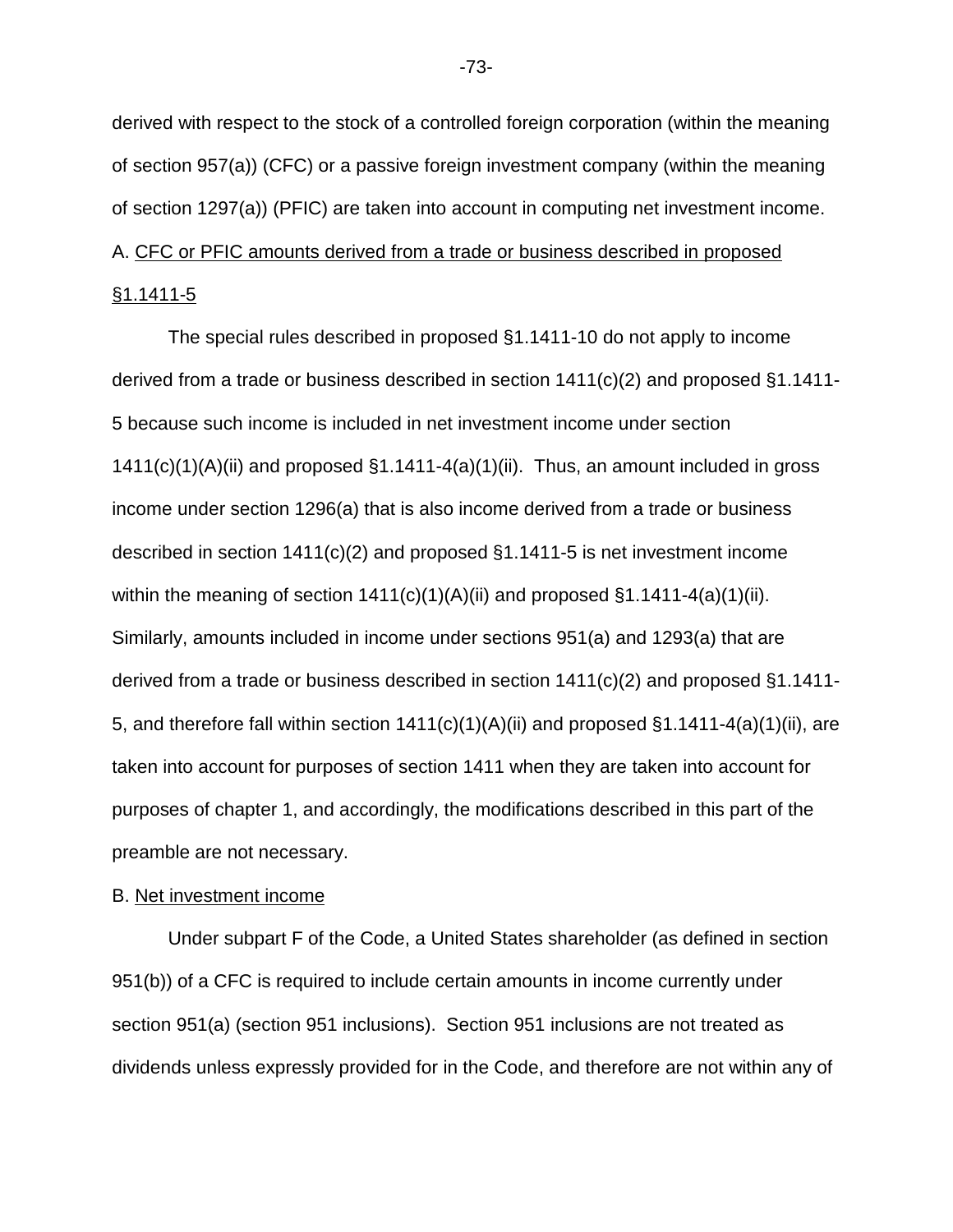derived with respect to the stock of a controlled foreign corporation (within the meaning of section 957(a)) (CFC) or a passive foreign investment company (within the meaning of section 1297(a)) (PFIC) are taken into account in computing net investment income. A. CFC or PFIC amounts derived from a trade or business described in proposed

### §1.1411-5

The special rules described in proposed §1.1411-10 do not apply to income derived from a trade or business described in section 1411(c)(2) and proposed §1.1411- 5 because such income is included in net investment income under section  $1411(c)(1)(A)(ii)$  and proposed  $§1.1411-4(a)(1)(ii)$ . Thus, an amount included in gross income under section 1296(a) that is also income derived from a trade or business described in section 1411(c)(2) and proposed §1.1411-5 is net investment income within the meaning of section  $1411(c)(1)(A)(ii)$  and proposed  $§1.1411-4(a)(1)(ii)$ . Similarly, amounts included in income under sections 951(a) and 1293(a) that are derived from a trade or business described in section 1411(c)(2) and proposed §1.1411- 5, and therefore fall within section  $1411(c)(1)(A)(ii)$  and proposed §1.1411-4(a)(1)(ii), are taken into account for purposes of section 1411 when they are taken into account for purposes of chapter 1, and accordingly, the modifications described in this part of the preamble are not necessary.

#### B. Net investment income

Under subpart F of the Code, a United States shareholder (as defined in section 951(b)) of a CFC is required to include certain amounts in income currently under section 951(a) (section 951 inclusions). Section 951 inclusions are not treated as dividends unless expressly provided for in the Code, and therefore are not within any of

-73-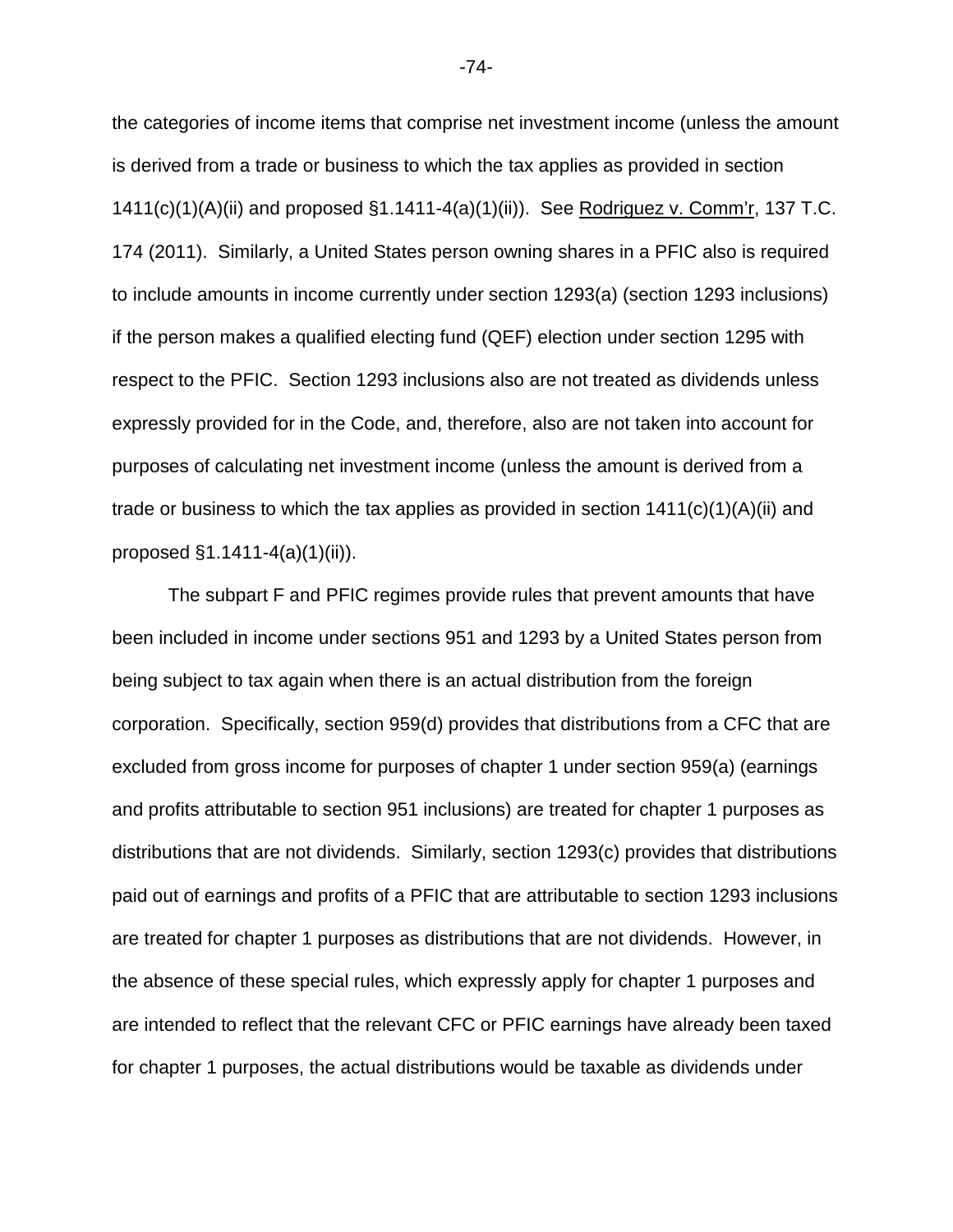the categories of income items that comprise net investment income (unless the amount is derived from a trade or business to which the tax applies as provided in section 1411(c)(1)(A)(ii) and proposed §1.1411-4(a)(1)(ii)). See Rodriguez v. Comm'r, 137 T.C. 174 (2011). Similarly, a United States person owning shares in a PFIC also is required to include amounts in income currently under section 1293(a) (section 1293 inclusions) if the person makes a qualified electing fund (QEF) election under section 1295 with respect to the PFIC. Section 1293 inclusions also are not treated as dividends unless expressly provided for in the Code, and, therefore, also are not taken into account for purposes of calculating net investment income (unless the amount is derived from a trade or business to which the tax applies as provided in section  $1411(c)(1)(A)(ii)$  and proposed §1.1411-4(a)(1)(ii)).

The subpart F and PFIC regimes provide rules that prevent amounts that have been included in income under sections 951 and 1293 by a United States person from being subject to tax again when there is an actual distribution from the foreign corporation. Specifically, section 959(d) provides that distributions from a CFC that are excluded from gross income for purposes of chapter 1 under section 959(a) (earnings and profits attributable to section 951 inclusions) are treated for chapter 1 purposes as distributions that are not dividends. Similarly, section 1293(c) provides that distributions paid out of earnings and profits of a PFIC that are attributable to section 1293 inclusions are treated for chapter 1 purposes as distributions that are not dividends. However, in the absence of these special rules, which expressly apply for chapter 1 purposes and are intended to reflect that the relevant CFC or PFIC earnings have already been taxed for chapter 1 purposes, the actual distributions would be taxable as dividends under

-74-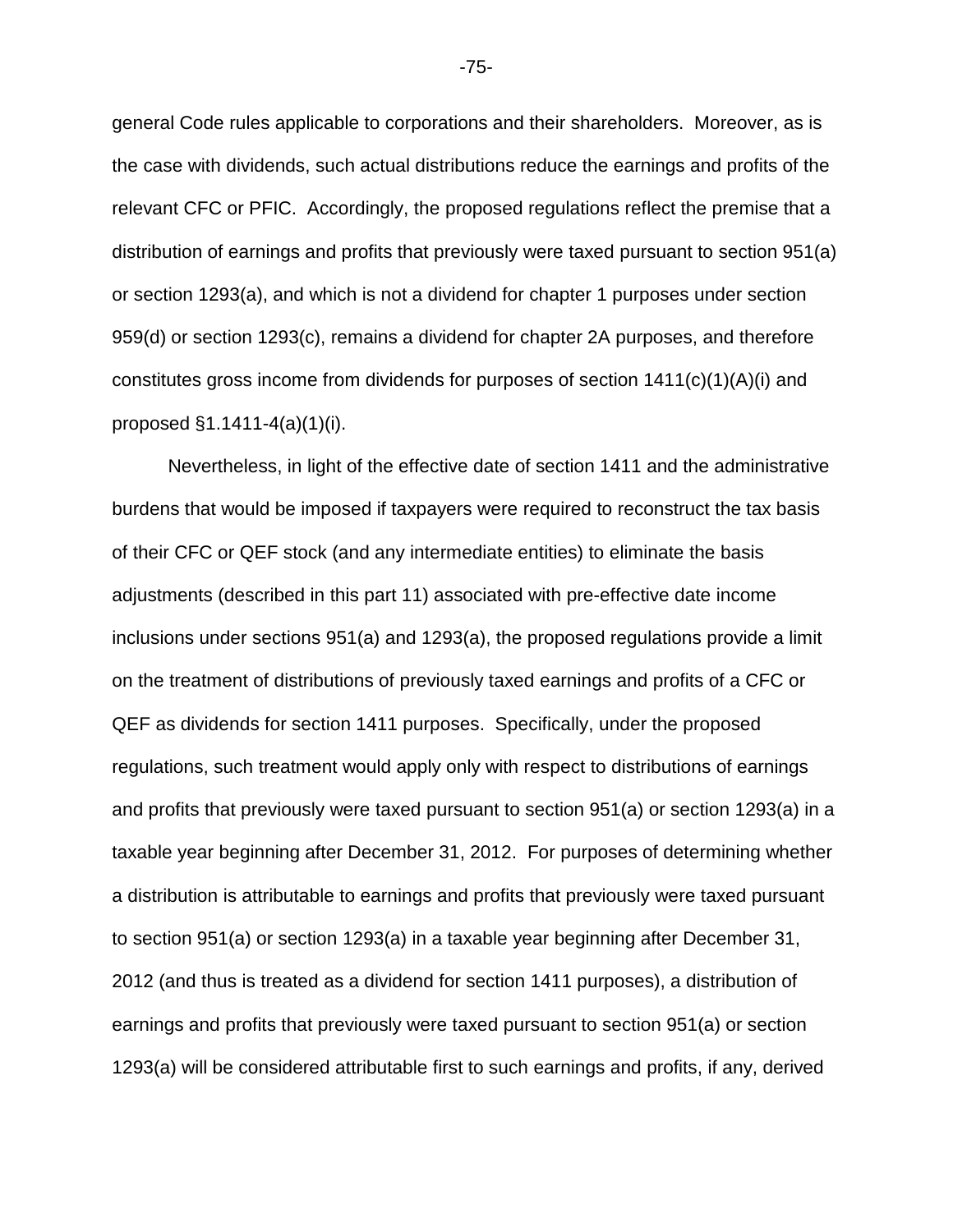general Code rules applicable to corporations and their shareholders. Moreover, as is the case with dividends, such actual distributions reduce the earnings and profits of the relevant CFC or PFIC. Accordingly, the proposed regulations reflect the premise that a distribution of earnings and profits that previously were taxed pursuant to section 951(a) or section 1293(a), and which is not a dividend for chapter 1 purposes under section 959(d) or section 1293(c), remains a dividend for chapter 2A purposes, and therefore constitutes gross income from dividends for purposes of section  $1411(c)(1)(A)(i)$  and proposed §1.1411-4(a)(1)(i).

Nevertheless, in light of the effective date of section 1411 and the administrative burdens that would be imposed if taxpayers were required to reconstruct the tax basis of their CFC or QEF stock (and any intermediate entities) to eliminate the basis adjustments (described in this part 11) associated with pre-effective date income inclusions under sections 951(a) and 1293(a), the proposed regulations provide a limit on the treatment of distributions of previously taxed earnings and profits of a CFC or QEF as dividends for section 1411 purposes. Specifically, under the proposed regulations, such treatment would apply only with respect to distributions of earnings and profits that previously were taxed pursuant to section 951(a) or section 1293(a) in a taxable year beginning after December 31, 2012. For purposes of determining whether a distribution is attributable to earnings and profits that previously were taxed pursuant to section 951(a) or section 1293(a) in a taxable year beginning after December 31, 2012 (and thus is treated as a dividend for section 1411 purposes), a distribution of earnings and profits that previously were taxed pursuant to section 951(a) or section 1293(a) will be considered attributable first to such earnings and profits, if any, derived

-75-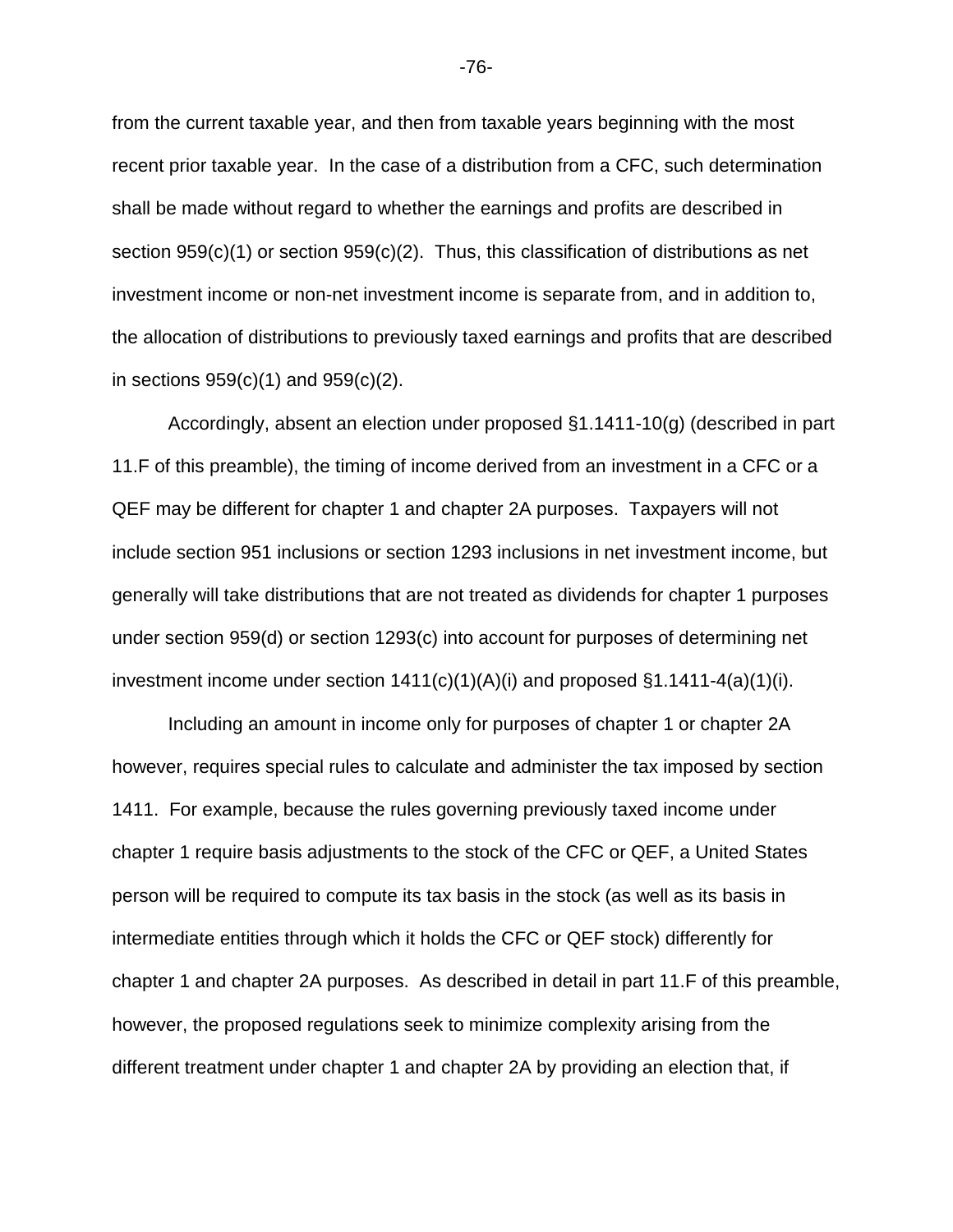from the current taxable year, and then from taxable years beginning with the most recent prior taxable year. In the case of a distribution from a CFC, such determination shall be made without regard to whether the earnings and profits are described in section 959(c)(1) or section 959(c)(2). Thus, this classification of distributions as net investment income or non-net investment income is separate from, and in addition to, the allocation of distributions to previously taxed earnings and profits that are described in sections  $959(c)(1)$  and  $959(c)(2)$ .

Accordingly, absent an election under proposed §1.1411-10(g) (described in part 11.F of this preamble), the timing of income derived from an investment in a CFC or a QEF may be different for chapter 1 and chapter 2A purposes. Taxpayers will not include section 951 inclusions or section 1293 inclusions in net investment income, but generally will take distributions that are not treated as dividends for chapter 1 purposes under section 959(d) or section 1293(c) into account for purposes of determining net investment income under section  $1411(c)(1)(A)(i)$  and proposed  $\S1.1411-4(a)(1)(i)$ .

Including an amount in income only for purposes of chapter 1 or chapter 2A however, requires special rules to calculate and administer the tax imposed by section 1411. For example, because the rules governing previously taxed income under chapter 1 require basis adjustments to the stock of the CFC or QEF, a United States person will be required to compute its tax basis in the stock (as well as its basis in intermediate entities through which it holds the CFC or QEF stock) differently for chapter 1 and chapter 2A purposes. As described in detail in part 11.F of this preamble, however, the proposed regulations seek to minimize complexity arising from the different treatment under chapter 1 and chapter 2A by providing an election that, if

-76-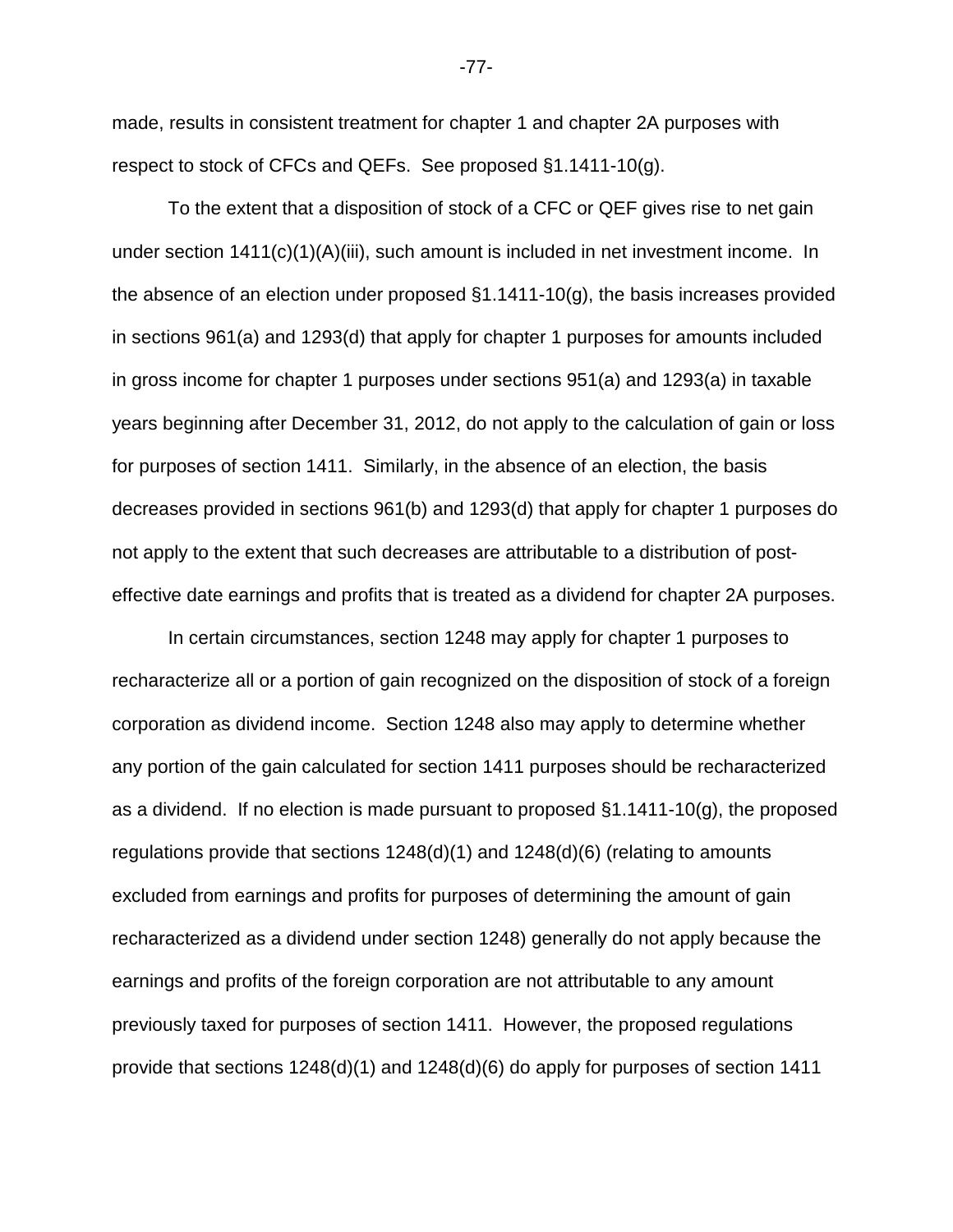made, results in consistent treatment for chapter 1 and chapter 2A purposes with respect to stock of CFCs and QEFs. See proposed §1.1411-10(g).

To the extent that a disposition of stock of a CFC or QEF gives rise to net gain under section 1411(c)(1)(A)(iii), such amount is included in net investment income. In the absence of an election under proposed  $\S1.1411-10(q)$ , the basis increases provided in sections 961(a) and 1293(d) that apply for chapter 1 purposes for amounts included in gross income for chapter 1 purposes under sections 951(a) and 1293(a) in taxable years beginning after December 31, 2012, do not apply to the calculation of gain or loss for purposes of section 1411. Similarly, in the absence of an election, the basis decreases provided in sections 961(b) and 1293(d) that apply for chapter 1 purposes do not apply to the extent that such decreases are attributable to a distribution of posteffective date earnings and profits that is treated as a dividend for chapter 2A purposes.

In certain circumstances, section 1248 may apply for chapter 1 purposes to recharacterize all or a portion of gain recognized on the disposition of stock of a foreign corporation as dividend income. Section 1248 also may apply to determine whether any portion of the gain calculated for section 1411 purposes should be recharacterized as a dividend. If no election is made pursuant to proposed  $\S1.1411-10(g)$ , the proposed regulations provide that sections 1248(d)(1) and 1248(d)(6) (relating to amounts excluded from earnings and profits for purposes of determining the amount of gain recharacterized as a dividend under section 1248) generally do not apply because the earnings and profits of the foreign corporation are not attributable to any amount previously taxed for purposes of section 1411. However, the proposed regulations provide that sections 1248(d)(1) and 1248(d)(6) do apply for purposes of section 1411

-77-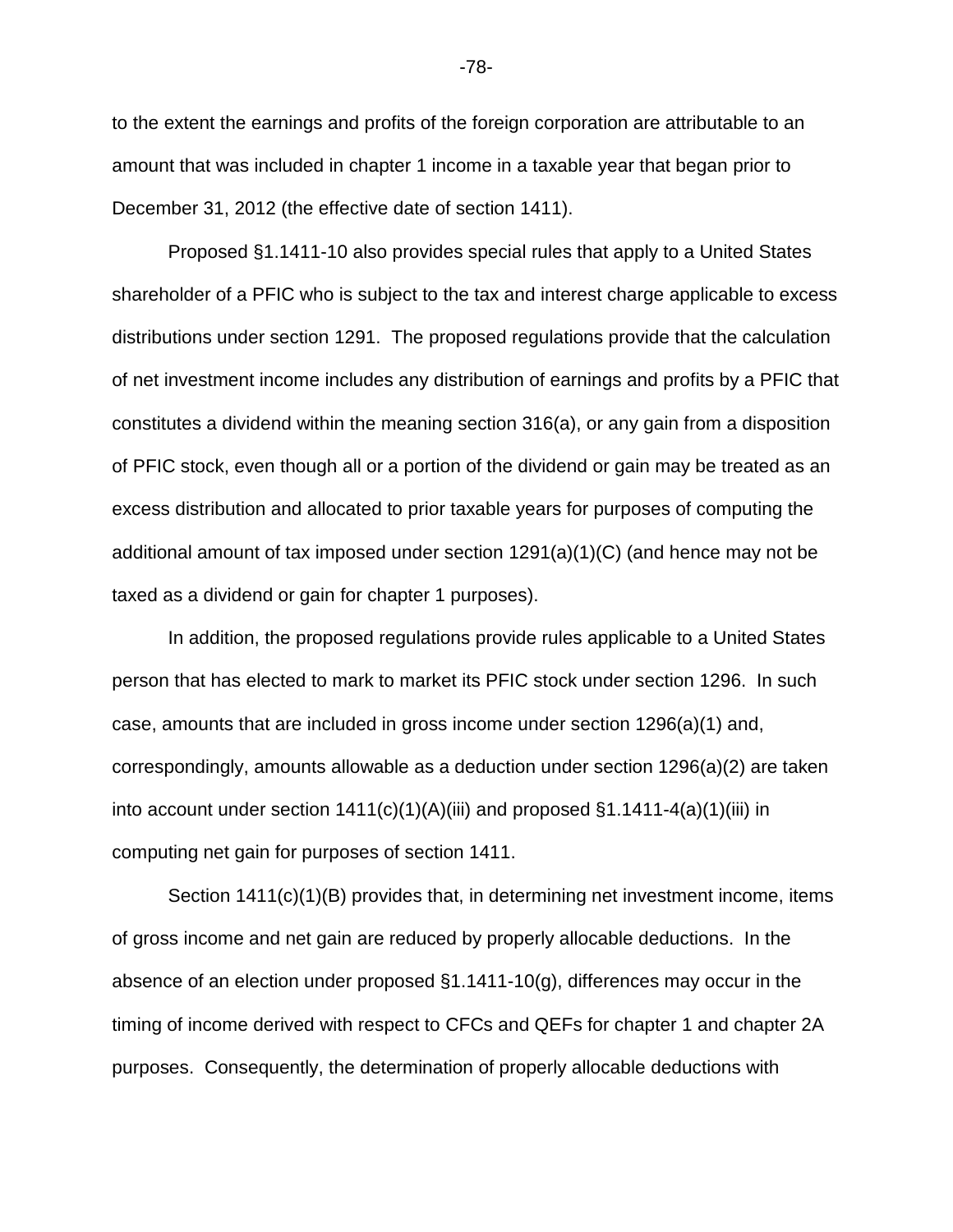to the extent the earnings and profits of the foreign corporation are attributable to an amount that was included in chapter 1 income in a taxable year that began prior to December 31, 2012 (the effective date of section 1411).

Proposed §1.1411-10 also provides special rules that apply to a United States shareholder of a PFIC who is subject to the tax and interest charge applicable to excess distributions under section 1291. The proposed regulations provide that the calculation of net investment income includes any distribution of earnings and profits by a PFIC that constitutes a dividend within the meaning section 316(a), or any gain from a disposition of PFIC stock, even though all or a portion of the dividend or gain may be treated as an excess distribution and allocated to prior taxable years for purposes of computing the additional amount of tax imposed under section 1291(a)(1)(C) (and hence may not be taxed as a dividend or gain for chapter 1 purposes).

In addition, the proposed regulations provide rules applicable to a United States person that has elected to mark to market its PFIC stock under section 1296. In such case, amounts that are included in gross income under section 1296(a)(1) and, correspondingly, amounts allowable as a deduction under section 1296(a)(2) are taken into account under section  $1411(c)(1)(A)(iii)$  and proposed  $\S1.1411-4(a)(1)(iii)$  in computing net gain for purposes of section 1411.

Section 1411(c)(1)(B) provides that, in determining net investment income, items of gross income and net gain are reduced by properly allocable deductions. In the absence of an election under proposed §1.1411-10(g), differences may occur in the timing of income derived with respect to CFCs and QEFs for chapter 1 and chapter 2A purposes. Consequently, the determination of properly allocable deductions with

-78-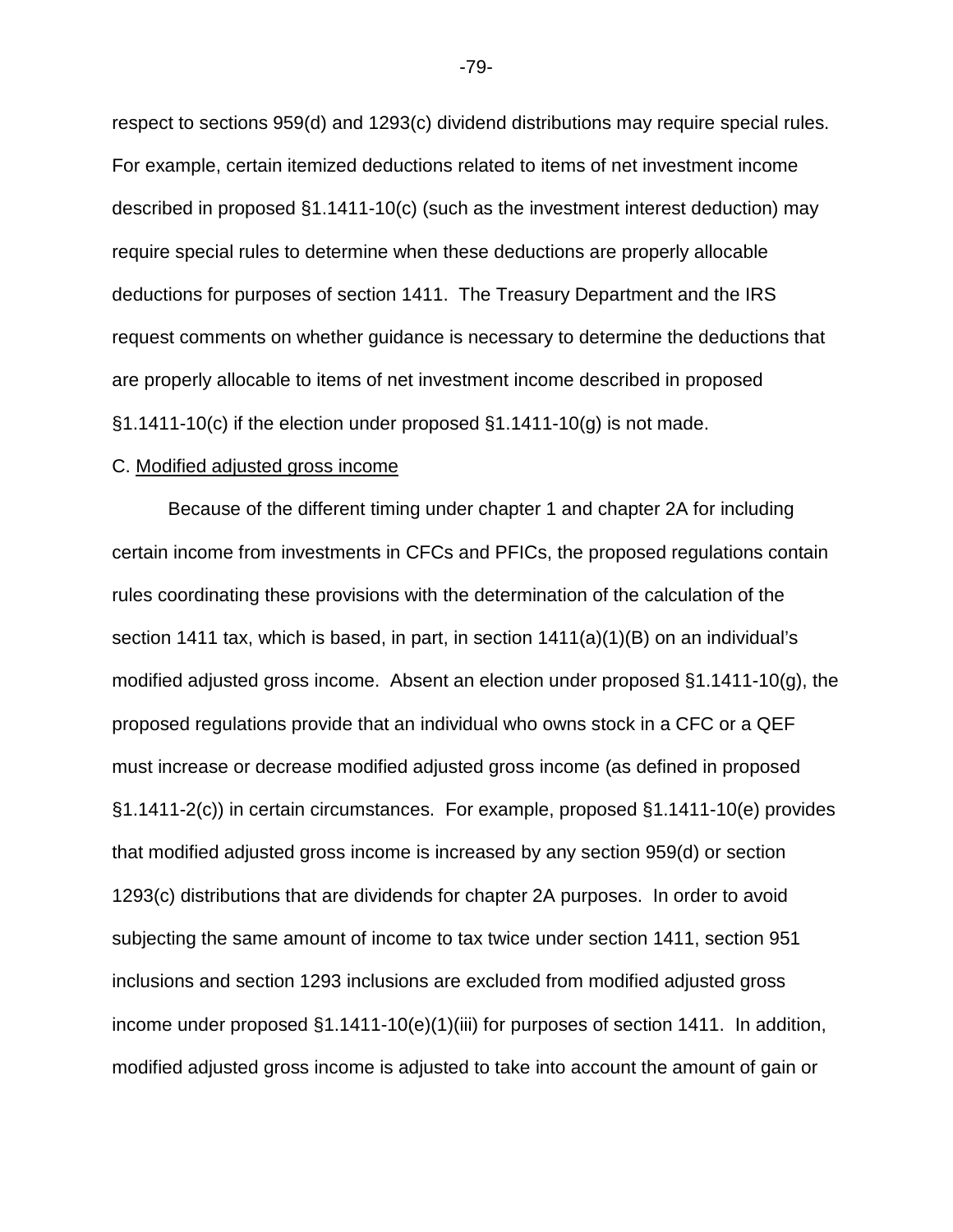respect to sections 959(d) and 1293(c) dividend distributions may require special rules. For example, certain itemized deductions related to items of net investment income described in proposed §1.1411-10(c) (such as the investment interest deduction) may require special rules to determine when these deductions are properly allocable deductions for purposes of section 1411. The Treasury Department and the IRS request comments on whether guidance is necessary to determine the deductions that are properly allocable to items of net investment income described in proposed  $\S1.1411-10(c)$  if the election under proposed  $\S1.1411-10(q)$  is not made.

#### C. Modified adjusted gross income

Because of the different timing under chapter 1 and chapter 2A for including certain income from investments in CFCs and PFICs, the proposed regulations contain rules coordinating these provisions with the determination of the calculation of the section 1411 tax, which is based, in part, in section 1411(a)(1)(B) on an individual's modified adjusted gross income. Absent an election under proposed §1.1411-10(g), the proposed regulations provide that an individual who owns stock in a CFC or a QEF must increase or decrease modified adjusted gross income (as defined in proposed §1.1411-2(c)) in certain circumstances. For example, proposed §1.1411-10(e) provides that modified adjusted gross income is increased by any section 959(d) or section 1293(c) distributions that are dividends for chapter 2A purposes. In order to avoid subjecting the same amount of income to tax twice under section 1411, section 951 inclusions and section 1293 inclusions are excluded from modified adjusted gross income under proposed  $\S1.1411-10(e)(1)(iii)$  for purposes of section 1411. In addition, modified adjusted gross income is adjusted to take into account the amount of gain or

-79-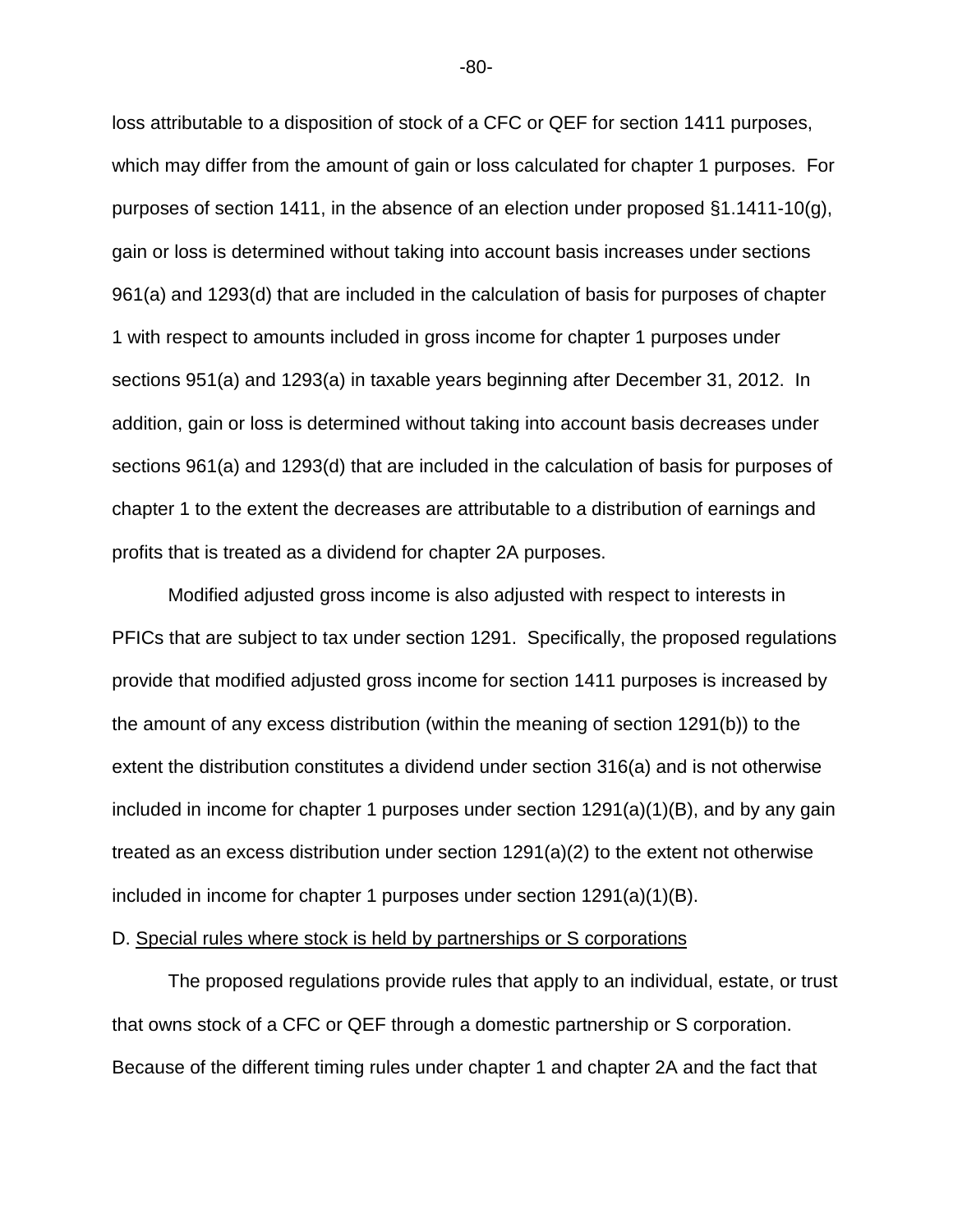loss attributable to a disposition of stock of a CFC or QEF for section 1411 purposes, which may differ from the amount of gain or loss calculated for chapter 1 purposes. For purposes of section 1411, in the absence of an election under proposed §1.1411-10(g), gain or loss is determined without taking into account basis increases under sections 961(a) and 1293(d) that are included in the calculation of basis for purposes of chapter 1 with respect to amounts included in gross income for chapter 1 purposes under sections 951(a) and 1293(a) in taxable years beginning after December 31, 2012. In addition, gain or loss is determined without taking into account basis decreases under sections 961(a) and 1293(d) that are included in the calculation of basis for purposes of chapter 1 to the extent the decreases are attributable to a distribution of earnings and profits that is treated as a dividend for chapter 2A purposes.

Modified adjusted gross income is also adjusted with respect to interests in PFICs that are subject to tax under section 1291. Specifically, the proposed regulations provide that modified adjusted gross income for section 1411 purposes is increased by the amount of any excess distribution (within the meaning of section 1291(b)) to the extent the distribution constitutes a dividend under section 316(a) and is not otherwise included in income for chapter 1 purposes under section 1291(a)(1)(B), and by any gain treated as an excess distribution under section 1291(a)(2) to the extent not otherwise included in income for chapter 1 purposes under section  $1291(a)(1)(B)$ .

### D. Special rules where stock is held by partnerships or S corporations

The proposed regulations provide rules that apply to an individual, estate, or trust that owns stock of a CFC or QEF through a domestic partnership or S corporation. Because of the different timing rules under chapter 1 and chapter 2A and the fact that

-80-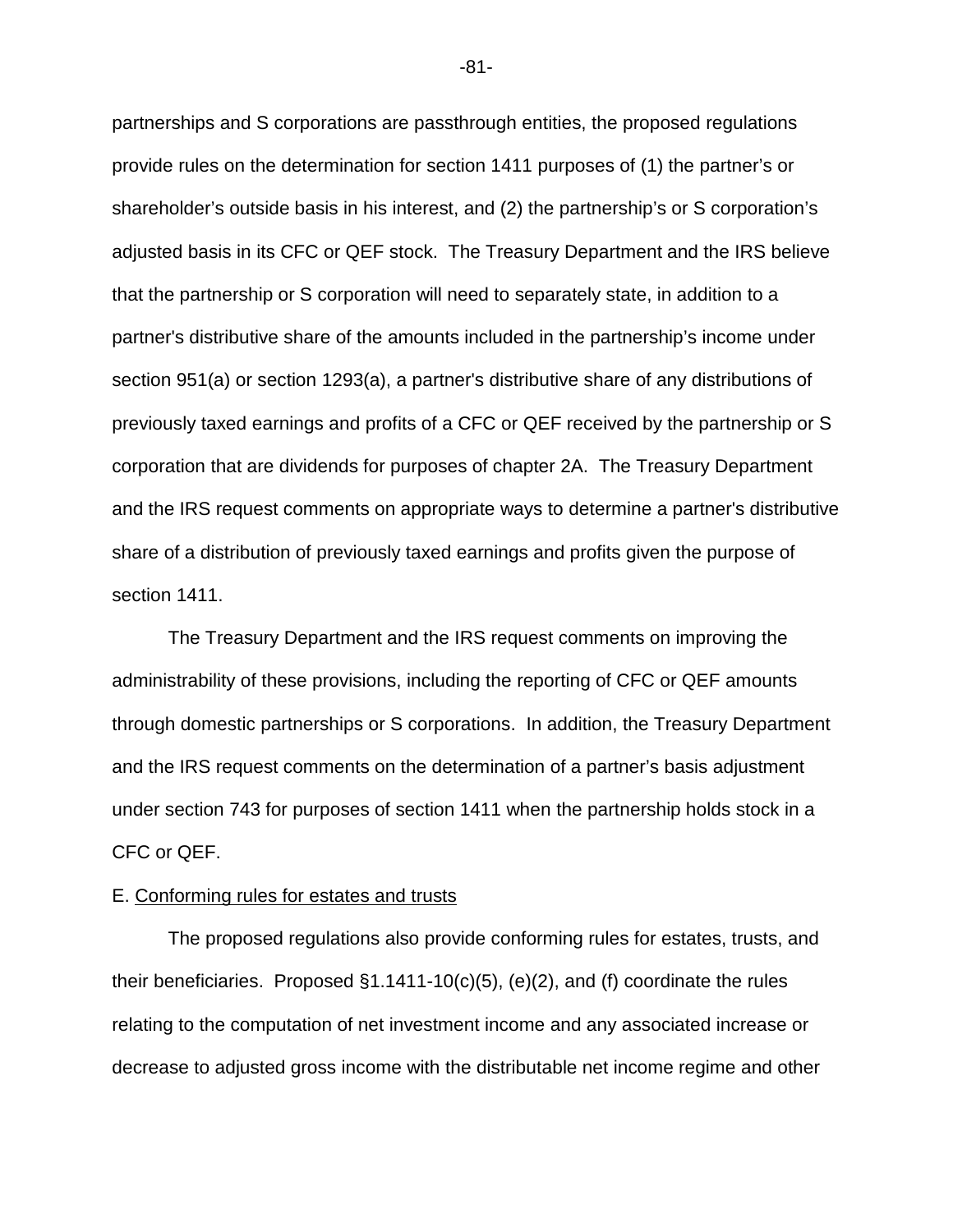partnerships and S corporations are passthrough entities, the proposed regulations provide rules on the determination for section 1411 purposes of (1) the partner's or shareholder's outside basis in his interest, and (2) the partnership's or S corporation's adjusted basis in its CFC or QEF stock. The Treasury Department and the IRS believe that the partnership or S corporation will need to separately state, in addition to a partner's distributive share of the amounts included in the partnership's income under section 951(a) or section 1293(a), a partner's distributive share of any distributions of previously taxed earnings and profits of a CFC or QEF received by the partnership or S corporation that are dividends for purposes of chapter 2A. The Treasury Department and the IRS request comments on appropriate ways to determine a partner's distributive share of a distribution of previously taxed earnings and profits given the purpose of section 1411.

The Treasury Department and the IRS request comments on improving the administrability of these provisions, including the reporting of CFC or QEF amounts through domestic partnerships or S corporations. In addition, the Treasury Department and the IRS request comments on the determination of a partner's basis adjustment under section 743 for purposes of section 1411 when the partnership holds stock in a CFC or QEF.

### E. Conforming rules for estates and trusts

The proposed regulations also provide conforming rules for estates, trusts, and their beneficiaries. Proposed  $\S1.1411-10(c)(5)$ , (e)(2), and (f) coordinate the rules relating to the computation of net investment income and any associated increase or decrease to adjusted gross income with the distributable net income regime and other

-81-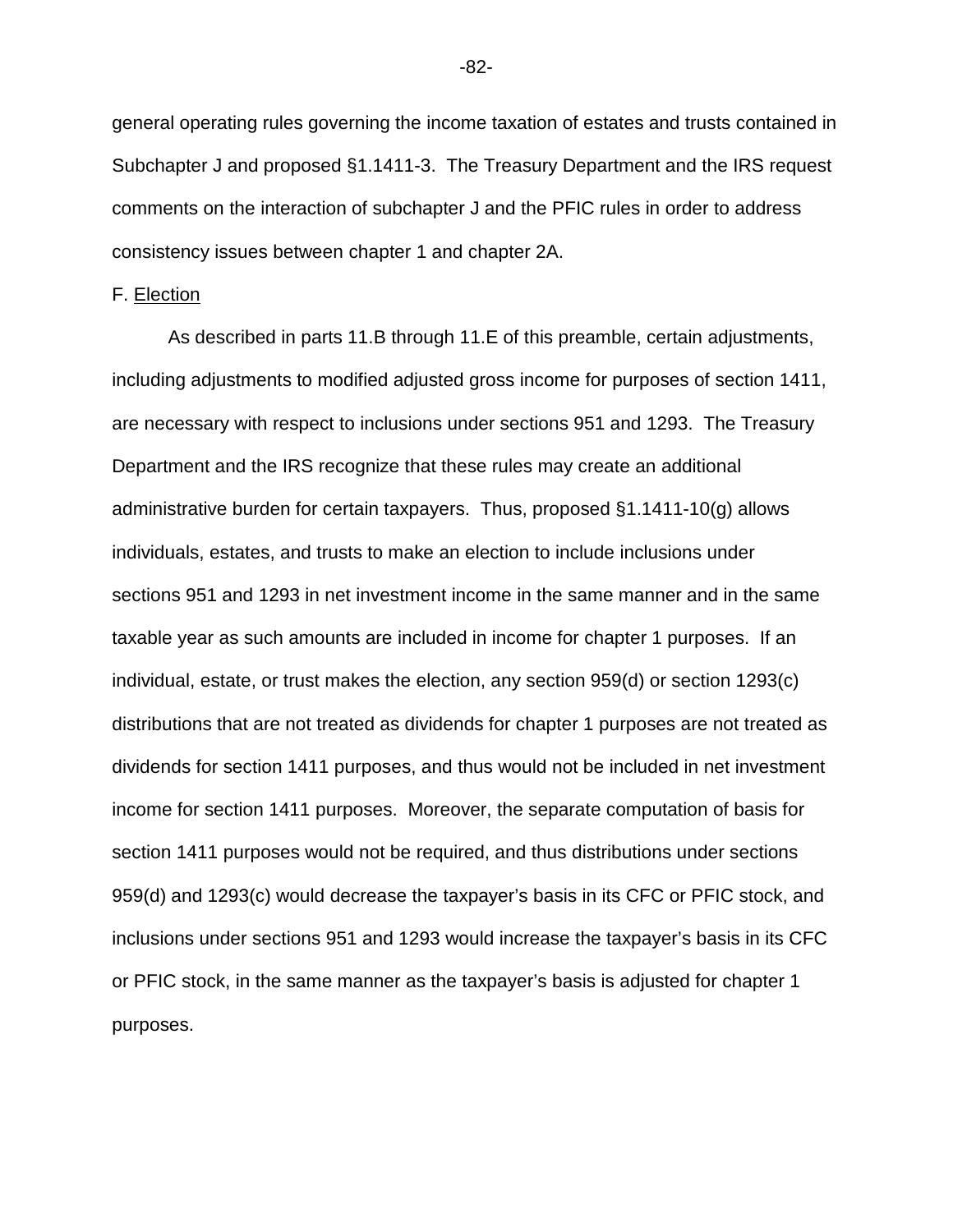general operating rules governing the income taxation of estates and trusts contained in Subchapter J and proposed §1.1411-3. The Treasury Department and the IRS request comments on the interaction of subchapter J and the PFIC rules in order to address consistency issues between chapter 1 and chapter 2A.

### F. Election

As described in parts 11.B through 11.E of this preamble, certain adjustments, including adjustments to modified adjusted gross income for purposes of section 1411, are necessary with respect to inclusions under sections 951 and 1293. The Treasury Department and the IRS recognize that these rules may create an additional administrative burden for certain taxpayers. Thus, proposed §1.1411-10(g) allows individuals, estates, and trusts to make an election to include inclusions under sections 951 and 1293 in net investment income in the same manner and in the same taxable year as such amounts are included in income for chapter 1 purposes. If an individual, estate, or trust makes the election, any section 959(d) or section 1293(c) distributions that are not treated as dividends for chapter 1 purposes are not treated as dividends for section 1411 purposes, and thus would not be included in net investment income for section 1411 purposes. Moreover, the separate computation of basis for section 1411 purposes would not be required, and thus distributions under sections 959(d) and 1293(c) would decrease the taxpayer's basis in its CFC or PFIC stock, and inclusions under sections 951 and 1293 would increase the taxpayer's basis in its CFC or PFIC stock, in the same manner as the taxpayer's basis is adjusted for chapter 1 purposes.

-82-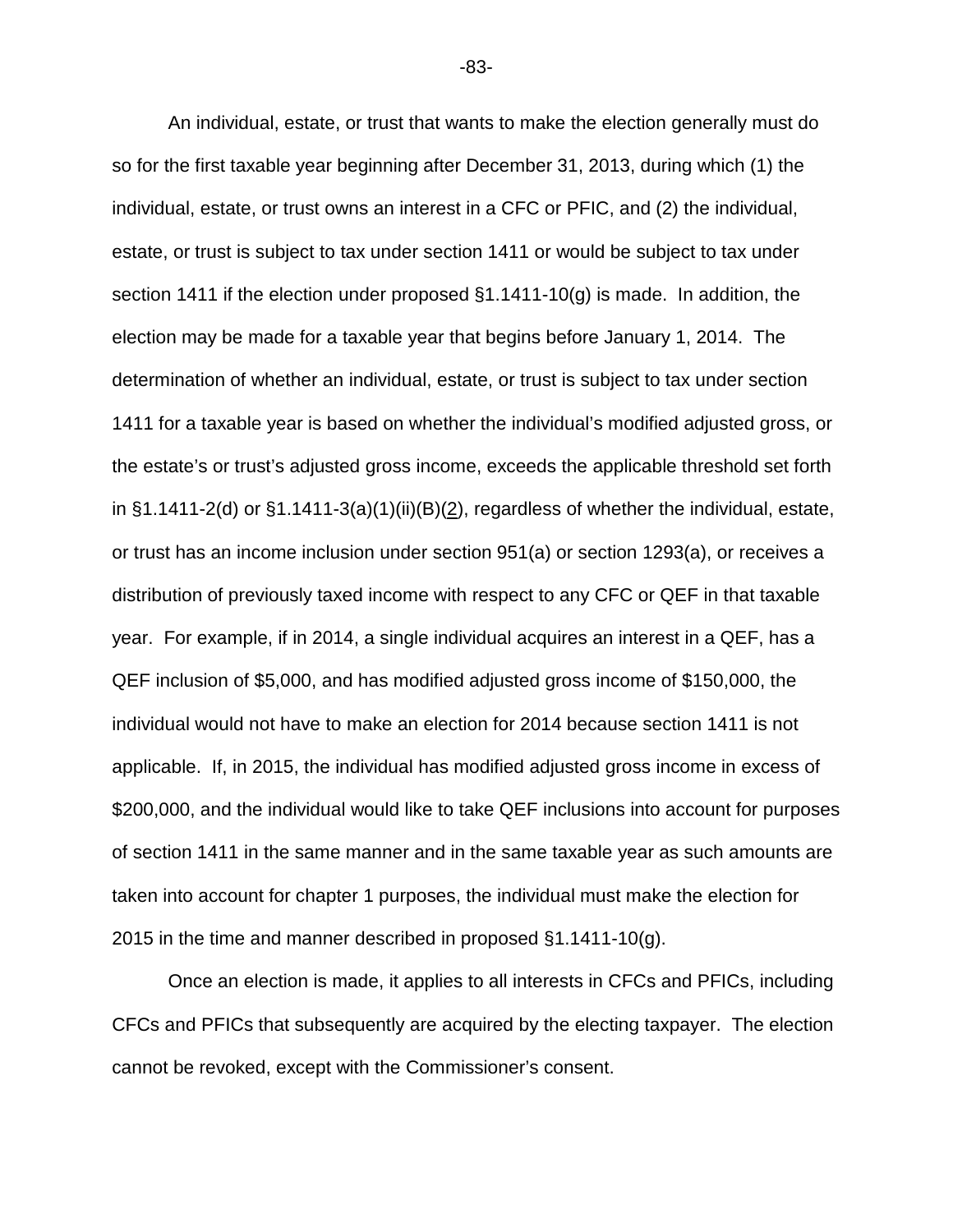An individual, estate, or trust that wants to make the election generally must do so for the first taxable year beginning after December 31, 2013, during which (1) the individual, estate, or trust owns an interest in a CFC or PFIC, and (2) the individual, estate, or trust is subject to tax under section 1411 or would be subject to tax under section 1411 if the election under proposed §1.1411-10(g) is made. In addition, the election may be made for a taxable year that begins before January 1, 2014. The determination of whether an individual, estate, or trust is subject to tax under section 1411 for a taxable year is based on whether the individual's modified adjusted gross, or the estate's or trust's adjusted gross income, exceeds the applicable threshold set forth in  $\S1.1411-2(d)$  or  $\S1.1411-3(a)(1)(ii)(B)(2)$ , regardless of whether the individual, estate, or trust has an income inclusion under section 951(a) or section 1293(a), or receives a distribution of previously taxed income with respect to any CFC or QEF in that taxable year. For example, if in 2014, a single individual acquires an interest in a QEF, has a QEF inclusion of \$5,000, and has modified adjusted gross income of \$150,000, the individual would not have to make an election for 2014 because section 1411 is not applicable. If, in 2015, the individual has modified adjusted gross income in excess of \$200,000, and the individual would like to take QEF inclusions into account for purposes of section 1411 in the same manner and in the same taxable year as such amounts are taken into account for chapter 1 purposes, the individual must make the election for 2015 in the time and manner described in proposed §1.1411-10(g).

Once an election is made, it applies to all interests in CFCs and PFICs, including CFCs and PFICs that subsequently are acquired by the electing taxpayer. The election cannot be revoked, except with the Commissioner's consent.

-83-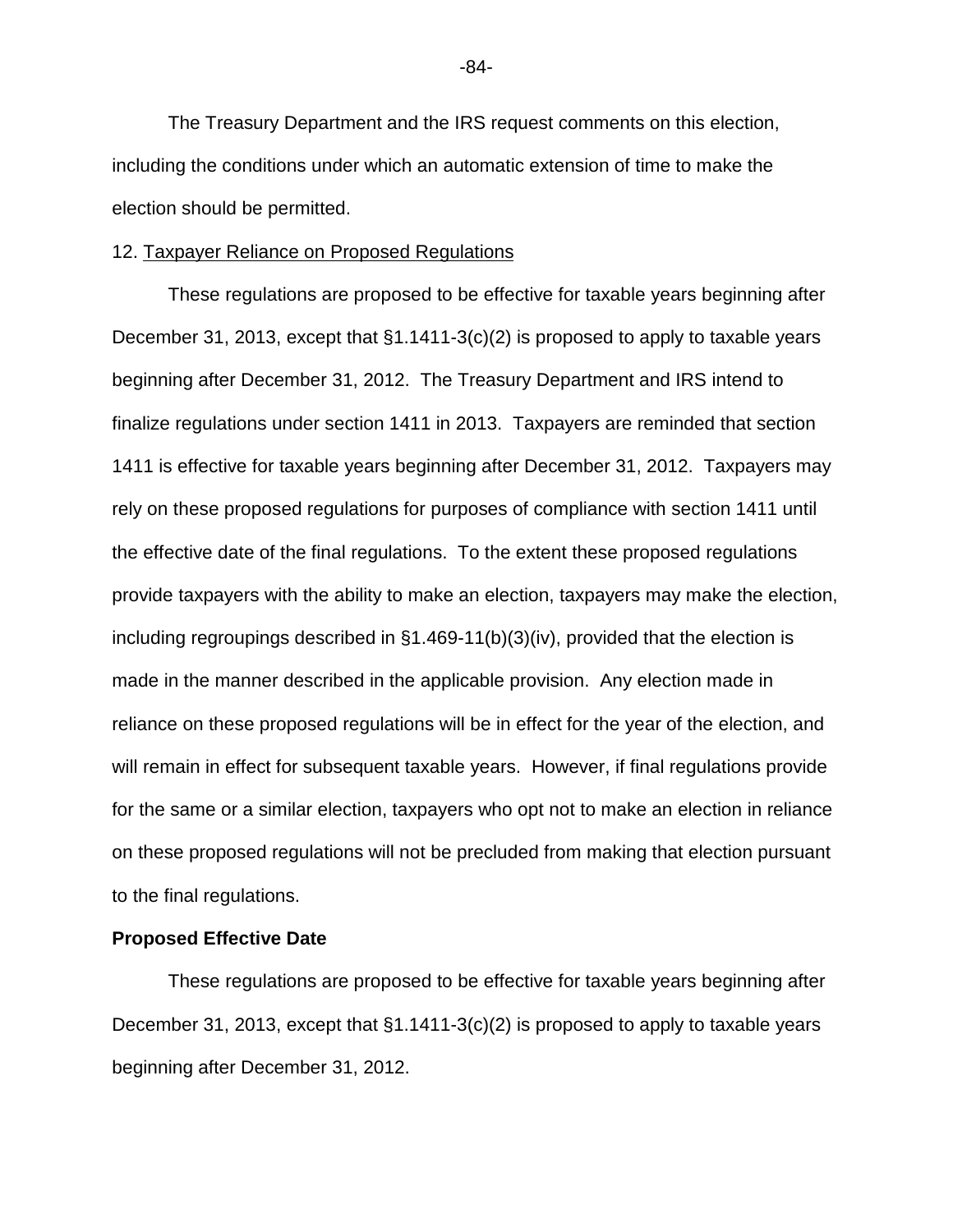The Treasury Department and the IRS request comments on this election, including the conditions under which an automatic extension of time to make the election should be permitted.

#### 12. Taxpayer Reliance on Proposed Regulations

These regulations are proposed to be effective for taxable years beginning after December 31, 2013, except that §1.1411-3(c)(2) is proposed to apply to taxable years beginning after December 31, 2012. The Treasury Department and IRS intend to finalize regulations under section 1411 in 2013. Taxpayers are reminded that section 1411 is effective for taxable years beginning after December 31, 2012. Taxpayers may rely on these proposed regulations for purposes of compliance with section 1411 until the effective date of the final regulations. To the extent these proposed regulations provide taxpayers with the ability to make an election, taxpayers may make the election, including regroupings described in §1.469-11(b)(3)(iv), provided that the election is made in the manner described in the applicable provision. Any election made in reliance on these proposed regulations will be in effect for the year of the election, and will remain in effect for subsequent taxable years. However, if final regulations provide for the same or a similar election, taxpayers who opt not to make an election in reliance on these proposed regulations will not be precluded from making that election pursuant to the final regulations.

### **Proposed Effective Date**

These regulations are proposed to be effective for taxable years beginning after December 31, 2013, except that §1.1411-3(c)(2) is proposed to apply to taxable years beginning after December 31, 2012.

-84-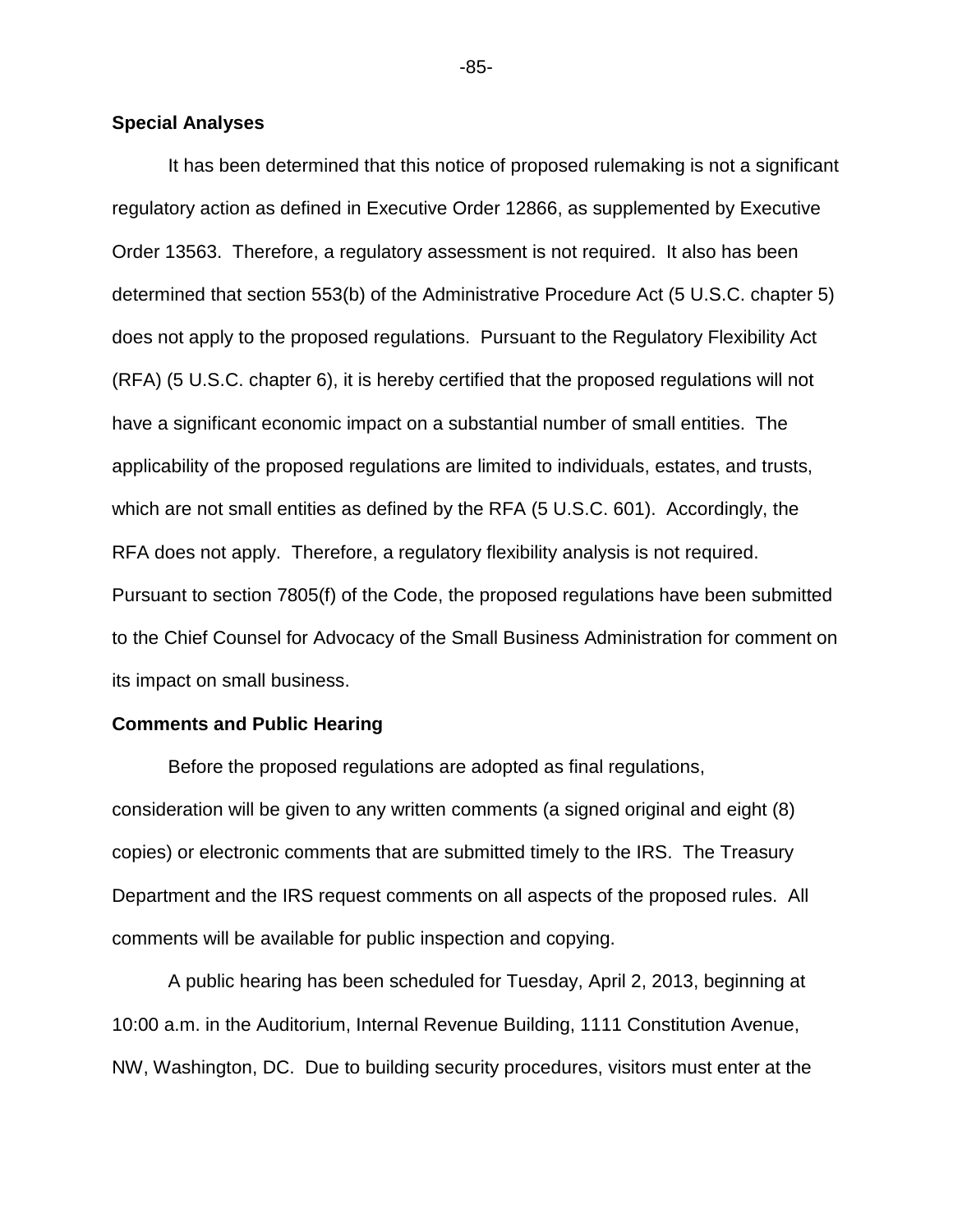### **Special Analyses**

It has been determined that this notice of proposed rulemaking is not a significant regulatory action as defined in Executive Order 12866, as supplemented by Executive Order 13563. Therefore, a regulatory assessment is not required. It also has been determined that section 553(b) of the Administrative Procedure Act (5 U.S.C. chapter 5) does not apply to the proposed regulations. Pursuant to the Regulatory Flexibility Act (RFA) (5 U.S.C. chapter 6), it is hereby certified that the proposed regulations will not have a significant economic impact on a substantial number of small entities. The applicability of the proposed regulations are limited to individuals, estates, and trusts, which are not small entities as defined by the RFA (5 U.S.C. 601). Accordingly, the RFA does not apply. Therefore, a regulatory flexibility analysis is not required. Pursuant to section 7805(f) of the Code, the proposed regulations have been submitted to the Chief Counsel for Advocacy of the Small Business Administration for comment on its impact on small business.

### **Comments and Public Hearing**

Before the proposed regulations are adopted as final regulations, consideration will be given to any written comments (a signed original and eight (8) copies) or electronic comments that are submitted timely to the IRS. The Treasury Department and the IRS request comments on all aspects of the proposed rules. All comments will be available for public inspection and copying.

A public hearing has been scheduled for Tuesday, April 2, 2013, beginning at 10:00 a.m. in the Auditorium, Internal Revenue Building, 1111 Constitution Avenue, NW, Washington, DC. Due to building security procedures, visitors must enter at the

-85-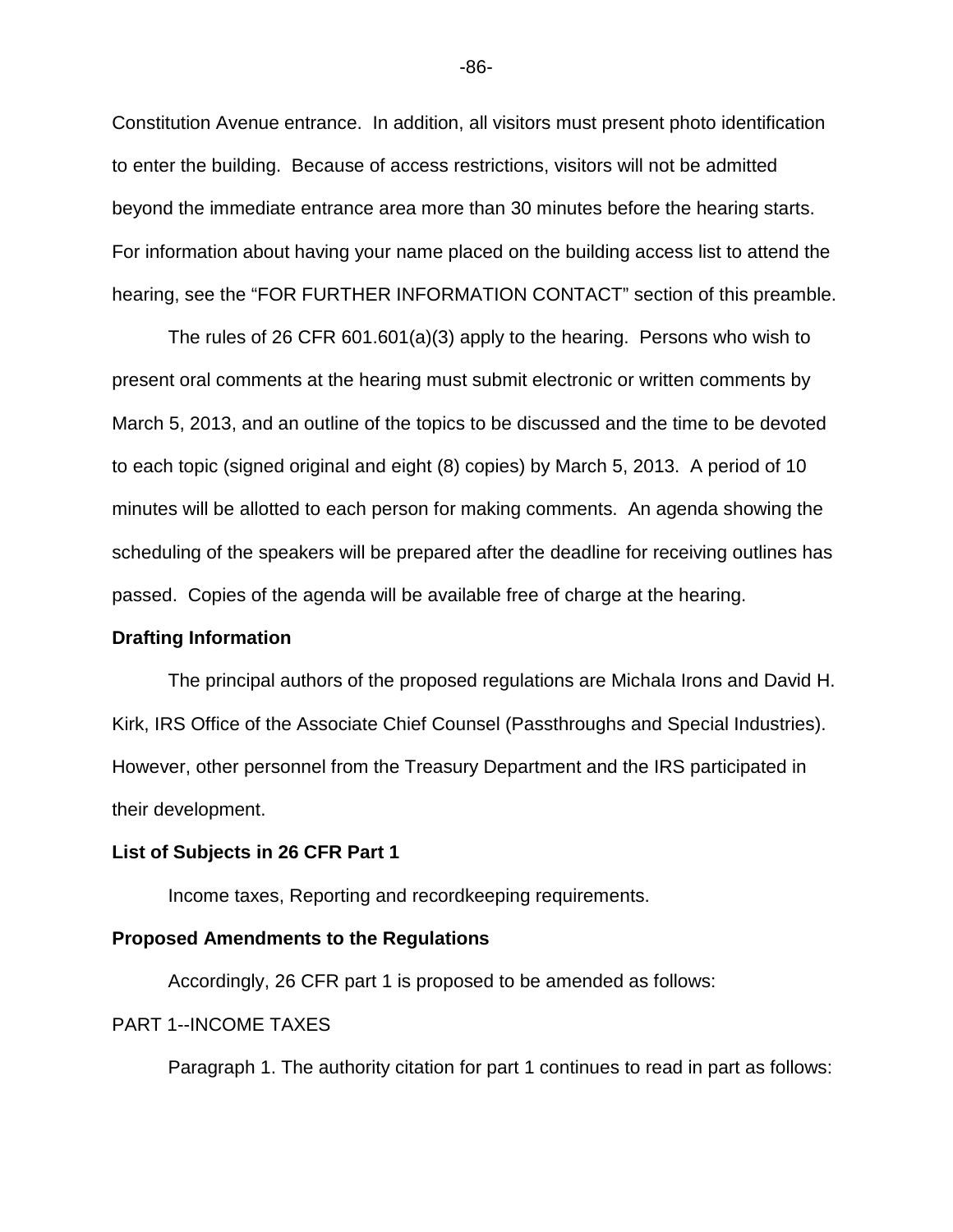Constitution Avenue entrance. In addition, all visitors must present photo identification to enter the building. Because of access restrictions, visitors will not be admitted beyond the immediate entrance area more than 30 minutes before the hearing starts. For information about having your name placed on the building access list to attend the hearing, see the "FOR FURTHER INFORMATION CONTACT" section of this preamble.

The rules of 26 CFR 601.601(a)(3) apply to the hearing. Persons who wish to present oral comments at the hearing must submit electronic or written comments by March 5, 2013, and an outline of the topics to be discussed and the time to be devoted to each topic (signed original and eight (8) copies) by March 5, 2013. A period of 10 minutes will be allotted to each person for making comments. An agenda showing the scheduling of the speakers will be prepared after the deadline for receiving outlines has passed. Copies of the agenda will be available free of charge at the hearing.

### **Drafting Information**

The principal authors of the proposed regulations are Michala Irons and David H. Kirk, IRS Office of the Associate Chief Counsel (Passthroughs and Special Industries). However, other personnel from the Treasury Department and the IRS participated in their development.

### **List of Subjects in 26 CFR Part 1**

Income taxes, Reporting and recordkeeping requirements.

### **Proposed Amendments to the Regulations**

Accordingly, 26 CFR part 1 is proposed to be amended as follows:

### PART 1--INCOME TAXES

Paragraph 1. The authority citation for part 1 continues to read in part as follows:

-86-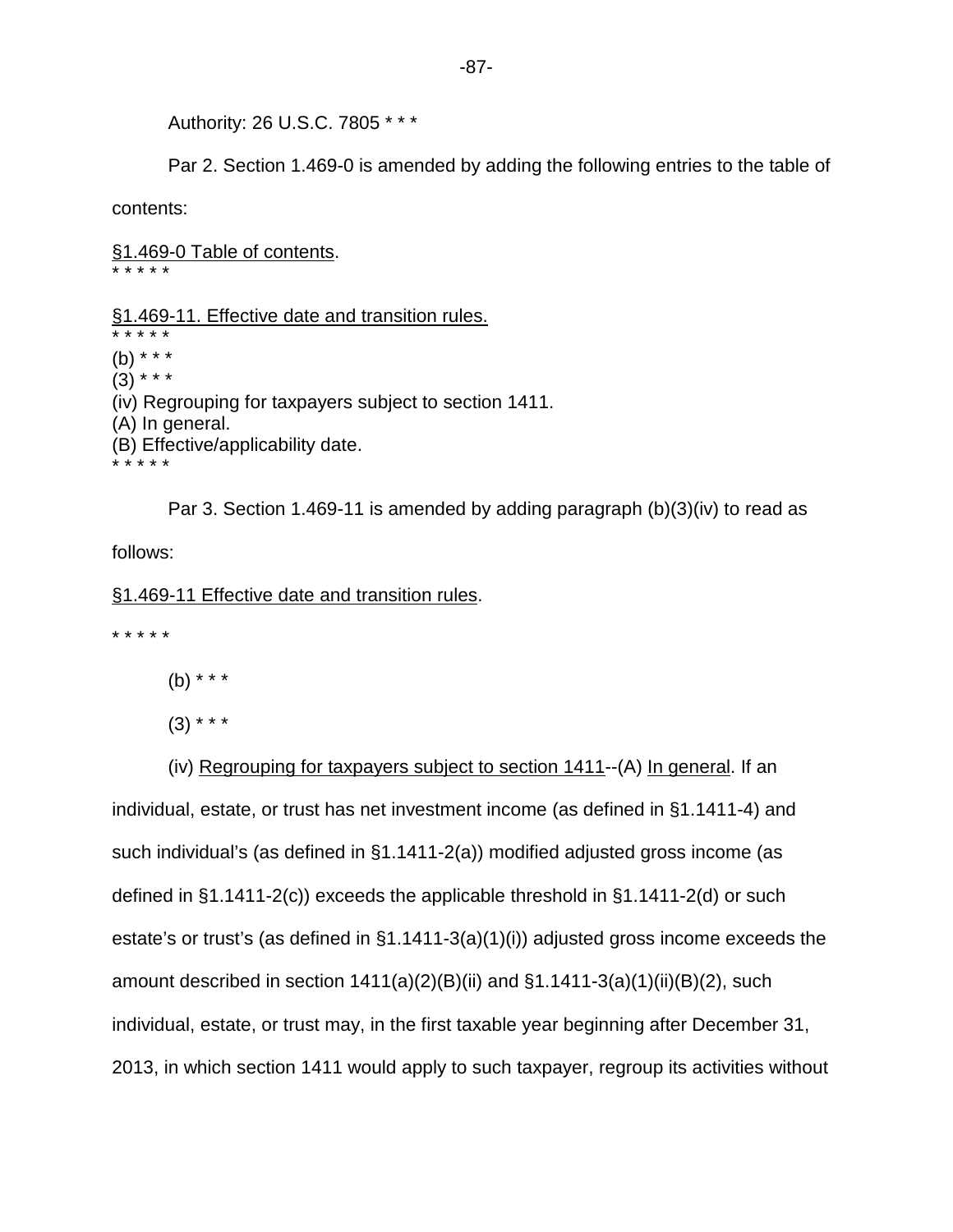Authority: 26 U.S.C. 7805 \* \* \*

Par 2. Section 1.469-0 is amended by adding the following entries to the table of

contents:

§1.469-0 Table of contents. \* \* \* \* \*

§1.469-11. Effective date and transition rules.

\* \* \* \* \* (b) \* \* \*  $(3)$  \* \* \* (iv) Regrouping for taxpayers subject to section 1411. (A) In general. (B) Effective/applicability date. \* \* \* \* \*

Par 3. Section 1.469-11 is amended by adding paragraph (b)(3)(iv) to read as follows:

§1.469-11 Effective date and transition rules.

\* \* \* \* \*

(b) \* \* \*

 $(3)$  \* \* \*

(iv) Regrouping for taxpayers subject to section 1411--(A) In general. If an individual, estate, or trust has net investment income (as defined in §1.1411-4) and such individual's (as defined in §1.1411-2(a)) modified adjusted gross income (as defined in §1.1411-2(c)) exceeds the applicable threshold in §1.1411-2(d) or such estate's or trust's (as defined in §1.1411-3(a)(1)(i)) adjusted gross income exceeds the amount described in section  $1411(a)(2)(B)(ii)$  and  $§1.1411-3(a)(1)(ii)(B)(2)$ , such individual, estate, or trust may, in the first taxable year beginning after December 31, 2013, in which section 1411 would apply to such taxpayer, regroup its activities without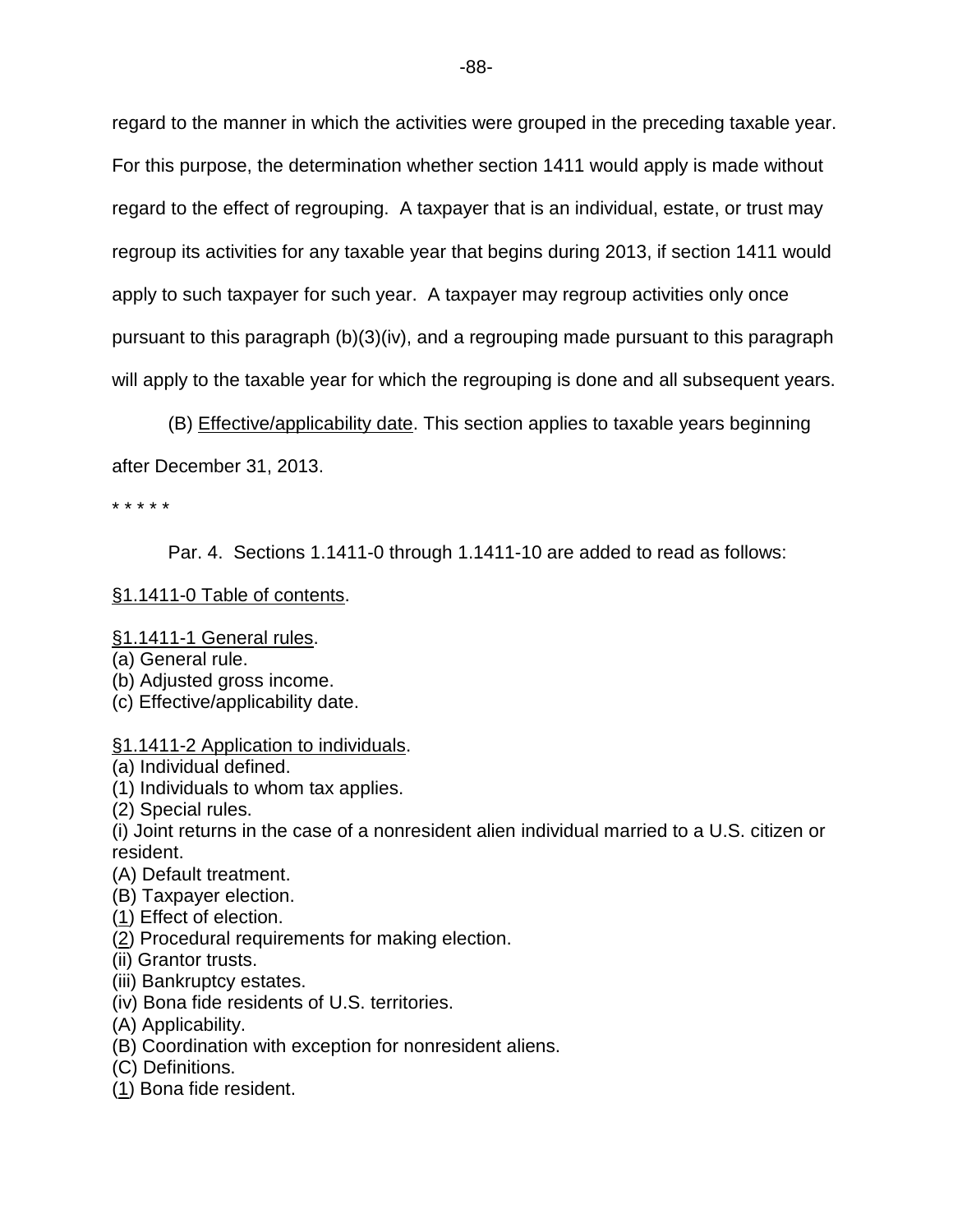regard to the manner in which the activities were grouped in the preceding taxable year. For this purpose, the determination whether section 1411 would apply is made without regard to the effect of regrouping. A taxpayer that is an individual, estate, or trust may regroup its activities for any taxable year that begins during 2013, if section 1411 would apply to such taxpayer for such year. A taxpayer may regroup activities only once pursuant to this paragraph (b)(3)(iv), and a regrouping made pursuant to this paragraph will apply to the taxable year for which the regrouping is done and all subsequent years.

(B) Effective/applicability date. This section applies to taxable years beginning after December 31, 2013.

\* \* \* \* \*

Par. 4. Sections 1.1411-0 through 1.1411-10 are added to read as follows:

## §1.1411-0 Table of contents.

## §1.1411-1 General rules.

- (a) General rule.
- (b) Adjusted gross income.
- (c) Effective/applicability date.

## §1.1411-2 Application to individuals.

- (a) Individual defined.
- (1) Individuals to whom tax applies.
- (2) Special rules.
- (i) Joint returns in the case of a nonresident alien individual married to a U.S. citizen or resident.
- (A) Default treatment.
- (B) Taxpayer election.
- (1) Effect of election.
- (2) Procedural requirements for making election.
- (ii) Grantor trusts.
- (iii) Bankruptcy estates.
- (iv) Bona fide residents of U.S. territories.
- (A) Applicability.
- (B) Coordination with exception for nonresident aliens.
- (C) Definitions.
- (1) Bona fide resident.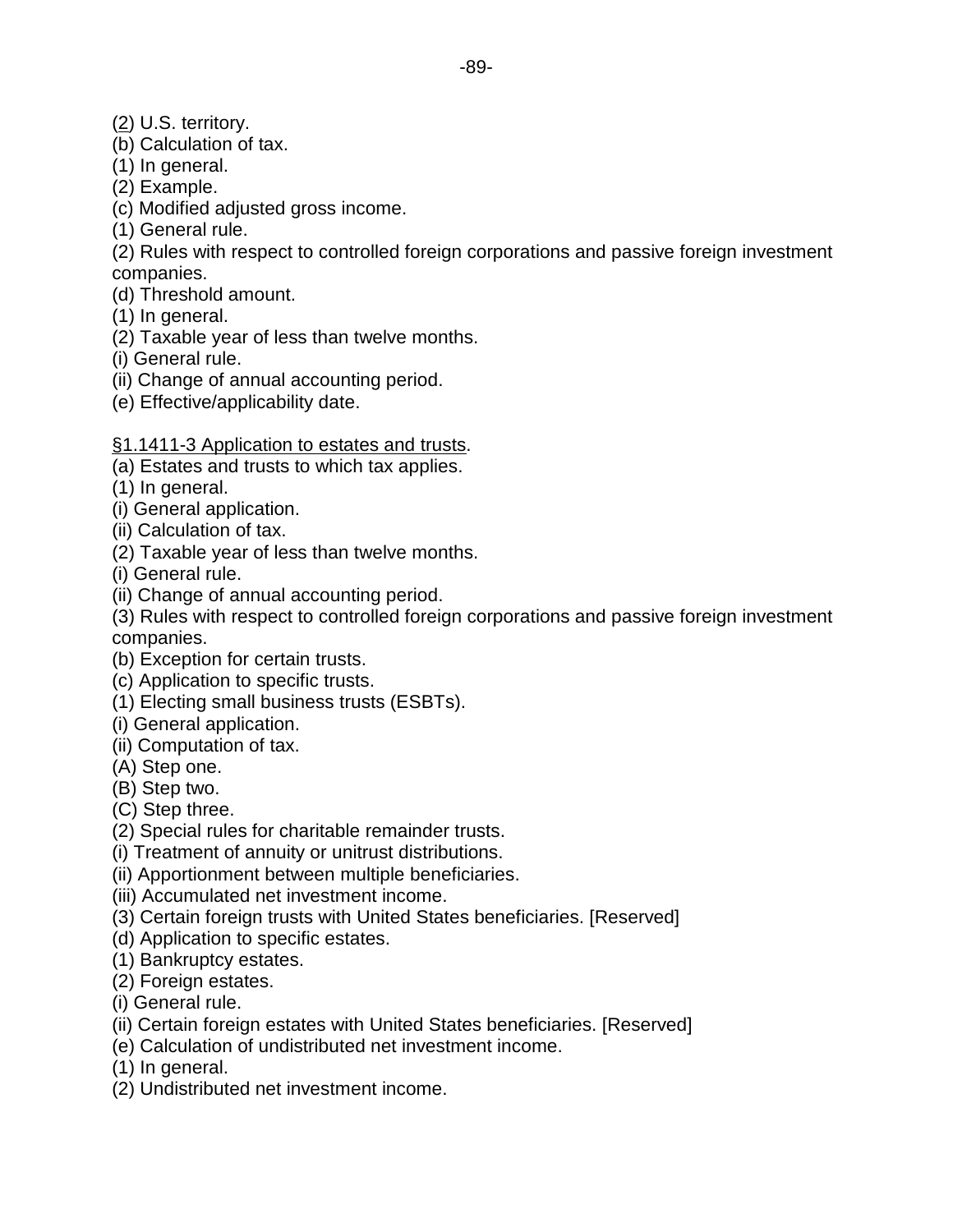- (2) U.S. territory.
- (b) Calculation of tax.
- (1) In general.
- (2) Example.
- (c) Modified adjusted gross income.
- (1) General rule.
- (2) Rules with respect to controlled foreign corporations and passive foreign investment companies.
- (d) Threshold amount.
- (1) In general.
- (2) Taxable year of less than twelve months.
- (i) General rule.
- (ii) Change of annual accounting period.
- (e) Effective/applicability date.

## §1.1411-3 Application to estates and trusts.

- (a) Estates and trusts to which tax applies.
- (1) In general.
- (i) General application.
- (ii) Calculation of tax.
- (2) Taxable year of less than twelve months.
- (i) General rule.
- (ii) Change of annual accounting period.
- (3) Rules with respect to controlled foreign corporations and passive foreign investment companies.
- (b) Exception for certain trusts.
- (c) Application to specific trusts.
- (1) Electing small business trusts (ESBTs).
- (i) General application.
- (ii) Computation of tax.
- (A) Step one.
- (B) Step two.
- (C) Step three.
- (2) Special rules for charitable remainder trusts.
- (i) Treatment of annuity or unitrust distributions.
- (ii) Apportionment between multiple beneficiaries.
- (iii) Accumulated net investment income.
- (3) Certain foreign trusts with United States beneficiaries. [Reserved]
- (d) Application to specific estates.
- (1) Bankruptcy estates.
- (2) Foreign estates.
- (i) General rule.
- (ii) Certain foreign estates with United States beneficiaries. [Reserved]
- (e) Calculation of undistributed net investment income.
- (1) In general.
- (2) Undistributed net investment income.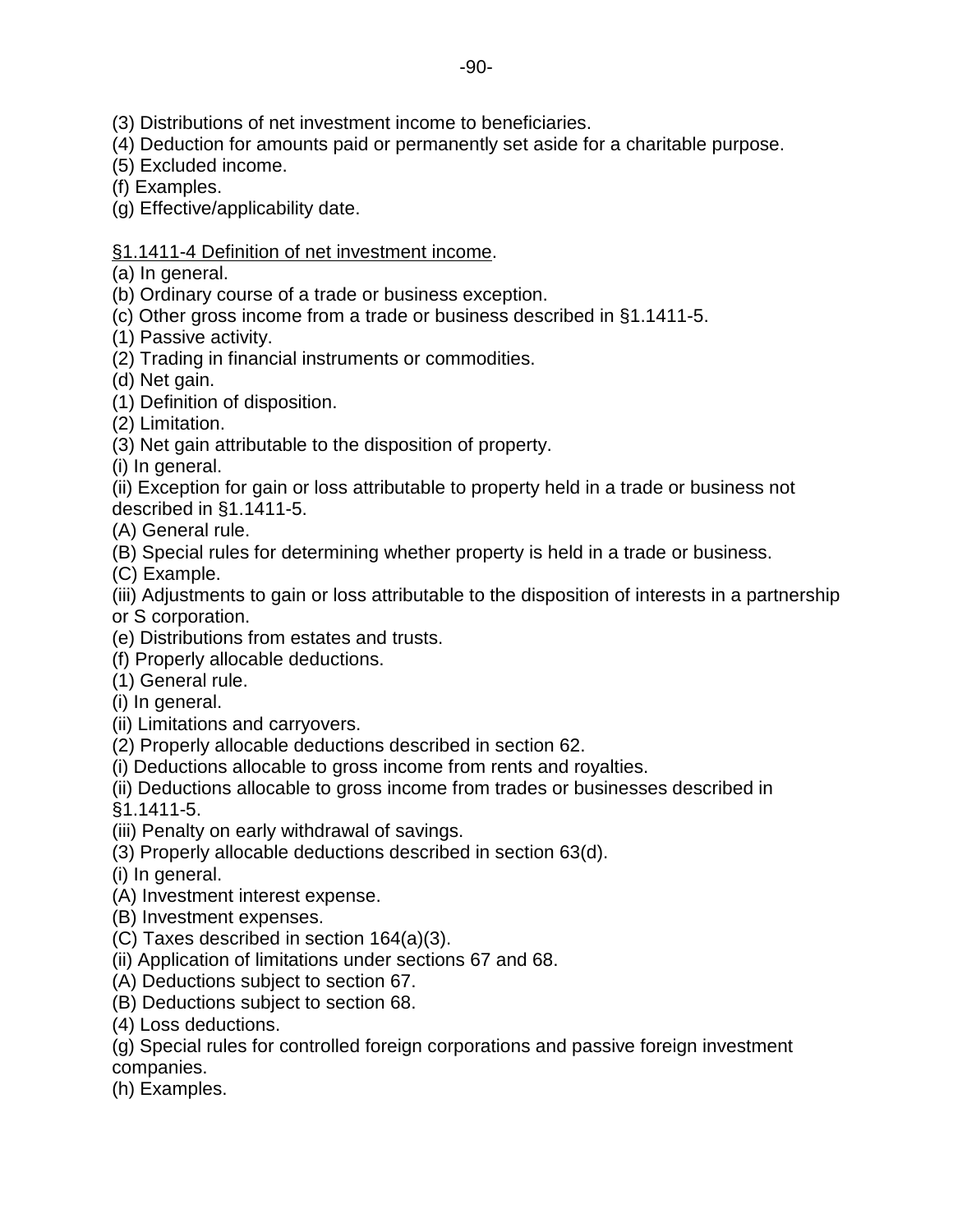- (3) Distributions of net investment income to beneficiaries.
- (4) Deduction for amounts paid or permanently set aside for a charitable purpose.
- (5) Excluded income.
- (f) Examples.

(g) Effective/applicability date.

# §1.1411-4 Definition of net investment income.

(a) In general.

- (b) Ordinary course of a trade or business exception.
- (c) Other gross income from a trade or business described in §1.1411-5.
- (1) Passive activity.
- (2) Trading in financial instruments or commodities.

(d) Net gain.

- (1) Definition of disposition.
- (2) Limitation.
- (3) Net gain attributable to the disposition of property.
- (i) In general.
- (ii) Exception for gain or loss attributable to property held in a trade or business not
- described in §1.1411-5.
- (A) General rule.
- (B) Special rules for determining whether property is held in a trade or business.
- (C) Example.

(iii) Adjustments to gain or loss attributable to the disposition of interests in a partnership or S corporation.

- (e) Distributions from estates and trusts.
- (f) Properly allocable deductions.
- (1) General rule.
- (i) In general.
- (ii) Limitations and carryovers.
- (2) Properly allocable deductions described in section 62.
- (i) Deductions allocable to gross income from rents and royalties.
- (ii) Deductions allocable to gross income from trades or businesses described in

§1.1411-5.

- (iii) Penalty on early withdrawal of savings.
- (3) Properly allocable deductions described in section 63(d).
- (i) In general.
- (A) Investment interest expense.
- (B) Investment expenses.
- (C) Taxes described in section 164(a)(3).
- (ii) Application of limitations under sections 67 and 68.
- (A) Deductions subject to section 67.
- (B) Deductions subject to section 68.
- (4) Loss deductions.
- (g) Special rules for controlled foreign corporations and passive foreign investment companies.
- (h) Examples.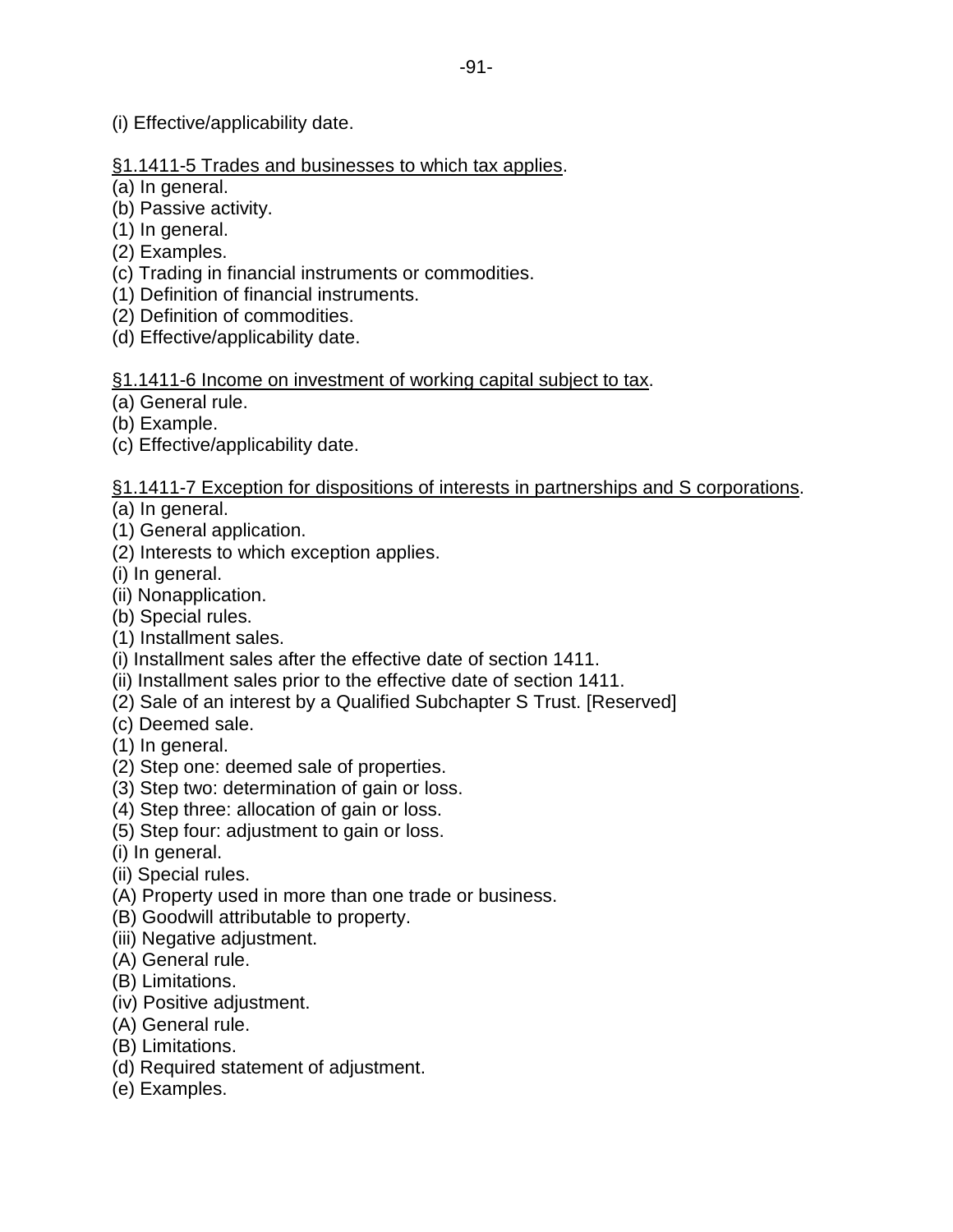(i) Effective/applicability date.

# §1.1411-5 Trades and businesses to which tax applies.

(a) In general.

- (b) Passive activity.
- (1) In general.
- (2) Examples.
- (c) Trading in financial instruments or commodities.
- (1) Definition of financial instruments.
- (2) Definition of commodities.
- (d) Effective/applicability date.

# §1.1411-6 Income on investment of working capital subject to tax.

(a) General rule.

- (b) Example.
- (c) Effective/applicability date.

# §1.1411-7 Exception for dispositions of interests in partnerships and S corporations.

- (a) In general.
- (1) General application.
- (2) Interests to which exception applies.
- (i) In general.
- (ii) Nonapplication.
- (b) Special rules.
- (1) Installment sales.
- (i) Installment sales after the effective date of section 1411.
- (ii) Installment sales prior to the effective date of section 1411.
- (2) Sale of an interest by a Qualified Subchapter S Trust. [Reserved]
- (c) Deemed sale.
- (1) In general.
- (2) Step one: deemed sale of properties.
- (3) Step two: determination of gain or loss.
- (4) Step three: allocation of gain or loss.
- (5) Step four: adjustment to gain or loss.
- (i) In general.
- (ii) Special rules.
- (A) Property used in more than one trade or business.
- (B) Goodwill attributable to property.
- (iii) Negative adjustment.
- (A) General rule.
- (B) Limitations.
- (iv) Positive adjustment.
- (A) General rule.
- (B) Limitations.
- (d) Required statement of adjustment.
- (e) Examples.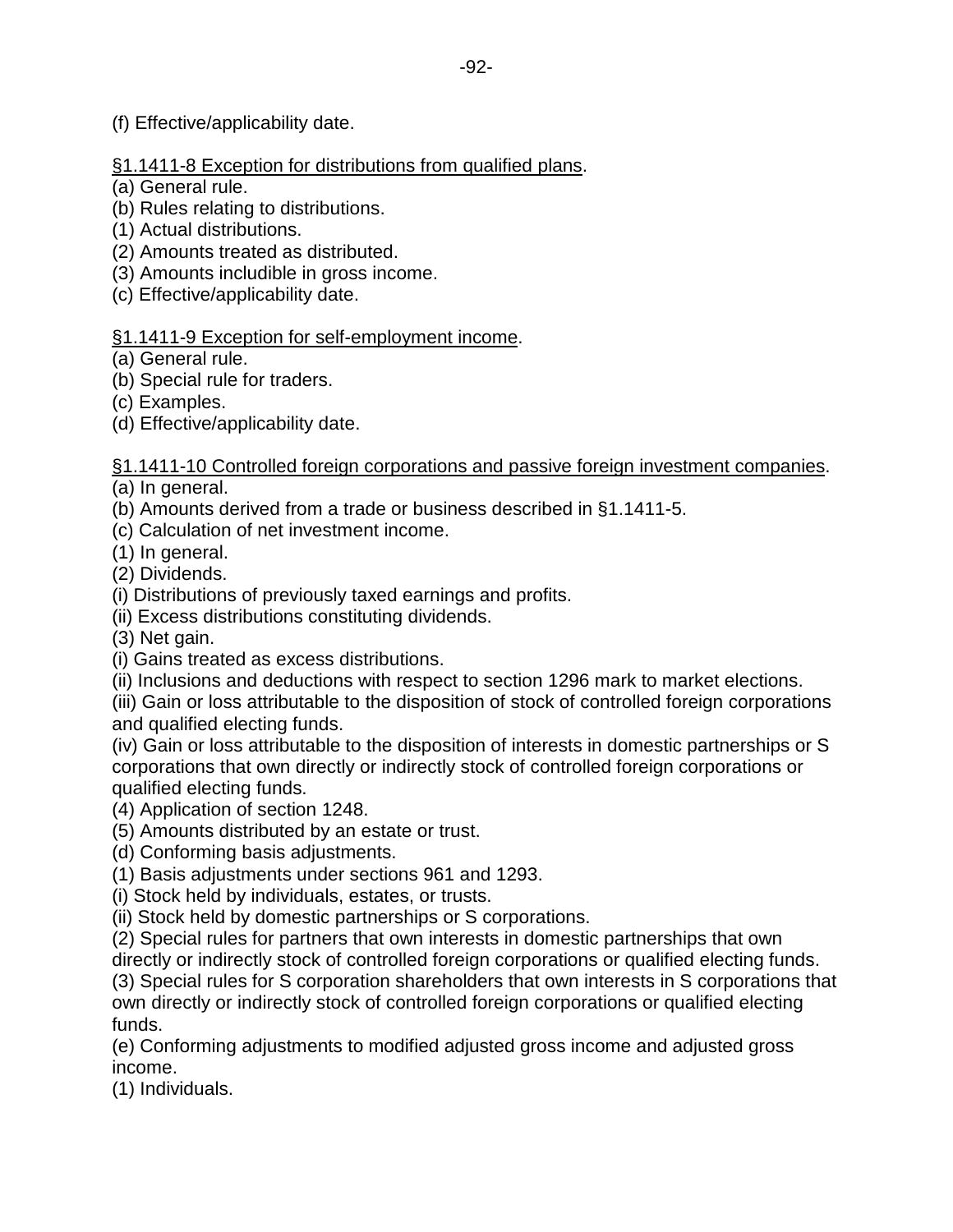(f) Effective/applicability date.

# §1.1411-8 Exception for distributions from qualified plans.

- (a) General rule.
- (b) Rules relating to distributions.
- (1) Actual distributions.
- (2) Amounts treated as distributed.
- (3) Amounts includible in gross income.
- (c) Effective/applicability date.

## §1.1411-9 Exception for self-employment income.

- (a) General rule.
- (b) Special rule for traders.
- (c) Examples.
- (d) Effective/applicability date.

# §1.1411-10 Controlled foreign corporations and passive foreign investment companies.

- (a) In general.
- (b) Amounts derived from a trade or business described in §1.1411-5.
- (c) Calculation of net investment income.

(1) In general.

(2) Dividends.

(i) Distributions of previously taxed earnings and profits.

(ii) Excess distributions constituting dividends.

(3) Net gain.

(i) Gains treated as excess distributions.

(ii) Inclusions and deductions with respect to section 1296 mark to market elections.

(iii) Gain or loss attributable to the disposition of stock of controlled foreign corporations and qualified electing funds.

(iv) Gain or loss attributable to the disposition of interests in domestic partnerships or S corporations that own directly or indirectly stock of controlled foreign corporations or qualified electing funds.

(4) Application of section 1248.

- (5) Amounts distributed by an estate or trust.
- (d) Conforming basis adjustments.

(1) Basis adjustments under sections 961 and 1293.

(i) Stock held by individuals, estates, or trusts.

(ii) Stock held by domestic partnerships or S corporations.

(2) Special rules for partners that own interests in domestic partnerships that own

directly or indirectly stock of controlled foreign corporations or qualified electing funds.

(3) Special rules for S corporation shareholders that own interests in S corporations that own directly or indirectly stock of controlled foreign corporations or qualified electing funds.

(e) Conforming adjustments to modified adjusted gross income and adjusted gross income.

(1) Individuals.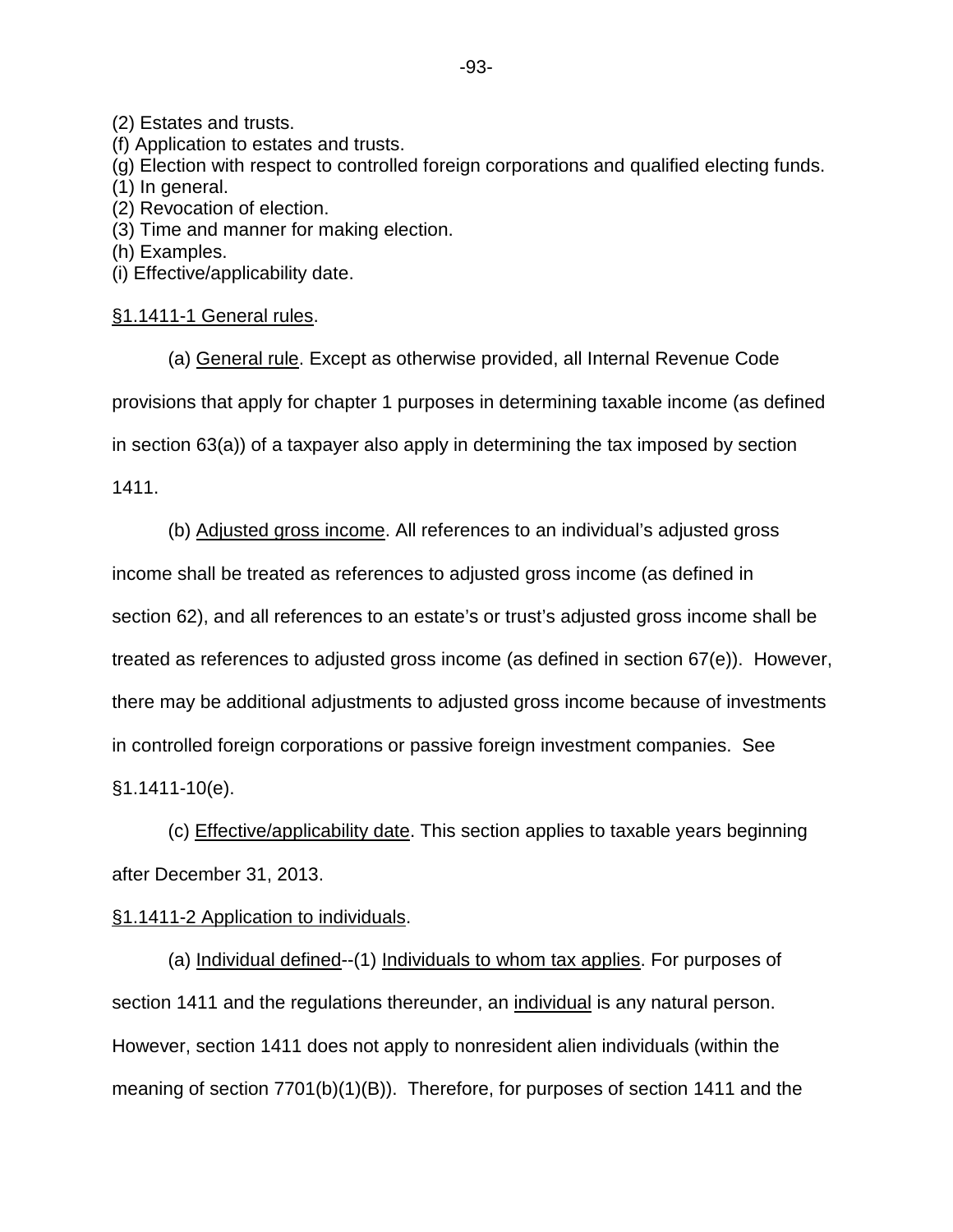(2) Estates and trusts.

(f) Application to estates and trusts.

(g) Election with respect to controlled foreign corporations and qualified electing funds.

(1) In general.

(2) Revocation of election.

(3) Time and manner for making election.

(h) Examples.

(i) Effective/applicability date.

## §1.1411-1 General rules.

(a) General rule. Except as otherwise provided, all Internal Revenue Code provisions that apply for chapter 1 purposes in determining taxable income (as defined in section 63(a)) of a taxpayer also apply in determining the tax imposed by section

1411.

(b) Adjusted gross income. All references to an individual's adjusted gross income shall be treated as references to adjusted gross income (as defined in section 62), and all references to an estate's or trust's adjusted gross income shall be treated as references to adjusted gross income (as defined in section 67(e)). However, there may be additional adjustments to adjusted gross income because of investments in controlled foreign corporations or passive foreign investment companies. See §1.1411-10(e).

(c) Effective/applicability date. This section applies to taxable years beginning after December 31, 2013.

## §1.1411-2 Application to individuals.

(a) Individual defined--(1) Individuals to whom tax applies. For purposes of section 1411 and the regulations thereunder, an individual is any natural person. However, section 1411 does not apply to nonresident alien individuals (within the meaning of section 7701(b)(1)(B)). Therefore, for purposes of section 1411 and the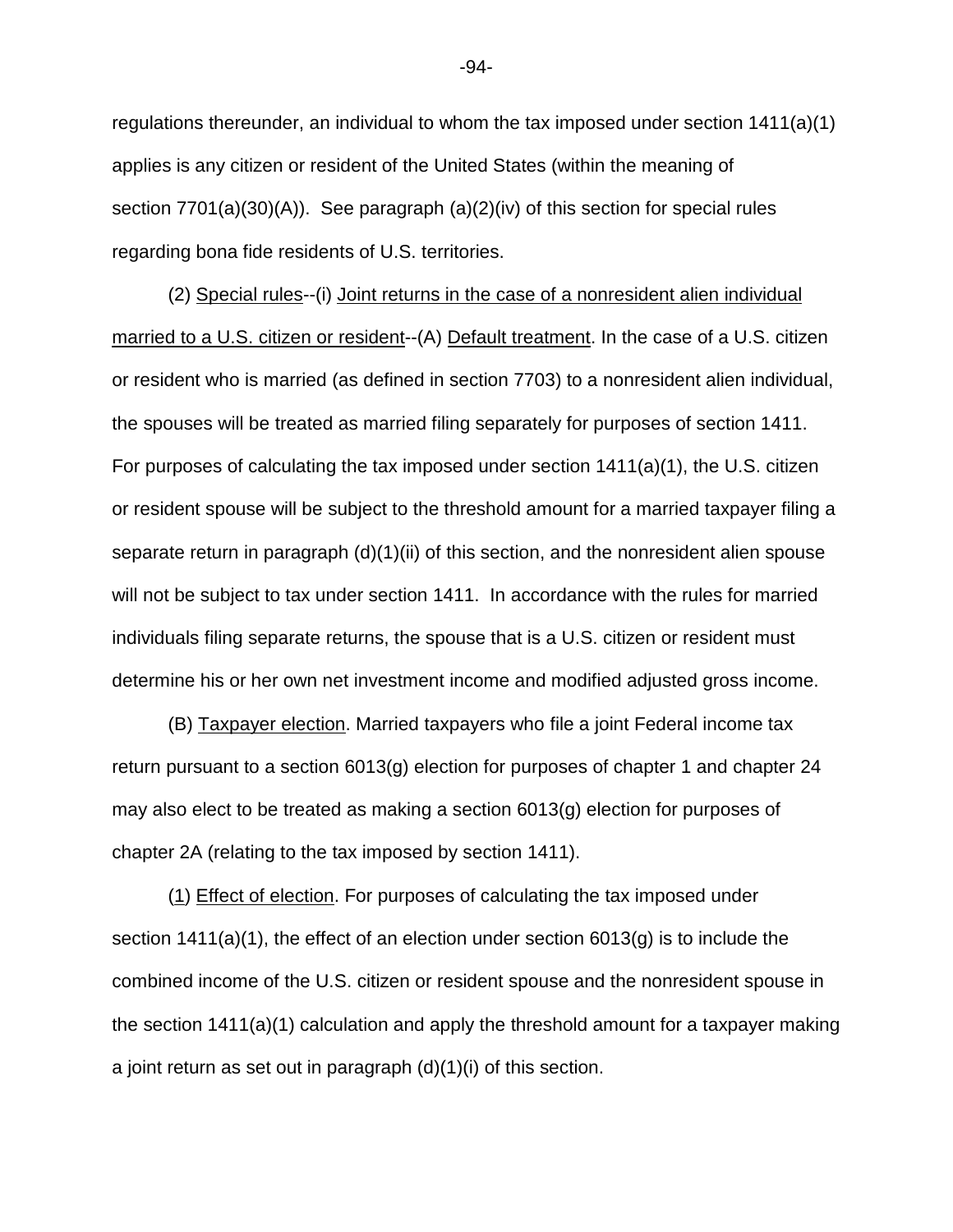regulations thereunder, an individual to whom the tax imposed under section 1411(a)(1) applies is any citizen or resident of the United States (within the meaning of section 7701(a)(30)(A)). See paragraph (a)(2)(iv) of this section for special rules regarding bona fide residents of U.S. territories.

(2) Special rules--(i) Joint returns in the case of a nonresident alien individual married to a U.S. citizen or resident--(A) Default treatment. In the case of a U.S. citizen or resident who is married (as defined in section 7703) to a nonresident alien individual, the spouses will be treated as married filing separately for purposes of section 1411. For purposes of calculating the tax imposed under section 1411(a)(1), the U.S. citizen or resident spouse will be subject to the threshold amount for a married taxpayer filing a separate return in paragraph (d)(1)(ii) of this section, and the nonresident alien spouse will not be subject to tax under section 1411. In accordance with the rules for married individuals filing separate returns, the spouse that is a U.S. citizen or resident must determine his or her own net investment income and modified adjusted gross income.

(B) Taxpayer election. Married taxpayers who file a joint Federal income tax return pursuant to a section  $6013(g)$  election for purposes of chapter 1 and chapter 24 may also elect to be treated as making a section 6013(g) election for purposes of chapter 2A (relating to the tax imposed by section 1411).

(1) Effect of election. For purposes of calculating the tax imposed under section 1411(a)(1), the effect of an election under section 6013(g) is to include the combined income of the U.S. citizen or resident spouse and the nonresident spouse in the section 1411(a)(1) calculation and apply the threshold amount for a taxpayer making a joint return as set out in paragraph  $(d)(1)(i)$  of this section.

-94-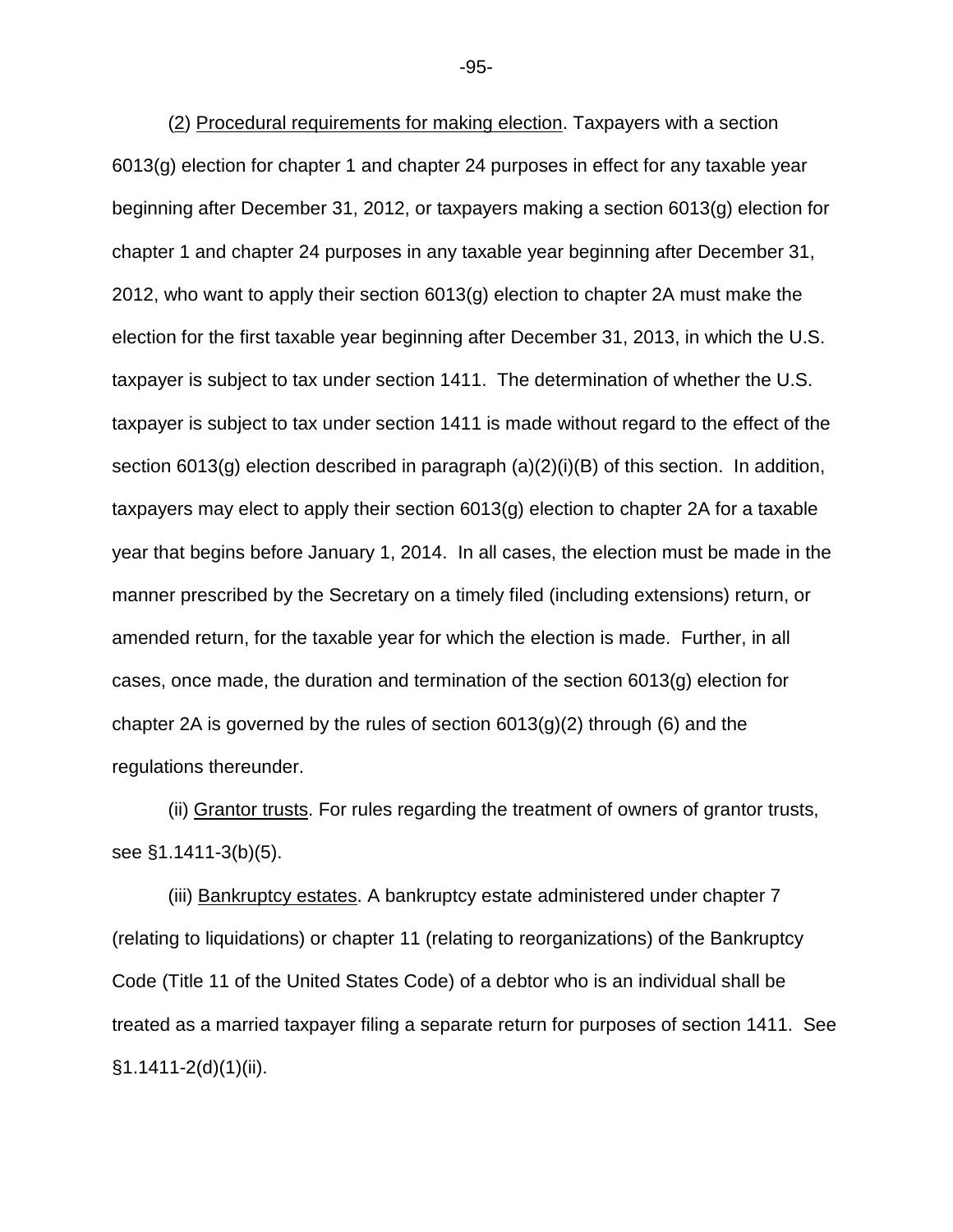(2) Procedural requirements for making election. Taxpayers with a section 6013(g) election for chapter 1 and chapter 24 purposes in effect for any taxable year beginning after December 31, 2012, or taxpayers making a section 6013(g) election for chapter 1 and chapter 24 purposes in any taxable year beginning after December 31, 2012, who want to apply their section 6013(g) election to chapter 2A must make the election for the first taxable year beginning after December 31, 2013, in which the U.S. taxpayer is subject to tax under section 1411. The determination of whether the U.S. taxpayer is subject to tax under section 1411 is made without regard to the effect of the section 6013(g) election described in paragraph (a)(2)(i)(B) of this section. In addition, taxpayers may elect to apply their section 6013(g) election to chapter 2A for a taxable year that begins before January 1, 2014. In all cases, the election must be made in the manner prescribed by the Secretary on a timely filed (including extensions) return, or amended return, for the taxable year for which the election is made. Further, in all cases, once made, the duration and termination of the section 6013(g) election for chapter 2A is governed by the rules of section  $6013(g)(2)$  through (6) and the regulations thereunder.

(ii) Grantor trusts. For rules regarding the treatment of owners of grantor trusts, see §1.1411-3(b)(5).

(iii) Bankruptcy estates. A bankruptcy estate administered under chapter 7 (relating to liquidations) or chapter 11 (relating to reorganizations) of the Bankruptcy Code (Title 11 of the United States Code) of a debtor who is an individual shall be treated as a married taxpayer filing a separate return for purposes of section 1411. See §1.1411-2(d)(1)(ii).

-95-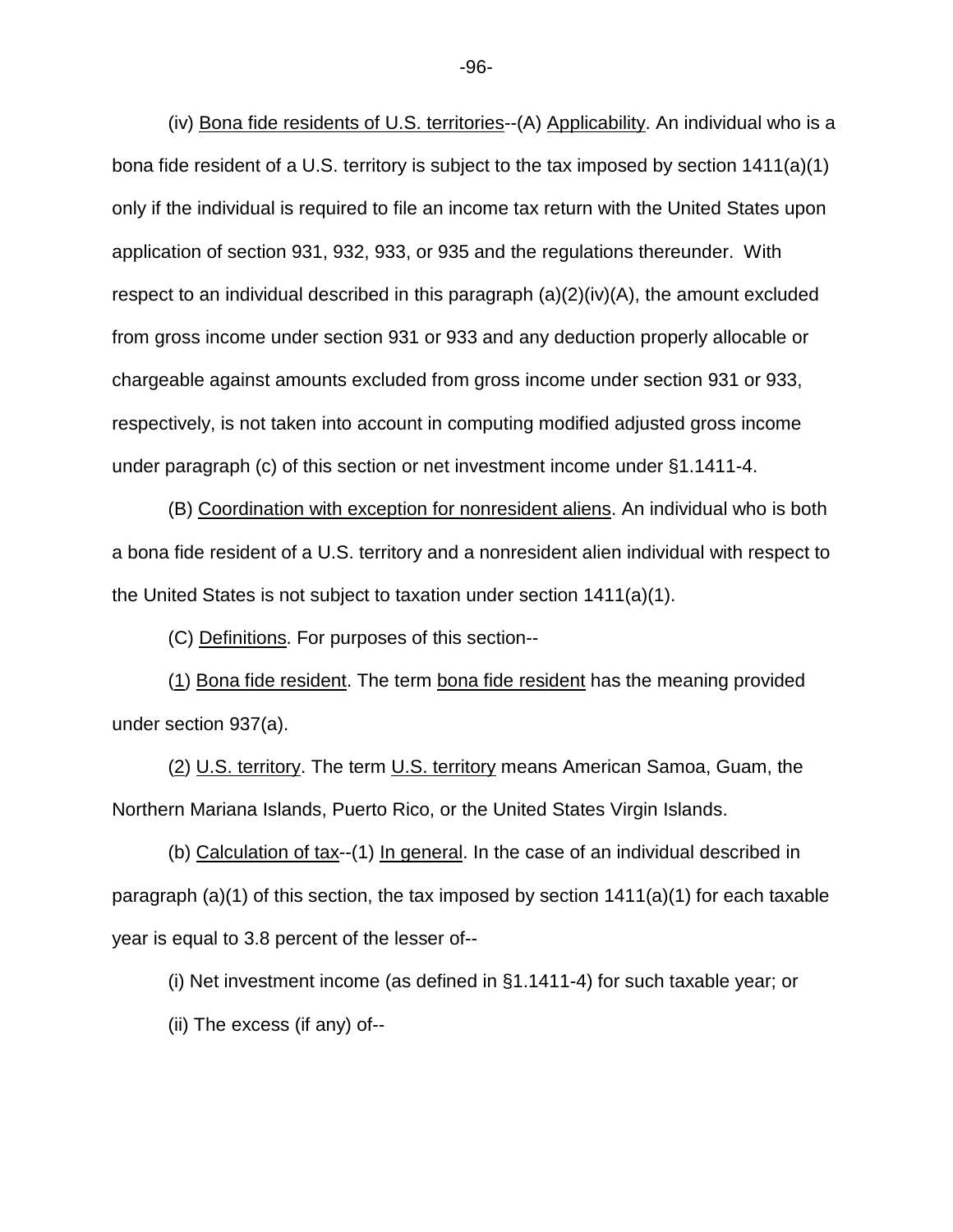(iv) Bona fide residents of U.S. territories--(A) Applicability. An individual who is a bona fide resident of a U.S. territory is subject to the tax imposed by section 1411(a)(1) only if the individual is required to file an income tax return with the United States upon application of section 931, 932, 933, or 935 and the regulations thereunder. With respect to an individual described in this paragraph  $(a)(2)(iv)(A)$ , the amount excluded from gross income under section 931 or 933 and any deduction properly allocable or chargeable against amounts excluded from gross income under section 931 or 933, respectively, is not taken into account in computing modified adjusted gross income under paragraph (c) of this section or net investment income under §1.1411-4.

(B) Coordination with exception for nonresident aliens. An individual who is both a bona fide resident of a U.S. territory and a nonresident alien individual with respect to the United States is not subject to taxation under section 1411(a)(1).

(C) Definitions. For purposes of this section--

(1) Bona fide resident. The term bona fide resident has the meaning provided under section 937(a).

(2) U.S. territory. The term U.S. territory means American Samoa, Guam, the Northern Mariana Islands, Puerto Rico, or the United States Virgin Islands.

(b) Calculation of tax--(1) In general. In the case of an individual described in paragraph (a)(1) of this section, the tax imposed by section 1411(a)(1) for each taxable year is equal to 3.8 percent of the lesser of--

(i) Net investment income (as defined in §1.1411-4) for such taxable year; or

(ii) The excess (if any) of--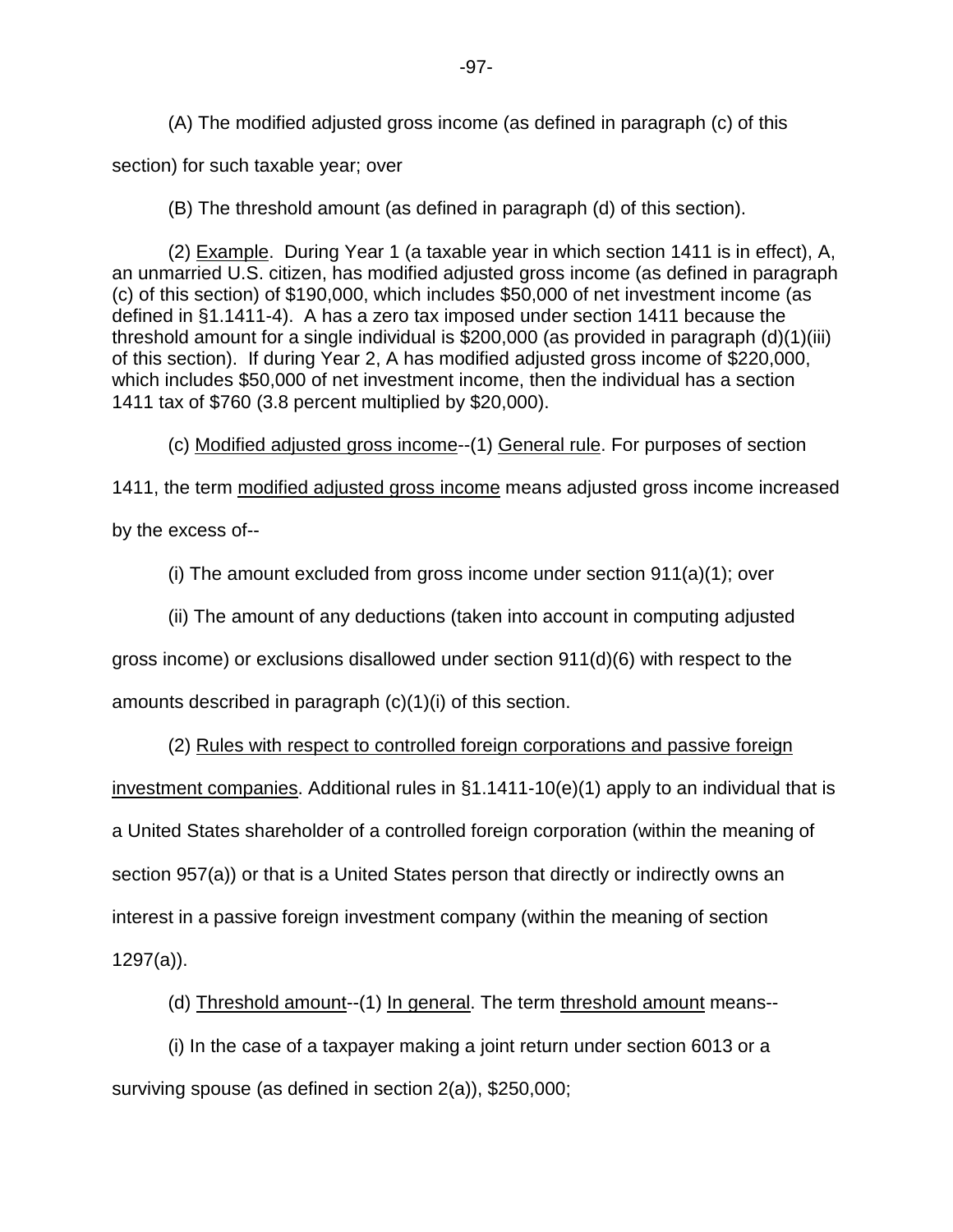(A) The modified adjusted gross income (as defined in paragraph (c) of this section) for such taxable year; over

(B) The threshold amount (as defined in paragraph (d) of this section).

(2) Example. During Year 1 (a taxable year in which section 1411 is in effect), A, an unmarried U.S. citizen, has modified adjusted gross income (as defined in paragraph (c) of this section) of \$190,000, which includes \$50,000 of net investment income (as defined in §1.1411-4). A has a zero tax imposed under section 1411 because the threshold amount for a single individual is \$200,000 (as provided in paragraph (d)(1)(iii) of this section). If during Year 2, A has modified adjusted gross income of \$220,000, which includes \$50,000 of net investment income, then the individual has a section 1411 tax of \$760 (3.8 percent multiplied by \$20,000).

(c) Modified adjusted gross income--(1) General rule. For purposes of section

1411, the term modified adjusted gross income means adjusted gross income increased by the excess of--

(i) The amount excluded from gross income under section  $911(a)(1)$ ; over

(ii) The amount of any deductions (taken into account in computing adjusted

gross income) or exclusions disallowed under section 911(d)(6) with respect to the

amounts described in paragraph (c)(1)(i) of this section.

(2) Rules with respect to controlled foreign corporations and passive foreign

investment companies. Additional rules in §1.1411-10(e)(1) apply to an individual that is

a United States shareholder of a controlled foreign corporation (within the meaning of

section 957(a)) or that is a United States person that directly or indirectly owns an

interest in a passive foreign investment company (within the meaning of section

1297(a)).

(d) Threshold amount--(1) In general. The term threshold amount means--

(i) In the case of a taxpayer making a joint return under section 6013 or a surviving spouse (as defined in section 2(a)), \$250,000;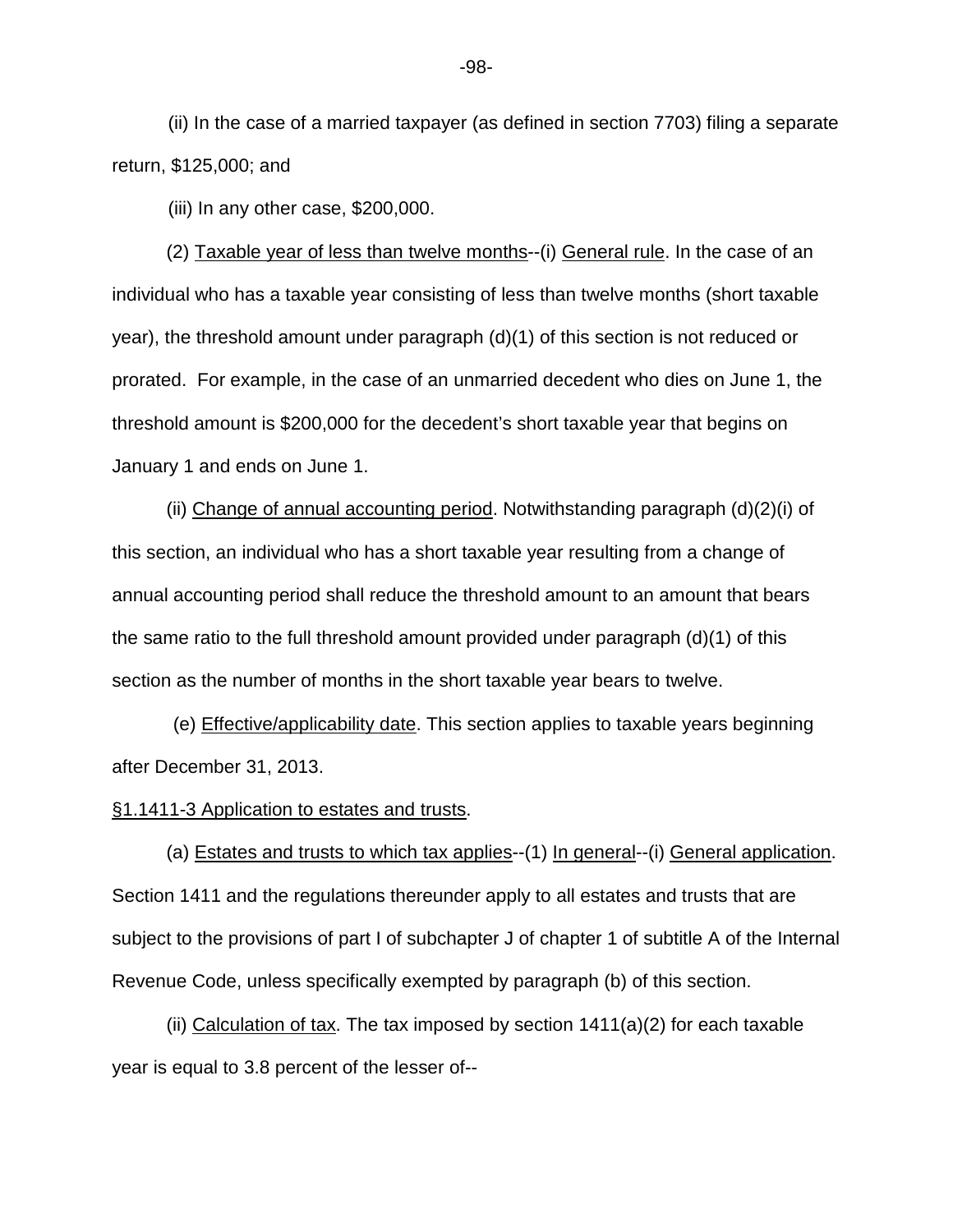(ii) In the case of a married taxpayer (as defined in section 7703) filing a separate return, \$125,000; and

(iii) In any other case, \$200,000.

(2) Taxable year of less than twelve months--(i) General rule. In the case of an individual who has a taxable year consisting of less than twelve months (short taxable year), the threshold amount under paragraph (d)(1) of this section is not reduced or prorated. For example, in the case of an unmarried decedent who dies on June 1, the threshold amount is \$200,000 for the decedent's short taxable year that begins on January 1 and ends on June 1.

(ii) Change of annual accounting period. Notwithstanding paragraph (d)(2)(i) of this section, an individual who has a short taxable year resulting from a change of annual accounting period shall reduce the threshold amount to an amount that bears the same ratio to the full threshold amount provided under paragraph (d)(1) of this section as the number of months in the short taxable year bears to twelve.

(e) Effective/applicability date. This section applies to taxable years beginning after December 31, 2013.

§1.1411-3 Application to estates and trusts.

(a) Estates and trusts to which tax applies--(1) In general--(i) General application. Section 1411 and the regulations thereunder apply to all estates and trusts that are subject to the provisions of part I of subchapter J of chapter 1 of subtitle A of the Internal Revenue Code, unless specifically exempted by paragraph (b) of this section.

(ii) Calculation of tax. The tax imposed by section 1411(a)(2) for each taxable year is equal to 3.8 percent of the lesser of--

-98-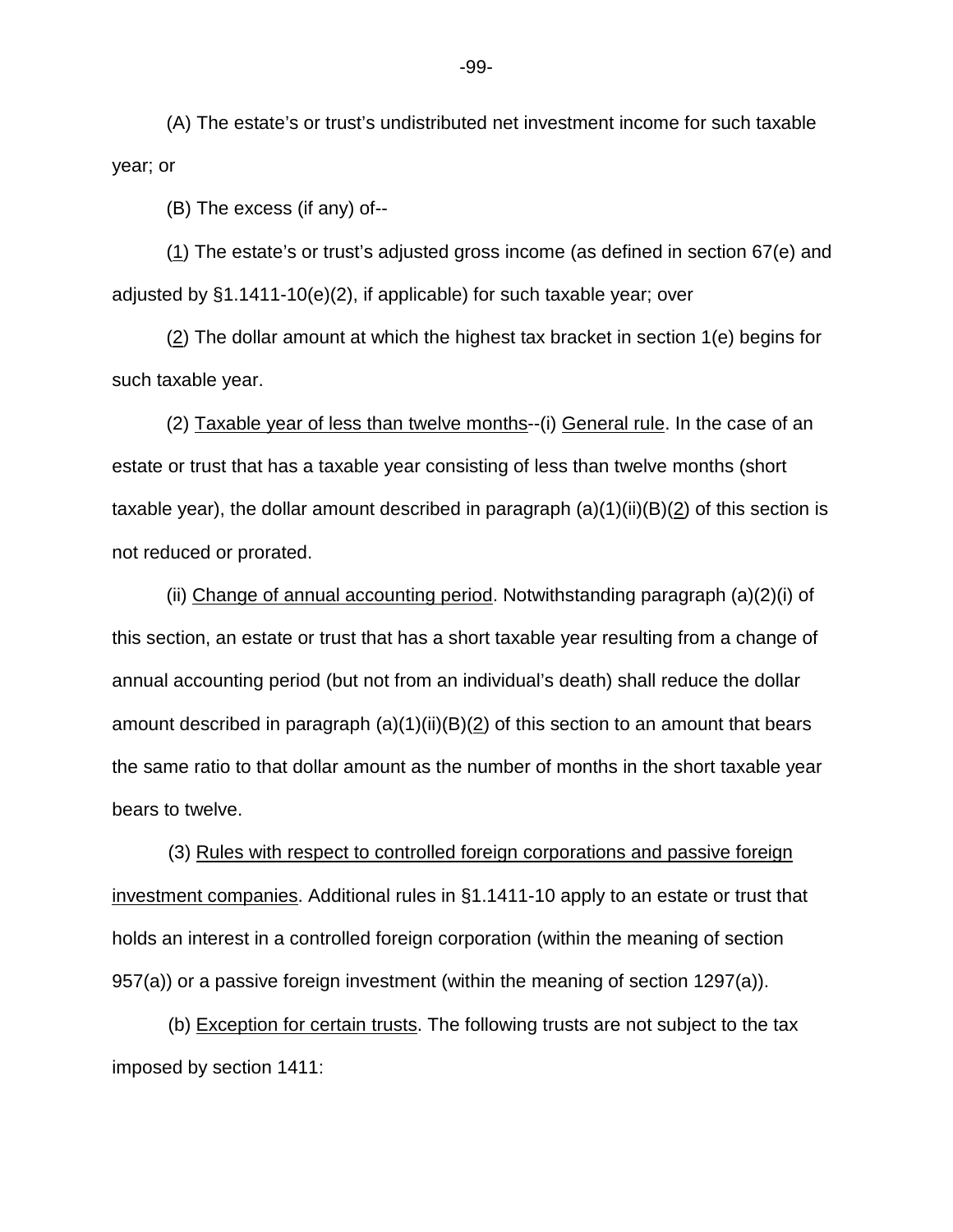(A) The estate's or trust's undistributed net investment income for such taxable year; or

(B) The excess (if any) of--

(1) The estate's or trust's adjusted gross income (as defined in section 67(e) and adjusted by  $\S1.1411-10(e)(2)$ , if applicable) for such taxable year; over

(2) The dollar amount at which the highest tax bracket in section 1(e) begins for such taxable year.

(2) Taxable year of less than twelve months--(i) General rule. In the case of an estate or trust that has a taxable year consisting of less than twelve months (short taxable year), the dollar amount described in paragraph  $(a)(1)(ii)(B)(2)$  of this section is not reduced or prorated.

(ii) Change of annual accounting period. Notwithstanding paragraph (a)(2)(i) of this section, an estate or trust that has a short taxable year resulting from a change of annual accounting period (but not from an individual's death) shall reduce the dollar amount described in paragraph  $(a)(1)(ii)(B)(2)$  of this section to an amount that bears the same ratio to that dollar amount as the number of months in the short taxable year bears to twelve.

(3) Rules with respect to controlled foreign corporations and passive foreign investment companies. Additional rules in §1.1411-10 apply to an estate or trust that holds an interest in a controlled foreign corporation (within the meaning of section 957(a)) or a passive foreign investment (within the meaning of section 1297(a)).

(b) Exception for certain trusts. The following trusts are not subject to the tax imposed by section 1411:

-99-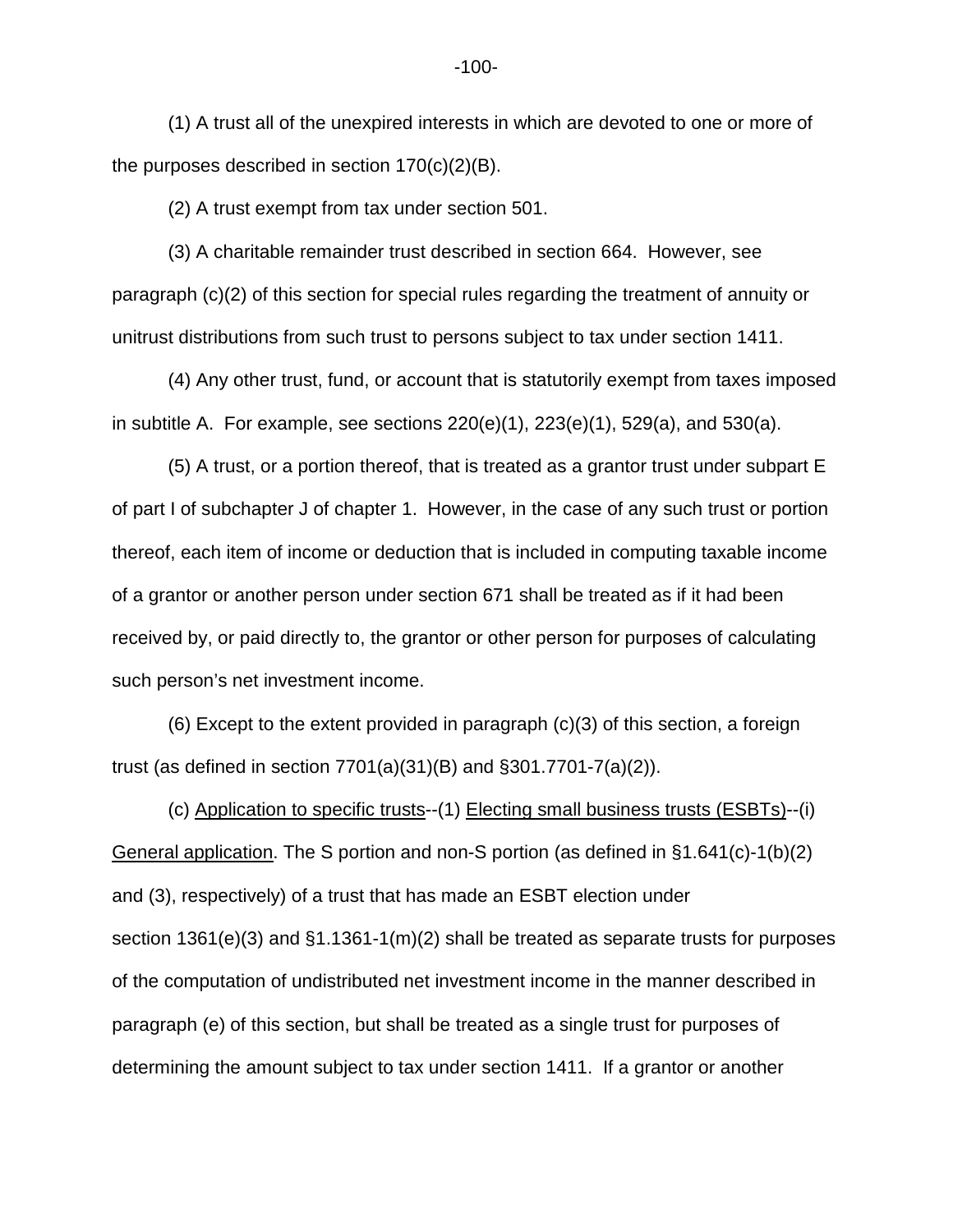(1) A trust all of the unexpired interests in which are devoted to one or more of the purposes described in section 170(c)(2)(B).

(2) A trust exempt from tax under section 501.

(3) A charitable remainder trust described in section 664. However, see paragraph (c)(2) of this section for special rules regarding the treatment of annuity or unitrust distributions from such trust to persons subject to tax under section 1411.

(4) Any other trust, fund, or account that is statutorily exempt from taxes imposed in subtitle A. For example, see sections 220(e)(1), 223(e)(1), 529(a), and 530(a).

(5) A trust, or a portion thereof, that is treated as a grantor trust under subpart E of part I of subchapter J of chapter 1. However, in the case of any such trust or portion thereof, each item of income or deduction that is included in computing taxable income of a grantor or another person under section 671 shall be treated as if it had been received by, or paid directly to, the grantor or other person for purposes of calculating such person's net investment income.

(6) Except to the extent provided in paragraph (c)(3) of this section, a foreign trust (as defined in section 7701(a)(31)(B) and §301.7701-7(a)(2)).

(c) Application to specific trusts--(1) Electing small business trusts (ESBTs)--(i) General application. The S portion and non-S portion (as defined in §1.641(c)-1(b)(2) and (3), respectively) of a trust that has made an ESBT election under section 1361(e)(3) and  $\S1.1361-1(m)(2)$  shall be treated as separate trusts for purposes of the computation of undistributed net investment income in the manner described in paragraph (e) of this section, but shall be treated as a single trust for purposes of determining the amount subject to tax under section 1411. If a grantor or another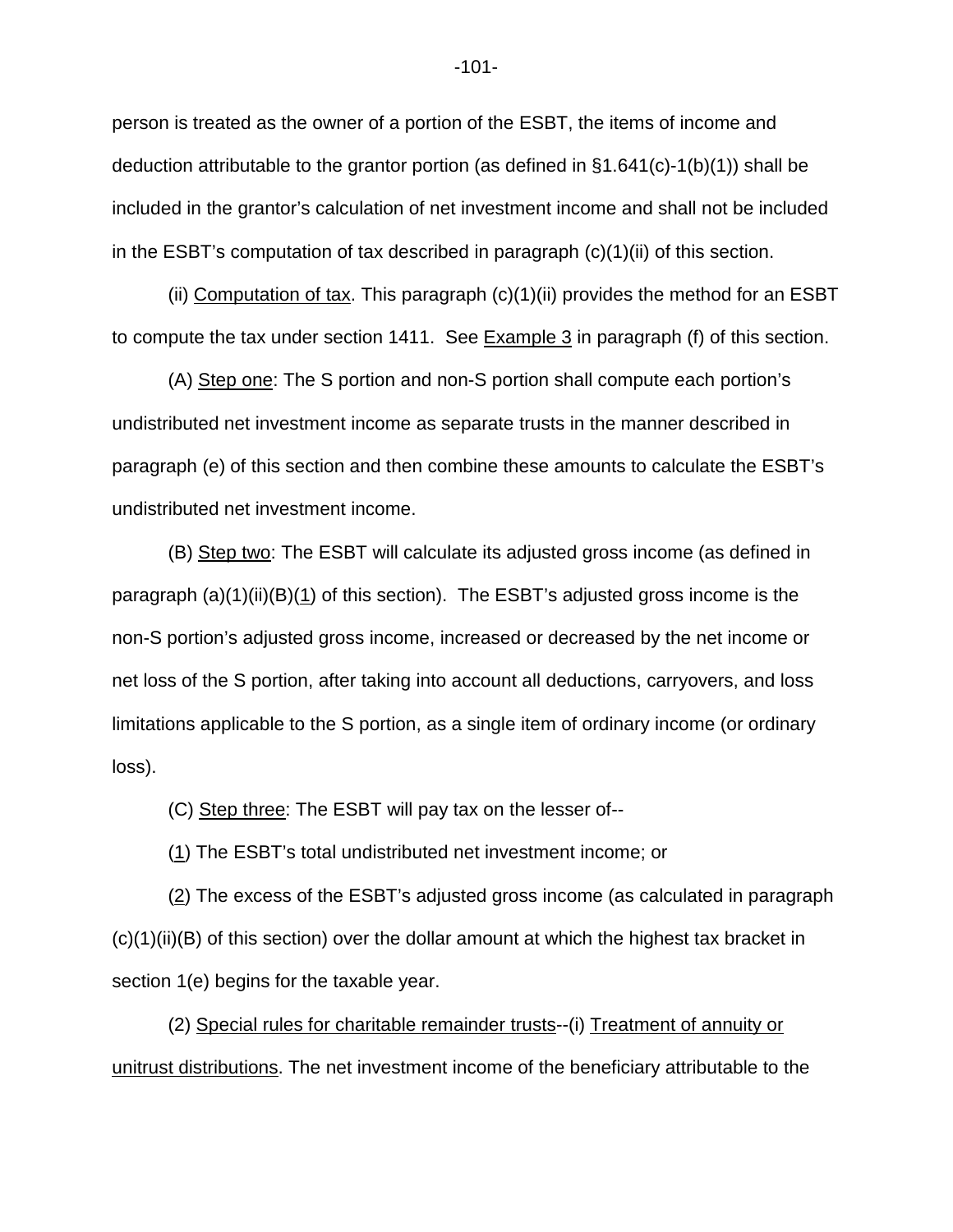person is treated as the owner of a portion of the ESBT, the items of income and deduction attributable to the grantor portion (as defined in §1.641(c)-1(b)(1)) shall be included in the grantor's calculation of net investment income and shall not be included in the ESBT's computation of tax described in paragraph (c)(1)(ii) of this section.

(ii) Computation of tax. This paragraph  $(c)(1)(ii)$  provides the method for an ESBT to compute the tax under section 1411. See Example 3 in paragraph (f) of this section.

(A) Step one: The S portion and non-S portion shall compute each portion's undistributed net investment income as separate trusts in the manner described in paragraph (e) of this section and then combine these amounts to calculate the ESBT's undistributed net investment income.

(B) Step two: The ESBT will calculate its adjusted gross income (as defined in paragraph (a)(1)(ii)(B)(1) of this section). The ESBT's adjusted gross income is the non-S portion's adjusted gross income, increased or decreased by the net income or net loss of the S portion, after taking into account all deductions, carryovers, and loss limitations applicable to the S portion, as a single item of ordinary income (or ordinary loss).

(C) Step three: The ESBT will pay tax on the lesser of--

(1) The ESBT's total undistributed net investment income; or

(2) The excess of the ESBT's adjusted gross income (as calculated in paragraph (c)(1)(ii)(B) of this section) over the dollar amount at which the highest tax bracket in section 1(e) begins for the taxable year.

(2) Special rules for charitable remainder trusts--(i) Treatment of annuity or unitrust distributions. The net investment income of the beneficiary attributable to the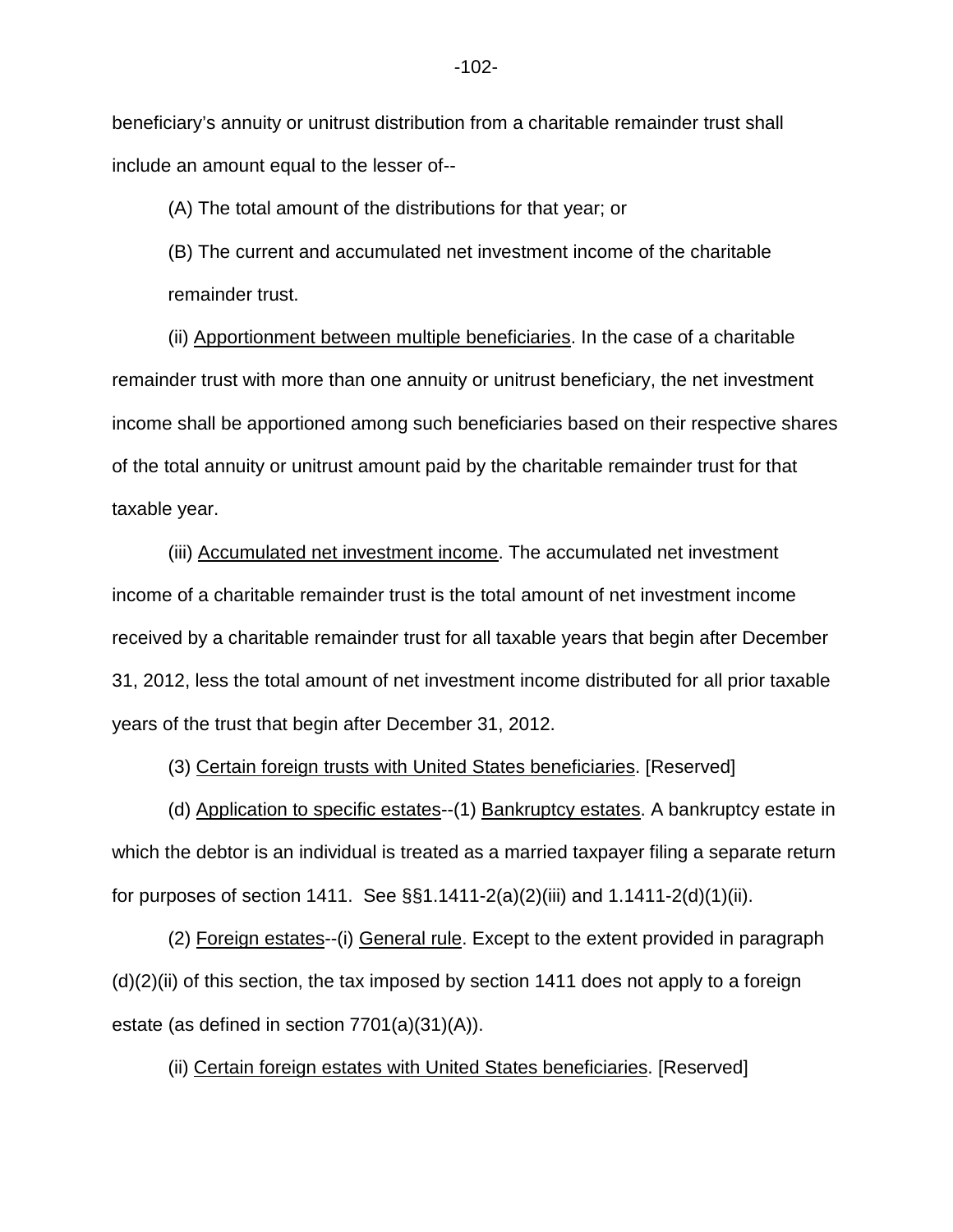beneficiary's annuity or unitrust distribution from a charitable remainder trust shall include an amount equal to the lesser of--

(A) The total amount of the distributions for that year; or

(B) The current and accumulated net investment income of the charitable remainder trust.

(ii) Apportionment between multiple beneficiaries. In the case of a charitable remainder trust with more than one annuity or unitrust beneficiary, the net investment income shall be apportioned among such beneficiaries based on their respective shares of the total annuity or unitrust amount paid by the charitable remainder trust for that taxable year.

(iii) Accumulated net investment income. The accumulated net investment income of a charitable remainder trust is the total amount of net investment income received by a charitable remainder trust for all taxable years that begin after December 31, 2012, less the total amount of net investment income distributed for all prior taxable years of the trust that begin after December 31, 2012.

(3) Certain foreign trusts with United States beneficiaries. [Reserved]

(d) Application to specific estates--(1) Bankruptcy estates. A bankruptcy estate in which the debtor is an individual is treated as a married taxpayer filing a separate return for purposes of section 1411. See  $\S$ §1.1411-2(a)(2)(iii) and 1.1411-2(d)(1)(ii).

(2) Foreign estates--(i) General rule. Except to the extent provided in paragraph  $(d)(2)(ii)$  of this section, the tax imposed by section 1411 does not apply to a foreign estate (as defined in section 7701(a)(31)(A)).

(ii) Certain foreign estates with United States beneficiaries. [Reserved]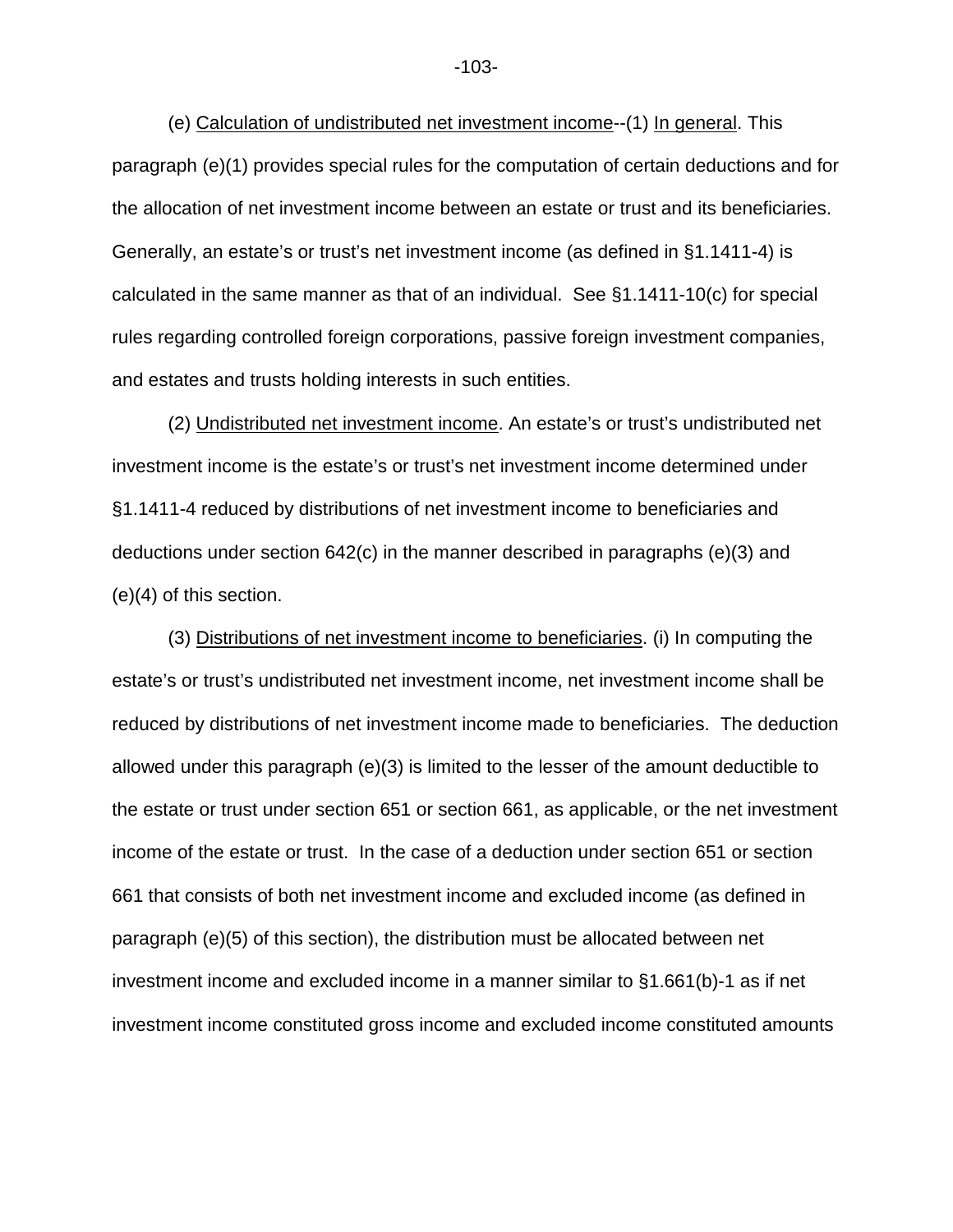(e) Calculation of undistributed net investment income--(1) In general. This paragraph (e)(1) provides special rules for the computation of certain deductions and for the allocation of net investment income between an estate or trust and its beneficiaries. Generally, an estate's or trust's net investment income (as defined in §1.1411-4) is calculated in the same manner as that of an individual. See §1.1411-10(c) for special rules regarding controlled foreign corporations, passive foreign investment companies, and estates and trusts holding interests in such entities.

(2) Undistributed net investment income. An estate's or trust's undistributed net investment income is the estate's or trust's net investment income determined under §1.1411-4 reduced by distributions of net investment income to beneficiaries and deductions under section 642(c) in the manner described in paragraphs (e)(3) and (e)(4) of this section.

(3) Distributions of net investment income to beneficiaries. (i) In computing the estate's or trust's undistributed net investment income, net investment income shall be reduced by distributions of net investment income made to beneficiaries. The deduction allowed under this paragraph (e)(3) is limited to the lesser of the amount deductible to the estate or trust under section 651 or section 661, as applicable, or the net investment income of the estate or trust. In the case of a deduction under section 651 or section 661 that consists of both net investment income and excluded income (as defined in paragraph (e)(5) of this section), the distribution must be allocated between net investment income and excluded income in a manner similar to §1.661(b)-1 as if net investment income constituted gross income and excluded income constituted amounts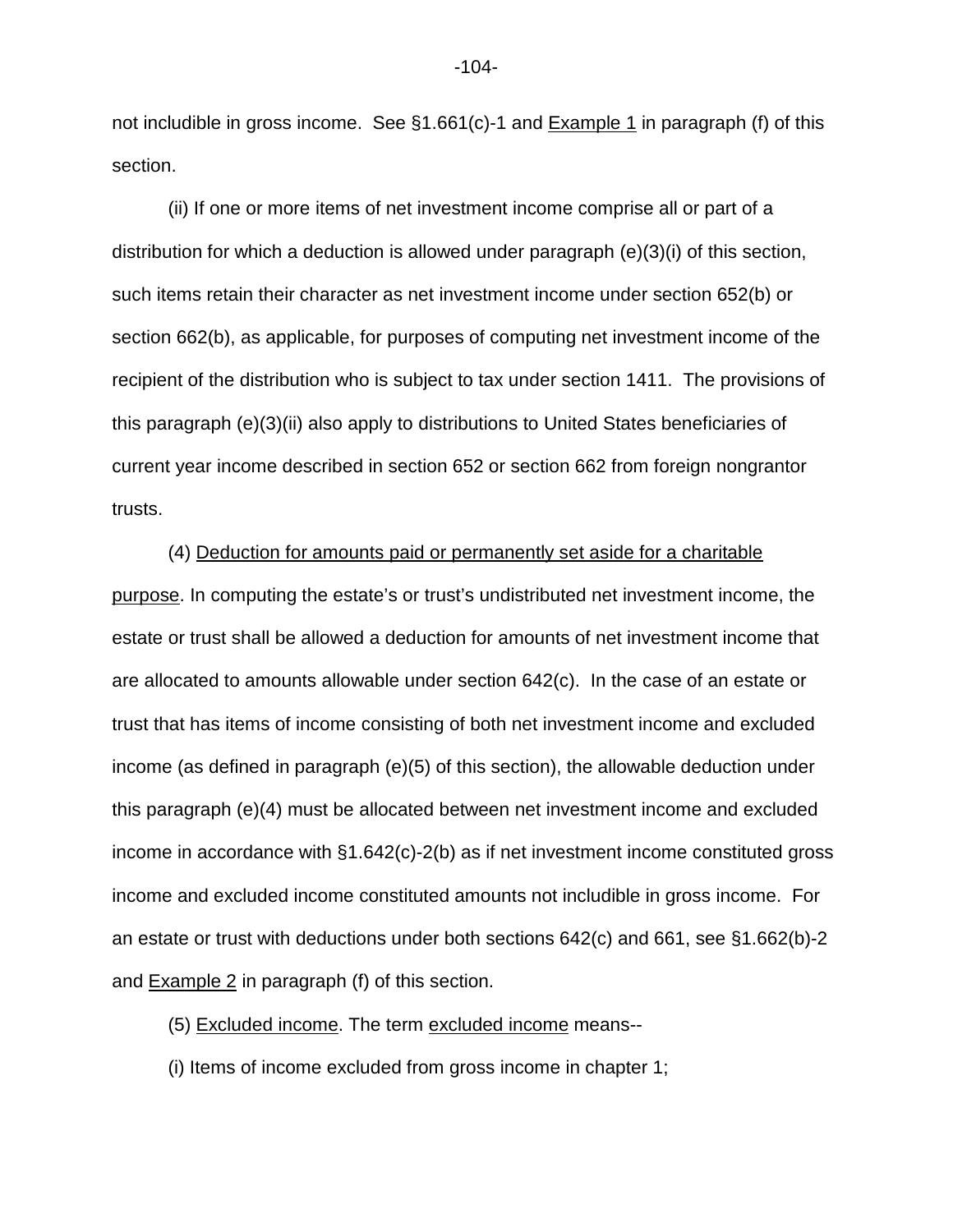not includible in gross income. See  $\S1.661(c)$ -1 and **Example 1** in paragraph (f) of this section.

(ii) If one or more items of net investment income comprise all or part of a distribution for which a deduction is allowed under paragraph (e)(3)(i) of this section, such items retain their character as net investment income under section 652(b) or section 662(b), as applicable, for purposes of computing net investment income of the recipient of the distribution who is subject to tax under section 1411. The provisions of this paragraph (e)(3)(ii) also apply to distributions to United States beneficiaries of current year income described in section 652 or section 662 from foreign nongrantor trusts.

(4) Deduction for amounts paid or permanently set aside for a charitable purpose. In computing the estate's or trust's undistributed net investment income, the estate or trust shall be allowed a deduction for amounts of net investment income that are allocated to amounts allowable under section 642(c). In the case of an estate or trust that has items of income consisting of both net investment income and excluded income (as defined in paragraph (e)(5) of this section), the allowable deduction under this paragraph (e)(4) must be allocated between net investment income and excluded income in accordance with §1.642(c)-2(b) as if net investment income constituted gross income and excluded income constituted amounts not includible in gross income. For an estate or trust with deductions under both sections 642(c) and 661, see §1.662(b)-2 and Example 2 in paragraph (f) of this section.

(5) Excluded income. The term excluded income means--

(i) Items of income excluded from gross income in chapter 1;

-104-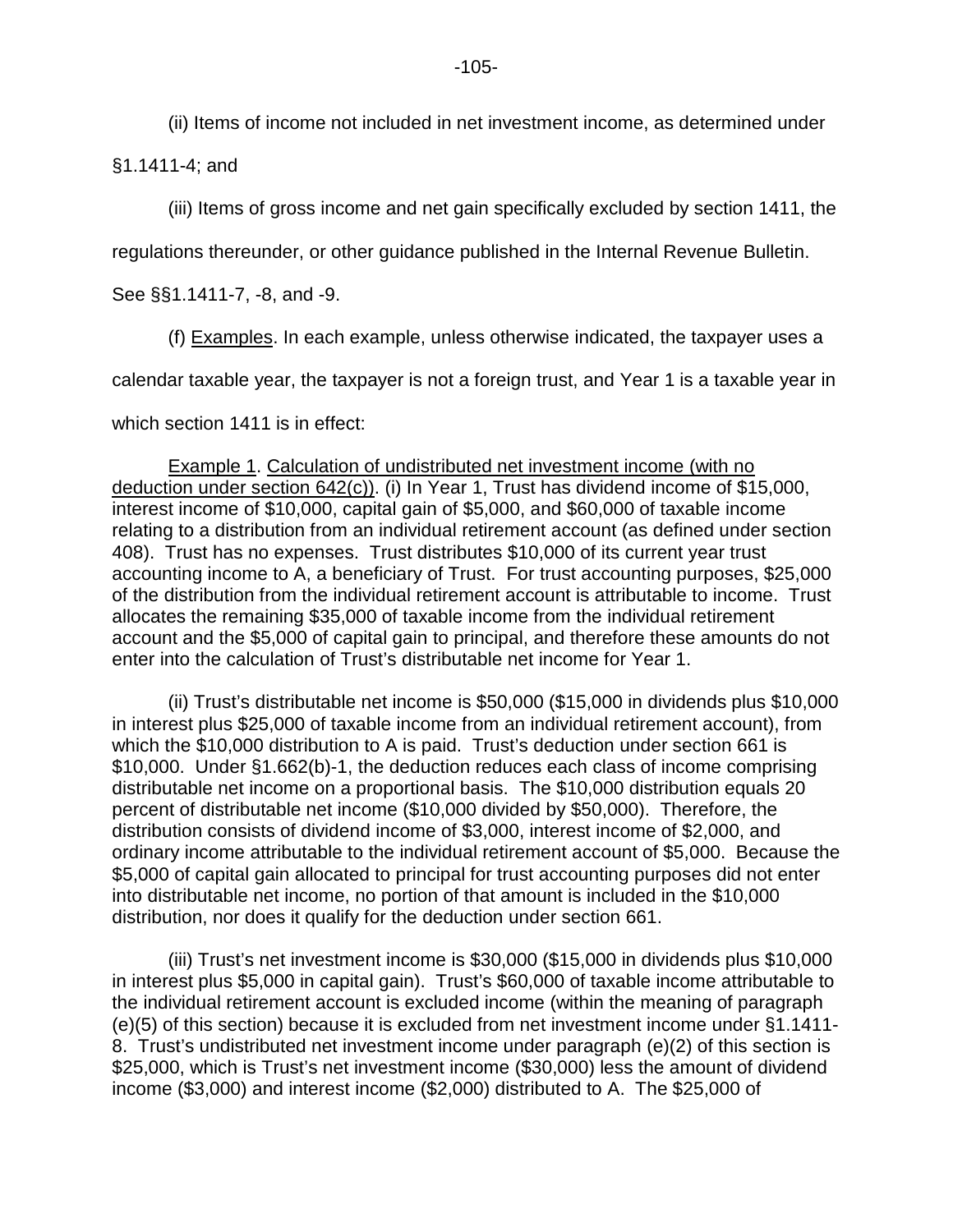(ii) Items of income not included in net investment income, as determined under

§1.1411-4; and

(iii) Items of gross income and net gain specifically excluded by section 1411, the

regulations thereunder, or other guidance published in the Internal Revenue Bulletin.

See §§1.1411-7, -8, and -9.

(f) Examples. In each example, unless otherwise indicated, the taxpayer uses a

calendar taxable year, the taxpayer is not a foreign trust, and Year 1 is a taxable year in

which section 1411 is in effect:

Example 1. Calculation of undistributed net investment income (with no deduction under section 642(c)). (i) In Year 1, Trust has dividend income of \$15,000, interest income of \$10,000, capital gain of \$5,000, and \$60,000 of taxable income relating to a distribution from an individual retirement account (as defined under section 408). Trust has no expenses. Trust distributes \$10,000 of its current year trust accounting income to A, a beneficiary of Trust. For trust accounting purposes, \$25,000 of the distribution from the individual retirement account is attributable to income. Trust allocates the remaining \$35,000 of taxable income from the individual retirement account and the \$5,000 of capital gain to principal, and therefore these amounts do not enter into the calculation of Trust's distributable net income for Year 1.

(ii) Trust's distributable net income is \$50,000 (\$15,000 in dividends plus \$10,000 in interest plus \$25,000 of taxable income from an individual retirement account), from which the \$10,000 distribution to A is paid. Trust's deduction under section 661 is \$10,000. Under §1.662(b)-1, the deduction reduces each class of income comprising distributable net income on a proportional basis. The \$10,000 distribution equals 20 percent of distributable net income (\$10,000 divided by \$50,000). Therefore, the distribution consists of dividend income of \$3,000, interest income of \$2,000, and ordinary income attributable to the individual retirement account of \$5,000. Because the \$5,000 of capital gain allocated to principal for trust accounting purposes did not enter into distributable net income, no portion of that amount is included in the \$10,000 distribution, nor does it qualify for the deduction under section 661.

(iii) Trust's net investment income is \$30,000 (\$15,000 in dividends plus \$10,000 in interest plus \$5,000 in capital gain). Trust's \$60,000 of taxable income attributable to the individual retirement account is excluded income (within the meaning of paragraph (e)(5) of this section) because it is excluded from net investment income under §1.1411- 8. Trust's undistributed net investment income under paragraph (e)(2) of this section is \$25,000, which is Trust's net investment income (\$30,000) less the amount of dividend income (\$3,000) and interest income (\$2,000) distributed to A. The \$25,000 of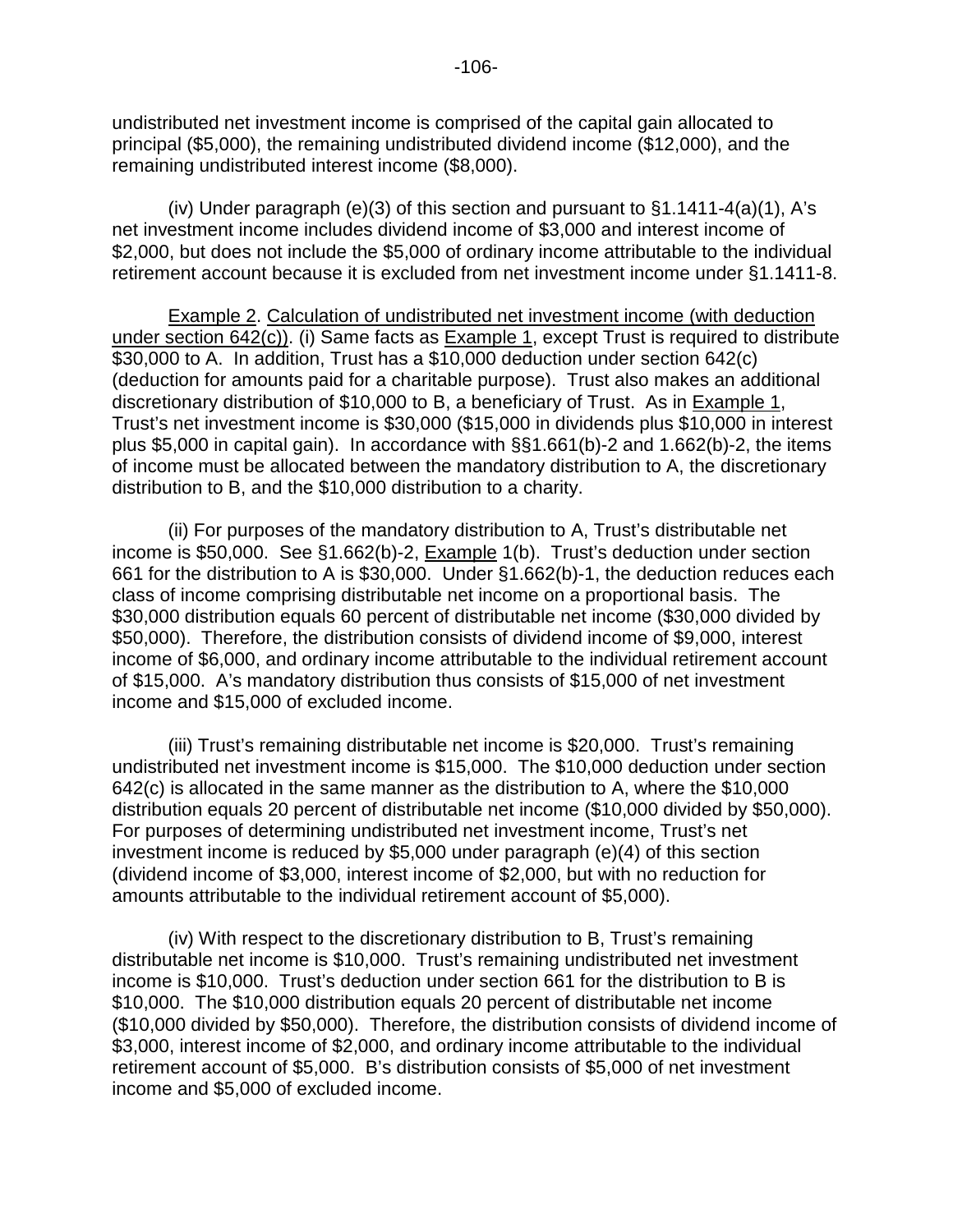undistributed net investment income is comprised of the capital gain allocated to principal (\$5,000), the remaining undistributed dividend income (\$12,000), and the remaining undistributed interest income (\$8,000).

(iv) Under paragraph (e)(3) of this section and pursuant to  $§1.1411-4(a)(1)$ , A's net investment income includes dividend income of \$3,000 and interest income of \$2,000, but does not include the \$5,000 of ordinary income attributable to the individual retirement account because it is excluded from net investment income under §1.1411-8.

Example 2. Calculation of undistributed net investment income (with deduction under section 642(c)). (i) Same facts as Example 1, except Trust is required to distribute \$30,000 to A. In addition, Trust has a \$10,000 deduction under section 642(c) (deduction for amounts paid for a charitable purpose). Trust also makes an additional discretionary distribution of \$10,000 to B, a beneficiary of Trust. As in Example 1, Trust's net investment income is \$30,000 (\$15,000 in dividends plus \$10,000 in interest plus \$5,000 in capital gain). In accordance with §§1.661(b)-2 and 1.662(b)-2, the items of income must be allocated between the mandatory distribution to A, the discretionary distribution to B, and the \$10,000 distribution to a charity.

(ii) For purposes of the mandatory distribution to A, Trust's distributable net income is \$50,000. See §1.662(b)-2, Example 1(b). Trust's deduction under section 661 for the distribution to A is \$30,000. Under §1.662(b)-1, the deduction reduces each class of income comprising distributable net income on a proportional basis. The \$30,000 distribution equals 60 percent of distributable net income (\$30,000 divided by \$50,000). Therefore, the distribution consists of dividend income of \$9,000, interest income of \$6,000, and ordinary income attributable to the individual retirement account of \$15,000. A's mandatory distribution thus consists of \$15,000 of net investment income and \$15,000 of excluded income.

(iii) Trust's remaining distributable net income is \$20,000. Trust's remaining undistributed net investment income is \$15,000. The \$10,000 deduction under section 642(c) is allocated in the same manner as the distribution to A, where the \$10,000 distribution equals 20 percent of distributable net income (\$10,000 divided by \$50,000). For purposes of determining undistributed net investment income, Trust's net investment income is reduced by \$5,000 under paragraph (e)(4) of this section (dividend income of \$3,000, interest income of \$2,000, but with no reduction for amounts attributable to the individual retirement account of \$5,000).

(iv) With respect to the discretionary distribution to B, Trust's remaining distributable net income is \$10,000. Trust's remaining undistributed net investment income is \$10,000. Trust's deduction under section 661 for the distribution to B is \$10,000. The \$10,000 distribution equals 20 percent of distributable net income (\$10,000 divided by \$50,000). Therefore, the distribution consists of dividend income of \$3,000, interest income of \$2,000, and ordinary income attributable to the individual retirement account of \$5,000. B's distribution consists of \$5,000 of net investment income and \$5,000 of excluded income.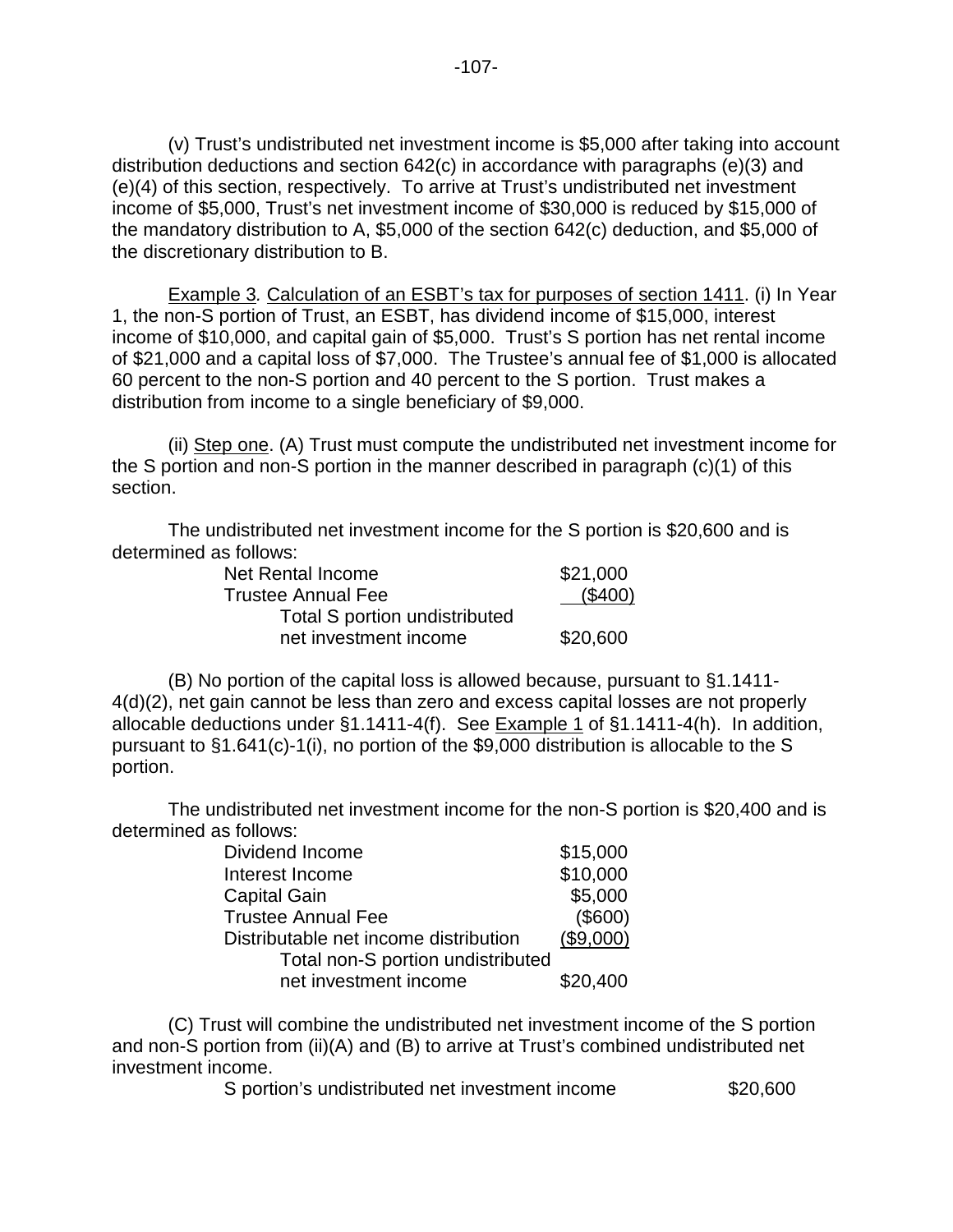(v) Trust's undistributed net investment income is \$5,000 after taking into account distribution deductions and section 642(c) in accordance with paragraphs (e)(3) and (e)(4) of this section, respectively. To arrive at Trust's undistributed net investment income of \$5,000, Trust's net investment income of \$30,000 is reduced by \$15,000 of the mandatory distribution to A, \$5,000 of the section 642(c) deduction, and \$5,000 of the discretionary distribution to B.

Example 3. Calculation of an ESBT's tax for purposes of section 1411. (i) In Year 1, the non-S portion of Trust, an ESBT, has dividend income of \$15,000, interest income of \$10,000, and capital gain of \$5,000. Trust's S portion has net rental income of \$21,000 and a capital loss of \$7,000. The Trustee's annual fee of \$1,000 is allocated 60 percent to the non-S portion and 40 percent to the S portion. Trust makes a distribution from income to a single beneficiary of \$9,000.

(ii) Step one. (A) Trust must compute the undistributed net investment income for the S portion and non-S portion in the manner described in paragraph (c)(1) of this section.

The undistributed net investment income for the S portion is \$20,600 and is determined as follows:

| Net Rental Income                    | \$21,000 |
|--------------------------------------|----------|
| <b>Trustee Annual Fee</b>            | (\$400)  |
| <b>Total S portion undistributed</b> |          |
| net investment income                | \$20,600 |

(B) No portion of the capital loss is allowed because, pursuant to §1.1411- 4(d)(2), net gain cannot be less than zero and excess capital losses are not properly allocable deductions under §1.1411-4(f). See Example 1 of §1.1411-4(h). In addition, pursuant to §1.641(c)-1(i), no portion of the \$9,000 distribution is allocable to the S portion.

 The undistributed net investment income for the non-S portion is \$20,400 and is determined as follows:

| Dividend Income                       | \$15,000  |
|---------------------------------------|-----------|
| Interest Income                       | \$10,000  |
| <b>Capital Gain</b>                   | \$5,000   |
| <b>Trustee Annual Fee</b>             | (\$600)   |
| Distributable net income distribution | (\$9,000) |
| Total non-S portion undistributed     |           |
| net investment income                 | \$20,400  |

(C) Trust will combine the undistributed net investment income of the S portion and non-S portion from (ii)(A) and (B) to arrive at Trust's combined undistributed net investment income.

S portion's undistributed net investment income \$20,600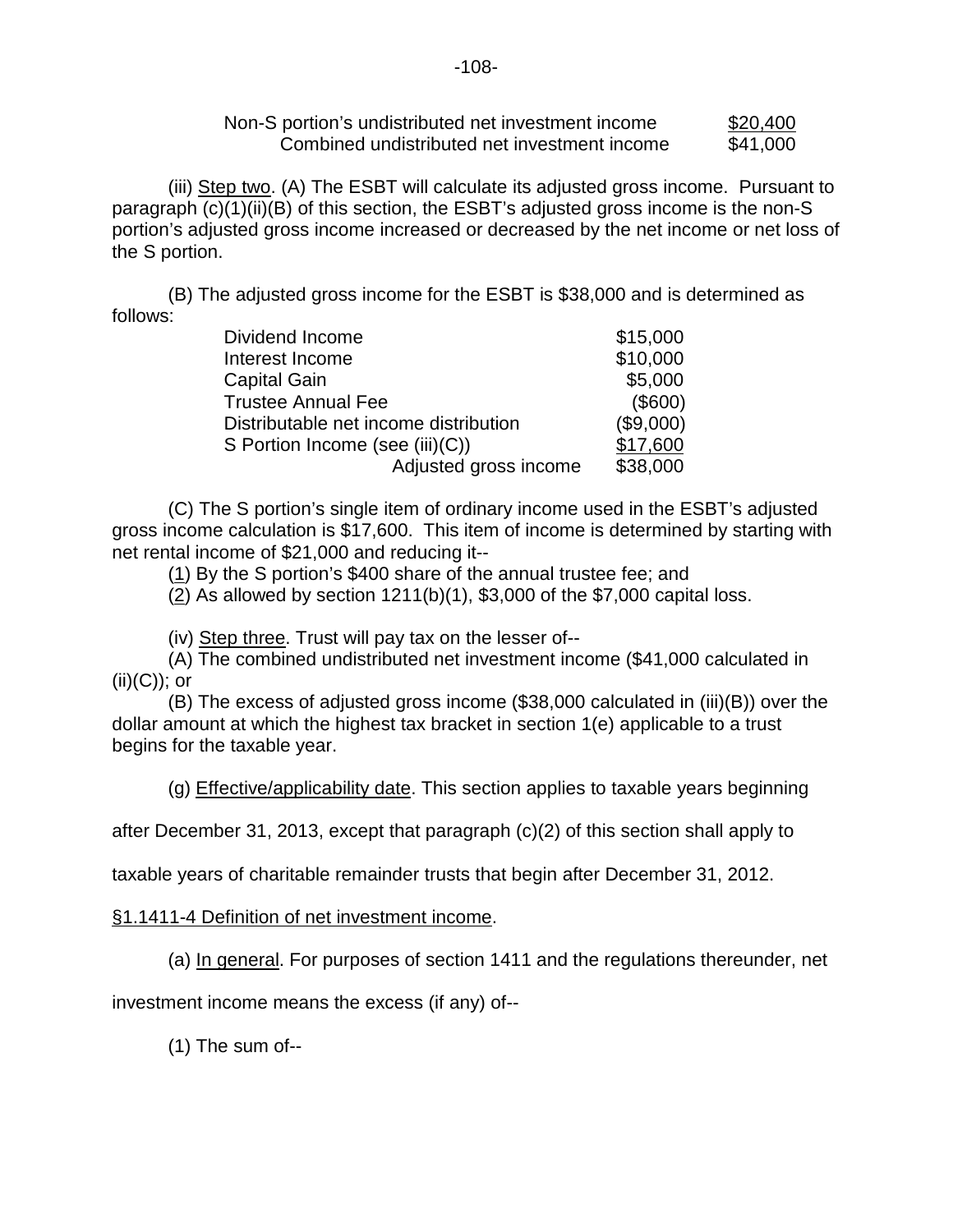| Non-S portion's undistributed net investment income | \$20,400 |
|-----------------------------------------------------|----------|
| Combined undistributed net investment income        | \$41,000 |

(iii) Step two. (A) The ESBT will calculate its adjusted gross income. Pursuant to paragraph (c)(1)(ii)(B) of this section, the ESBT's adjusted gross income is the non-S portion's adjusted gross income increased or decreased by the net income or net loss of the S portion.

 (B) The adjusted gross income for the ESBT is \$38,000 and is determined as follows:

| Dividend Income                       | \$15,000  |
|---------------------------------------|-----------|
| Interest Income                       | \$10,000  |
| <b>Capital Gain</b>                   | \$5,000   |
| <b>Trustee Annual Fee</b>             | (\$600)   |
| Distributable net income distribution | (\$9,000) |
| S Portion Income (see (iii)(C))       | \$17,600  |
| Adjusted gross income                 | \$38,000  |

(C) The S portion's single item of ordinary income used in the ESBT's adjusted gross income calculation is \$17,600. This item of income is determined by starting with net rental income of \$21,000 and reducing it--

(1) By the S portion's \$400 share of the annual trustee fee; and

(2) As allowed by section 1211(b)(1), \$3,000 of the \$7,000 capital loss.

(iv) Step three. Trust will pay tax on the lesser of--

(A) The combined undistributed net investment income (\$41,000 calculated in  $(ii)(C)$ ; or

(B) The excess of adjusted gross income (\$38,000 calculated in (iii)(B)) over the dollar amount at which the highest tax bracket in section 1(e) applicable to a trust begins for the taxable year.

(g) Effective/applicability date. This section applies to taxable years beginning

after December 31, 2013, except that paragraph (c)(2) of this section shall apply to

taxable years of charitable remainder trusts that begin after December 31, 2012.

## §1.1411-4 Definition of net investment income.

(a) In general. For purposes of section 1411 and the regulations thereunder, net

investment income means the excess (if any) of--

(1) The sum of--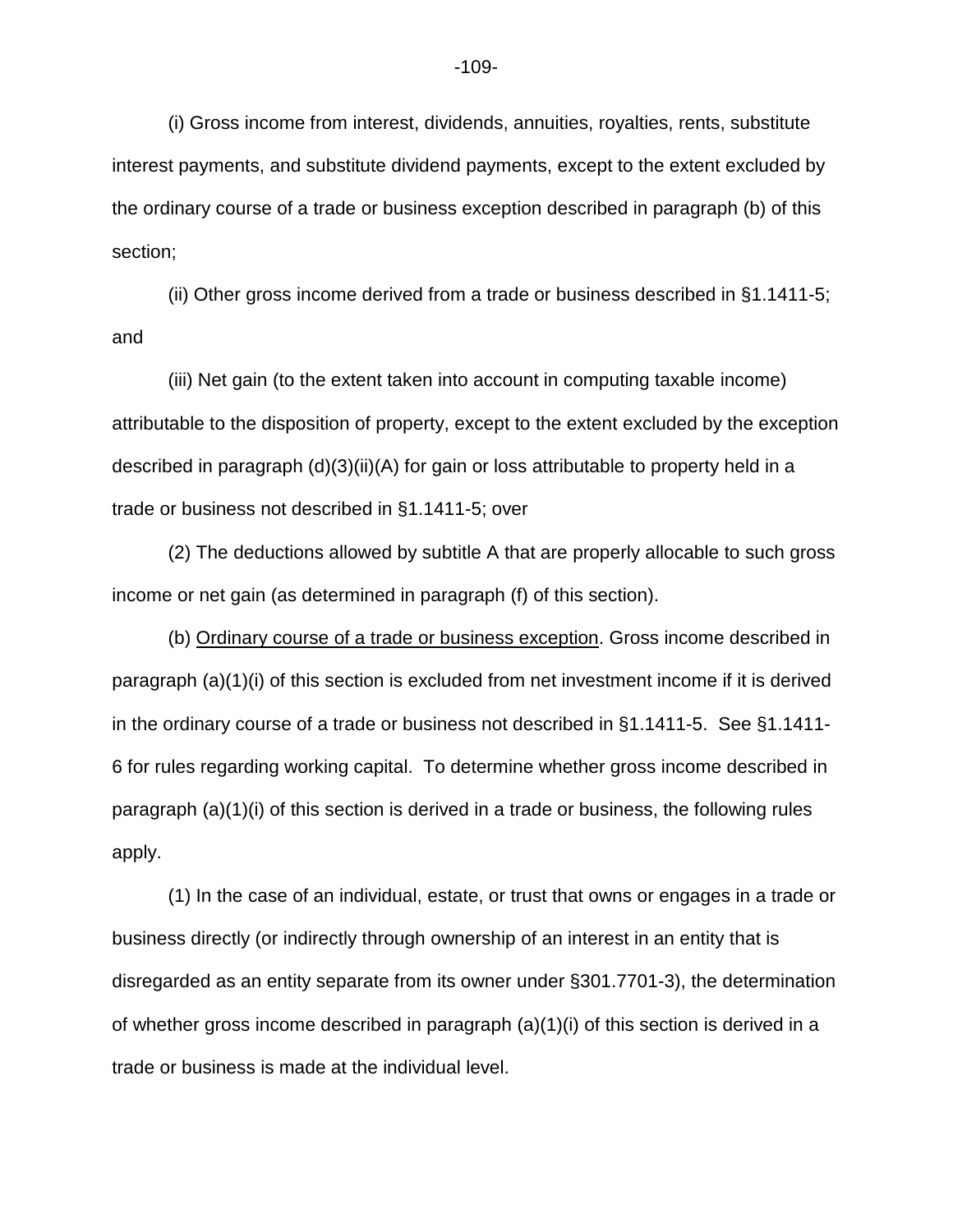(i) Gross income from interest, dividends, annuities, royalties, rents, substitute interest payments, and substitute dividend payments, except to the extent excluded by the ordinary course of a trade or business exception described in paragraph (b) of this section;

(ii) Other gross income derived from a trade or business described in §1.1411-5; and

(iii) Net gain (to the extent taken into account in computing taxable income) attributable to the disposition of property, except to the extent excluded by the exception described in paragraph (d)(3)(ii)(A) for gain or loss attributable to property held in a trade or business not described in §1.1411-5; over

(2) The deductions allowed by subtitle A that are properly allocable to such gross income or net gain (as determined in paragraph (f) of this section).

(b) Ordinary course of a trade or business exception. Gross income described in paragraph (a)(1)(i) of this section is excluded from net investment income if it is derived in the ordinary course of a trade or business not described in §1.1411-5. See §1.1411- 6 for rules regarding working capital. To determine whether gross income described in paragraph (a)(1)(i) of this section is derived in a trade or business, the following rules apply.

(1) In the case of an individual, estate, or trust that owns or engages in a trade or business directly (or indirectly through ownership of an interest in an entity that is disregarded as an entity separate from its owner under §301.7701-3), the determination of whether gross income described in paragraph  $(a)(1)(i)$  of this section is derived in a trade or business is made at the individual level.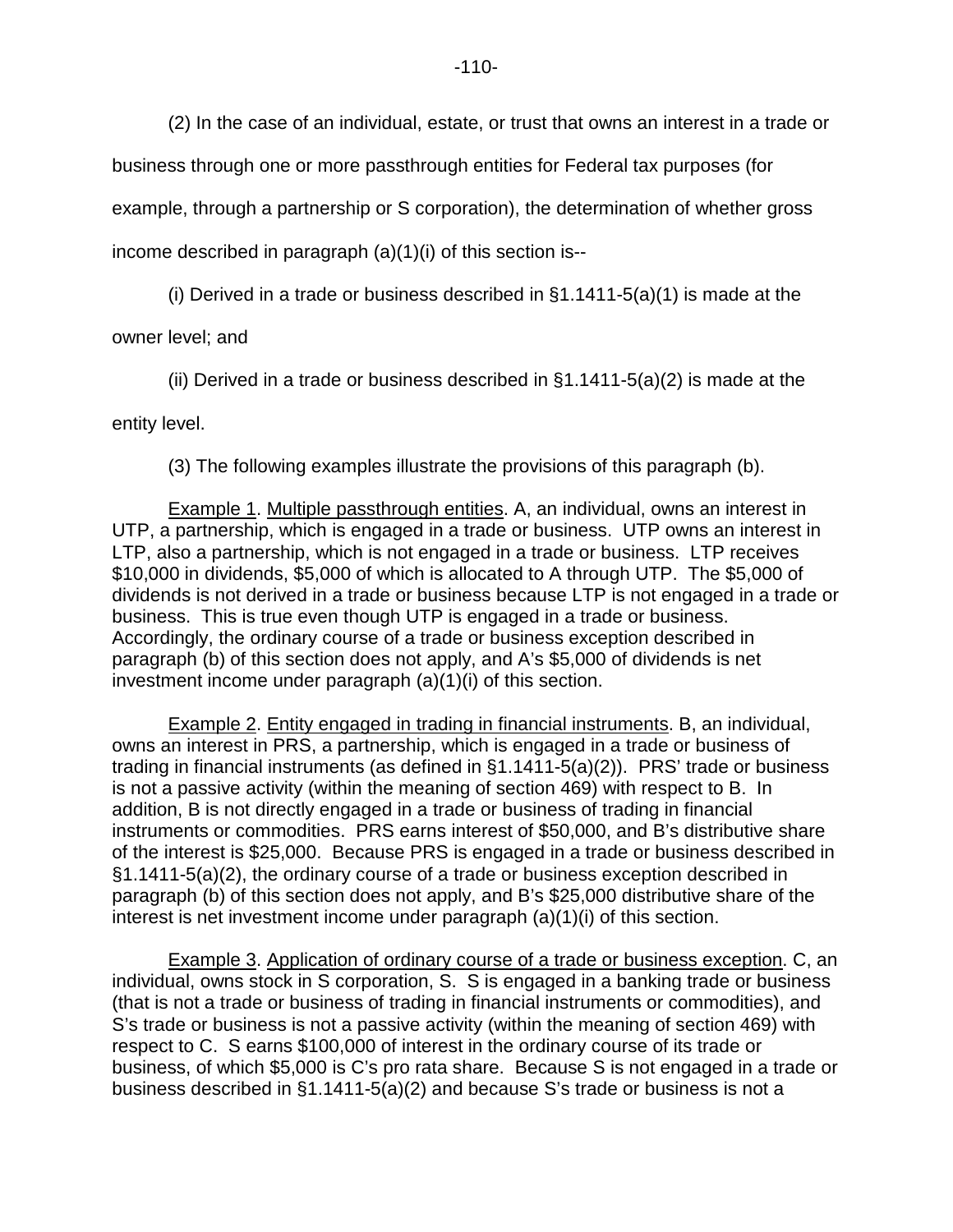(2) In the case of an individual, estate, or trust that owns an interest in a trade or

business through one or more passthrough entities for Federal tax purposes (for

example, through a partnership or S corporation), the determination of whether gross

income described in paragraph (a)(1)(i) of this section is--

(i) Derived in a trade or business described in  $\S1.1411-5(a)(1)$  is made at the

owner level; and

(ii) Derived in a trade or business described in  $\S1.1411 - 5(a)(2)$  is made at the

entity level.

(3) The following examples illustrate the provisions of this paragraph (b).

Example 1. Multiple passthrough entities. A, an individual, owns an interest in UTP, a partnership, which is engaged in a trade or business. UTP owns an interest in LTP, also a partnership, which is not engaged in a trade or business. LTP receives \$10,000 in dividends, \$5,000 of which is allocated to A through UTP. The \$5,000 of dividends is not derived in a trade or business because LTP is not engaged in a trade or business. This is true even though UTP is engaged in a trade or business. Accordingly, the ordinary course of a trade or business exception described in paragraph (b) of this section does not apply, and A's \$5,000 of dividends is net investment income under paragraph (a)(1)(i) of this section.

Example 2. Entity engaged in trading in financial instruments. B, an individual, owns an interest in PRS, a partnership, which is engaged in a trade or business of trading in financial instruments (as defined in §1.1411-5(a)(2)). PRS' trade or business is not a passive activity (within the meaning of section 469) with respect to B. In addition, B is not directly engaged in a trade or business of trading in financial instruments or commodities. PRS earns interest of \$50,000, and B's distributive share of the interest is \$25,000. Because PRS is engaged in a trade or business described in §1.1411-5(a)(2), the ordinary course of a trade or business exception described in paragraph (b) of this section does not apply, and B's \$25,000 distributive share of the interest is net investment income under paragraph (a)(1)(i) of this section.

Example 3. Application of ordinary course of a trade or business exception. C, an individual, owns stock in S corporation, S. S is engaged in a banking trade or business (that is not a trade or business of trading in financial instruments or commodities), and S's trade or business is not a passive activity (within the meaning of section 469) with respect to C. S earns \$100,000 of interest in the ordinary course of its trade or business, of which \$5,000 is C's pro rata share. Because S is not engaged in a trade or business described in §1.1411-5(a)(2) and because S's trade or business is not a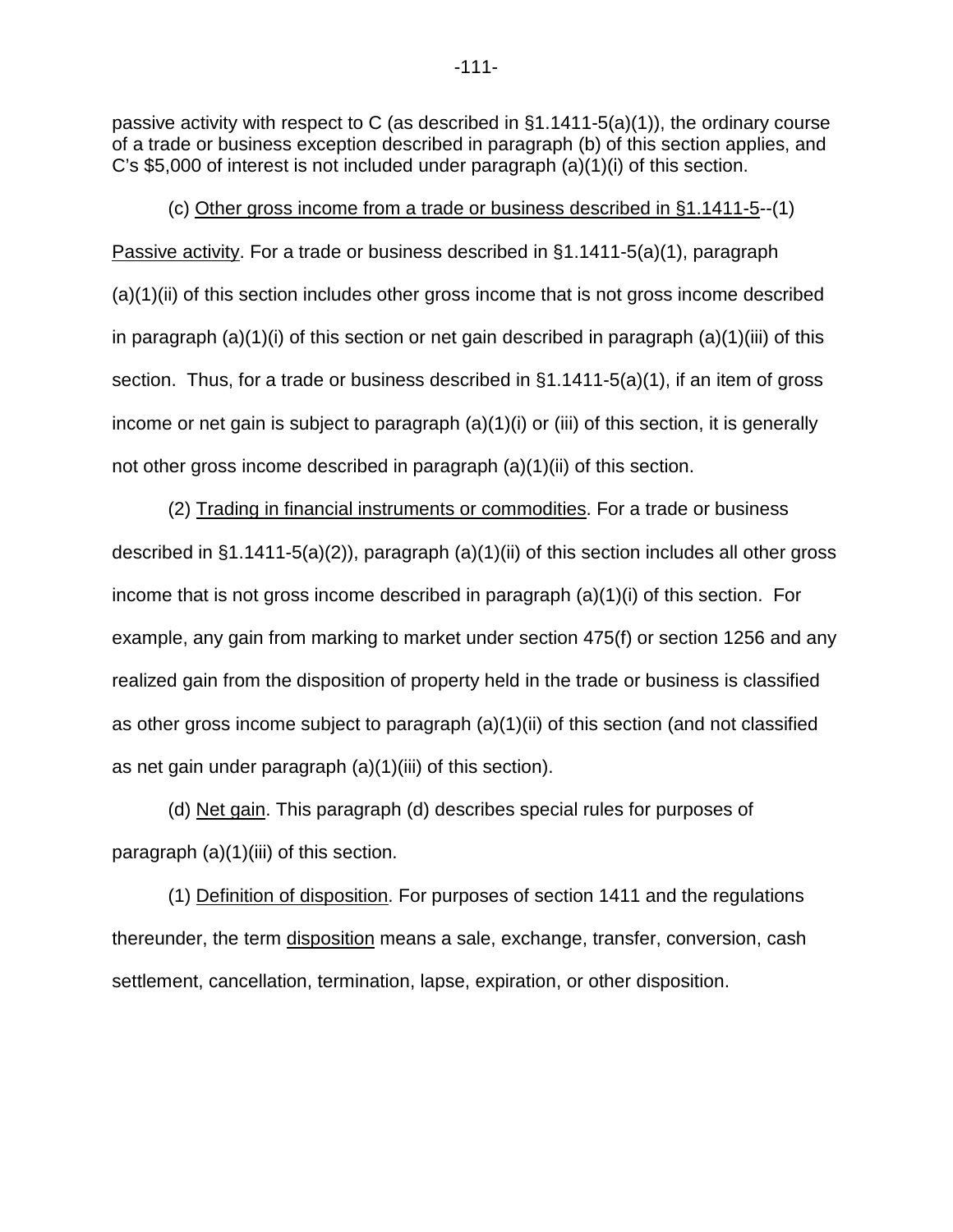passive activity with respect to C (as described in §1.1411-5(a)(1)), the ordinary course of a trade or business exception described in paragraph (b) of this section applies, and C's \$5,000 of interest is not included under paragraph (a)(1)(i) of this section.

(c) Other gross income from a trade or business described in §1.1411-5--(1) Passive activity. For a trade or business described in §1.1411-5(a)(1), paragraph (a)(1)(ii) of this section includes other gross income that is not gross income described in paragraph  $(a)(1)(i)$  of this section or net gain described in paragraph  $(a)(1)(iii)$  of this section. Thus, for a trade or business described in §1.1411-5(a)(1), if an item of gross income or net gain is subject to paragraph (a)(1)(i) or (iii) of this section, it is generally not other gross income described in paragraph (a)(1)(ii) of this section.

(2) Trading in financial instruments or commodities. For a trade or business described in  $\S1.1411-5(a)(2)$ , paragraph (a)(1)(ii) of this section includes all other gross income that is not gross income described in paragraph (a)(1)(i) of this section. For example, any gain from marking to market under section 475(f) or section 1256 and any realized gain from the disposition of property held in the trade or business is classified as other gross income subject to paragraph (a)(1)(ii) of this section (and not classified as net gain under paragraph (a)(1)(iii) of this section).

(d) Net gain. This paragraph (d) describes special rules for purposes of paragraph (a)(1)(iii) of this section.

(1) Definition of disposition. For purposes of section 1411 and the regulations thereunder, the term disposition means a sale, exchange, transfer, conversion, cash settlement, cancellation, termination, lapse, expiration, or other disposition.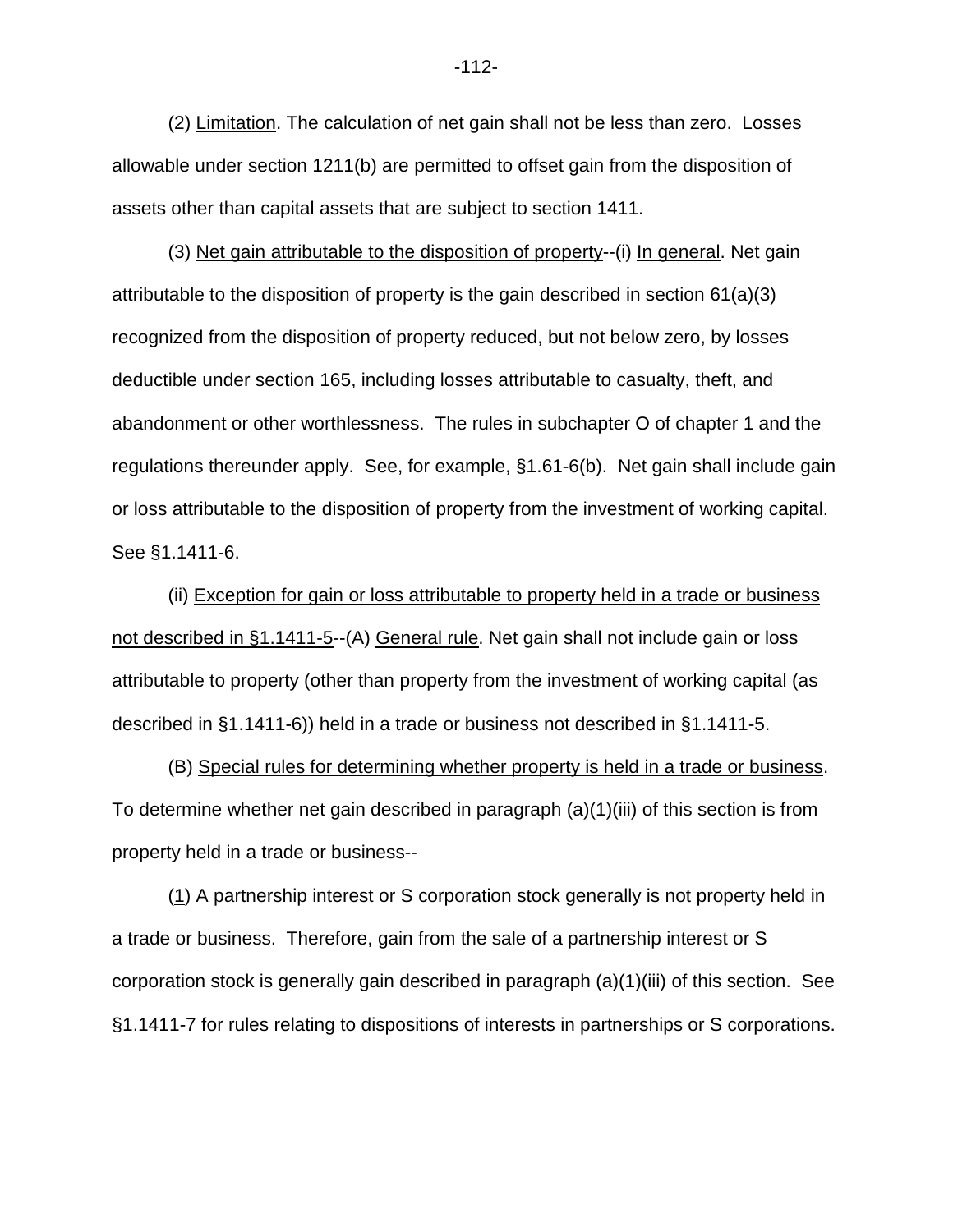(2) Limitation. The calculation of net gain shall not be less than zero. Losses allowable under section 1211(b) are permitted to offset gain from the disposition of assets other than capital assets that are subject to section 1411.

(3) Net gain attributable to the disposition of property--(i) In general. Net gain attributable to the disposition of property is the gain described in section 61(a)(3) recognized from the disposition of property reduced, but not below zero, by losses deductible under section 165, including losses attributable to casualty, theft, and abandonment or other worthlessness. The rules in subchapter O of chapter 1 and the regulations thereunder apply. See, for example, §1.61-6(b). Net gain shall include gain or loss attributable to the disposition of property from the investment of working capital. See §1.1411-6.

(ii) Exception for gain or loss attributable to property held in a trade or business not described in §1.1411-5--(A) General rule. Net gain shall not include gain or loss attributable to property (other than property from the investment of working capital (as described in §1.1411-6)) held in a trade or business not described in §1.1411-5.

(B) Special rules for determining whether property is held in a trade or business. To determine whether net gain described in paragraph  $(a)(1)(iii)$  of this section is from property held in a trade or business--

(1) A partnership interest or S corporation stock generally is not property held in a trade or business. Therefore, gain from the sale of a partnership interest or S corporation stock is generally gain described in paragraph (a)(1)(iii) of this section. See §1.1411-7 for rules relating to dispositions of interests in partnerships or S corporations.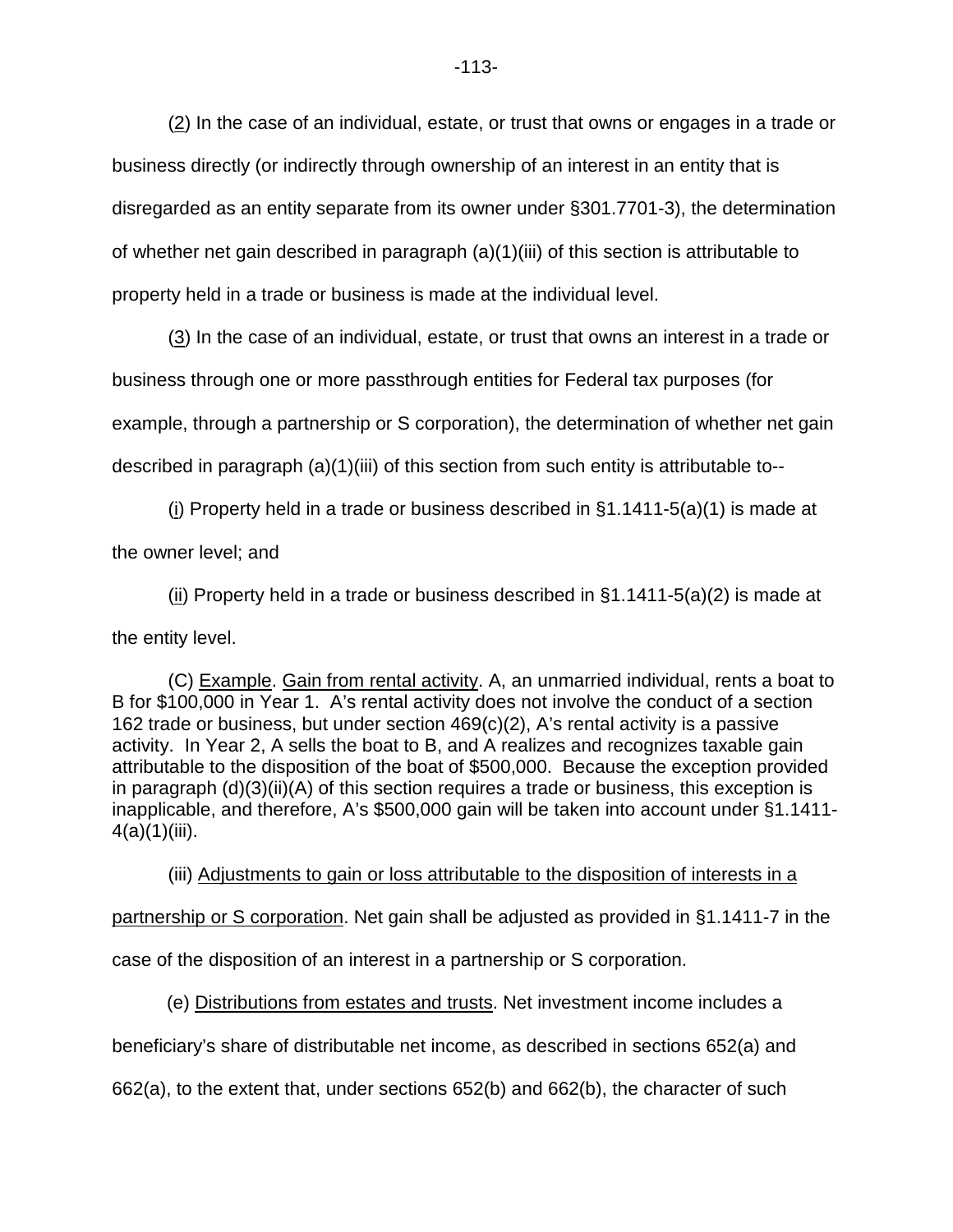(2) In the case of an individual, estate, or trust that owns or engages in a trade or business directly (or indirectly through ownership of an interest in an entity that is disregarded as an entity separate from its owner under §301.7701-3), the determination of whether net gain described in paragraph (a)(1)(iii) of this section is attributable to property held in a trade or business is made at the individual level.

(3) In the case of an individual, estate, or trust that owns an interest in a trade or business through one or more passthrough entities for Federal tax purposes (for example, through a partnership or S corporation), the determination of whether net gain described in paragraph (a)(1)(iii) of this section from such entity is attributable to--

(i) Property held in a trade or business described in  $\S1.1411-5(a)(1)$  is made at the owner level; and

(ii) Property held in a trade or business described in  $\S1.1411-5(a)(2)$  is made at the entity level.

(C) Example. Gain from rental activity. A, an unmarried individual, rents a boat to B for \$100,000 in Year 1. A's rental activity does not involve the conduct of a section 162 trade or business, but under section 469(c)(2), A's rental activity is a passive activity. In Year 2, A sells the boat to B, and A realizes and recognizes taxable gain attributable to the disposition of the boat of \$500,000. Because the exception provided in paragraph (d)(3)(ii)(A) of this section requires a trade or business, this exception is inapplicable, and therefore, A's \$500,000 gain will be taken into account under §1.1411-  $4(a)(1)(iii)$ .

(iii) Adjustments to gain or loss attributable to the disposition of interests in a

partnership or S corporation. Net gain shall be adjusted as provided in §1.1411-7 in the

case of the disposition of an interest in a partnership or S corporation.

(e) Distributions from estates and trusts. Net investment income includes a

beneficiary's share of distributable net income, as described in sections 652(a) and

662(a), to the extent that, under sections 652(b) and 662(b), the character of such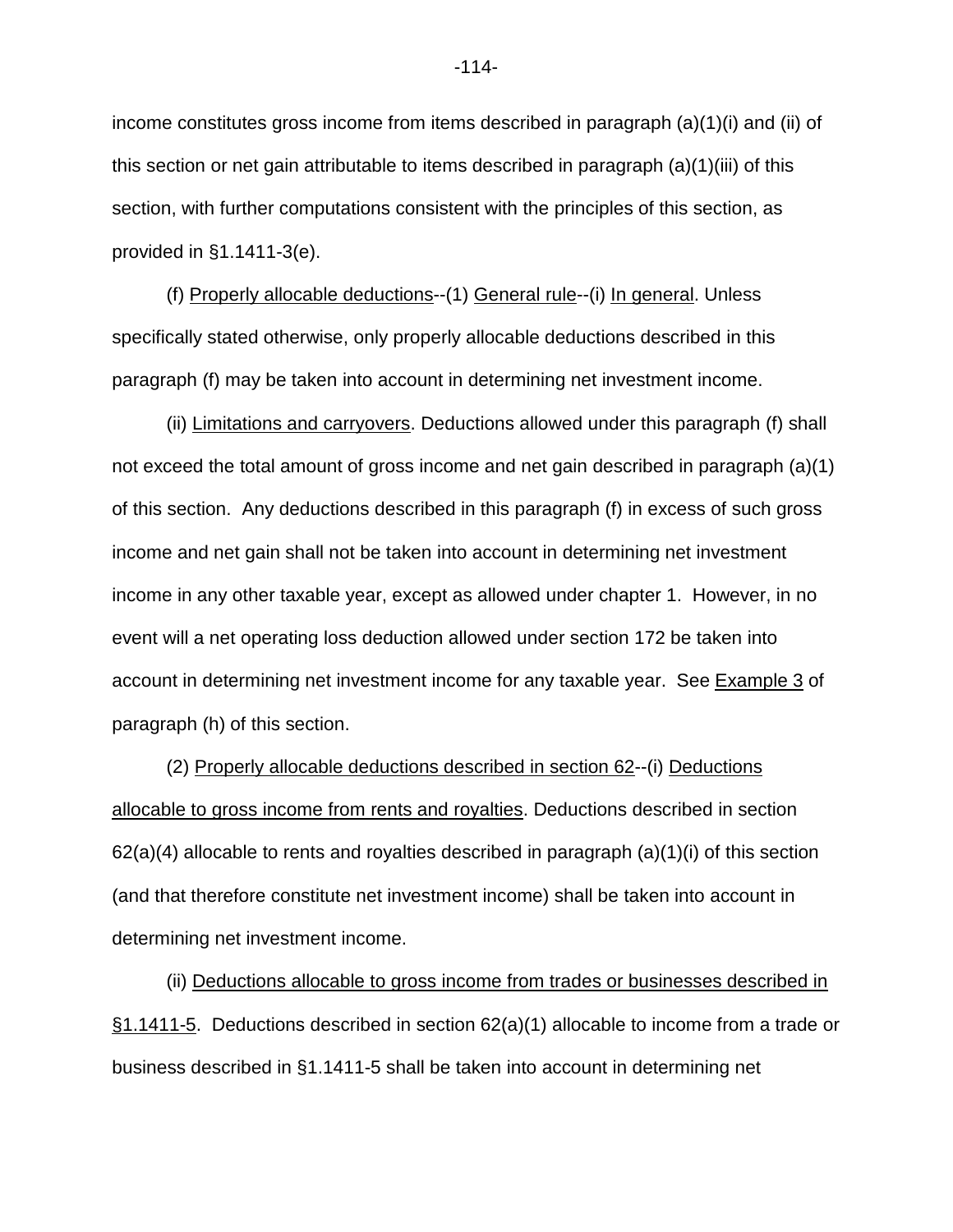income constitutes gross income from items described in paragraph (a)(1)(i) and (ii) of this section or net gain attributable to items described in paragraph (a)(1)(iii) of this section, with further computations consistent with the principles of this section, as provided in §1.1411-3(e).

(f) Properly allocable deductions--(1) General rule--(i) In general. Unless specifically stated otherwise, only properly allocable deductions described in this paragraph (f) may be taken into account in determining net investment income.

(ii) Limitations and carryovers. Deductions allowed under this paragraph (f) shall not exceed the total amount of gross income and net gain described in paragraph (a)(1) of this section. Any deductions described in this paragraph (f) in excess of such gross income and net gain shall not be taken into account in determining net investment income in any other taxable year, except as allowed under chapter 1. However, in no event will a net operating loss deduction allowed under section 172 be taken into account in determining net investment income for any taxable year. See Example 3 of paragraph (h) of this section.

(2) Properly allocable deductions described in section 62--(i) Deductions allocable to gross income from rents and royalties. Deductions described in section  $62(a)(4)$  allocable to rents and royalties described in paragraph  $(a)(1)(i)$  of this section (and that therefore constitute net investment income) shall be taken into account in determining net investment income.

(ii) Deductions allocable to gross income from trades or businesses described in §1.1411-5. Deductions described in section 62(a)(1) allocable to income from a trade or business described in §1.1411-5 shall be taken into account in determining net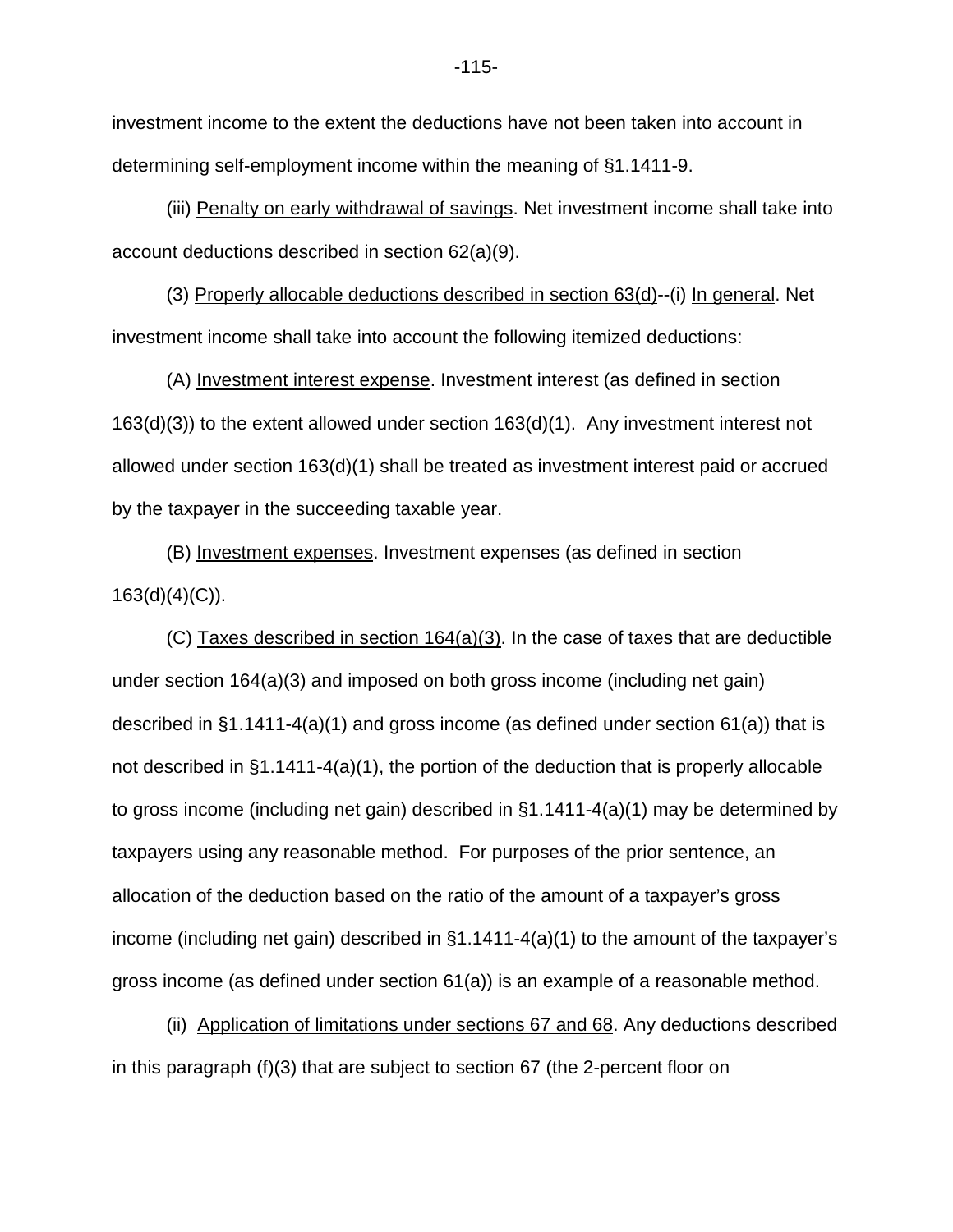investment income to the extent the deductions have not been taken into account in determining self-employment income within the meaning of §1.1411-9.

(iii) Penalty on early withdrawal of savings. Net investment income shall take into account deductions described in section 62(a)(9).

(3) Properly allocable deductions described in section 63(d)--(i) In general. Net investment income shall take into account the following itemized deductions:

(A) Investment interest expense. Investment interest (as defined in section 163(d)(3)) to the extent allowed under section 163(d)(1). Any investment interest not allowed under section 163(d)(1) shall be treated as investment interest paid or accrued by the taxpayer in the succeeding taxable year.

(B) Investment expenses. Investment expenses (as defined in section  $163(d)(4)(C)$ ).

(C) Taxes described in section 164(a)(3). In the case of taxes that are deductible under section 164(a)(3) and imposed on both gross income (including net gain) described in §1.1411-4(a)(1) and gross income (as defined under section 61(a)) that is not described in §1.1411-4(a)(1), the portion of the deduction that is properly allocable to gross income (including net gain) described in §1.1411-4(a)(1) may be determined by taxpayers using any reasonable method. For purposes of the prior sentence, an allocation of the deduction based on the ratio of the amount of a taxpayer's gross income (including net gain) described in §1.1411-4(a)(1) to the amount of the taxpayer's gross income (as defined under section 61(a)) is an example of a reasonable method.

(ii) Application of limitations under sections 67 and 68. Any deductions described in this paragraph (f)(3) that are subject to section 67 (the 2-percent floor on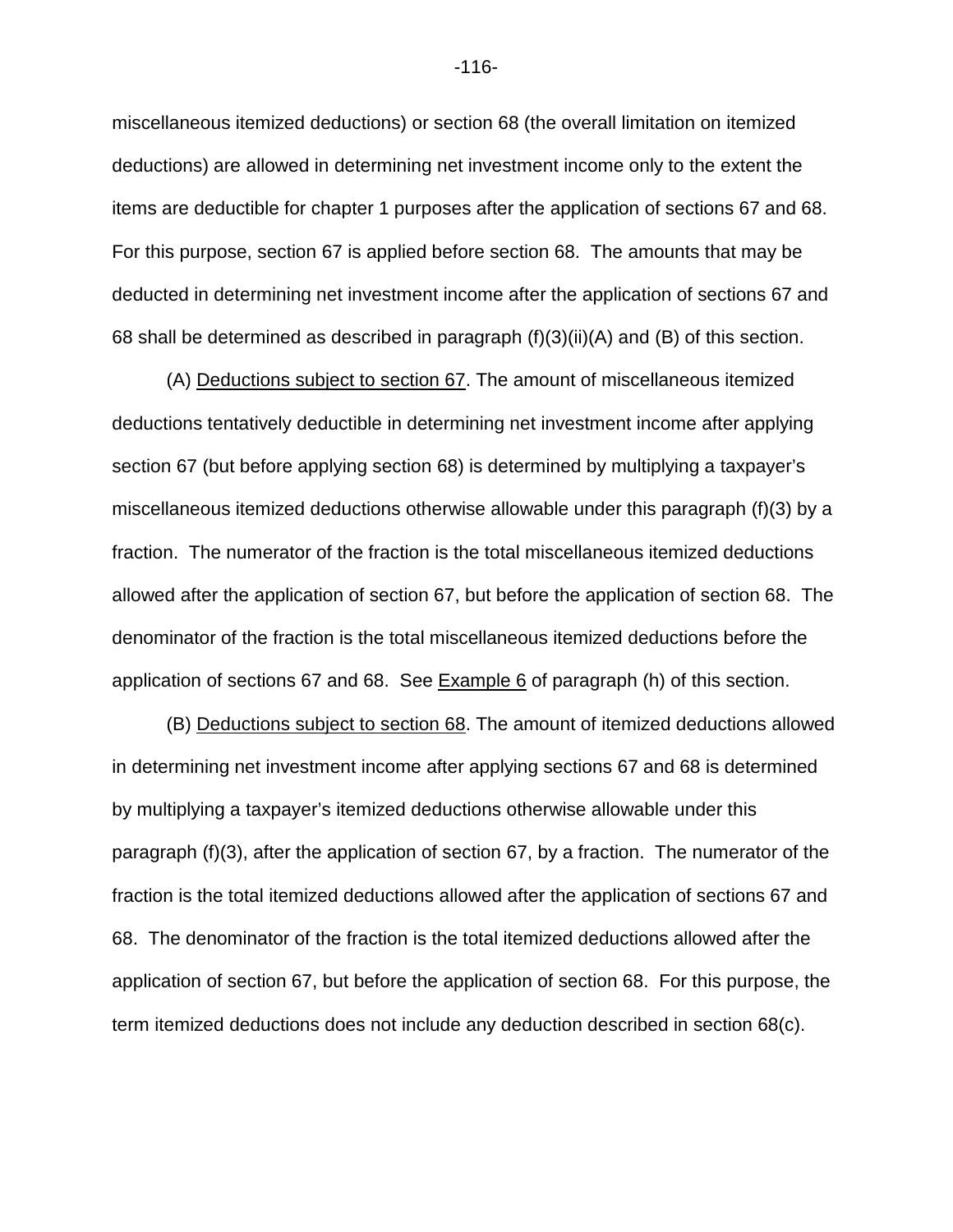miscellaneous itemized deductions) or section 68 (the overall limitation on itemized deductions) are allowed in determining net investment income only to the extent the items are deductible for chapter 1 purposes after the application of sections 67 and 68. For this purpose, section 67 is applied before section 68. The amounts that may be deducted in determining net investment income after the application of sections 67 and 68 shall be determined as described in paragraph  $(f)(3)(ii)(A)$  and  $(B)$  of this section.

(A) Deductions subject to section 67. The amount of miscellaneous itemized deductions tentatively deductible in determining net investment income after applying section 67 (but before applying section 68) is determined by multiplying a taxpayer's miscellaneous itemized deductions otherwise allowable under this paragraph (f)(3) by a fraction. The numerator of the fraction is the total miscellaneous itemized deductions allowed after the application of section 67, but before the application of section 68. The denominator of the fraction is the total miscellaneous itemized deductions before the application of sections 67 and 68. See  $Example 6$  of paragraph (h) of this section.

(B) Deductions subject to section 68. The amount of itemized deductions allowed in determining net investment income after applying sections 67 and 68 is determined by multiplying a taxpayer's itemized deductions otherwise allowable under this paragraph (f)(3), after the application of section 67, by a fraction. The numerator of the fraction is the total itemized deductions allowed after the application of sections 67 and 68. The denominator of the fraction is the total itemized deductions allowed after the application of section 67, but before the application of section 68. For this purpose, the term itemized deductions does not include any deduction described in section 68(c).

-116-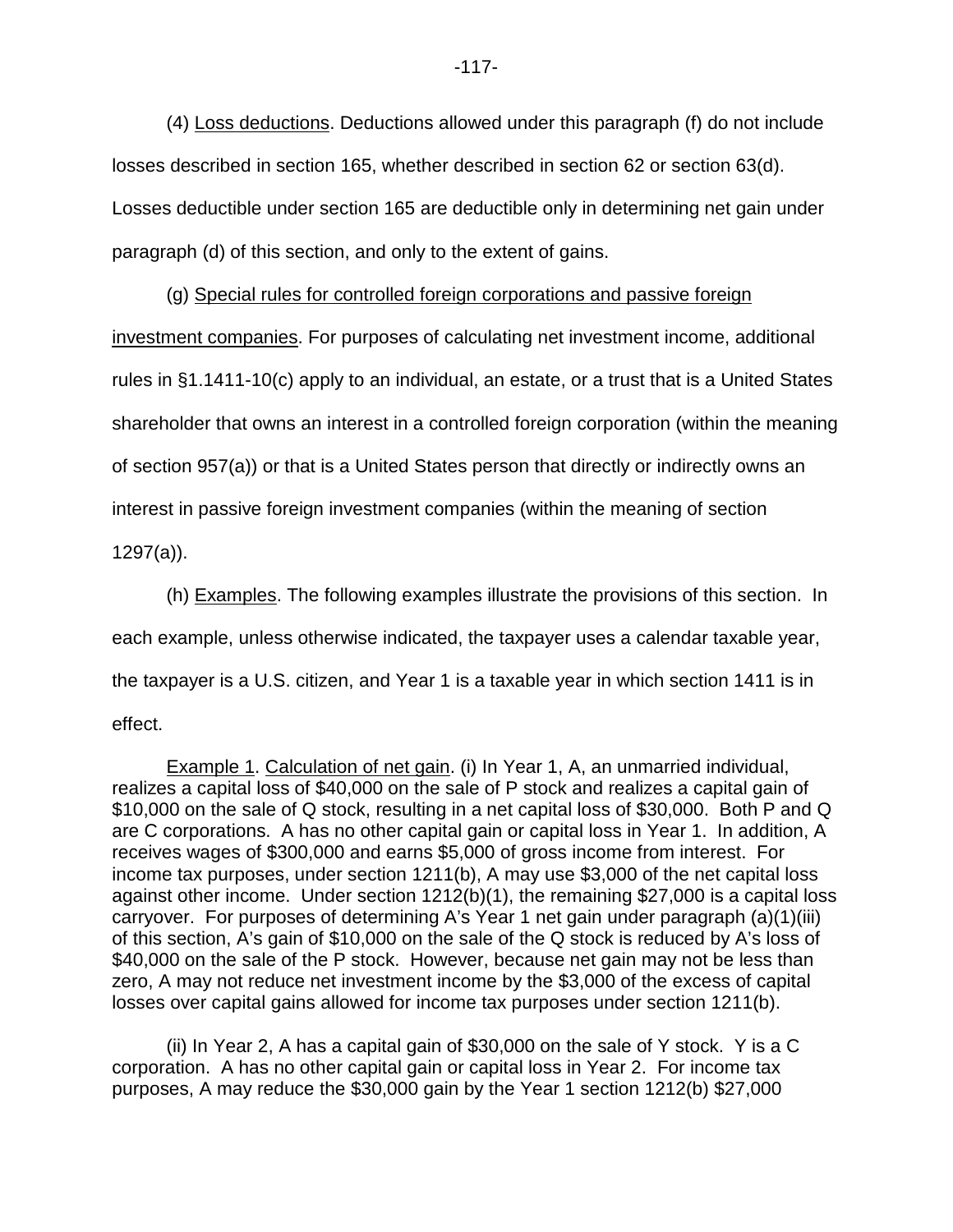(4) Loss deductions. Deductions allowed under this paragraph (f) do not include losses described in section 165, whether described in section 62 or section 63(d). Losses deductible under section 165 are deductible only in determining net gain under paragraph (d) of this section, and only to the extent of gains.

(g) Special rules for controlled foreign corporations and passive foreign investment companies. For purposes of calculating net investment income, additional rules in §1.1411-10(c) apply to an individual, an estate, or a trust that is a United States shareholder that owns an interest in a controlled foreign corporation (within the meaning of section 957(a)) or that is a United States person that directly or indirectly owns an interest in passive foreign investment companies (within the meaning of section 1297(a)).

(h) Examples. The following examples illustrate the provisions of this section. In each example, unless otherwise indicated, the taxpayer uses a calendar taxable year, the taxpayer is a U.S. citizen, and Year 1 is a taxable year in which section 1411 is in effect.

Example 1. Calculation of net gain. (i) In Year 1, A, an unmarried individual, realizes a capital loss of \$40,000 on the sale of P stock and realizes a capital gain of \$10,000 on the sale of Q stock, resulting in a net capital loss of \$30,000. Both P and Q are C corporations. A has no other capital gain or capital loss in Year 1. In addition, A receives wages of \$300,000 and earns \$5,000 of gross income from interest. For income tax purposes, under section 1211(b), A may use \$3,000 of the net capital loss against other income. Under section 1212(b)(1), the remaining \$27,000 is a capital loss carryover. For purposes of determining A's Year 1 net gain under paragraph (a)(1)(iii) of this section, A's gain of \$10,000 on the sale of the Q stock is reduced by A's loss of \$40,000 on the sale of the P stock. However, because net gain may not be less than zero, A may not reduce net investment income by the \$3,000 of the excess of capital losses over capital gains allowed for income tax purposes under section 1211(b).

(ii) In Year 2, A has a capital gain of \$30,000 on the sale of Y stock. Y is a C corporation. A has no other capital gain or capital loss in Year 2. For income tax purposes, A may reduce the \$30,000 gain by the Year 1 section 1212(b) \$27,000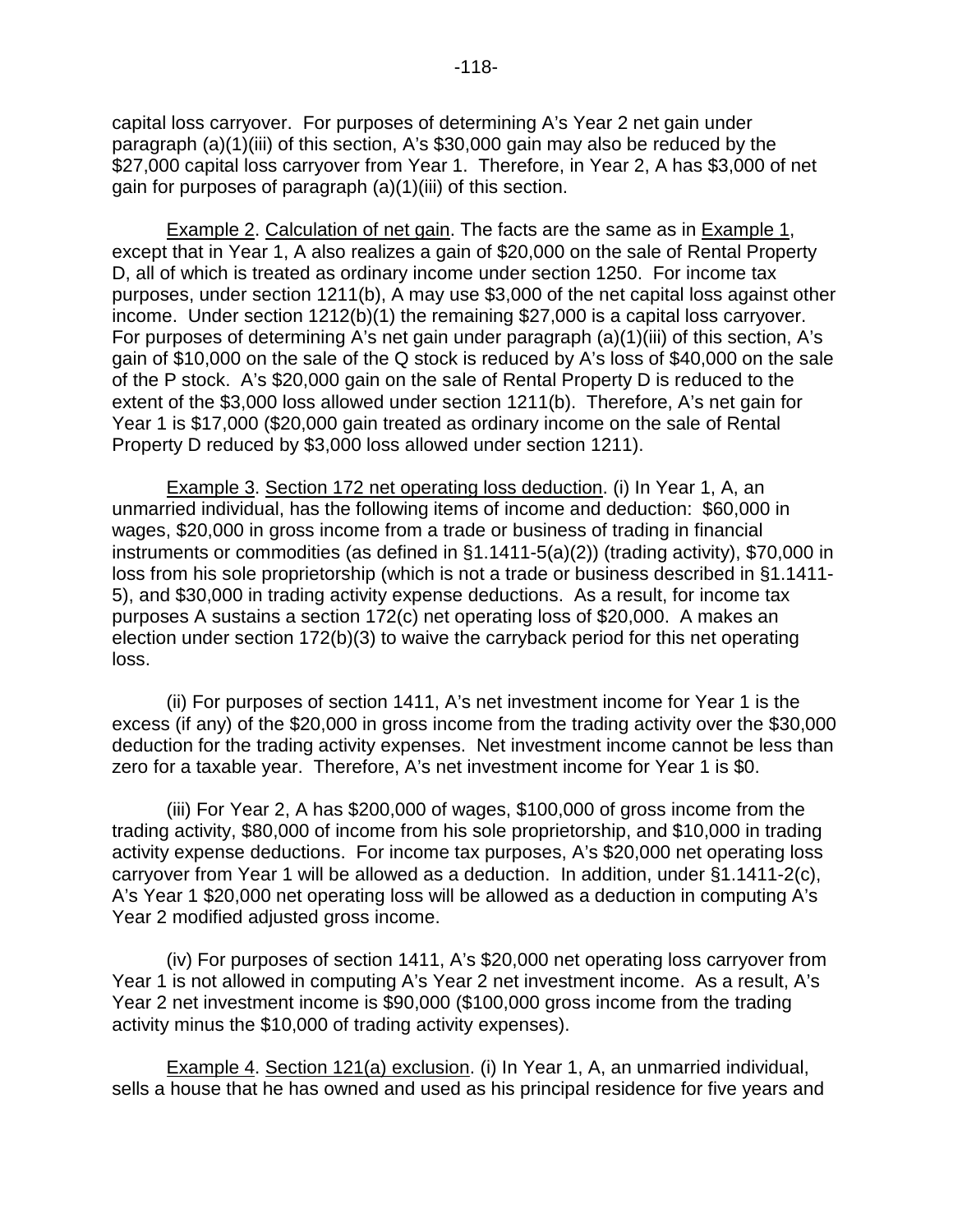capital loss carryover. For purposes of determining A's Year 2 net gain under paragraph (a)(1)(iii) of this section, A's \$30,000 gain may also be reduced by the \$27,000 capital loss carryover from Year 1. Therefore, in Year 2, A has \$3,000 of net gain for purposes of paragraph (a)(1)(iii) of this section.

Example 2. Calculation of net gain. The facts are the same as in Example 1, except that in Year 1, A also realizes a gain of \$20,000 on the sale of Rental Property D, all of which is treated as ordinary income under section 1250. For income tax purposes, under section 1211(b), A may use \$3,000 of the net capital loss against other income. Under section 1212(b)(1) the remaining \$27,000 is a capital loss carryover. For purposes of determining A's net gain under paragraph (a)(1)(iii) of this section, A's gain of \$10,000 on the sale of the Q stock is reduced by A's loss of \$40,000 on the sale of the P stock. A's \$20,000 gain on the sale of Rental Property D is reduced to the extent of the \$3,000 loss allowed under section 1211(b). Therefore, A's net gain for Year 1 is \$17,000 (\$20,000 gain treated as ordinary income on the sale of Rental Property D reduced by \$3,000 loss allowed under section 1211).

Example 3. Section 172 net operating loss deduction. (i) In Year 1, A, an unmarried individual, has the following items of income and deduction: \$60,000 in wages, \$20,000 in gross income from a trade or business of trading in financial instruments or commodities (as defined in §1.1411-5(a)(2)) (trading activity), \$70,000 in loss from his sole proprietorship (which is not a trade or business described in §1.1411- 5), and \$30,000 in trading activity expense deductions. As a result, for income tax purposes A sustains a section 172(c) net operating loss of \$20,000. A makes an election under section 172(b)(3) to waive the carryback period for this net operating loss.

(ii) For purposes of section 1411, A's net investment income for Year 1 is the excess (if any) of the \$20,000 in gross income from the trading activity over the \$30,000 deduction for the trading activity expenses. Net investment income cannot be less than zero for a taxable year. Therefore, A's net investment income for Year 1 is \$0.

(iii) For Year 2, A has \$200,000 of wages, \$100,000 of gross income from the trading activity, \$80,000 of income from his sole proprietorship, and \$10,000 in trading activity expense deductions. For income tax purposes, A's \$20,000 net operating loss carryover from Year 1 will be allowed as a deduction. In addition, under §1.1411-2(c), A's Year 1 \$20,000 net operating loss will be allowed as a deduction in computing A's Year 2 modified adjusted gross income.

(iv) For purposes of section 1411, A's \$20,000 net operating loss carryover from Year 1 is not allowed in computing A's Year 2 net investment income. As a result, A's Year 2 net investment income is \$90,000 (\$100,000 gross income from the trading activity minus the \$10,000 of trading activity expenses).

Example 4. Section 121(a) exclusion. (i) In Year 1, A, an unmarried individual, sells a house that he has owned and used as his principal residence for five years and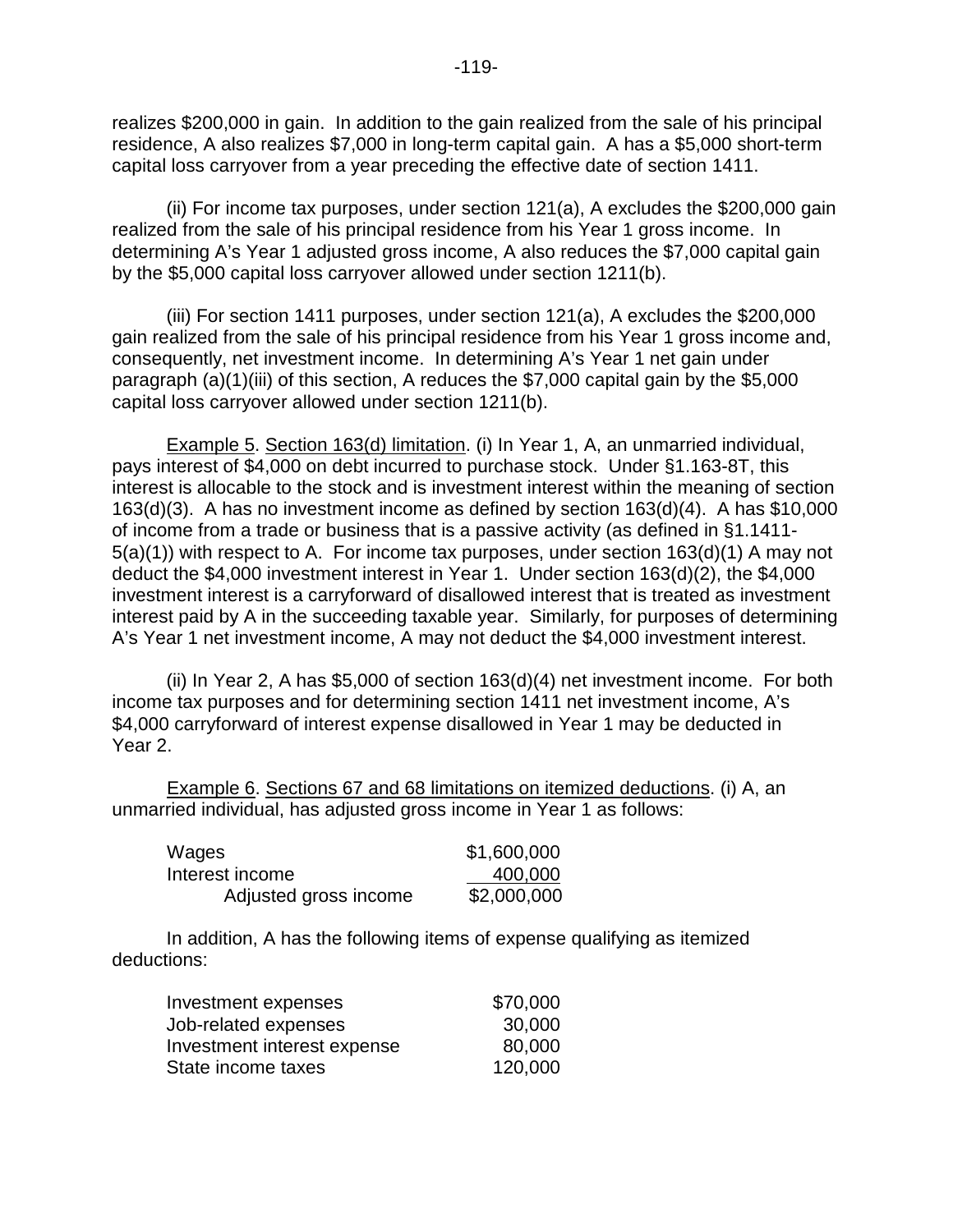realizes \$200,000 in gain. In addition to the gain realized from the sale of his principal residence, A also realizes \$7,000 in long-term capital gain. A has a \$5,000 short-term capital loss carryover from a year preceding the effective date of section 1411.

(ii) For income tax purposes, under section 121(a), A excludes the \$200,000 gain realized from the sale of his principal residence from his Year 1 gross income. In determining A's Year 1 adjusted gross income, A also reduces the \$7,000 capital gain by the \$5,000 capital loss carryover allowed under section 1211(b).

(iii) For section 1411 purposes, under section 121(a), A excludes the \$200,000 gain realized from the sale of his principal residence from his Year 1 gross income and, consequently, net investment income. In determining A's Year 1 net gain under paragraph (a)(1)(iii) of this section, A reduces the \$7,000 capital gain by the \$5,000 capital loss carryover allowed under section 1211(b).

Example 5. Section 163(d) limitation. (i) In Year 1, A, an unmarried individual, pays interest of \$4,000 on debt incurred to purchase stock. Under §1.163-8T, this interest is allocable to the stock and is investment interest within the meaning of section 163(d)(3). A has no investment income as defined by section 163(d)(4). A has \$10,000 of income from a trade or business that is a passive activity (as defined in §1.1411- 5(a)(1)) with respect to A. For income tax purposes, under section 163(d)(1) A may not deduct the \$4,000 investment interest in Year 1. Under section 163(d)(2), the \$4,000 investment interest is a carryforward of disallowed interest that is treated as investment interest paid by A in the succeeding taxable year. Similarly, for purposes of determining A's Year 1 net investment income, A may not deduct the \$4,000 investment interest.

(ii) In Year 2, A has \$5,000 of section 163(d)(4) net investment income. For both income tax purposes and for determining section 1411 net investment income, A's \$4,000 carryforward of interest expense disallowed in Year 1 may be deducted in Year 2.

Example 6. Sections 67 and 68 limitations on itemized deductions. (i) A, an unmarried individual, has adjusted gross income in Year 1 as follows:

| Wages                 | \$1,600,000 |
|-----------------------|-------------|
| Interest income       | 400,000     |
| Adjusted gross income | \$2,000,000 |

In addition, A has the following items of expense qualifying as itemized deductions:

| Investment expenses         | \$70,000 |
|-----------------------------|----------|
| Job-related expenses        | 30,000   |
| Investment interest expense | 80,000   |
| State income taxes          | 120,000  |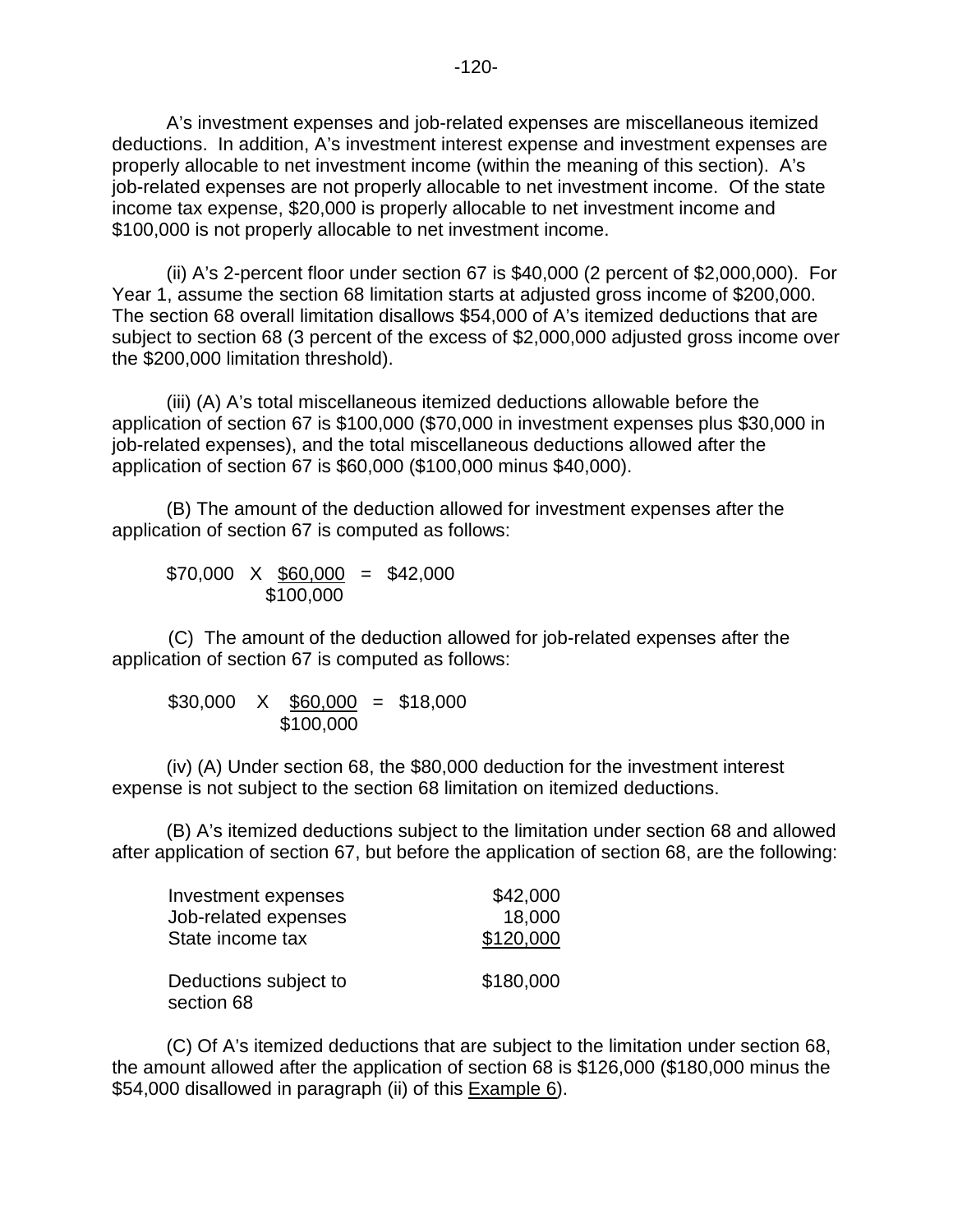A's investment expenses and job-related expenses are miscellaneous itemized deductions. In addition, A's investment interest expense and investment expenses are properly allocable to net investment income (within the meaning of this section). A's job-related expenses are not properly allocable to net investment income. Of the state income tax expense, \$20,000 is properly allocable to net investment income and \$100,000 is not properly allocable to net investment income.

(ii) A's 2-percent floor under section 67 is \$40,000 (2 percent of \$2,000,000). For Year 1, assume the section 68 limitation starts at adjusted gross income of \$200,000. The section 68 overall limitation disallows \$54,000 of A's itemized deductions that are subject to section 68 (3 percent of the excess of \$2,000,000 adjusted gross income over the \$200,000 limitation threshold).

(iii) (A) A's total miscellaneous itemized deductions allowable before the application of section 67 is \$100,000 (\$70,000 in investment expenses plus \$30,000 in job-related expenses), and the total miscellaneous deductions allowed after the application of section 67 is \$60,000 (\$100,000 minus \$40,000).

(B) The amount of the deduction allowed for investment expenses after the application of section 67 is computed as follows:

 $$70,000 \ X \ \underline{$60,000} = $42,000$ \$100,000

(C) The amount of the deduction allowed for job-related expenses after the application of section 67 is computed as follows:

$$
$30,000 \times $60,000 = $18,000
$$
  
 $$100,000$ 

(iv) (A) Under section 68, the \$80,000 deduction for the investment interest expense is not subject to the section 68 limitation on itemized deductions.

(B) A's itemized deductions subject to the limitation under section 68 and allowed after application of section 67, but before the application of section 68, are the following:

| Investment expenses                 | \$42,000  |
|-------------------------------------|-----------|
| Job-related expenses                | 18,000    |
| State income tax                    | \$120,000 |
| Deductions subject to<br>section 68 | \$180,000 |

(C) Of A's itemized deductions that are subject to the limitation under section 68, the amount allowed after the application of section 68 is \$126,000 (\$180,000 minus the \$54,000 disallowed in paragraph (ii) of this Example 6).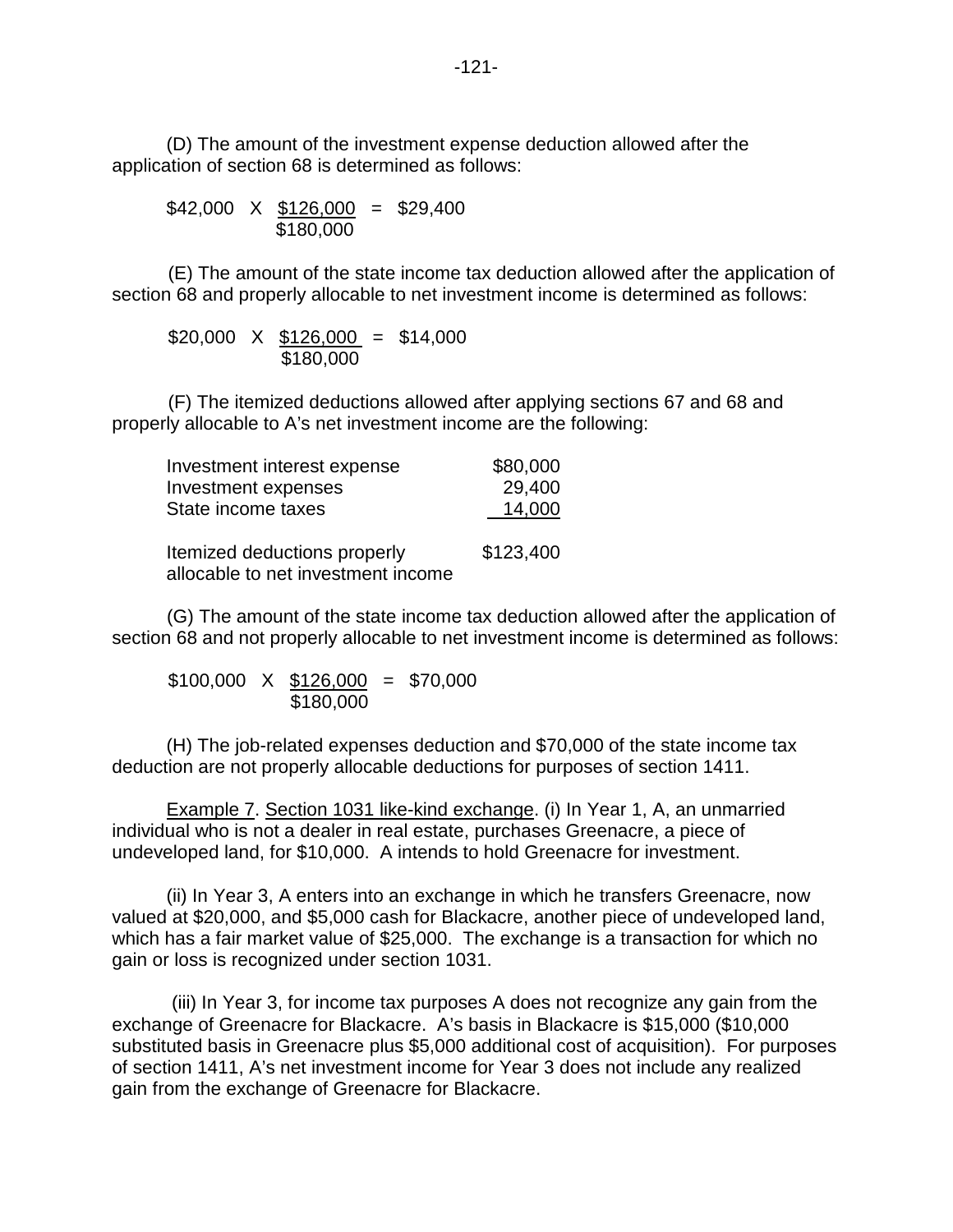(D) The amount of the investment expense deduction allowed after the application of section 68 is determined as follows:

$$
$42,000 \times \underline{$126,000} = $29,400
$$
  
 $$180,000$ 

 (E) The amount of the state income tax deduction allowed after the application of section 68 and properly allocable to net investment income is determined as follows:

$$
$20,000 \times \frac{$126,000}{\$180,000} = \$14,000
$$

 (F) The itemized deductions allowed after applying sections 67 and 68 and properly allocable to A's net investment income are the following:

| Investment interest expense                                        | \$80,000  |
|--------------------------------------------------------------------|-----------|
| Investment expenses                                                | 29,400    |
| State income taxes                                                 | 14,000    |
| Itemized deductions properly<br>allocable to net investment income | \$123,400 |

(G) The amount of the state income tax deduction allowed after the application of section 68 and not properly allocable to net investment income is determined as follows:

 $$100,000 \ X \ $126,000 = $70,000$ \$180,000

(H) The job-related expenses deduction and \$70,000 of the state income tax deduction are not properly allocable deductions for purposes of section 1411.

Example 7. Section 1031 like-kind exchange. (i) In Year 1, A, an unmarried individual who is not a dealer in real estate, purchases Greenacre, a piece of undeveloped land, for \$10,000. A intends to hold Greenacre for investment.

(ii) In Year 3, A enters into an exchange in which he transfers Greenacre, now valued at \$20,000, and \$5,000 cash for Blackacre, another piece of undeveloped land, which has a fair market value of \$25,000. The exchange is a transaction for which no gain or loss is recognized under section 1031.

 (iii) In Year 3, for income tax purposes A does not recognize any gain from the exchange of Greenacre for Blackacre. A's basis in Blackacre is \$15,000 (\$10,000 substituted basis in Greenacre plus \$5,000 additional cost of acquisition). For purposes of section 1411, A's net investment income for Year 3 does not include any realized gain from the exchange of Greenacre for Blackacre.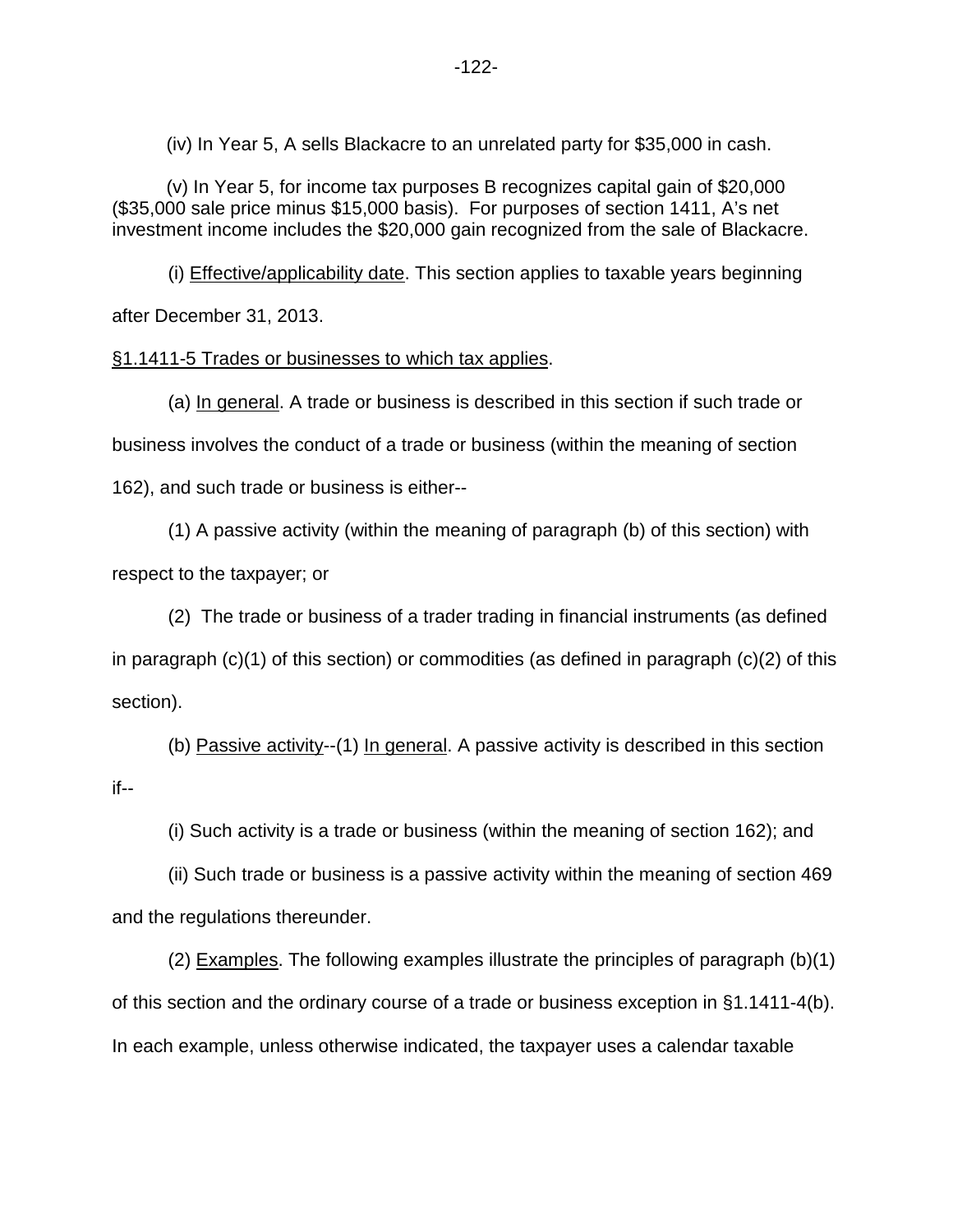(iv) In Year 5, A sells Blackacre to an unrelated party for \$35,000 in cash.

(v) In Year 5, for income tax purposes B recognizes capital gain of \$20,000 (\$35,000 sale price minus \$15,000 basis). For purposes of section 1411, A's net investment income includes the \$20,000 gain recognized from the sale of Blackacre.

(i) Effective/applicability date. This section applies to taxable years beginning after December 31, 2013.

### §1.1411-5 Trades or businesses to which tax applies.

(a) In general. A trade or business is described in this section if such trade or business involves the conduct of a trade or business (within the meaning of section 162), and such trade or business is either--

(1) A passive activity (within the meaning of paragraph (b) of this section) with respect to the taxpayer; or

(2) The trade or business of a trader trading in financial instruments (as defined in paragraph (c)(1) of this section) or commodities (as defined in paragraph (c)(2) of this section).

(b) Passive activity--(1) In general. A passive activity is described in this section if--

(i) Such activity is a trade or business (within the meaning of section 162); and

(ii) Such trade or business is a passive activity within the meaning of section 469 and the regulations thereunder.

(2) Examples. The following examples illustrate the principles of paragraph (b)(1) of this section and the ordinary course of a trade or business exception in §1.1411-4(b). In each example, unless otherwise indicated, the taxpayer uses a calendar taxable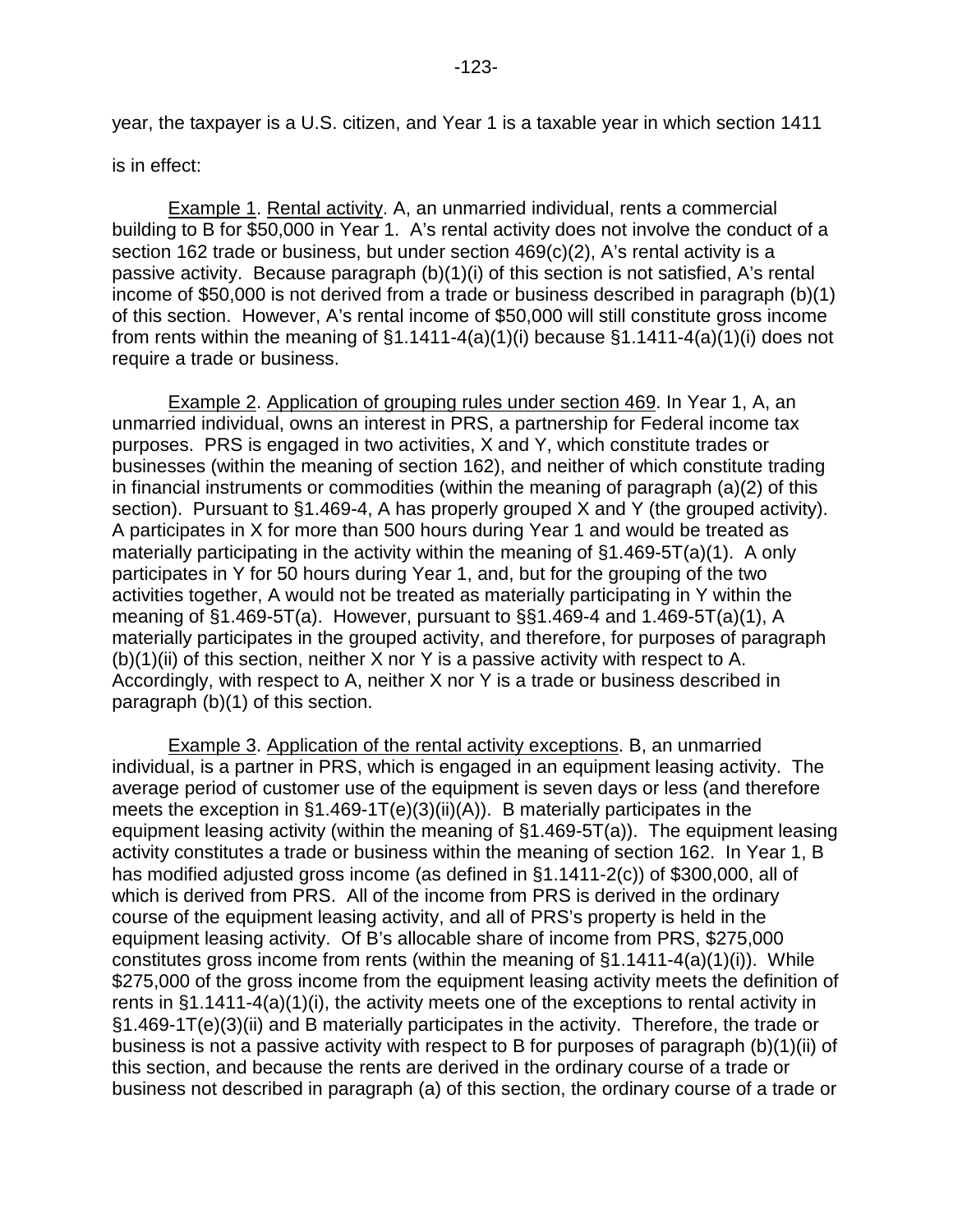is in effect:

Example 1. Rental activity. A, an unmarried individual, rents a commercial building to B for \$50,000 in Year 1. A's rental activity does not involve the conduct of a section 162 trade or business, but under section 469(c)(2), A's rental activity is a passive activity. Because paragraph (b)(1)(i) of this section is not satisfied, A's rental income of \$50,000 is not derived from a trade or business described in paragraph (b)(1) of this section. However, A's rental income of \$50,000 will still constitute gross income from rents within the meaning of  $\S1.1411-4(a)(1)(i)$  because  $\S1.1411-4(a)(1)(i)$  does not require a trade or business.

Example 2. Application of grouping rules under section 469. In Year 1, A, an unmarried individual, owns an interest in PRS, a partnership for Federal income tax purposes. PRS is engaged in two activities, X and Y, which constitute trades or businesses (within the meaning of section 162), and neither of which constitute trading in financial instruments or commodities (within the meaning of paragraph (a)(2) of this section). Pursuant to §1.469-4, A has properly grouped X and Y (the grouped activity). A participates in X for more than 500 hours during Year 1 and would be treated as materially participating in the activity within the meaning of §1.469-5T(a)(1). A only participates in Y for 50 hours during Year 1, and, but for the grouping of the two activities together, A would not be treated as materially participating in Y within the meaning of §1.469-5T(a). However, pursuant to §§1.469-4 and 1.469-5T(a)(1), A materially participates in the grouped activity, and therefore, for purposes of paragraph  $(b)(1)(ii)$  of this section, neither X nor Y is a passive activity with respect to A. Accordingly, with respect to A, neither X nor Y is a trade or business described in paragraph (b)(1) of this section.

Example 3. Application of the rental activity exceptions. B, an unmarried individual, is a partner in PRS, which is engaged in an equipment leasing activity. The average period of customer use of the equipment is seven days or less (and therefore meets the exception in §1.469-1T(e)(3)(ii)(A)). B materially participates in the equipment leasing activity (within the meaning of §1.469-5T(a)). The equipment leasing activity constitutes a trade or business within the meaning of section 162. In Year 1, B has modified adjusted gross income (as defined in §1.1411-2(c)) of \$300,000, all of which is derived from PRS. All of the income from PRS is derived in the ordinary course of the equipment leasing activity, and all of PRS's property is held in the equipment leasing activity. Of B's allocable share of income from PRS, \$275,000 constitutes gross income from rents (within the meaning of §1.1411-4(a)(1)(i)). While \$275,000 of the gross income from the equipment leasing activity meets the definition of rents in §1.1411-4(a)(1)(i), the activity meets one of the exceptions to rental activity in §1.469-1T(e)(3)(ii) and B materially participates in the activity. Therefore, the trade or business is not a passive activity with respect to B for purposes of paragraph (b)(1)(ii) of this section, and because the rents are derived in the ordinary course of a trade or business not described in paragraph (a) of this section, the ordinary course of a trade or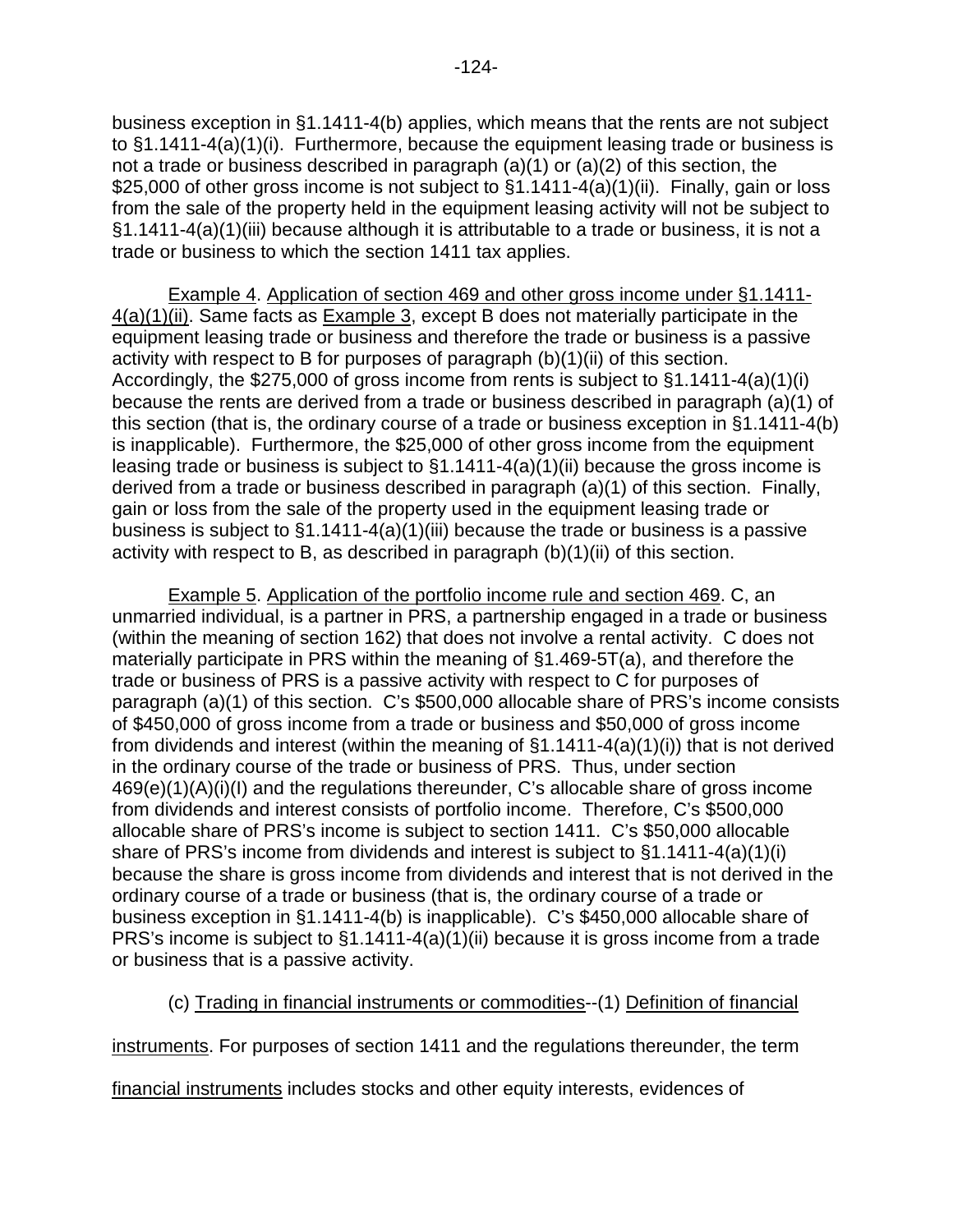business exception in §1.1411-4(b) applies, which means that the rents are not subject to §1.1411-4(a)(1)(i). Furthermore, because the equipment leasing trade or business is not a trade or business described in paragraph (a)(1) or (a)(2) of this section, the \$25,000 of other gross income is not subject to §1.1411-4(a)(1)(ii). Finally, gain or loss from the sale of the property held in the equipment leasing activity will not be subject to §1.1411-4(a)(1)(iii) because although it is attributable to a trade or business, it is not a trade or business to which the section 1411 tax applies.

 Example 4. Application of section 469 and other gross income under §1.1411- 4(a)(1)(ii). Same facts as Example 3, except B does not materially participate in the equipment leasing trade or business and therefore the trade or business is a passive activity with respect to B for purposes of paragraph (b)(1)(ii) of this section. Accordingly, the \$275,000 of gross income from rents is subject to §1.1411-4(a)(1)(i) because the rents are derived from a trade or business described in paragraph (a)(1) of this section (that is, the ordinary course of a trade or business exception in §1.1411-4(b) is inapplicable). Furthermore, the \$25,000 of other gross income from the equipment leasing trade or business is subject to §1.1411-4(a)(1)(ii) because the gross income is derived from a trade or business described in paragraph (a)(1) of this section. Finally, gain or loss from the sale of the property used in the equipment leasing trade or business is subject to §1.1411-4(a)(1)(iii) because the trade or business is a passive activity with respect to B, as described in paragraph (b)(1)(ii) of this section.

Example 5. Application of the portfolio income rule and section 469. C, an unmarried individual, is a partner in PRS, a partnership engaged in a trade or business (within the meaning of section 162) that does not involve a rental activity. C does not materially participate in PRS within the meaning of §1.469-5T(a), and therefore the trade or business of PRS is a passive activity with respect to C for purposes of paragraph (a)(1) of this section. C's \$500,000 allocable share of PRS's income consists of \$450,000 of gross income from a trade or business and \$50,000 of gross income from dividends and interest (within the meaning of §1.1411-4(a)(1)(i)) that is not derived in the ordinary course of the trade or business of PRS. Thus, under section 469(e)(1)(A)(i)(I) and the regulations thereunder, C's allocable share of gross income from dividends and interest consists of portfolio income. Therefore, C's \$500,000 allocable share of PRS's income is subject to section 1411. C's \$50,000 allocable share of PRS's income from dividends and interest is subject to §1.1411-4(a)(1)(i) because the share is gross income from dividends and interest that is not derived in the ordinary course of a trade or business (that is, the ordinary course of a trade or business exception in §1.1411-4(b) is inapplicable). C's \$450,000 allocable share of PRS's income is subject to §1.1411-4(a)(1)(ii) because it is gross income from a trade or business that is a passive activity.

### (c) Trading in financial instruments or commodities--(1) Definition of financial

instruments. For purposes of section 1411 and the regulations thereunder, the term

financial instruments includes stocks and other equity interests, evidences of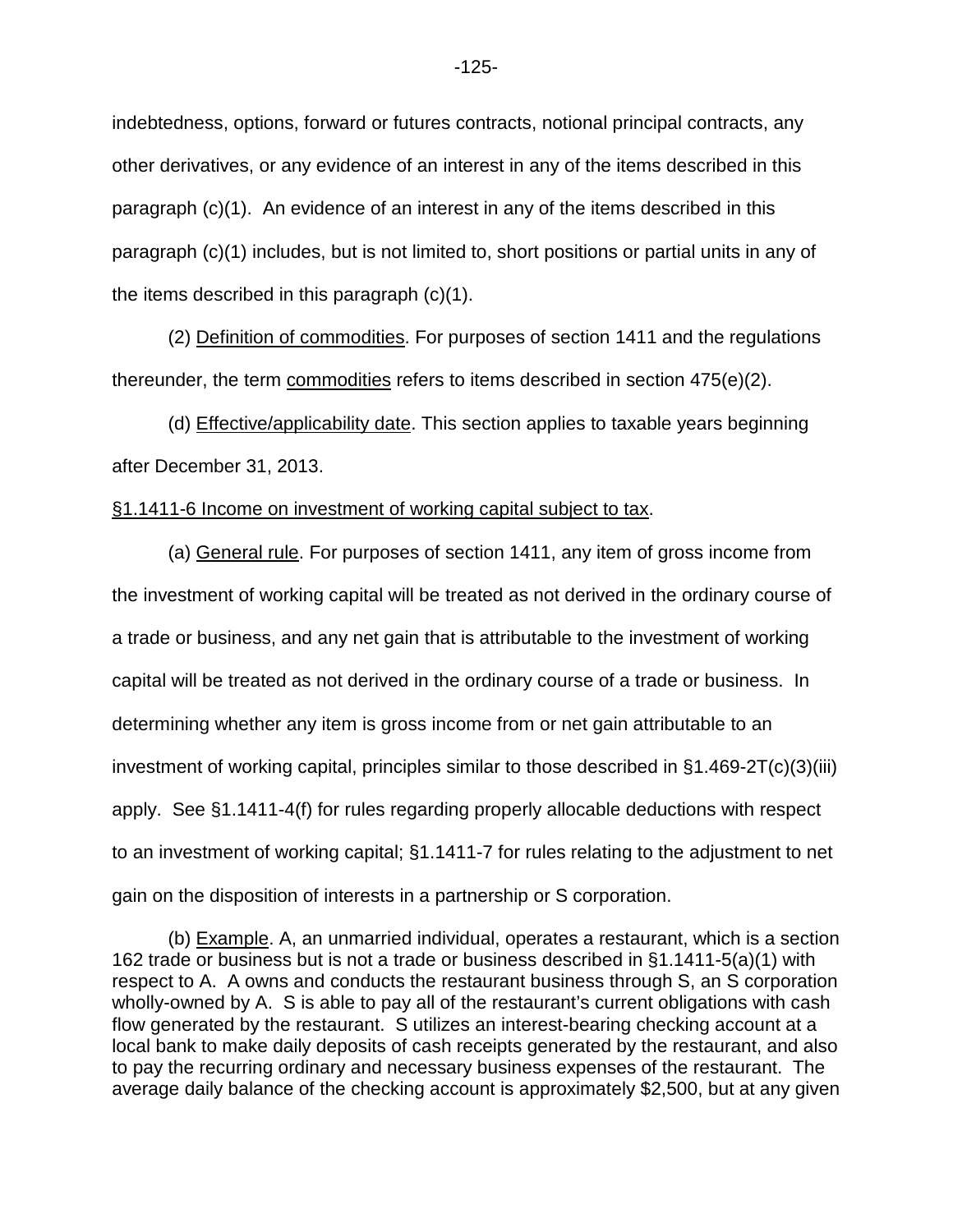indebtedness, options, forward or futures contracts, notional principal contracts, any other derivatives, or any evidence of an interest in any of the items described in this paragraph (c)(1). An evidence of an interest in any of the items described in this paragraph (c)(1) includes, but is not limited to, short positions or partial units in any of the items described in this paragraph (c)(1).

(2) Definition of commodities. For purposes of section 1411 and the regulations thereunder, the term commodities refers to items described in section 475(e)(2).

(d) Effective/applicability date. This section applies to taxable years beginning after December 31, 2013.

### §1.1411-6 Income on investment of working capital subject to tax.

(a) General rule. For purposes of section 1411, any item of gross income from the investment of working capital will be treated as not derived in the ordinary course of a trade or business, and any net gain that is attributable to the investment of working capital will be treated as not derived in the ordinary course of a trade or business. In determining whether any item is gross income from or net gain attributable to an investment of working capital, principles similar to those described in §1.469-2T(c)(3)(iii) apply. See §1.1411-4(f) for rules regarding properly allocable deductions with respect to an investment of working capital; §1.1411-7 for rules relating to the adjustment to net gain on the disposition of interests in a partnership or S corporation.

 <sup>(</sup>b) Example. A, an unmarried individual, operates a restaurant, which is a section 162 trade or business but is not a trade or business described in §1.1411-5(a)(1) with respect to A. A owns and conducts the restaurant business through S, an S corporation wholly-owned by A. S is able to pay all of the restaurant's current obligations with cash flow generated by the restaurant. S utilizes an interest-bearing checking account at a local bank to make daily deposits of cash receipts generated by the restaurant, and also to pay the recurring ordinary and necessary business expenses of the restaurant. The average daily balance of the checking account is approximately \$2,500, but at any given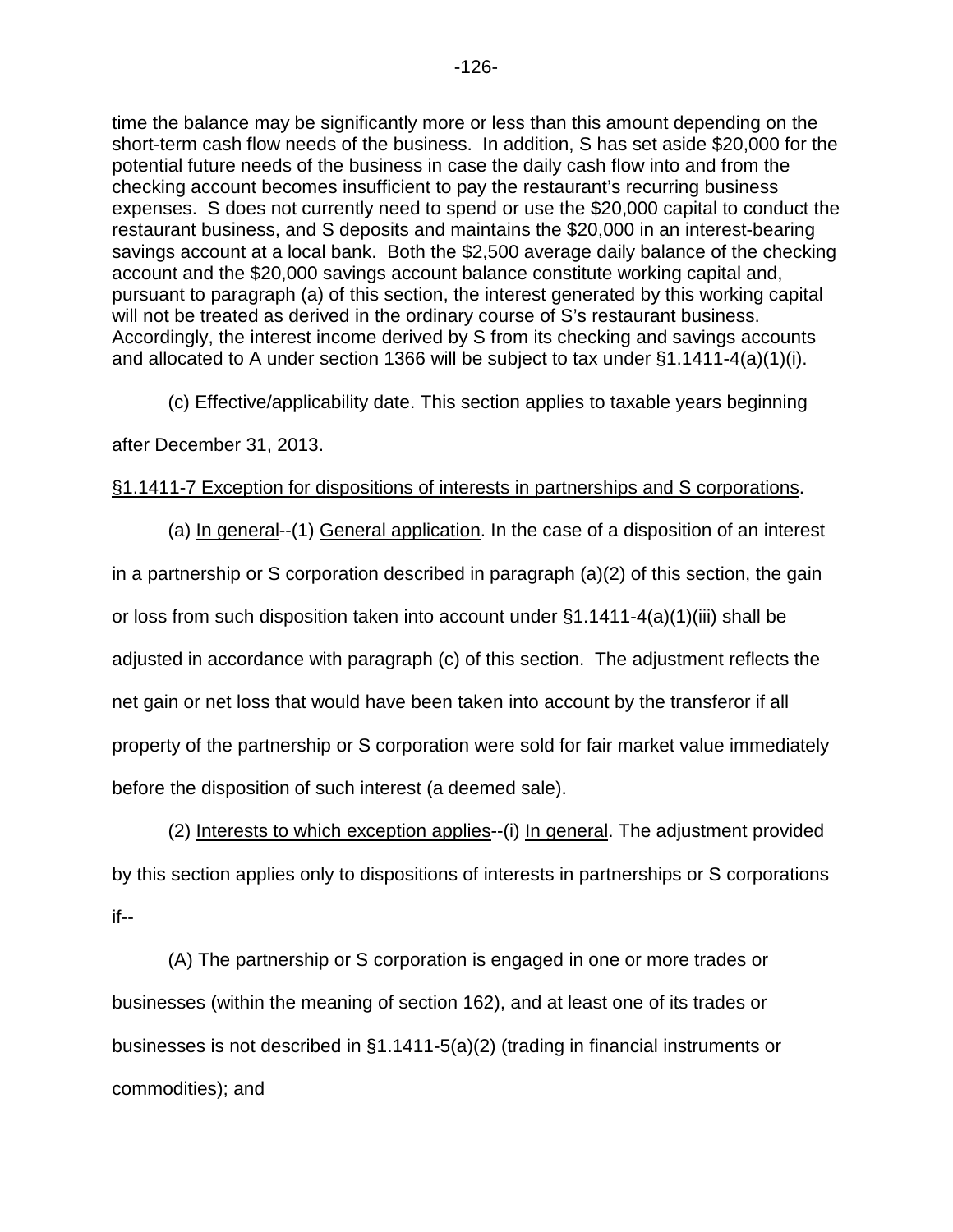time the balance may be significantly more or less than this amount depending on the short-term cash flow needs of the business. In addition, S has set aside \$20,000 for the potential future needs of the business in case the daily cash flow into and from the checking account becomes insufficient to pay the restaurant's recurring business expenses. S does not currently need to spend or use the \$20,000 capital to conduct the restaurant business, and S deposits and maintains the \$20,000 in an interest-bearing savings account at a local bank. Both the \$2,500 average daily balance of the checking account and the \$20,000 savings account balance constitute working capital and, pursuant to paragraph (a) of this section, the interest generated by this working capital will not be treated as derived in the ordinary course of S's restaurant business. Accordingly, the interest income derived by S from its checking and savings accounts and allocated to A under section 1366 will be subject to tax under §1.1411-4(a)(1)(i).

(c) Effective/applicability date. This section applies to taxable years beginning

after December 31, 2013.

## §1.1411-7 Exception for dispositions of interests in partnerships and S corporations.

(a) In general--(1) General application. In the case of a disposition of an interest in a partnership or S corporation described in paragraph (a)(2) of this section, the gain or loss from such disposition taken into account under  $\S1.1411-4(a)(1)(iii)$  shall be adjusted in accordance with paragraph (c) of this section. The adjustment reflects the net gain or net loss that would have been taken into account by the transferor if all property of the partnership or S corporation were sold for fair market value immediately before the disposition of such interest (a deemed sale).

(2) Interests to which exception applies--(i) In general. The adjustment provided by this section applies only to dispositions of interests in partnerships or S corporations if--

(A) The partnership or S corporation is engaged in one or more trades or businesses (within the meaning of section 162), and at least one of its trades or businesses is not described in §1.1411-5(a)(2) (trading in financial instruments or commodities); and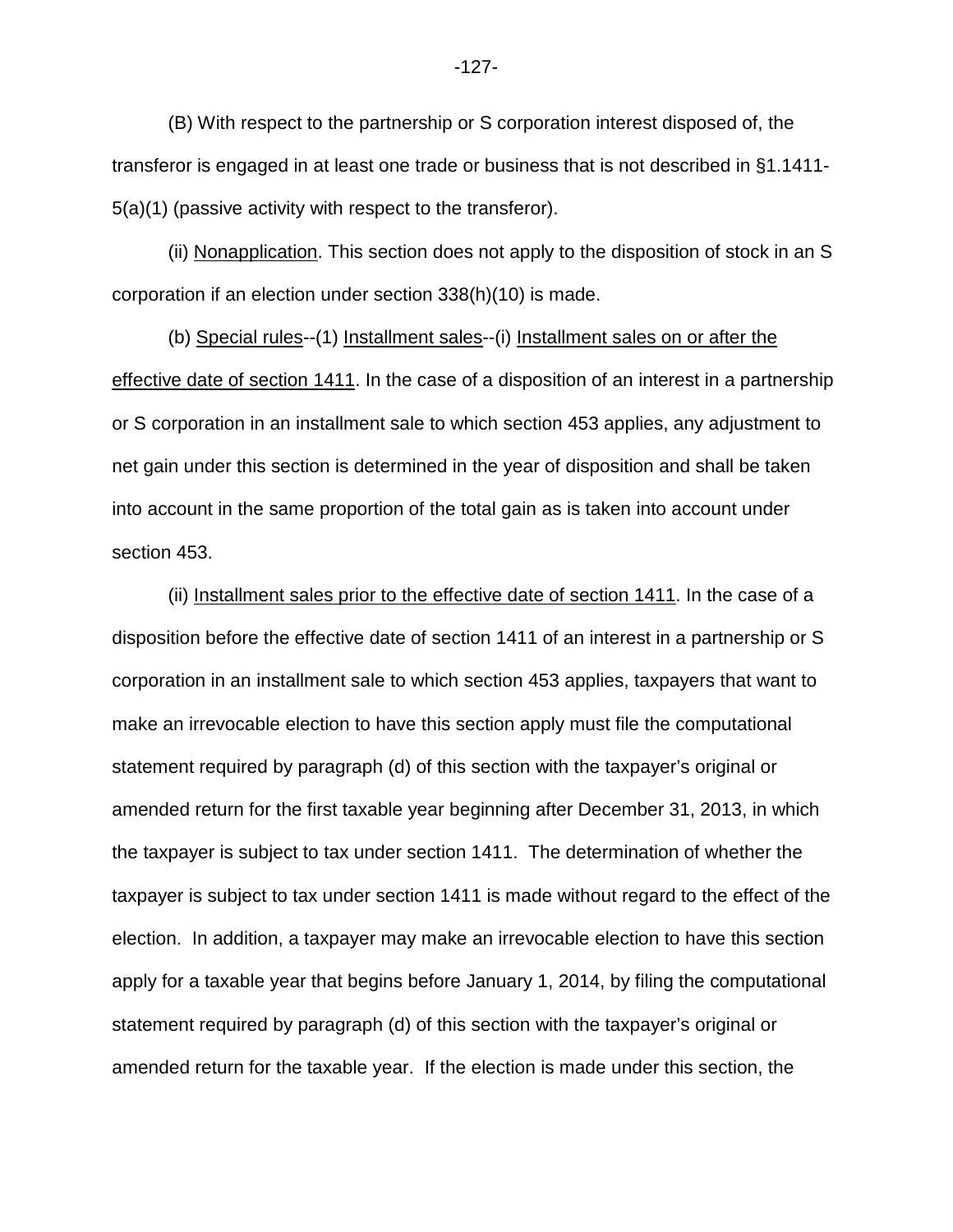(B) With respect to the partnership or S corporation interest disposed of, the transferor is engaged in at least one trade or business that is not described in §1.1411- 5(a)(1) (passive activity with respect to the transferor).

(ii) Nonapplication. This section does not apply to the disposition of stock in an S corporation if an election under section 338(h)(10) is made.

(b) Special rules--(1) Installment sales--(i) Installment sales on or after the effective date of section 1411. In the case of a disposition of an interest in a partnership or S corporation in an installment sale to which section 453 applies, any adjustment to net gain under this section is determined in the year of disposition and shall be taken into account in the same proportion of the total gain as is taken into account under section 453.

(ii) Installment sales prior to the effective date of section 1411. In the case of a disposition before the effective date of section 1411 of an interest in a partnership or S corporation in an installment sale to which section 453 applies, taxpayers that want to make an irrevocable election to have this section apply must file the computational statement required by paragraph (d) of this section with the taxpayer's original or amended return for the first taxable year beginning after December 31, 2013, in which the taxpayer is subject to tax under section 1411. The determination of whether the taxpayer is subject to tax under section 1411 is made without regard to the effect of the election. In addition, a taxpayer may make an irrevocable election to have this section apply for a taxable year that begins before January 1, 2014, by filing the computational statement required by paragraph (d) of this section with the taxpayer's original or amended return for the taxable year. If the election is made under this section, the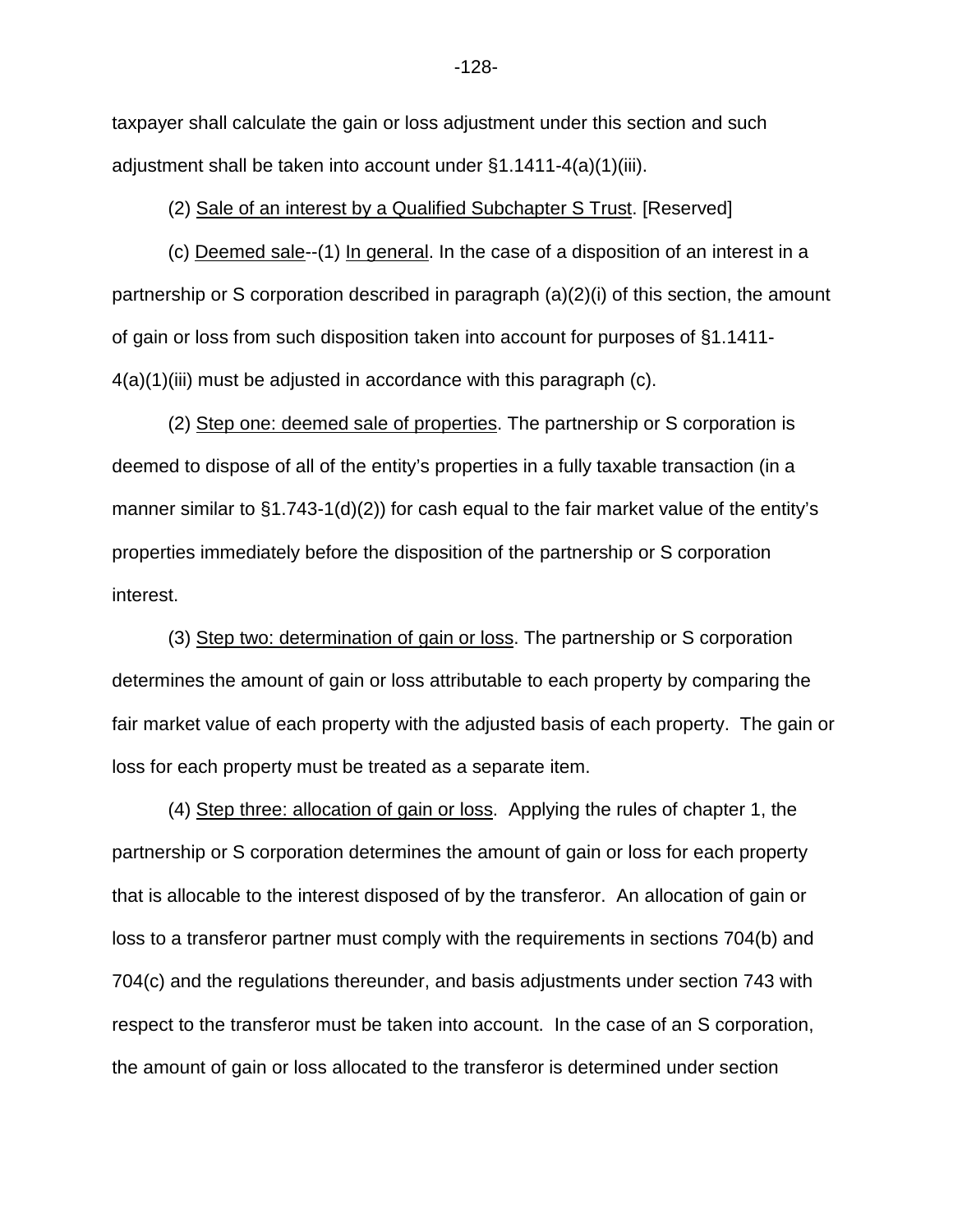taxpayer shall calculate the gain or loss adjustment under this section and such adjustment shall be taken into account under §1.1411-4(a)(1)(iii).

(2) Sale of an interest by a Qualified Subchapter S Trust. [Reserved]

(c) Deemed sale--(1) In general. In the case of a disposition of an interest in a partnership or S corporation described in paragraph (a)(2)(i) of this section, the amount of gain or loss from such disposition taken into account for purposes of §1.1411-  $4(a)(1)$ (iii) must be adjusted in accordance with this paragraph (c).

(2) Step one: deemed sale of properties. The partnership or S corporation is deemed to dispose of all of the entity's properties in a fully taxable transaction (in a manner similar to §1.743-1(d)(2)) for cash equal to the fair market value of the entity's properties immediately before the disposition of the partnership or S corporation interest.

(3) Step two: determination of gain or loss. The partnership or S corporation determines the amount of gain or loss attributable to each property by comparing the fair market value of each property with the adjusted basis of each property. The gain or loss for each property must be treated as a separate item.

(4) Step three: allocation of gain or loss. Applying the rules of chapter 1, the partnership or S corporation determines the amount of gain or loss for each property that is allocable to the interest disposed of by the transferor. An allocation of gain or loss to a transferor partner must comply with the requirements in sections 704(b) and 704(c) and the regulations thereunder, and basis adjustments under section 743 with respect to the transferor must be taken into account. In the case of an S corporation, the amount of gain or loss allocated to the transferor is determined under section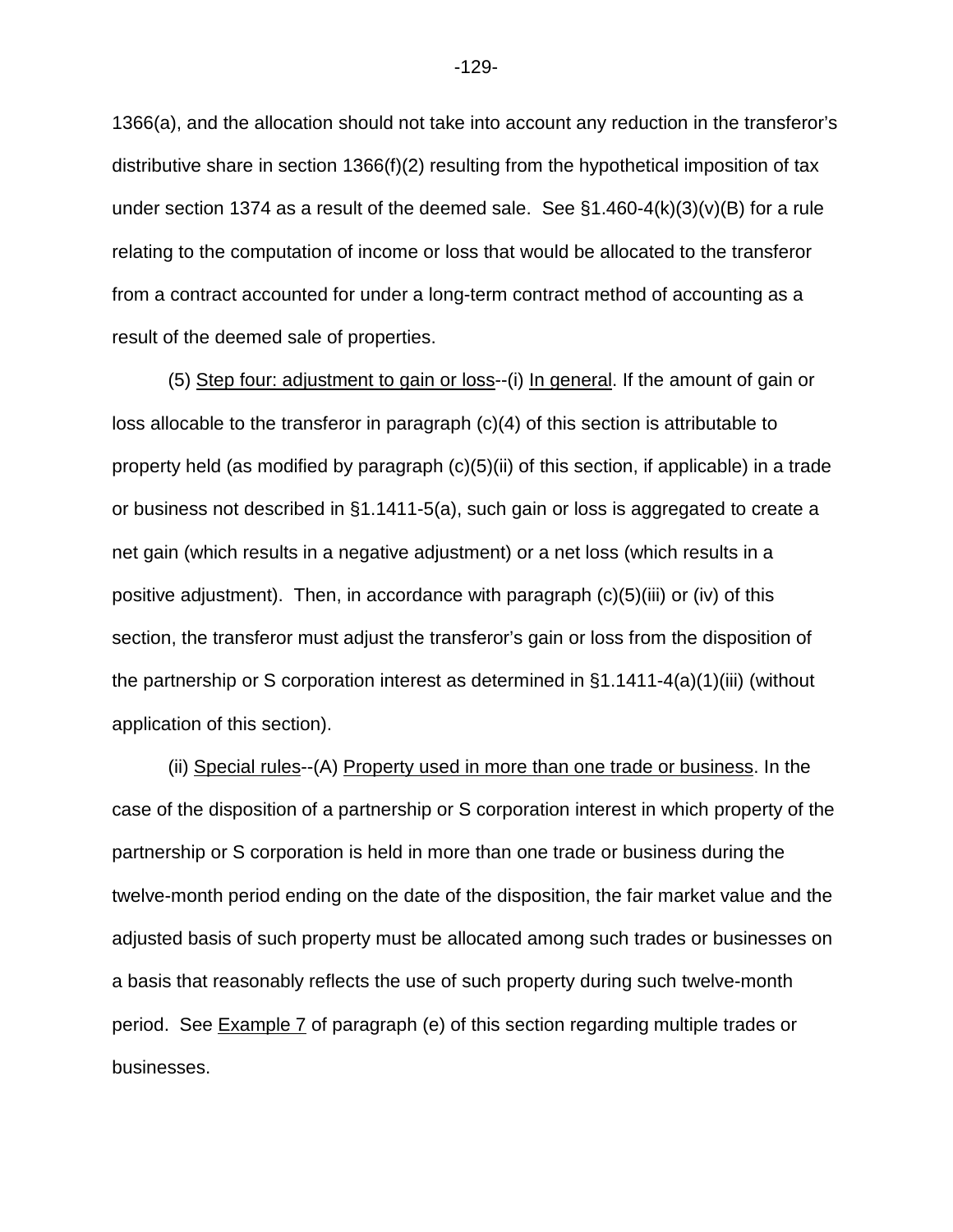1366(a), and the allocation should not take into account any reduction in the transferor's distributive share in section 1366(f)(2) resulting from the hypothetical imposition of tax under section 1374 as a result of the deemed sale. See  $\S1.460-4(k)(3)(v)(B)$  for a rule relating to the computation of income or loss that would be allocated to the transferor from a contract accounted for under a long-term contract method of accounting as a result of the deemed sale of properties.

(5) Step four: adjustment to gain or loss--(i) In general. If the amount of gain or loss allocable to the transferor in paragraph (c)(4) of this section is attributable to property held (as modified by paragraph (c)(5)(ii) of this section, if applicable) in a trade or business not described in §1.1411-5(a), such gain or loss is aggregated to create a net gain (which results in a negative adjustment) or a net loss (which results in a positive adjustment). Then, in accordance with paragraph (c)(5)(iii) or (iv) of this section, the transferor must adjust the transferor's gain or loss from the disposition of the partnership or S corporation interest as determined in §1.1411-4(a)(1)(iii) (without application of this section).

(ii) Special rules--(A) Property used in more than one trade or business. In the case of the disposition of a partnership or S corporation interest in which property of the partnership or S corporation is held in more than one trade or business during the twelve-month period ending on the date of the disposition, the fair market value and the adjusted basis of such property must be allocated among such trades or businesses on a basis that reasonably reflects the use of such property during such twelve-month period. See Example 7 of paragraph (e) of this section regarding multiple trades or businesses.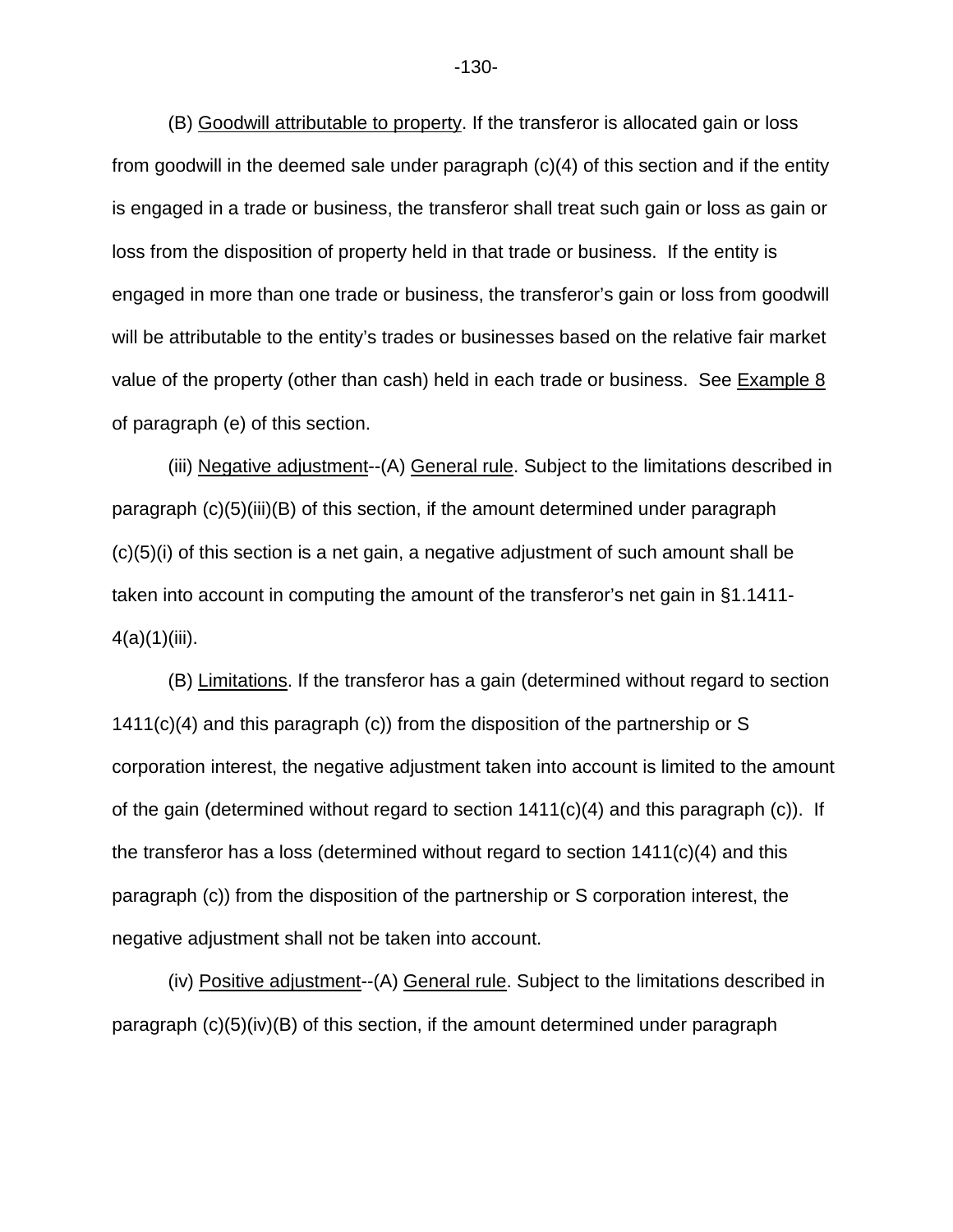(B) Goodwill attributable to property. If the transferor is allocated gain or loss from goodwill in the deemed sale under paragraph (c)(4) of this section and if the entity is engaged in a trade or business, the transferor shall treat such gain or loss as gain or loss from the disposition of property held in that trade or business. If the entity is engaged in more than one trade or business, the transferor's gain or loss from goodwill will be attributable to the entity's trades or businesses based on the relative fair market value of the property (other than cash) held in each trade or business. See Example 8 of paragraph (e) of this section.

(iii) Negative adjustment--(A) General rule. Subject to the limitations described in paragraph (c)(5)(iii)(B) of this section, if the amount determined under paragraph  $(c)(5)(i)$  of this section is a net gain, a negative adjustment of such amount shall be taken into account in computing the amount of the transferor's net gain in §1.1411-  $4(a)(1)(iii)$ .

(B) Limitations. If the transferor has a gain (determined without regard to section 1411(c)(4) and this paragraph (c)) from the disposition of the partnership or S corporation interest, the negative adjustment taken into account is limited to the amount of the gain (determined without regard to section  $1411(c)(4)$  and this paragraph (c)). If the transferor has a loss (determined without regard to section 1411(c)(4) and this paragraph (c)) from the disposition of the partnership or S corporation interest, the negative adjustment shall not be taken into account.

(iv) Positive adjustment--(A) General rule. Subject to the limitations described in paragraph (c)(5)(iv)(B) of this section, if the amount determined under paragraph

-130-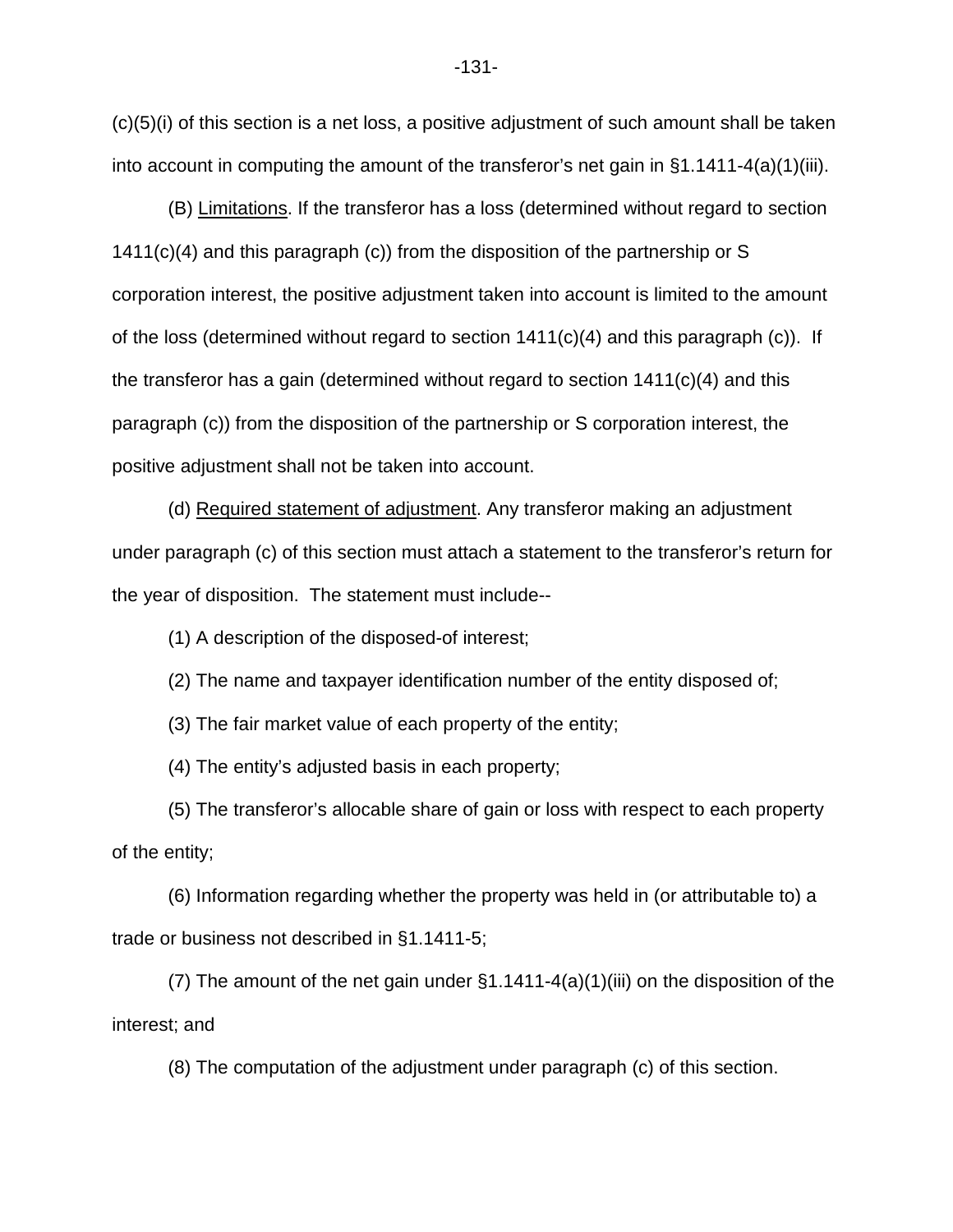$(c)(5)(i)$  of this section is a net loss, a positive adjustment of such amount shall be taken into account in computing the amount of the transferor's net gain in §1.1411-4(a)(1)(iii).

(B) Limitations. If the transferor has a loss (determined without regard to section 1411(c)(4) and this paragraph (c)) from the disposition of the partnership or S corporation interest, the positive adjustment taken into account is limited to the amount of the loss (determined without regard to section  $1411(c)(4)$  and this paragraph (c)). If the transferor has a gain (determined without regard to section 1411(c)(4) and this paragraph (c)) from the disposition of the partnership or S corporation interest, the positive adjustment shall not be taken into account.

(d) Required statement of adjustment. Any transferor making an adjustment under paragraph (c) of this section must attach a statement to the transferor's return for the year of disposition. The statement must include--

(1) A description of the disposed-of interest;

(2) The name and taxpayer identification number of the entity disposed of;

(3) The fair market value of each property of the entity;

(4) The entity's adjusted basis in each property;

(5) The transferor's allocable share of gain or loss with respect to each property of the entity;

(6) Information regarding whether the property was held in (or attributable to) a trade or business not described in §1.1411-5;

(7) The amount of the net gain under §1.1411-4(a)(1)(iii) on the disposition of the interest; and

(8) The computation of the adjustment under paragraph (c) of this section.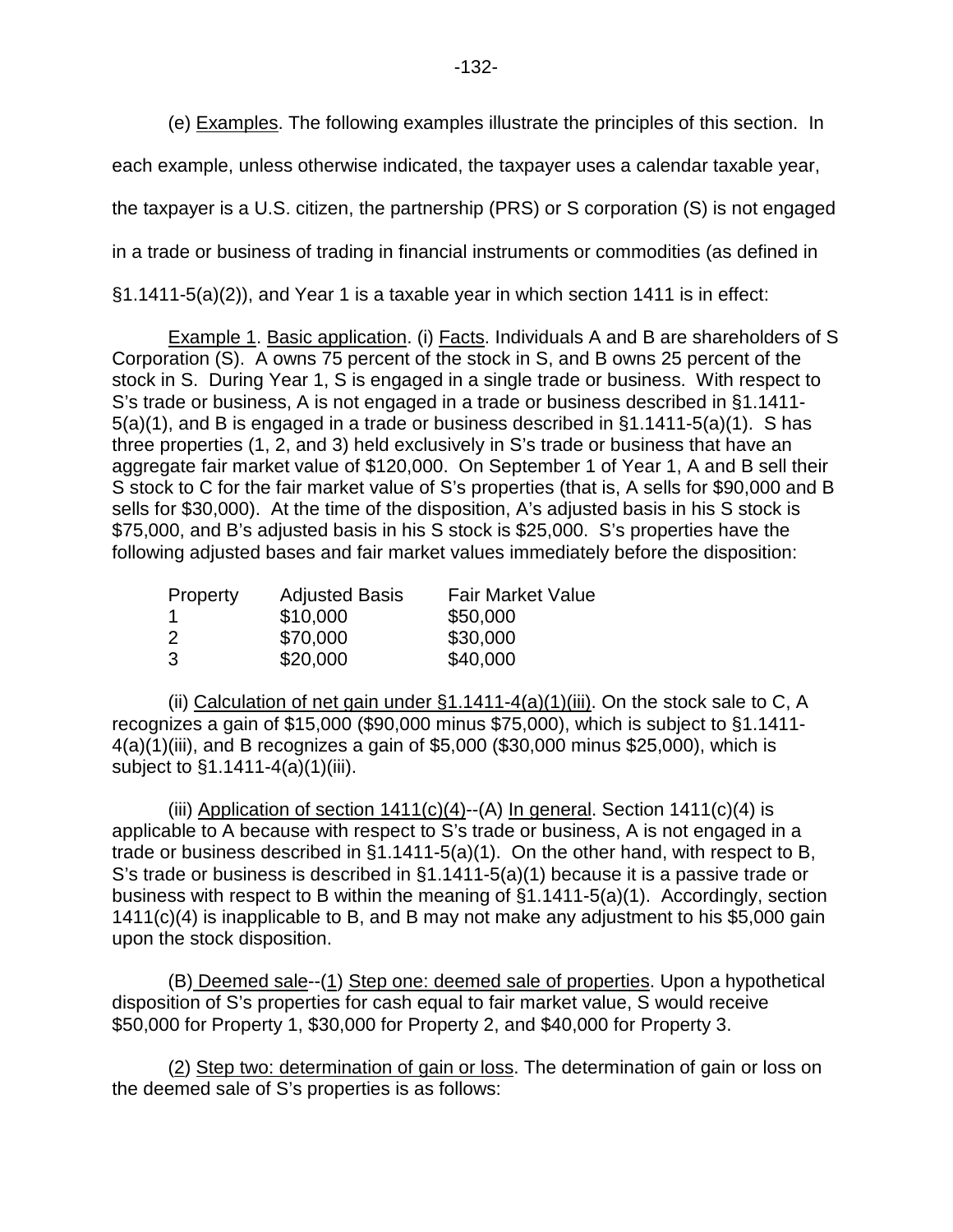(e) Examples. The following examples illustrate the principles of this section. In

each example, unless otherwise indicated, the taxpayer uses a calendar taxable year,

the taxpayer is a U.S. citizen, the partnership (PRS) or S corporation (S) is not engaged

in a trade or business of trading in financial instruments or commodities (as defined in

§1.1411-5(a)(2)), and Year 1 is a taxable year in which section 1411 is in effect:

Example 1. Basic application. (i) Facts. Individuals A and B are shareholders of S Corporation (S). A owns 75 percent of the stock in S, and B owns 25 percent of the stock in S. During Year 1, S is engaged in a single trade or business. With respect to S's trade or business, A is not engaged in a trade or business described in §1.1411- 5(a)(1), and B is engaged in a trade or business described in §1.1411-5(a)(1). S has three properties (1, 2, and 3) held exclusively in S's trade or business that have an aggregate fair market value of \$120,000. On September 1 of Year 1, A and B sell their S stock to C for the fair market value of S's properties (that is, A sells for \$90,000 and B sells for \$30,000). At the time of the disposition, A's adjusted basis in his S stock is \$75,000, and B's adjusted basis in his S stock is \$25,000. S's properties have the following adjusted bases and fair market values immediately before the disposition:

| <b>Property</b> | <b>Adjusted Basis</b> | <b>Fair Market Value</b> |
|-----------------|-----------------------|--------------------------|
|                 | \$10,000              | \$50,000                 |
| 2               | \$70,000              | \$30,000                 |
| 3               | \$20,000              | \$40,000                 |

(ii) Calculation of net gain under  $\S1.1411-4(a)(1)(iii)$ . On the stock sale to C, A recognizes a gain of \$15,000 (\$90,000 minus \$75,000), which is subject to §1.1411- 4(a)(1)(iii), and B recognizes a gain of \$5,000 (\$30,000 minus \$25,000), which is subject to §1.1411-4(a)(1)(iii).

(iii) Application of section  $1411(c)(4)$ --(A) In general. Section  $1411(c)(4)$  is applicable to A because with respect to S's trade or business, A is not engaged in a trade or business described in §1.1411-5(a)(1). On the other hand, with respect to B, S's trade or business is described in §1.1411-5(a)(1) because it is a passive trade or business with respect to B within the meaning of §1.1411-5(a)(1). Accordingly, section 1411(c)(4) is inapplicable to B, and B may not make any adjustment to his \$5,000 gain upon the stock disposition.

(B) Deemed sale--(1) Step one: deemed sale of properties. Upon a hypothetical disposition of S's properties for cash equal to fair market value, S would receive \$50,000 for Property 1, \$30,000 for Property 2, and \$40,000 for Property 3.

(2) Step two: determination of gain or loss. The determination of gain or loss on the deemed sale of S's properties is as follows: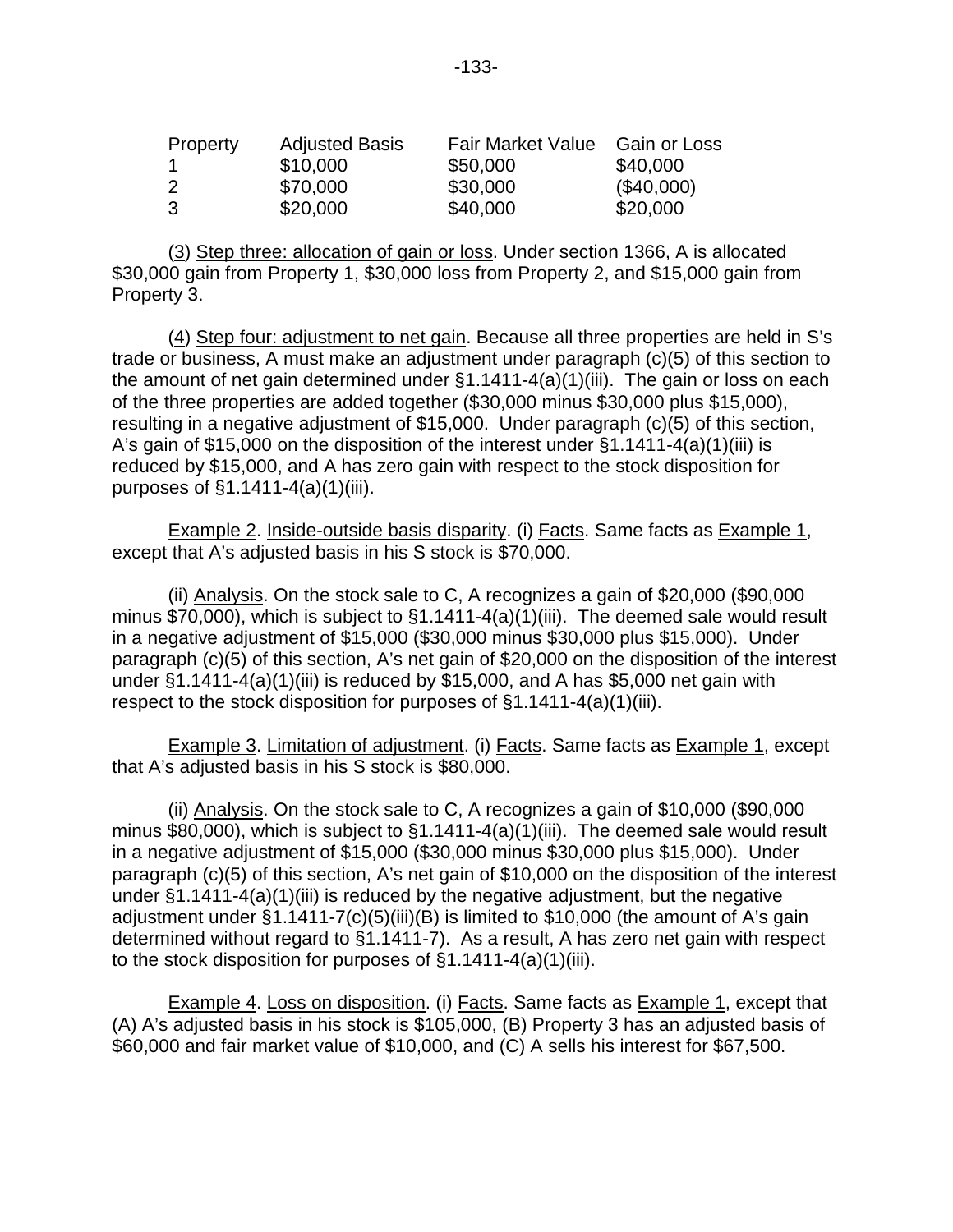| Property | <b>Adjusted Basis</b> | <b>Fair Market Value</b> | Gain or Loss |
|----------|-----------------------|--------------------------|--------------|
|          | \$10,000              | \$50,000                 | \$40,000     |
| 2        | \$70,000              | \$30,000                 | (\$40,000)   |
| -3       | \$20,000              | \$40,000                 | \$20,000     |

(3) Step three: allocation of gain or loss. Under section 1366, A is allocated \$30,000 gain from Property 1, \$30,000 loss from Property 2, and \$15,000 gain from Property 3.

(4) Step four: adjustment to net gain. Because all three properties are held in S's trade or business, A must make an adjustment under paragraph (c)(5) of this section to the amount of net gain determined under §1.1411-4(a)(1)(iii). The gain or loss on each of the three properties are added together (\$30,000 minus \$30,000 plus \$15,000), resulting in a negative adjustment of \$15,000. Under paragraph (c)(5) of this section, A's gain of \$15,000 on the disposition of the interest under  $\S1.1411-4(a)(1)(iii)$  is reduced by \$15,000, and A has zero gain with respect to the stock disposition for purposes of §1.1411-4(a)(1)(iii).

Example 2. Inside-outside basis disparity. (i) Facts. Same facts as Example 1, except that A's adjusted basis in his S stock is \$70,000.

(ii) Analysis. On the stock sale to C, A recognizes a gain of \$20,000 (\$90,000 minus \$70,000), which is subject to  $\S1.1411-4(a)(1)(iii)$ . The deemed sale would result in a negative adjustment of \$15,000 (\$30,000 minus \$30,000 plus \$15,000). Under paragraph (c)(5) of this section, A's net gain of \$20,000 on the disposition of the interest under  $\S1.1411-4(a)(1)(iii)$  is reduced by \$15,000, and A has \$5,000 net gain with respect to the stock disposition for purposes of  $\S1.1411-4(a)(1)(iii)$ .

Example 3. Limitation of adjustment. (i) Facts. Same facts as Example 1, except that A's adjusted basis in his S stock is \$80,000.

(ii) Analysis. On the stock sale to C, A recognizes a gain of \$10,000 (\$90,000 minus \$80,000), which is subject to §1.1411-4(a)(1)(iii). The deemed sale would result in a negative adjustment of \$15,000 (\$30,000 minus \$30,000 plus \$15,000). Under paragraph (c)(5) of this section, A's net gain of \$10,000 on the disposition of the interest under §1.1411-4(a)(1)(iii) is reduced by the negative adjustment, but the negative adjustment under §1.1411-7(c)(5)(iii)(B) is limited to \$10,000 (the amount of A's gain determined without regard to §1.1411-7). As a result, A has zero net gain with respect to the stock disposition for purposes of §1.1411-4(a)(1)(iii).

Example 4. Loss on disposition. (i) Facts. Same facts as Example 1, except that (A) A's adjusted basis in his stock is \$105,000, (B) Property 3 has an adjusted basis of \$60,000 and fair market value of \$10,000, and (C) A sells his interest for \$67,500.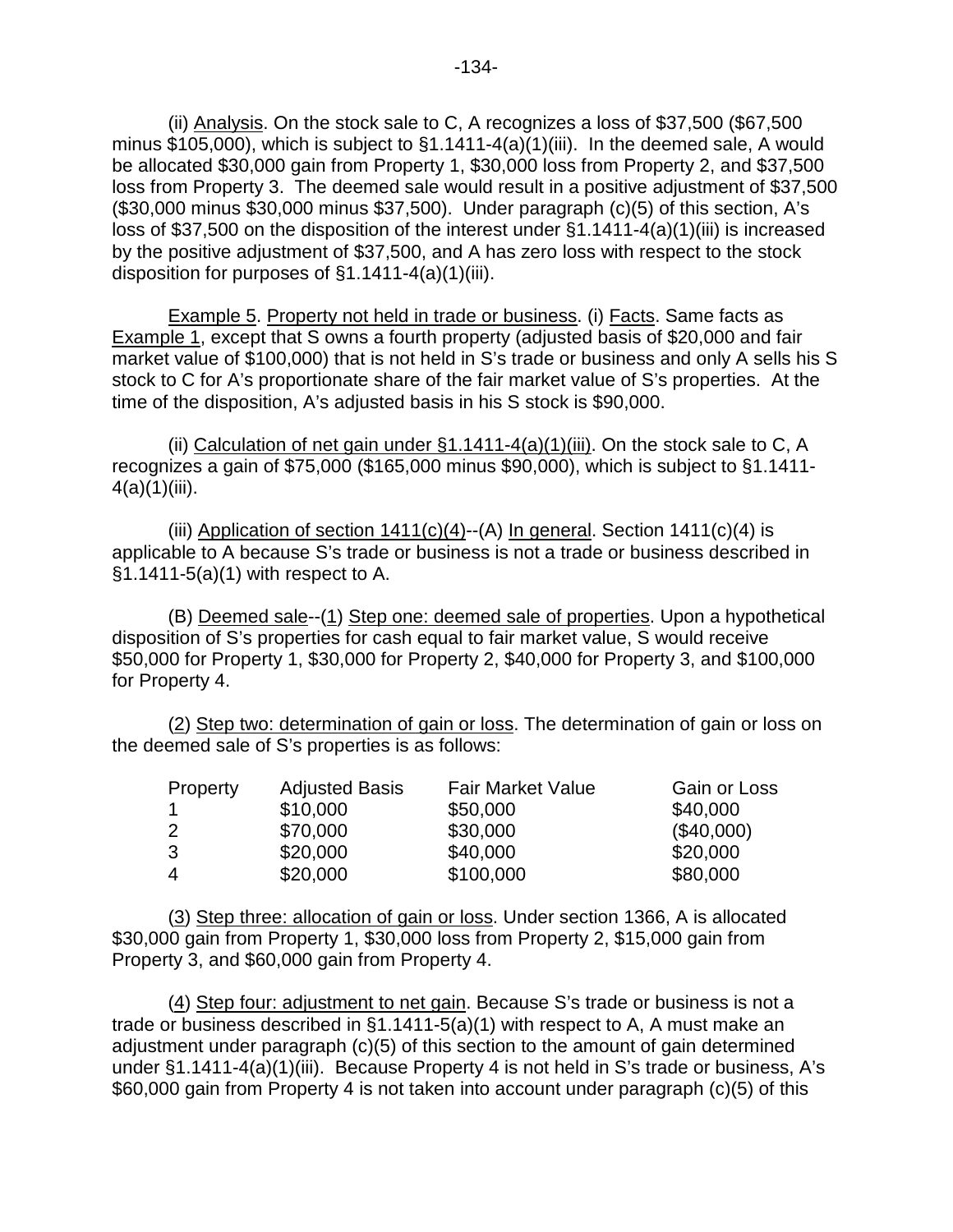(ii) Analysis. On the stock sale to C, A recognizes a loss of \$37,500 (\$67,500 minus \$105,000), which is subject to §1.1411-4(a)(1)(iii). In the deemed sale, A would be allocated \$30,000 gain from Property 1, \$30,000 loss from Property 2, and \$37,500 loss from Property 3. The deemed sale would result in a positive adjustment of \$37,500 (\$30,000 minus \$30,000 minus \$37,500). Under paragraph (c)(5) of this section, A's loss of \$37,500 on the disposition of the interest under §1.1411-4(a)(1)(iii) is increased by the positive adjustment of \$37,500, and A has zero loss with respect to the stock disposition for purposes of §1.1411-4(a)(1)(iii).

Example 5. Property not held in trade or business. (i) Facts. Same facts as Example 1, except that S owns a fourth property (adjusted basis of \$20,000 and fair market value of \$100,000) that is not held in S's trade or business and only A sells his S stock to C for A's proportionate share of the fair market value of S's properties. At the time of the disposition, A's adjusted basis in his S stock is \$90,000.

(ii) Calculation of net gain under  $\S1.1411-4(a)(1)$  (iii). On the stock sale to C, A recognizes a gain of \$75,000 (\$165,000 minus \$90,000), which is subject to §1.1411-  $4(a)(1)(iii)$ .

(iii) Application of section  $1411(c)(4)$ --(A) In general. Section  $1411(c)(4)$  is applicable to A because S's trade or business is not a trade or business described in §1.1411-5(a)(1) with respect to A.

(B) Deemed sale--(1) Step one: deemed sale of properties. Upon a hypothetical disposition of S's properties for cash equal to fair market value, S would receive \$50,000 for Property 1, \$30,000 for Property 2, \$40,000 for Property 3, and \$100,000 for Property 4.

(2) Step two: determination of gain or loss. The determination of gain or loss on the deemed sale of S's properties is as follows:

| Property       | <b>Adjusted Basis</b> | <b>Fair Market Value</b> | Gain or Loss |
|----------------|-----------------------|--------------------------|--------------|
|                | \$10,000              | \$50,000                 | \$40,000     |
| 2              | \$70,000              | \$30,000                 | (\$40,000)   |
| 3              | \$20,000              | \$40,000                 | \$20,000     |
| $\overline{4}$ | \$20,000              | \$100,000                | \$80,000     |

(3) Step three: allocation of gain or loss. Under section 1366, A is allocated \$30,000 gain from Property 1, \$30,000 loss from Property 2, \$15,000 gain from Property 3, and \$60,000 gain from Property 4.

(4) Step four: adjustment to net gain. Because S's trade or business is not a trade or business described in §1.1411-5(a)(1) with respect to A, A must make an adjustment under paragraph (c)(5) of this section to the amount of gain determined under §1.1411-4(a)(1)(iii). Because Property 4 is not held in S's trade or business, A's \$60,000 gain from Property 4 is not taken into account under paragraph (c)(5) of this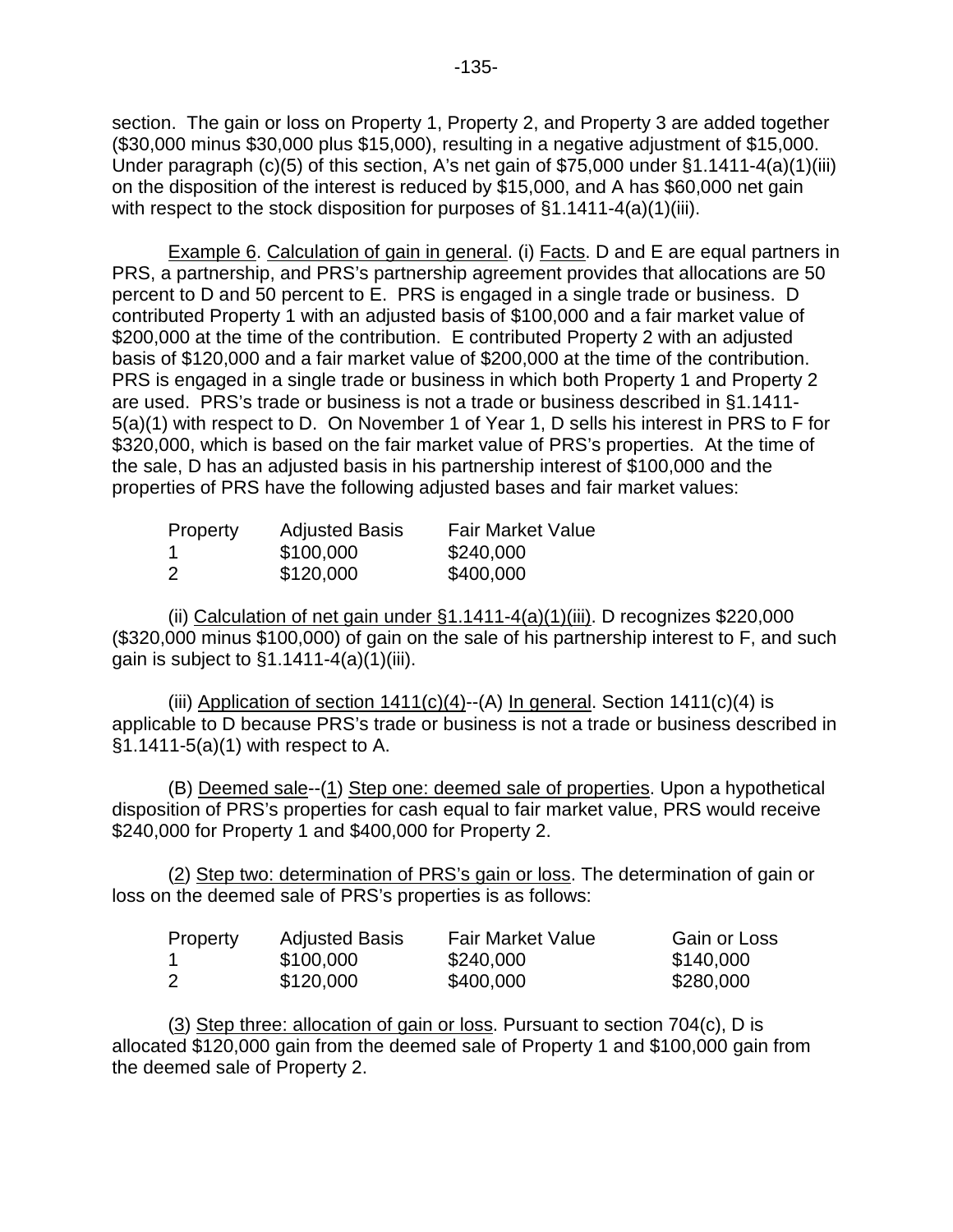section. The gain or loss on Property 1, Property 2, and Property 3 are added together (\$30,000 minus \$30,000 plus \$15,000), resulting in a negative adjustment of \$15,000. Under paragraph (c)(5) of this section, A's net gain of \$75,000 under §1.1411-4(a)(1)(iii) on the disposition of the interest is reduced by \$15,000, and A has \$60,000 net gain with respect to the stock disposition for purposes of  $\S1.1411-4(a)(1)(iii)$ .

Example 6. Calculation of gain in general. (i) Facts. D and E are equal partners in PRS, a partnership, and PRS's partnership agreement provides that allocations are 50 percent to D and 50 percent to E. PRS is engaged in a single trade or business. D contributed Property 1 with an adjusted basis of \$100,000 and a fair market value of \$200,000 at the time of the contribution. E contributed Property 2 with an adjusted basis of \$120,000 and a fair market value of \$200,000 at the time of the contribution. PRS is engaged in a single trade or business in which both Property 1 and Property 2 are used. PRS's trade or business is not a trade or business described in §1.1411- 5(a)(1) with respect to D. On November 1 of Year 1, D sells his interest in PRS to F for \$320,000, which is based on the fair market value of PRS's properties. At the time of the sale, D has an adjusted basis in his partnership interest of \$100,000 and the properties of PRS have the following adjusted bases and fair market values:

| Property | <b>Adjusted Basis</b> | <b>Fair Market Value</b> |
|----------|-----------------------|--------------------------|
|          | \$100,000             | \$240,000                |
| 2        | \$120,000             | \$400,000                |

(ii) Calculation of net gain under §1.1411-4(a)(1)(iii). D recognizes \$220,000 (\$320,000 minus \$100,000) of gain on the sale of his partnership interest to F, and such gain is subject to  $§1.1411-4(a)(1)(iii)$ .

(iii) Application of section  $1411(c)(4)$ --(A) In general. Section  $1411(c)(4)$  is applicable to D because PRS's trade or business is not a trade or business described in §1.1411-5(a)(1) with respect to A.

(B) Deemed sale--(1) Step one: deemed sale of properties. Upon a hypothetical disposition of PRS's properties for cash equal to fair market value, PRS would receive \$240,000 for Property 1 and \$400,000 for Property 2.

(2) Step two: determination of PRS's gain or loss. The determination of gain or loss on the deemed sale of PRS's properties is as follows:

| Property | <b>Adjusted Basis</b> | <b>Fair Market Value</b> | Gain or Loss |
|----------|-----------------------|--------------------------|--------------|
|          | \$100,000             | \$240,000                | \$140,000    |
| 2        | \$120,000             | \$400,000                | \$280,000    |

(3) Step three: allocation of gain or loss. Pursuant to section 704(c), D is allocated \$120,000 gain from the deemed sale of Property 1 and \$100,000 gain from the deemed sale of Property 2.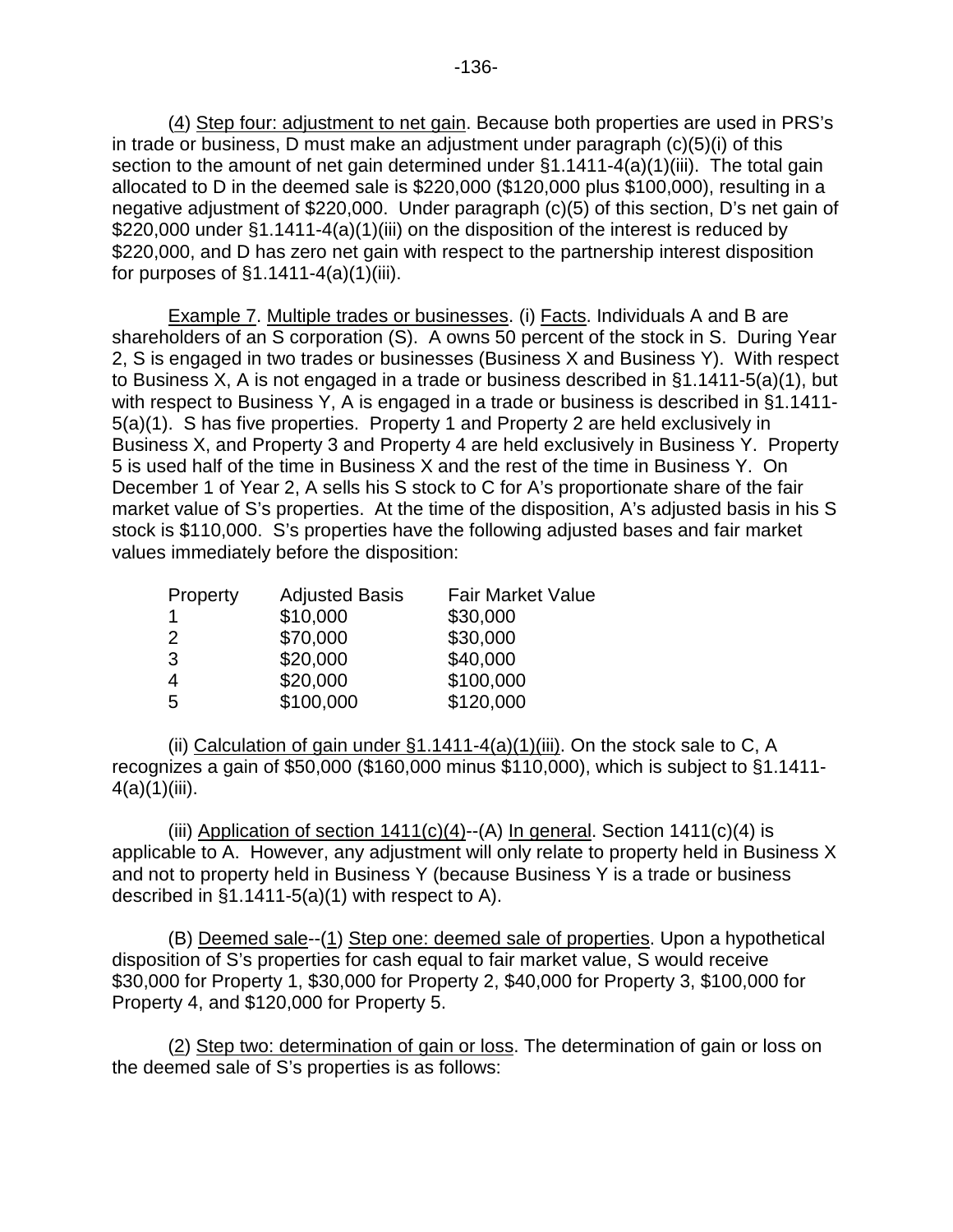(4) Step four: adjustment to net gain. Because both properties are used in PRS's in trade or business, D must make an adjustment under paragraph (c)(5)(i) of this section to the amount of net gain determined under §1.1411-4(a)(1)(iii). The total gain allocated to D in the deemed sale is \$220,000 (\$120,000 plus \$100,000), resulting in a negative adjustment of \$220,000. Under paragraph (c)(5) of this section, D's net gain of \$220,000 under §1.1411-4(a)(1)(iii) on the disposition of the interest is reduced by \$220,000, and D has zero net gain with respect to the partnership interest disposition for purposes of  $\S1.1411-4(a)(1)(iii)$ .

Example 7. Multiple trades or businesses. (i) Facts. Individuals A and B are shareholders of an S corporation (S). A owns 50 percent of the stock in S. During Year 2, S is engaged in two trades or businesses (Business X and Business Y). With respect to Business X, A is not engaged in a trade or business described in §1.1411-5(a)(1), but with respect to Business Y, A is engaged in a trade or business is described in §1.1411-5(a)(1). S has five properties. Property 1 and Property 2 are held exclusively in Business X, and Property 3 and Property 4 are held exclusively in Business Y. Property 5 is used half of the time in Business X and the rest of the time in Business Y. On December 1 of Year 2, A sells his S stock to C for A's proportionate share of the fair market value of S's properties. At the time of the disposition, A's adjusted basis in his S stock is \$110,000. S's properties have the following adjusted bases and fair market values immediately before the disposition:

| Property       | <b>Adjusted Basis</b> | <b>Fair Market Value</b> |
|----------------|-----------------------|--------------------------|
|                | \$10,000              | \$30,000                 |
| 2              | \$70,000              | \$30,000                 |
| 3              | \$20,000              | \$40,000                 |
| $\overline{4}$ | \$20,000              | \$100,000                |
| 5              | \$100,000             | \$120,000                |

(ii) Calculation of gain under §1.1411-4(a)(1)(iii). On the stock sale to C, A recognizes a gain of \$50,000 (\$160,000 minus \$110,000), which is subject to §1.1411-  $4(a)(1)(iii)$ .

(iii) Application of section  $1411(c)(4)$ --(A) In general. Section  $1411(c)(4)$  is applicable to A. However, any adjustment will only relate to property held in Business X and not to property held in Business Y (because Business Y is a trade or business described in §1.1411-5(a)(1) with respect to A).

(B) Deemed sale--(1) Step one: deemed sale of properties. Upon a hypothetical disposition of S's properties for cash equal to fair market value, S would receive \$30,000 for Property 1, \$30,000 for Property 2, \$40,000 for Property 3, \$100,000 for Property 4, and \$120,000 for Property 5.

(2) Step two: determination of gain or loss. The determination of gain or loss on the deemed sale of S's properties is as follows: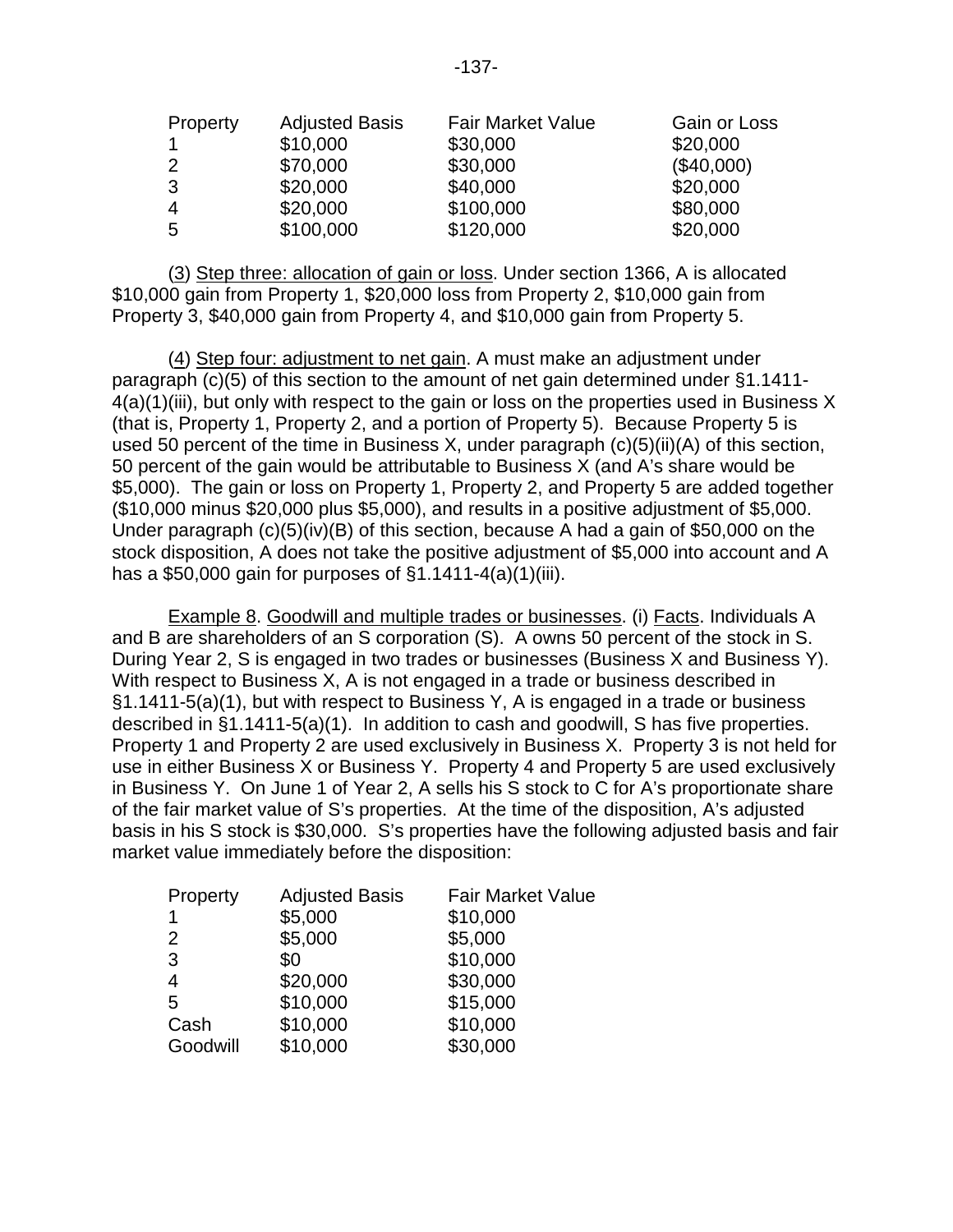| Property       | <b>Adjusted Basis</b> | <b>Fair Market Value</b> | Gain or Loss |
|----------------|-----------------------|--------------------------|--------------|
|                | \$10,000              | \$30,000                 | \$20,000     |
|                | \$70,000              | \$30,000                 | (\$40,000)   |
| 3              | \$20,000              | \$40,000                 | \$20,000     |
| $\overline{4}$ | \$20,000              | \$100,000                | \$80,000     |
| 5              | \$100,000             | \$120,000                | \$20,000     |

(3) Step three: allocation of gain or loss. Under section 1366, A is allocated \$10,000 gain from Property 1, \$20,000 loss from Property 2, \$10,000 gain from Property 3, \$40,000 gain from Property 4, and \$10,000 gain from Property 5.

(4) Step four: adjustment to net gain. A must make an adjustment under paragraph (c)(5) of this section to the amount of net gain determined under §1.1411- 4(a)(1)(iii), but only with respect to the gain or loss on the properties used in Business X (that is, Property 1, Property 2, and a portion of Property 5). Because Property 5 is used 50 percent of the time in Business X, under paragraph (c)(5)(ii)(A) of this section, 50 percent of the gain would be attributable to Business X (and A's share would be \$5,000). The gain or loss on Property 1, Property 2, and Property 5 are added together (\$10,000 minus \$20,000 plus \$5,000), and results in a positive adjustment of \$5,000. Under paragraph (c)(5)(iv)(B) of this section, because A had a gain of \$50,000 on the stock disposition, A does not take the positive adjustment of \$5,000 into account and A has a \$50,000 gain for purposes of  $\S1.1411-4(a)(1)(iii)$ .

Example 8. Goodwill and multiple trades or businesses. (i) Facts. Individuals A and B are shareholders of an S corporation (S). A owns 50 percent of the stock in S. During Year 2, S is engaged in two trades or businesses (Business X and Business Y). With respect to Business X, A is not engaged in a trade or business described in §1.1411-5(a)(1), but with respect to Business Y, A is engaged in a trade or business described in §1.1411-5(a)(1). In addition to cash and goodwill, S has five properties. Property 1 and Property 2 are used exclusively in Business X. Property 3 is not held for use in either Business X or Business Y. Property 4 and Property 5 are used exclusively in Business Y. On June 1 of Year 2, A sells his S stock to C for A's proportionate share of the fair market value of S's properties. At the time of the disposition, A's adjusted basis in his S stock is \$30,000. S's properties have the following adjusted basis and fair market value immediately before the disposition:

| Property       | <b>Adjusted Basis</b> | <b>Fair Market Value</b> |
|----------------|-----------------------|--------------------------|
| 1              | \$5,000               | \$10,000                 |
| 2              | \$5,000               | \$5,000                  |
| 3              | \$0                   | \$10,000                 |
| $\overline{4}$ | \$20,000              | \$30,000                 |
| 5              | \$10,000              | \$15,000                 |
| Cash           | \$10,000              | \$10,000                 |
| Goodwill       | \$10,000              | \$30,000                 |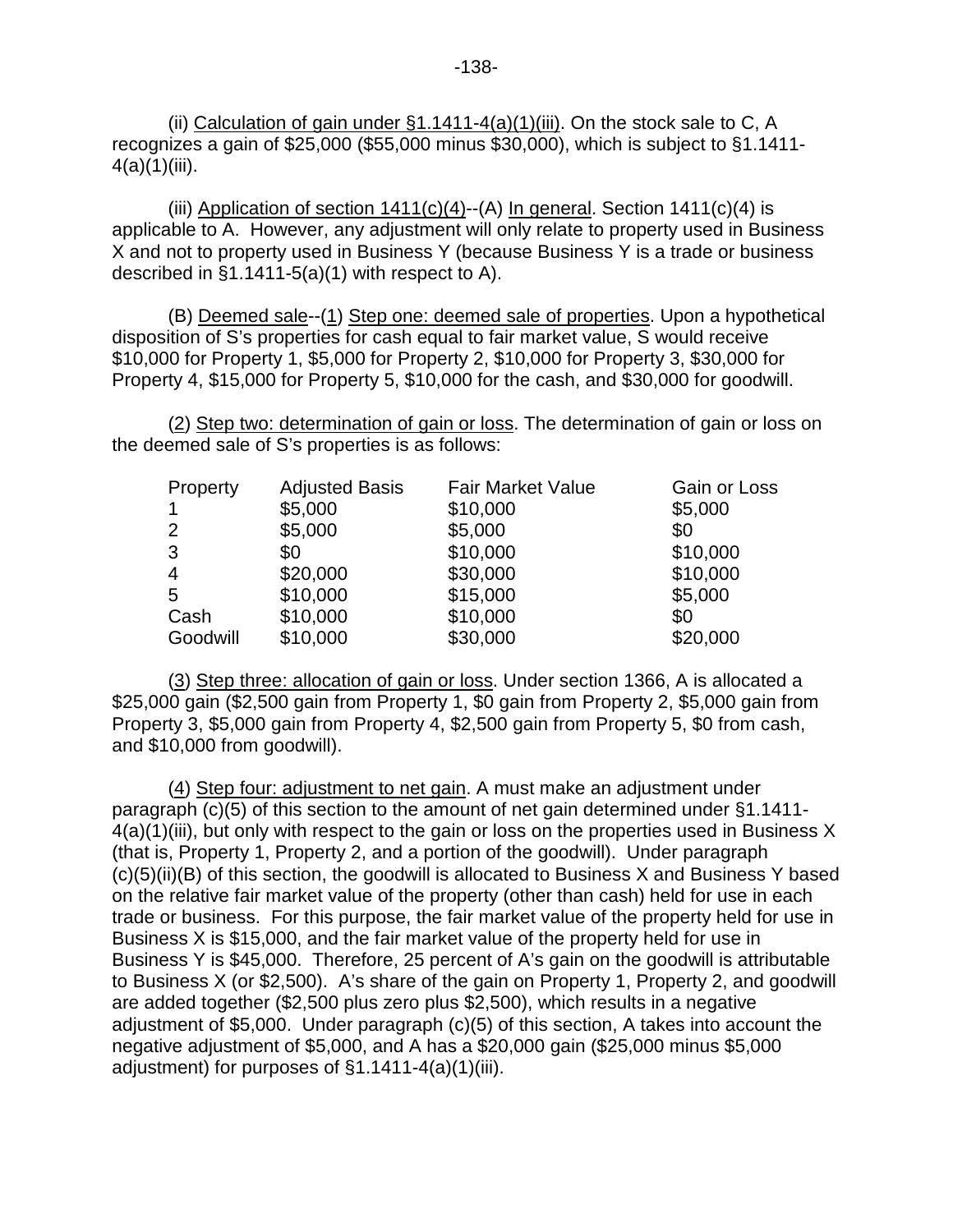(ii) Calculation of gain under  $\S1.1411-4(a)(1)$  (iii). On the stock sale to C, A recognizes a gain of \$25,000 (\$55,000 minus \$30,000), which is subject to §1.1411-  $4(a)(1)(iii)$ .

(iii) Application of section  $1411(c)(4)$ --(A) In general. Section  $1411(c)(4)$  is applicable to A. However, any adjustment will only relate to property used in Business X and not to property used in Business Y (because Business Y is a trade or business described in §1.1411-5(a)(1) with respect to A).

(B) Deemed sale--(1) Step one: deemed sale of properties. Upon a hypothetical disposition of S's properties for cash equal to fair market value, S would receive \$10,000 for Property 1, \$5,000 for Property 2, \$10,000 for Property 3, \$30,000 for Property 4, \$15,000 for Property 5, \$10,000 for the cash, and \$30,000 for goodwill.

(2) Step two: determination of gain or loss. The determination of gain or loss on the deemed sale of S's properties is as follows:

| Property       | <b>Adjusted Basis</b> | <b>Fair Market Value</b> | Gain or Loss |
|----------------|-----------------------|--------------------------|--------------|
| 1              | \$5,000               | \$10,000                 | \$5,000      |
| 2              | \$5,000               | \$5,000                  | \$0          |
| 3              | \$0                   | \$10,000                 | \$10,000     |
| $\overline{4}$ | \$20,000              | \$30,000                 | \$10,000     |
| 5              | \$10,000              | \$15,000                 | \$5,000      |
| Cash           | \$10,000              | \$10,000                 | \$0          |
| Goodwill       | \$10,000              | \$30,000                 | \$20,000     |

(3) Step three: allocation of gain or loss. Under section 1366, A is allocated a \$25,000 gain (\$2,500 gain from Property 1, \$0 gain from Property 2, \$5,000 gain from Property 3, \$5,000 gain from Property 4, \$2,500 gain from Property 5, \$0 from cash, and \$10,000 from goodwill).

(4) Step four: adjustment to net gain. A must make an adjustment under paragraph (c)(5) of this section to the amount of net gain determined under §1.1411- 4(a)(1)(iii), but only with respect to the gain or loss on the properties used in Business X (that is, Property 1, Property 2, and a portion of the goodwill). Under paragraph (c)(5)(ii)(B) of this section, the goodwill is allocated to Business X and Business Y based on the relative fair market value of the property (other than cash) held for use in each trade or business. For this purpose, the fair market value of the property held for use in Business X is \$15,000, and the fair market value of the property held for use in Business Y is \$45,000. Therefore, 25 percent of A's gain on the goodwill is attributable to Business X (or \$2,500). A's share of the gain on Property 1, Property 2, and goodwill are added together (\$2,500 plus zero plus \$2,500), which results in a negative adjustment of \$5,000. Under paragraph (c)(5) of this section, A takes into account the negative adjustment of \$5,000, and A has a \$20,000 gain (\$25,000 minus \$5,000 adjustment) for purposes of §1.1411-4(a)(1)(iii).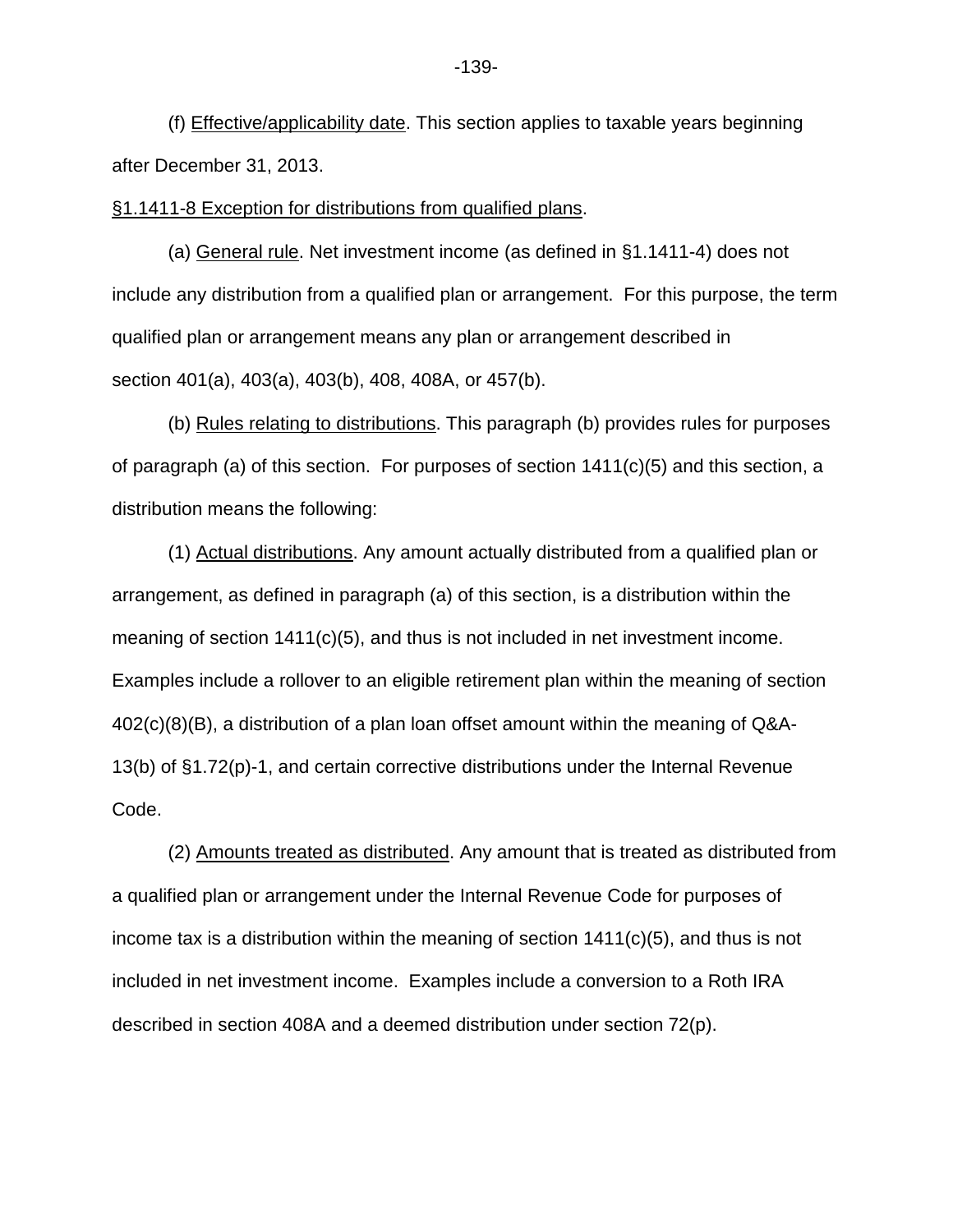(f) Effective/applicability date. This section applies to taxable years beginning after December 31, 2013.

§1.1411-8 Exception for distributions from qualified plans.

(a) General rule. Net investment income (as defined in §1.1411-4) does not include any distribution from a qualified plan or arrangement. For this purpose, the term qualified plan or arrangement means any plan or arrangement described in section 401(a), 403(a), 403(b), 408, 408A, or 457(b).

(b) Rules relating to distributions. This paragraph (b) provides rules for purposes of paragraph (a) of this section. For purposes of section 1411(c)(5) and this section, a distribution means the following:

(1) Actual distributions. Any amount actually distributed from a qualified plan or arrangement, as defined in paragraph (a) of this section, is a distribution within the meaning of section 1411(c)(5), and thus is not included in net investment income. Examples include a rollover to an eligible retirement plan within the meaning of section 402(c)(8)(B), a distribution of a plan loan offset amount within the meaning of Q&A-13(b) of §1.72(p)-1, and certain corrective distributions under the Internal Revenue Code.

(2) Amounts treated as distributed. Any amount that is treated as distributed from a qualified plan or arrangement under the Internal Revenue Code for purposes of income tax is a distribution within the meaning of section 1411(c)(5), and thus is not included in net investment income. Examples include a conversion to a Roth IRA described in section 408A and a deemed distribution under section 72(p).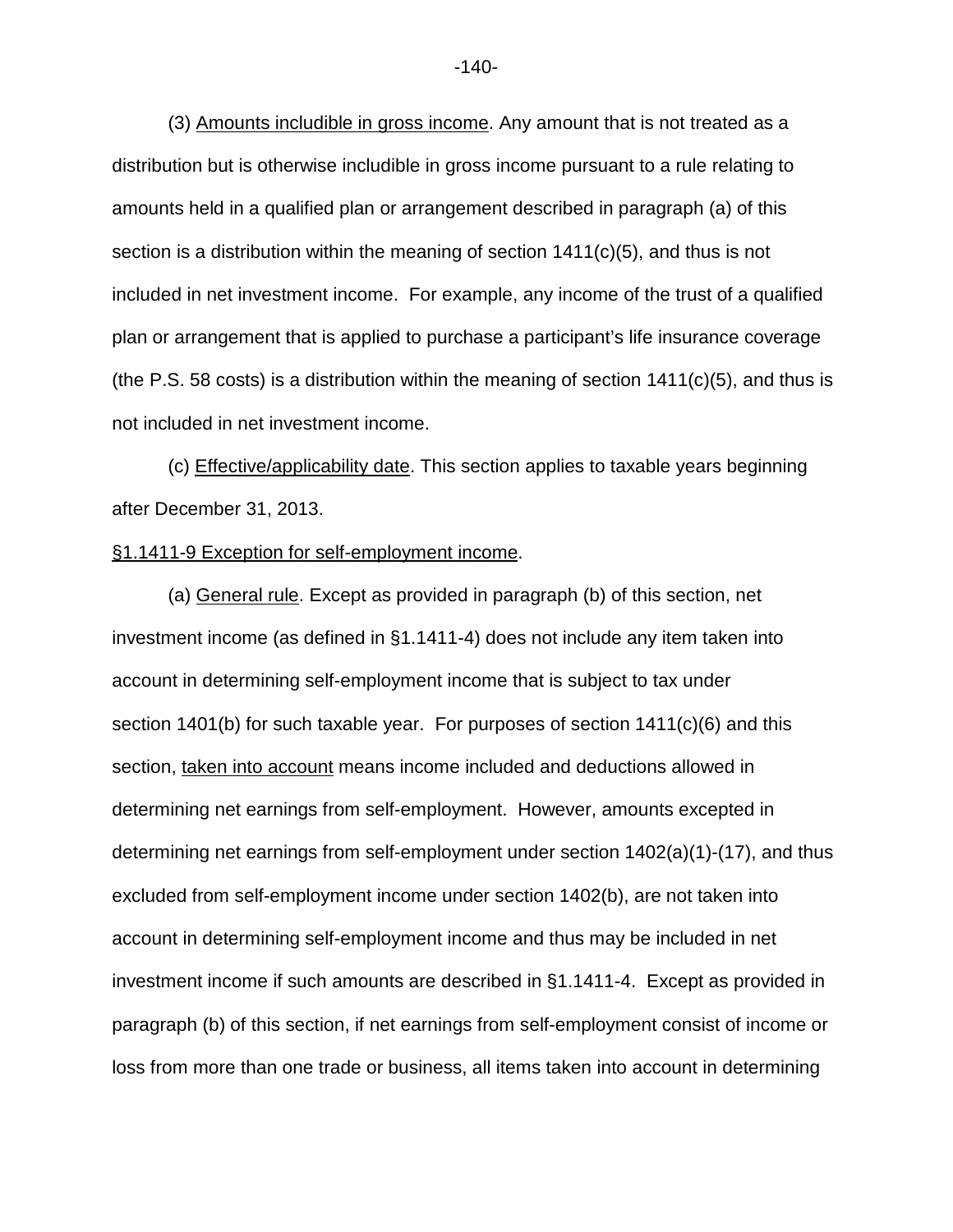(3) Amounts includible in gross income. Any amount that is not treated as a distribution but is otherwise includible in gross income pursuant to a rule relating to amounts held in a qualified plan or arrangement described in paragraph (a) of this section is a distribution within the meaning of section 1411(c)(5), and thus is not included in net investment income. For example, any income of the trust of a qualified plan or arrangement that is applied to purchase a participant's life insurance coverage (the P.S. 58 costs) is a distribution within the meaning of section  $1411(c)(5)$ , and thus is not included in net investment income.

(c) Effective/applicability date. This section applies to taxable years beginning after December 31, 2013.

### §1.1411-9 Exception for self-employment income.

(a) General rule. Except as provided in paragraph (b) of this section, net investment income (as defined in §1.1411-4) does not include any item taken into account in determining self-employment income that is subject to tax under section 1401(b) for such taxable year. For purposes of section 1411(c)(6) and this section, taken into account means income included and deductions allowed in determining net earnings from self-employment. However, amounts excepted in determining net earnings from self-employment under section 1402(a)(1)-(17), and thus excluded from self-employment income under section 1402(b), are not taken into account in determining self-employment income and thus may be included in net investment income if such amounts are described in §1.1411-4. Except as provided in paragraph (b) of this section, if net earnings from self-employment consist of income or loss from more than one trade or business, all items taken into account in determining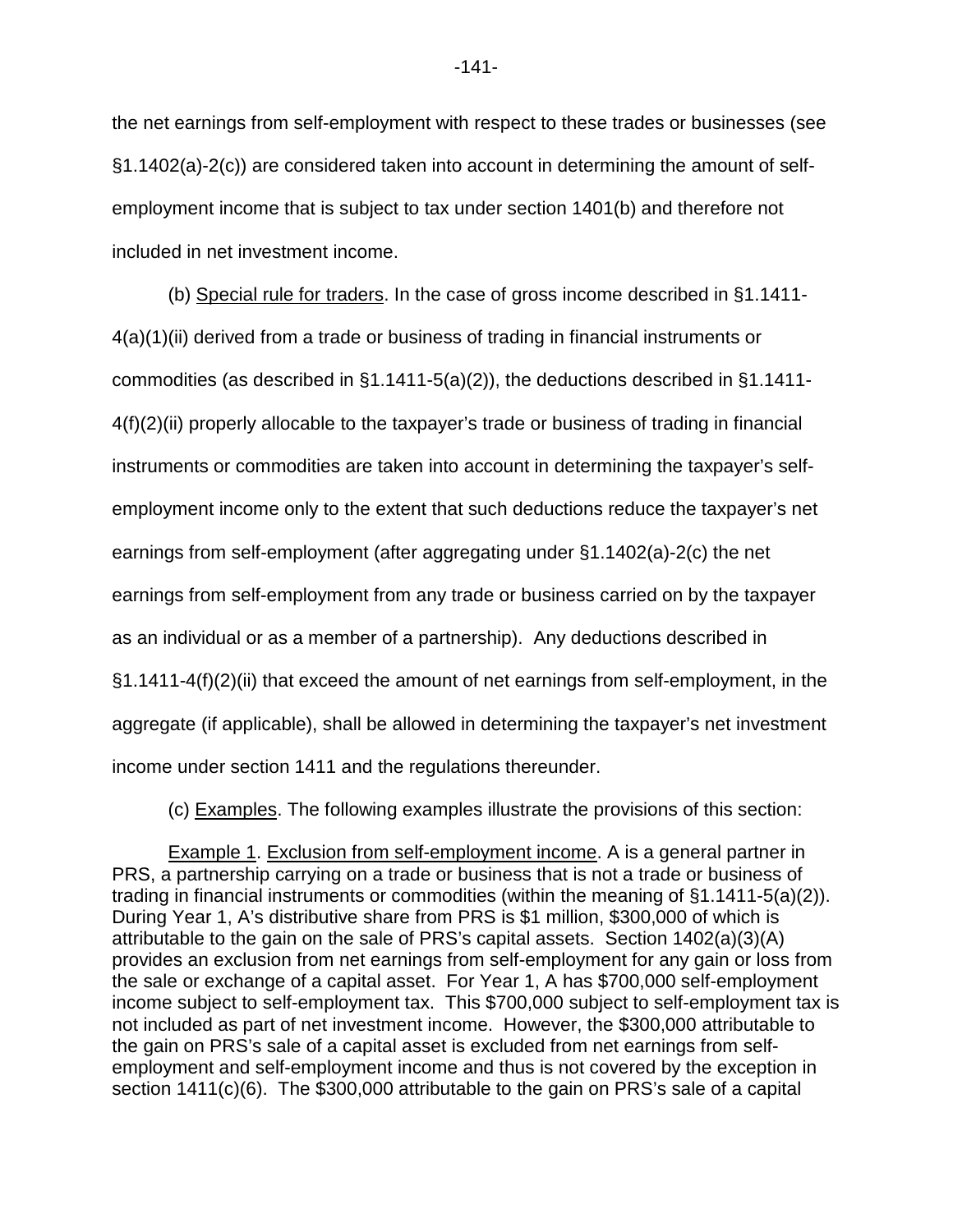the net earnings from self-employment with respect to these trades or businesses (see §1.1402(a)-2(c)) are considered taken into account in determining the amount of selfemployment income that is subject to tax under section 1401(b) and therefore not included in net investment income.

(b) Special rule for traders. In the case of gross income described in §1.1411- 4(a)(1)(ii) derived from a trade or business of trading in financial instruments or commodities (as described in §1.1411-5(a)(2)), the deductions described in §1.1411-  $4(f)(2)(ii)$  properly allocable to the taxpayer's trade or business of trading in financial instruments or commodities are taken into account in determining the taxpayer's selfemployment income only to the extent that such deductions reduce the taxpayer's net earnings from self-employment (after aggregating under §1.1402(a)-2(c) the net earnings from self-employment from any trade or business carried on by the taxpayer as an individual or as a member of a partnership). Any deductions described in §1.1411-4(f)(2)(ii) that exceed the amount of net earnings from self-employment, in the aggregate (if applicable), shall be allowed in determining the taxpayer's net investment income under section 1411 and the regulations thereunder.

(c) Examples. The following examples illustrate the provisions of this section:

Example 1. Exclusion from self-employment income. A is a general partner in PRS, a partnership carrying on a trade or business that is not a trade or business of trading in financial instruments or commodities (within the meaning of §1.1411-5(a)(2)). During Year 1, A's distributive share from PRS is \$1 million, \$300,000 of which is attributable to the gain on the sale of PRS's capital assets. Section 1402(a)(3)(A) provides an exclusion from net earnings from self-employment for any gain or loss from the sale or exchange of a capital asset. For Year 1, A has \$700,000 self-employment income subject to self-employment tax. This \$700,000 subject to self-employment tax is not included as part of net investment income. However, the \$300,000 attributable to the gain on PRS's sale of a capital asset is excluded from net earnings from selfemployment and self-employment income and thus is not covered by the exception in section 1411(c)(6). The \$300,000 attributable to the gain on PRS's sale of a capital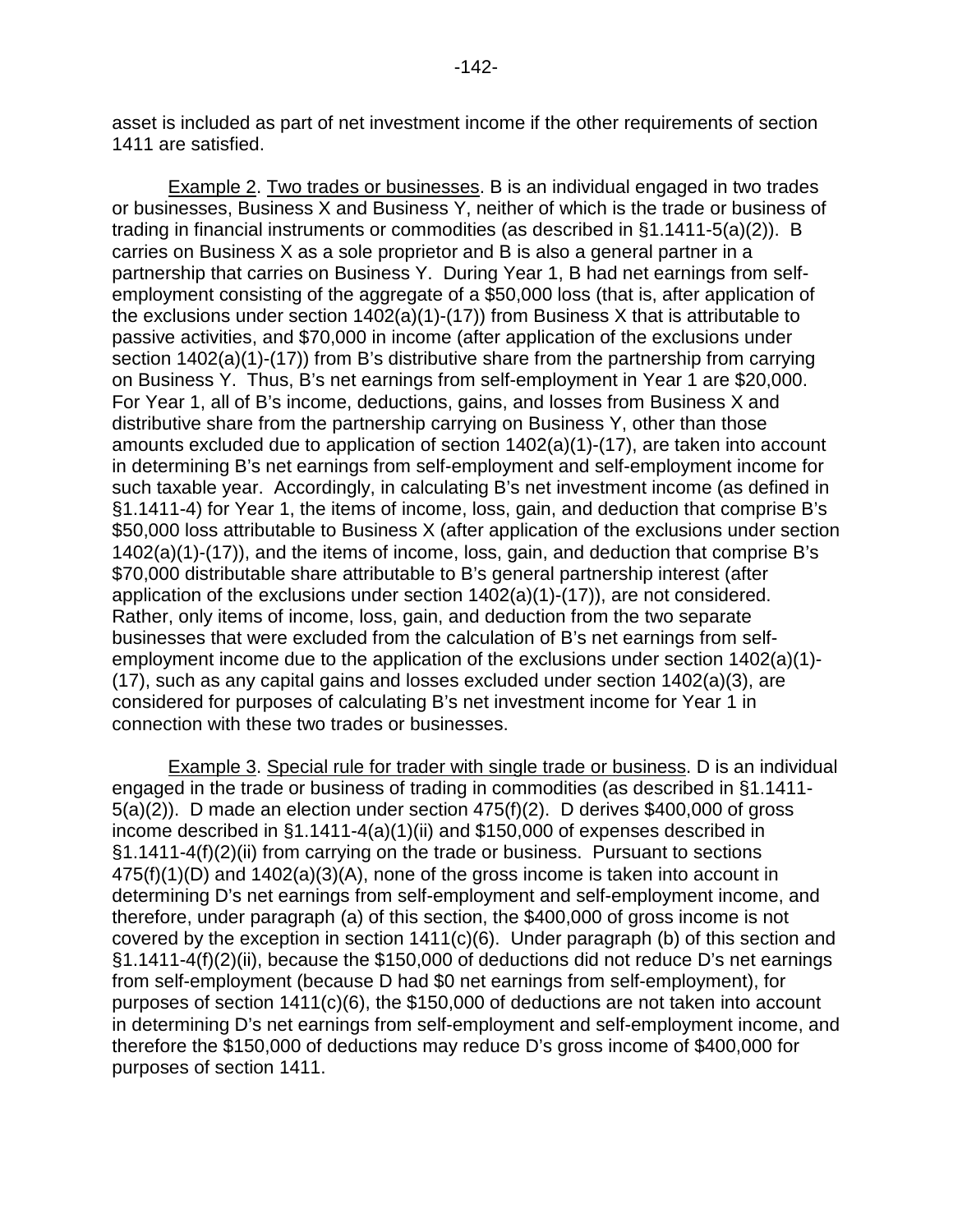Example 2. Two trades or businesses. B is an individual engaged in two trades or businesses, Business X and Business Y, neither of which is the trade or business of trading in financial instruments or commodities (as described in §1.1411-5(a)(2)). B carries on Business X as a sole proprietor and B is also a general partner in a partnership that carries on Business Y. During Year 1, B had net earnings from selfemployment consisting of the aggregate of a \$50,000 loss (that is, after application of the exclusions under section  $1402(a)(1)-(17)$  from Business X that is attributable to passive activities, and \$70,000 in income (after application of the exclusions under section 1402(a)(1)-(17)) from B's distributive share from the partnership from carrying on Business Y. Thus, B's net earnings from self-employment in Year 1 are \$20,000. For Year 1, all of B's income, deductions, gains, and losses from Business X and distributive share from the partnership carrying on Business Y, other than those amounts excluded due to application of section 1402(a)(1)-(17), are taken into account in determining B's net earnings from self-employment and self-employment income for such taxable year. Accordingly, in calculating B's net investment income (as defined in §1.1411-4) for Year 1, the items of income, loss, gain, and deduction that comprise B's \$50,000 loss attributable to Business X (after application of the exclusions under section 1402(a)(1)-(17)), and the items of income, loss, gain, and deduction that comprise B's \$70,000 distributable share attributable to B's general partnership interest (after application of the exclusions under section 1402(a)(1)-(17)), are not considered. Rather, only items of income, loss, gain, and deduction from the two separate businesses that were excluded from the calculation of B's net earnings from selfemployment income due to the application of the exclusions under section 1402(a)(1)- (17), such as any capital gains and losses excluded under section 1402(a)(3), are considered for purposes of calculating B's net investment income for Year 1 in connection with these two trades or businesses.

Example 3. Special rule for trader with single trade or business. D is an individual engaged in the trade or business of trading in commodities (as described in §1.1411- 5(a)(2)). D made an election under section 475(f)(2). D derives \$400,000 of gross income described in §1.1411-4(a)(1)(ii) and \$150,000 of expenses described in §1.1411-4(f)(2)(ii) from carrying on the trade or business. Pursuant to sections 475(f)(1)(D) and 1402(a)(3)(A), none of the gross income is taken into account in determining D's net earnings from self-employment and self-employment income, and therefore, under paragraph (a) of this section, the \$400,000 of gross income is not covered by the exception in section 1411(c)(6). Under paragraph (b) of this section and §1.1411-4(f)(2)(ii), because the \$150,000 of deductions did not reduce D's net earnings from self-employment (because D had \$0 net earnings from self-employment), for purposes of section 1411(c)(6), the \$150,000 of deductions are not taken into account in determining D's net earnings from self-employment and self-employment income, and therefore the \$150,000 of deductions may reduce D's gross income of \$400,000 for purposes of section 1411.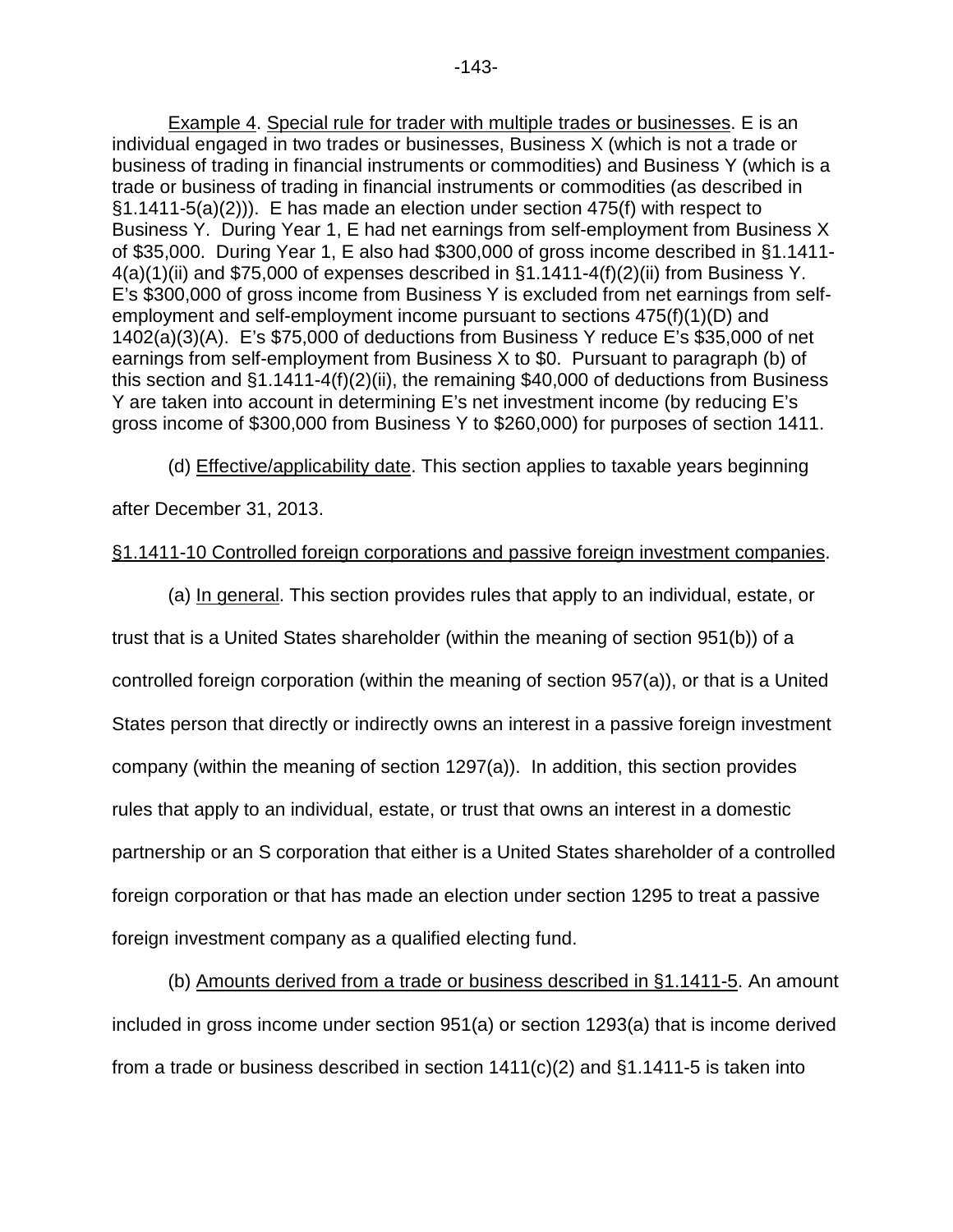Example 4. Special rule for trader with multiple trades or businesses. E is an individual engaged in two trades or businesses, Business X (which is not a trade or business of trading in financial instruments or commodities) and Business Y (which is a trade or business of trading in financial instruments or commodities (as described in §1.1411-5(a)(2))). E has made an election under section 475(f) with respect to Business Y. During Year 1, E had net earnings from self-employment from Business X of \$35,000. During Year 1, E also had \$300,000 of gross income described in §1.1411-  $4(a)(1)(ii)$  and \$75,000 of expenses described in  $§1.1411-4(f)(2)(ii)$  from Business Y. E's \$300,000 of gross income from Business Y is excluded from net earnings from selfemployment and self-employment income pursuant to sections 475(f)(1)(D) and 1402(a)(3)(A). E's \$75,000 of deductions from Business Y reduce E's \$35,000 of net earnings from self-employment from Business X to \$0. Pursuant to paragraph (b) of this section and §1.1411-4(f)(2)(ii), the remaining \$40,000 of deductions from Business Y are taken into account in determining E's net investment income (by reducing E's gross income of \$300,000 from Business Y to \$260,000) for purposes of section 1411.

(d) Effective/applicability date. This section applies to taxable years beginning

after December 31, 2013.

# §1.1411-10 Controlled foreign corporations and passive foreign investment companies.

(a) In general. This section provides rules that apply to an individual, estate, or trust that is a United States shareholder (within the meaning of section 951(b)) of a controlled foreign corporation (within the meaning of section 957(a)), or that is a United States person that directly or indirectly owns an interest in a passive foreign investment company (within the meaning of section 1297(a)). In addition, this section provides rules that apply to an individual, estate, or trust that owns an interest in a domestic partnership or an S corporation that either is a United States shareholder of a controlled foreign corporation or that has made an election under section 1295 to treat a passive foreign investment company as a qualified electing fund.

(b) Amounts derived from a trade or business described in §1.1411-5. An amount included in gross income under section 951(a) or section 1293(a) that is income derived from a trade or business described in section  $1411(c)(2)$  and  $§1.1411-5$  is taken into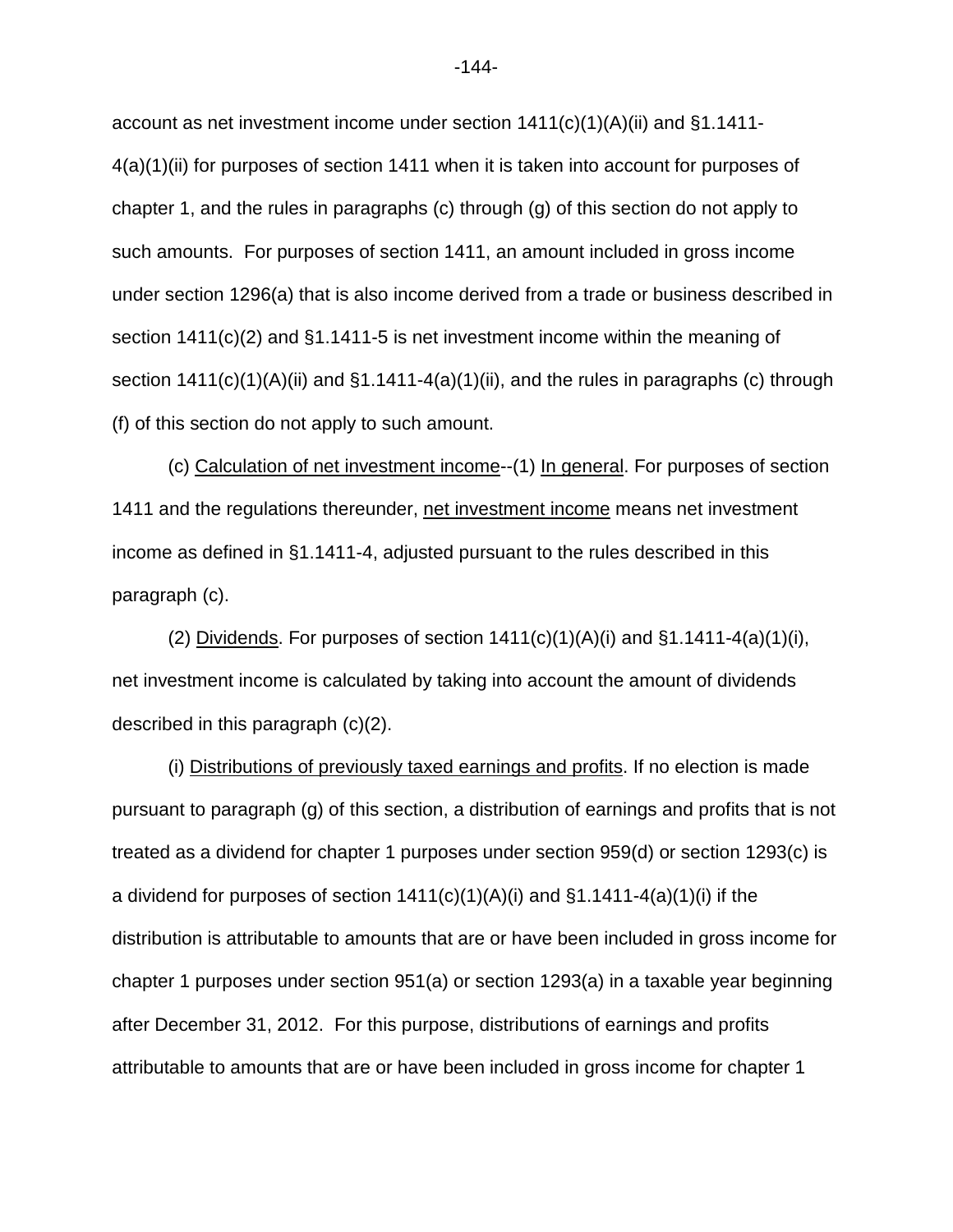account as net investment income under section  $1411(c)(1)(A)(ii)$  and §1.1411-4(a)(1)(ii) for purposes of section 1411 when it is taken into account for purposes of chapter 1, and the rules in paragraphs (c) through (g) of this section do not apply to such amounts. For purposes of section 1411, an amount included in gross income under section 1296(a) that is also income derived from a trade or business described in section 1411(c)(2) and §1.1411-5 is net investment income within the meaning of section 1411(c)(1)(A)(ii) and §1.1411-4(a)(1)(ii), and the rules in paragraphs (c) through (f) of this section do not apply to such amount.

(c) Calculation of net investment income--(1) In general. For purposes of section 1411 and the regulations thereunder, net investment income means net investment income as defined in §1.1411-4, adjusted pursuant to the rules described in this paragraph (c).

(2) Dividends. For purposes of section  $1411(c)(1)(A)(i)$  and  $§1.1411-4(a)(1)(i)$ , net investment income is calculated by taking into account the amount of dividends described in this paragraph (c)(2).

(i) Distributions of previously taxed earnings and profits. If no election is made pursuant to paragraph (g) of this section, a distribution of earnings and profits that is not treated as a dividend for chapter 1 purposes under section 959(d) or section 1293(c) is a dividend for purposes of section  $1411(c)(1)(A)(i)$  and  $§1.1411-4(a)(1)(i)$  if the distribution is attributable to amounts that are or have been included in gross income for chapter 1 purposes under section 951(a) or section 1293(a) in a taxable year beginning after December 31, 2012. For this purpose, distributions of earnings and profits attributable to amounts that are or have been included in gross income for chapter 1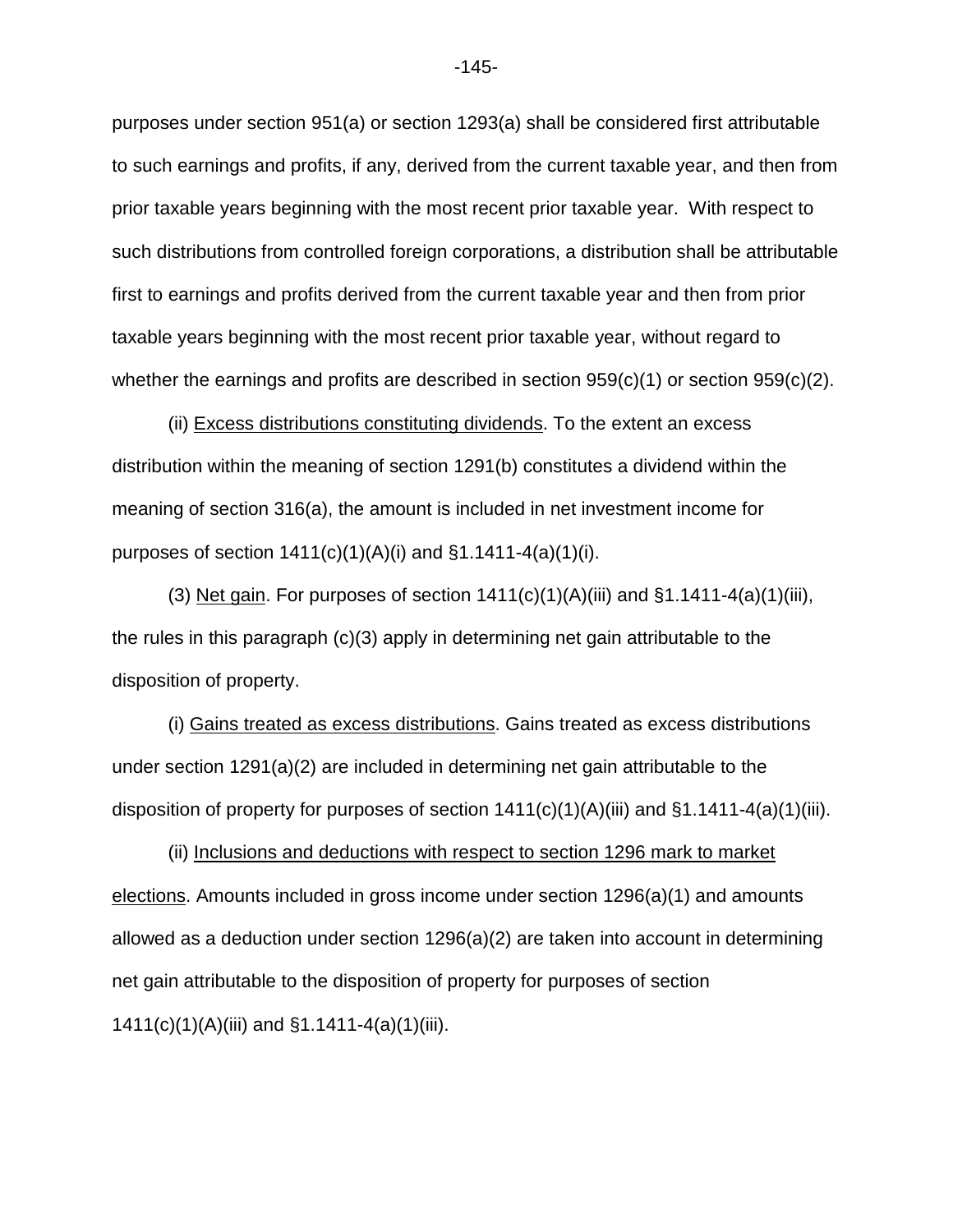purposes under section 951(a) or section 1293(a) shall be considered first attributable to such earnings and profits, if any, derived from the current taxable year, and then from prior taxable years beginning with the most recent prior taxable year. With respect to such distributions from controlled foreign corporations, a distribution shall be attributable first to earnings and profits derived from the current taxable year and then from prior taxable years beginning with the most recent prior taxable year, without regard to whether the earnings and profits are described in section  $959(c)(1)$  or section  $959(c)(2)$ .

(ii) Excess distributions constituting dividends. To the extent an excess distribution within the meaning of section 1291(b) constitutes a dividend within the meaning of section 316(a), the amount is included in net investment income for purposes of section  $1411(c)(1)(A)(i)$  and  $§1.1411-4(a)(1)(i)$ .

(3) Net gain. For purposes of section  $1411(c)(1)(A)(iii)$  and  $\S1.1411-4(a)(1)(iii)$ , the rules in this paragraph (c)(3) apply in determining net gain attributable to the disposition of property.

(i) Gains treated as excess distributions. Gains treated as excess distributions under section 1291(a)(2) are included in determining net gain attributable to the disposition of property for purposes of section  $1411(c)(1)(A)(iii)$  and  $\S1.1411-4(a)(1)(iii)$ .

(ii) Inclusions and deductions with respect to section 1296 mark to market elections. Amounts included in gross income under section 1296(a)(1) and amounts allowed as a deduction under section 1296(a)(2) are taken into account in determining net gain attributable to the disposition of property for purposes of section 1411(c)(1)(A)(iii) and §1.1411-4(a)(1)(iii).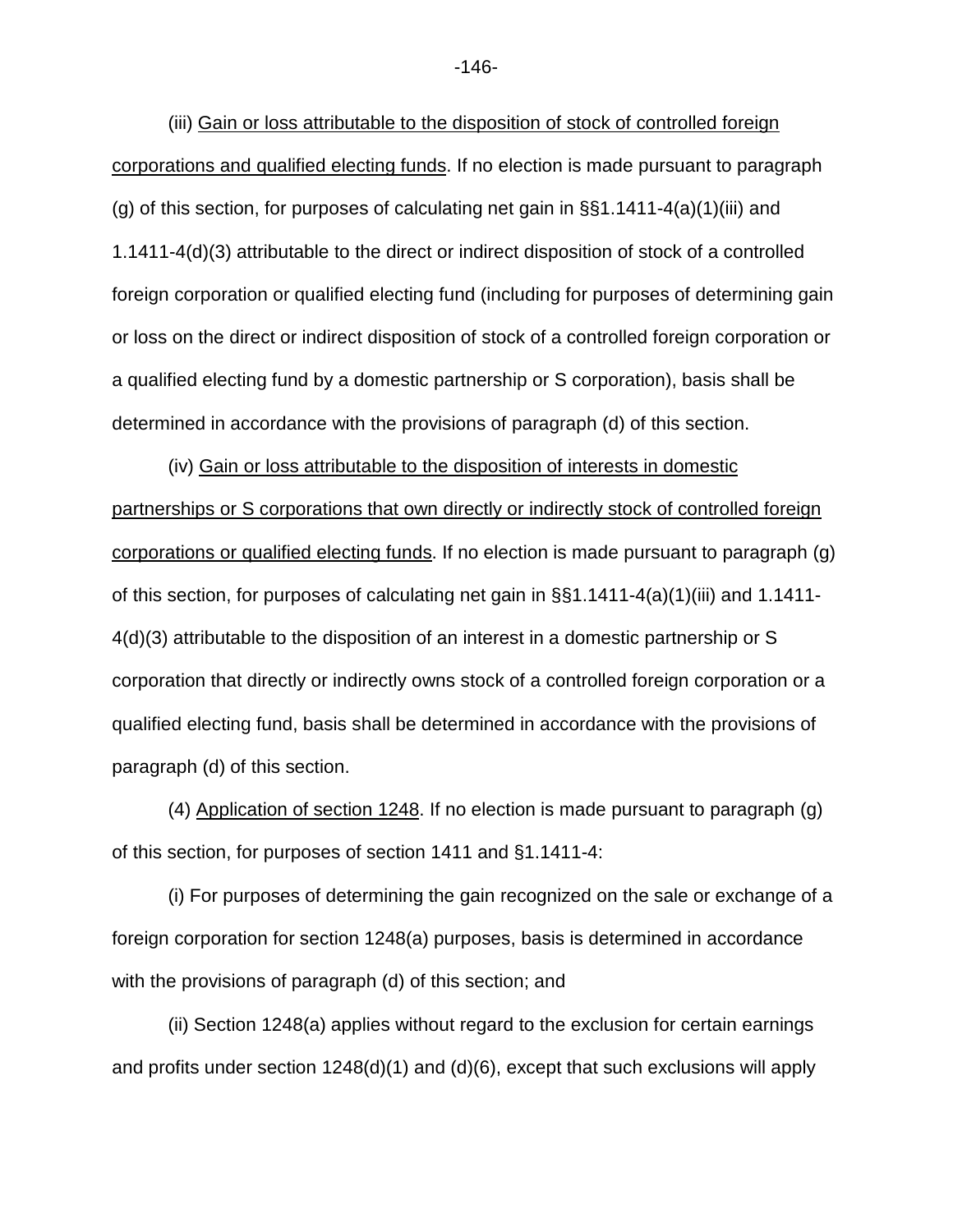(iii) Gain or loss attributable to the disposition of stock of controlled foreign corporations and qualified electing funds. If no election is made pursuant to paragraph (g) of this section, for purposes of calculating net gain in  $\S(1.1411-4(a)(1)(iii)$  and 1.1411-4(d)(3) attributable to the direct or indirect disposition of stock of a controlled foreign corporation or qualified electing fund (including for purposes of determining gain or loss on the direct or indirect disposition of stock of a controlled foreign corporation or a qualified electing fund by a domestic partnership or S corporation), basis shall be determined in accordance with the provisions of paragraph (d) of this section.

(iv) Gain or loss attributable to the disposition of interests in domestic partnerships or S corporations that own directly or indirectly stock of controlled foreign corporations or qualified electing funds. If no election is made pursuant to paragraph (g) of this section, for purposes of calculating net gain in §§1.1411-4(a)(1)(iii) and 1.1411- 4(d)(3) attributable to the disposition of an interest in a domestic partnership or S corporation that directly or indirectly owns stock of a controlled foreign corporation or a qualified electing fund, basis shall be determined in accordance with the provisions of paragraph (d) of this section.

(4) Application of section 1248. If no election is made pursuant to paragraph (g) of this section, for purposes of section 1411 and §1.1411-4:

(i) For purposes of determining the gain recognized on the sale or exchange of a foreign corporation for section 1248(a) purposes, basis is determined in accordance with the provisions of paragraph (d) of this section; and

(ii) Section 1248(a) applies without regard to the exclusion for certain earnings and profits under section  $1248(d)(1)$  and  $(d)(6)$ , except that such exclusions will apply

-146-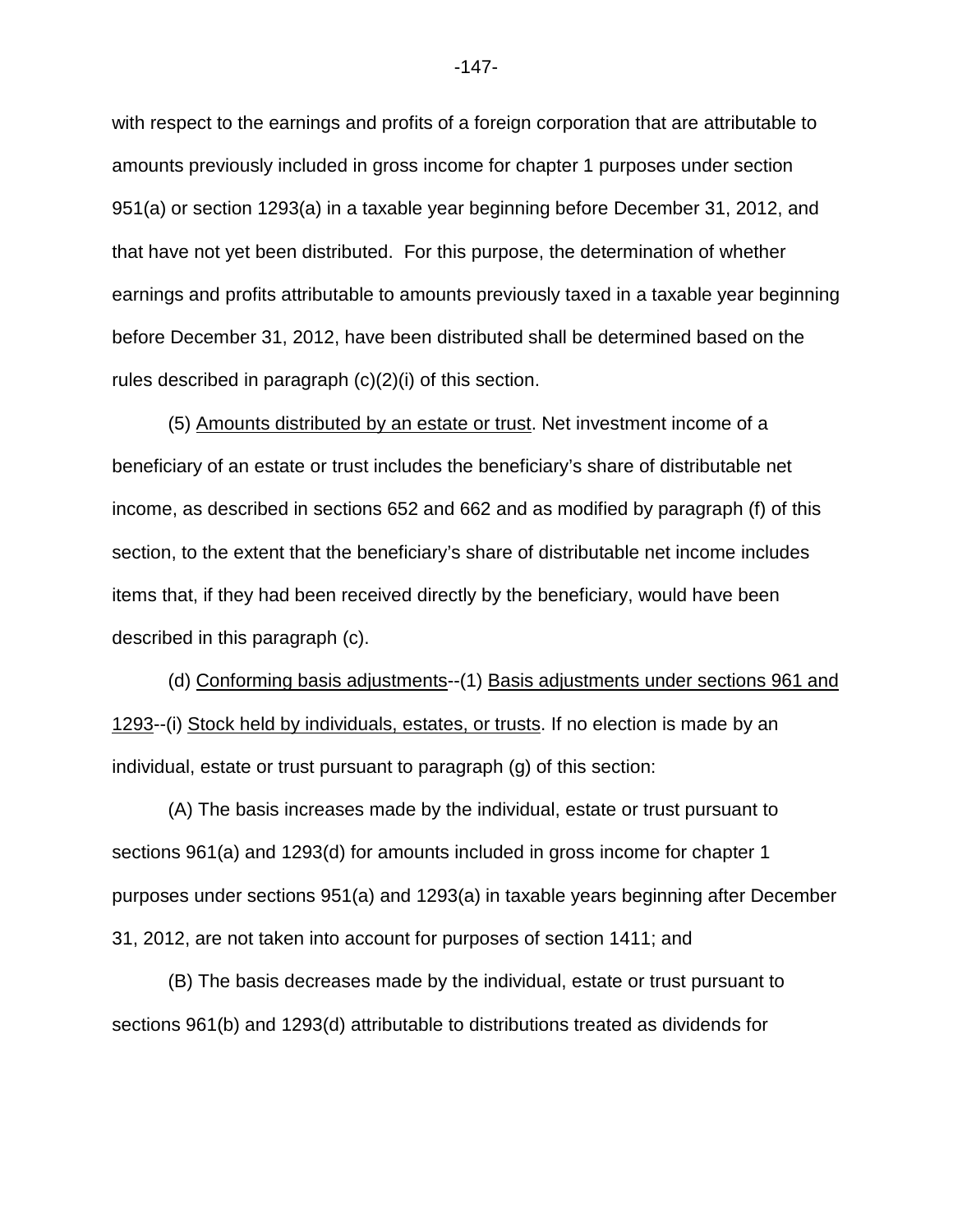with respect to the earnings and profits of a foreign corporation that are attributable to amounts previously included in gross income for chapter 1 purposes under section 951(a) or section 1293(a) in a taxable year beginning before December 31, 2012, and that have not yet been distributed. For this purpose, the determination of whether earnings and profits attributable to amounts previously taxed in a taxable year beginning before December 31, 2012, have been distributed shall be determined based on the rules described in paragraph (c)(2)(i) of this section.

(5) Amounts distributed by an estate or trust. Net investment income of a beneficiary of an estate or trust includes the beneficiary's share of distributable net income, as described in sections 652 and 662 and as modified by paragraph (f) of this section, to the extent that the beneficiary's share of distributable net income includes items that, if they had been received directly by the beneficiary, would have been described in this paragraph (c).

(d) Conforming basis adjustments--(1) Basis adjustments under sections 961 and 1293--(i) Stock held by individuals, estates, or trusts. If no election is made by an individual, estate or trust pursuant to paragraph (g) of this section:

(A) The basis increases made by the individual, estate or trust pursuant to sections 961(a) and 1293(d) for amounts included in gross income for chapter 1 purposes under sections 951(a) and 1293(a) in taxable years beginning after December 31, 2012, are not taken into account for purposes of section 1411; and

(B) The basis decreases made by the individual, estate or trust pursuant to sections 961(b) and 1293(d) attributable to distributions treated as dividends for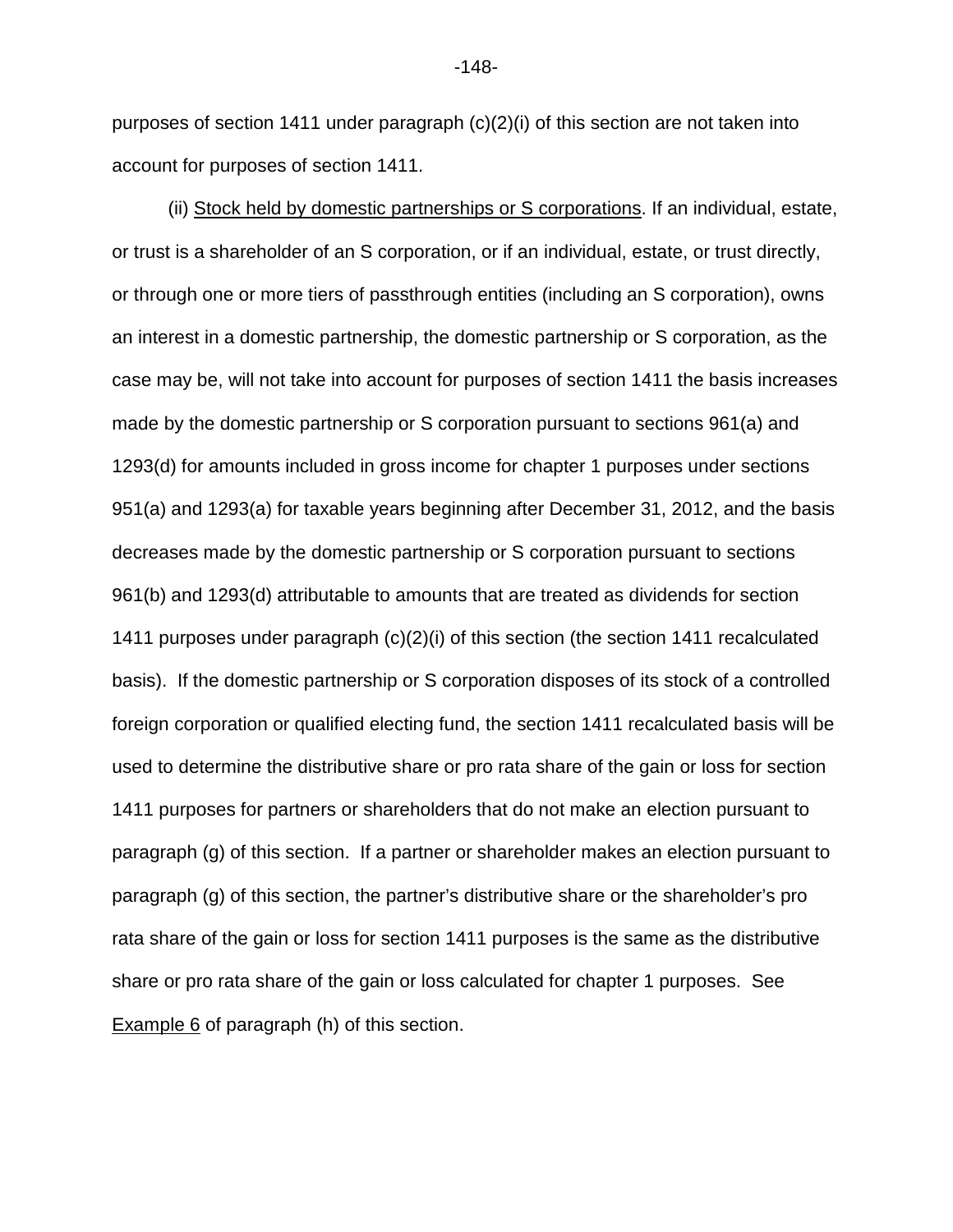purposes of section 1411 under paragraph (c)(2)(i) of this section are not taken into account for purposes of section 1411.

(ii) Stock held by domestic partnerships or S corporations. If an individual, estate, or trust is a shareholder of an S corporation, or if an individual, estate, or trust directly, or through one or more tiers of passthrough entities (including an S corporation), owns an interest in a domestic partnership, the domestic partnership or S corporation, as the case may be, will not take into account for purposes of section 1411 the basis increases made by the domestic partnership or S corporation pursuant to sections 961(a) and 1293(d) for amounts included in gross income for chapter 1 purposes under sections 951(a) and 1293(a) for taxable years beginning after December 31, 2012, and the basis decreases made by the domestic partnership or S corporation pursuant to sections 961(b) and 1293(d) attributable to amounts that are treated as dividends for section 1411 purposes under paragraph (c)(2)(i) of this section (the section 1411 recalculated basis). If the domestic partnership or S corporation disposes of its stock of a controlled foreign corporation or qualified electing fund, the section 1411 recalculated basis will be used to determine the distributive share or pro rata share of the gain or loss for section 1411 purposes for partners or shareholders that do not make an election pursuant to paragraph (g) of this section. If a partner or shareholder makes an election pursuant to paragraph (g) of this section, the partner's distributive share or the shareholder's pro rata share of the gain or loss for section 1411 purposes is the same as the distributive share or pro rata share of the gain or loss calculated for chapter 1 purposes. See Example 6 of paragraph (h) of this section.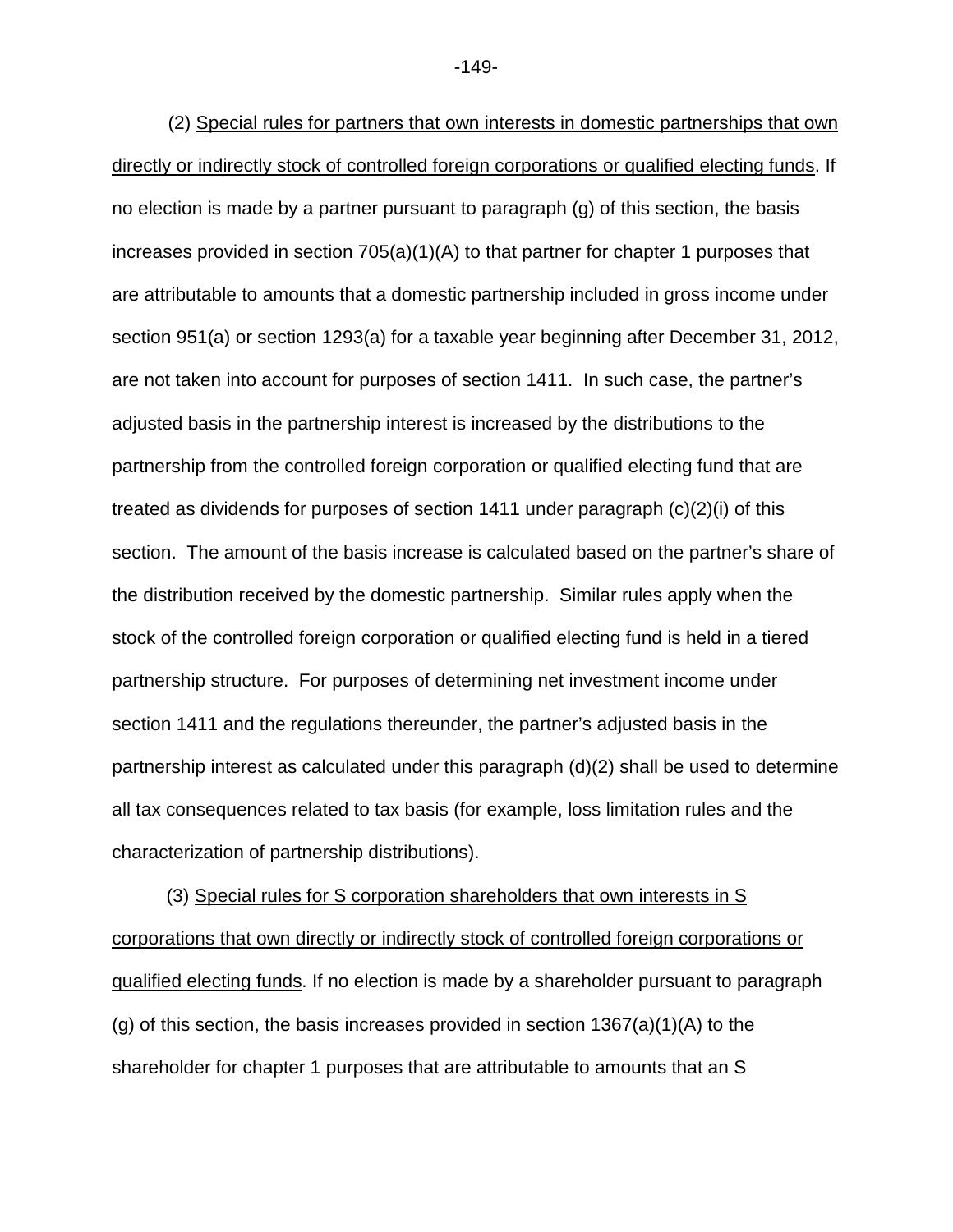(2) Special rules for partners that own interests in domestic partnerships that own directly or indirectly stock of controlled foreign corporations or qualified electing funds. If no election is made by a partner pursuant to paragraph (g) of this section, the basis increases provided in section 705(a)(1)(A) to that partner for chapter 1 purposes that are attributable to amounts that a domestic partnership included in gross income under section 951(a) or section 1293(a) for a taxable year beginning after December 31, 2012, are not taken into account for purposes of section 1411. In such case, the partner's adjusted basis in the partnership interest is increased by the distributions to the partnership from the controlled foreign corporation or qualified electing fund that are treated as dividends for purposes of section 1411 under paragraph (c)(2)(i) of this section. The amount of the basis increase is calculated based on the partner's share of the distribution received by the domestic partnership. Similar rules apply when the stock of the controlled foreign corporation or qualified electing fund is held in a tiered partnership structure. For purposes of determining net investment income under section 1411 and the regulations thereunder, the partner's adjusted basis in the partnership interest as calculated under this paragraph (d)(2) shall be used to determine all tax consequences related to tax basis (for example, loss limitation rules and the characterization of partnership distributions).

(3) Special rules for S corporation shareholders that own interests in S corporations that own directly or indirectly stock of controlled foreign corporations or qualified electing funds. If no election is made by a shareholder pursuant to paragraph (g) of this section, the basis increases provided in section  $1367(a)(1)(A)$  to the shareholder for chapter 1 purposes that are attributable to amounts that an S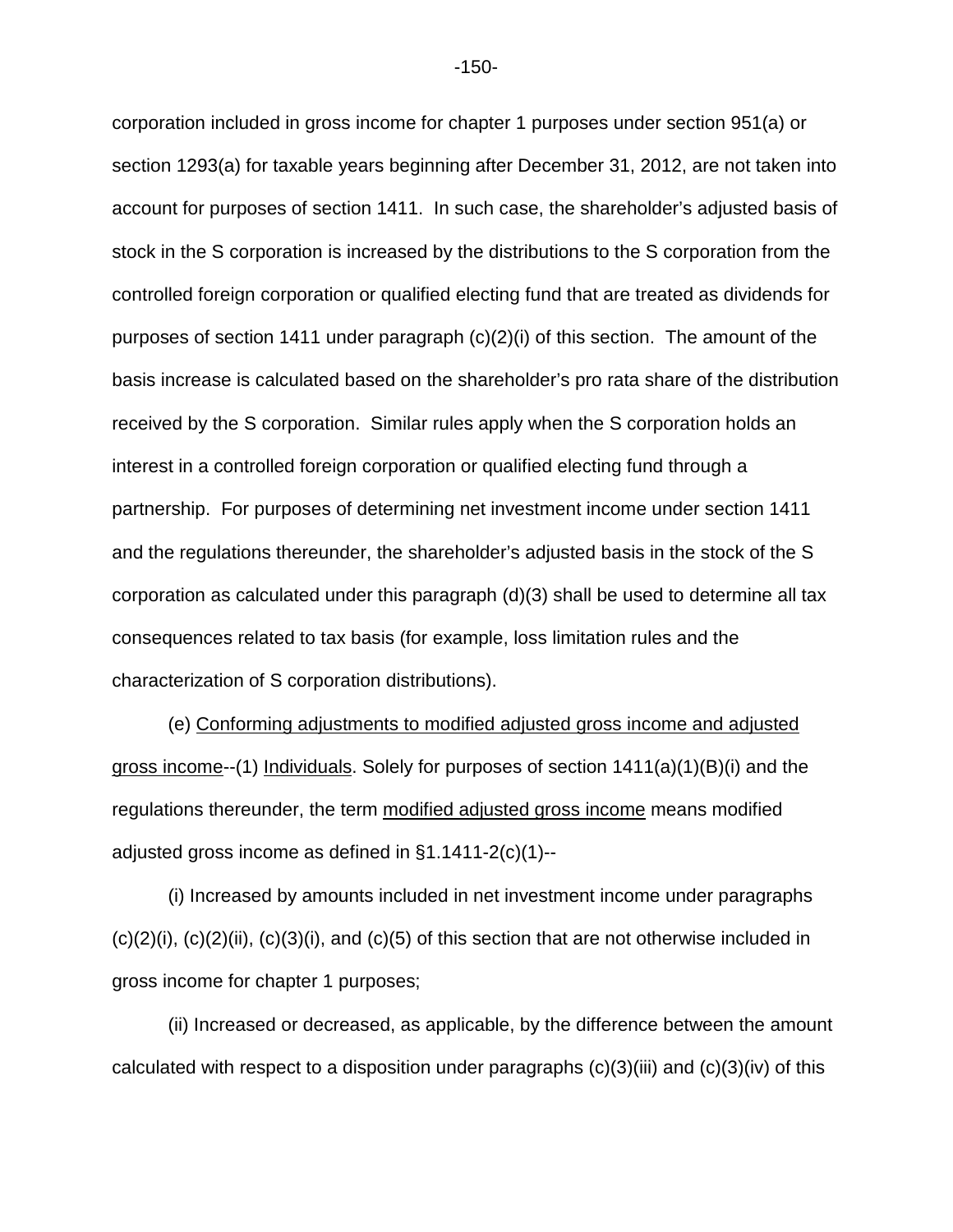corporation included in gross income for chapter 1 purposes under section 951(a) or section 1293(a) for taxable years beginning after December 31, 2012, are not taken into account for purposes of section 1411. In such case, the shareholder's adjusted basis of stock in the S corporation is increased by the distributions to the S corporation from the controlled foreign corporation or qualified electing fund that are treated as dividends for purposes of section 1411 under paragraph (c)(2)(i) of this section. The amount of the basis increase is calculated based on the shareholder's pro rata share of the distribution received by the S corporation. Similar rules apply when the S corporation holds an interest in a controlled foreign corporation or qualified electing fund through a partnership. For purposes of determining net investment income under section 1411 and the regulations thereunder, the shareholder's adjusted basis in the stock of the S corporation as calculated under this paragraph (d)(3) shall be used to determine all tax consequences related to tax basis (for example, loss limitation rules and the characterization of S corporation distributions).

(e) Conforming adjustments to modified adjusted gross income and adjusted gross income--(1) Individuals. Solely for purposes of section  $1411(a)(1)(B)(i)$  and the regulations thereunder, the term modified adjusted gross income means modified adjusted gross income as defined in §1.1411-2(c)(1)--

(i) Increased by amounts included in net investment income under paragraphs  $(c)(2)(i)$ ,  $(c)(2)(ii)$ ,  $(c)(3)(i)$ , and  $(c)(5)$  of this section that are not otherwise included in gross income for chapter 1 purposes;

(ii) Increased or decreased, as applicable, by the difference between the amount calculated with respect to a disposition under paragraphs  $(c)(3)(iii)$  and  $(c)(3)(iv)$  of this

-150-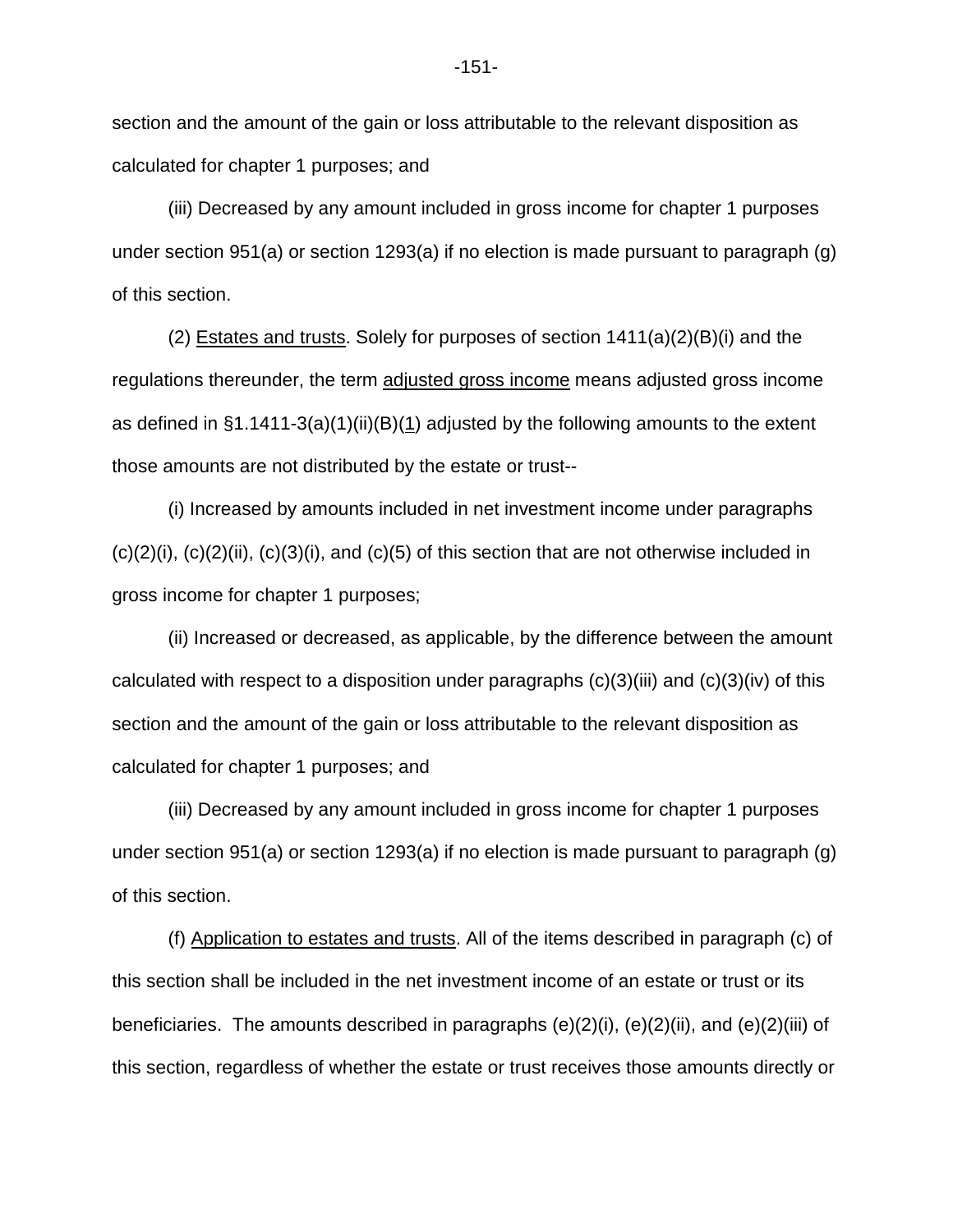section and the amount of the gain or loss attributable to the relevant disposition as calculated for chapter 1 purposes; and

(iii) Decreased by any amount included in gross income for chapter 1 purposes under section 951(a) or section 1293(a) if no election is made pursuant to paragraph (g) of this section.

(2) Estates and trusts. Solely for purposes of section  $1411(a)(2)(B)(i)$  and the regulations thereunder, the term adjusted gross income means adjusted gross income as defined in  $\S1.1411-3(a)(1)(ii)(B)(1)$  adjusted by the following amounts to the extent those amounts are not distributed by the estate or trust--

(i) Increased by amounts included in net investment income under paragraphs  $(c)(2)(i)$ ,  $(c)(2)(ii)$ ,  $(c)(3)(i)$ , and  $(c)(5)$  of this section that are not otherwise included in gross income for chapter 1 purposes;

(ii) Increased or decreased, as applicable, by the difference between the amount calculated with respect to a disposition under paragraphs  $(c)(3)(iii)$  and  $(c)(3)(iv)$  of this section and the amount of the gain or loss attributable to the relevant disposition as calculated for chapter 1 purposes; and

(iii) Decreased by any amount included in gross income for chapter 1 purposes under section 951(a) or section 1293(a) if no election is made pursuant to paragraph (g) of this section.

(f) Application to estates and trusts. All of the items described in paragraph (c) of this section shall be included in the net investment income of an estate or trust or its beneficiaries. The amounts described in paragraphs  $(e)(2)(i)$ ,  $(e)(2)(ii)$ , and  $(e)(2)(iii)$  of this section, regardless of whether the estate or trust receives those amounts directly or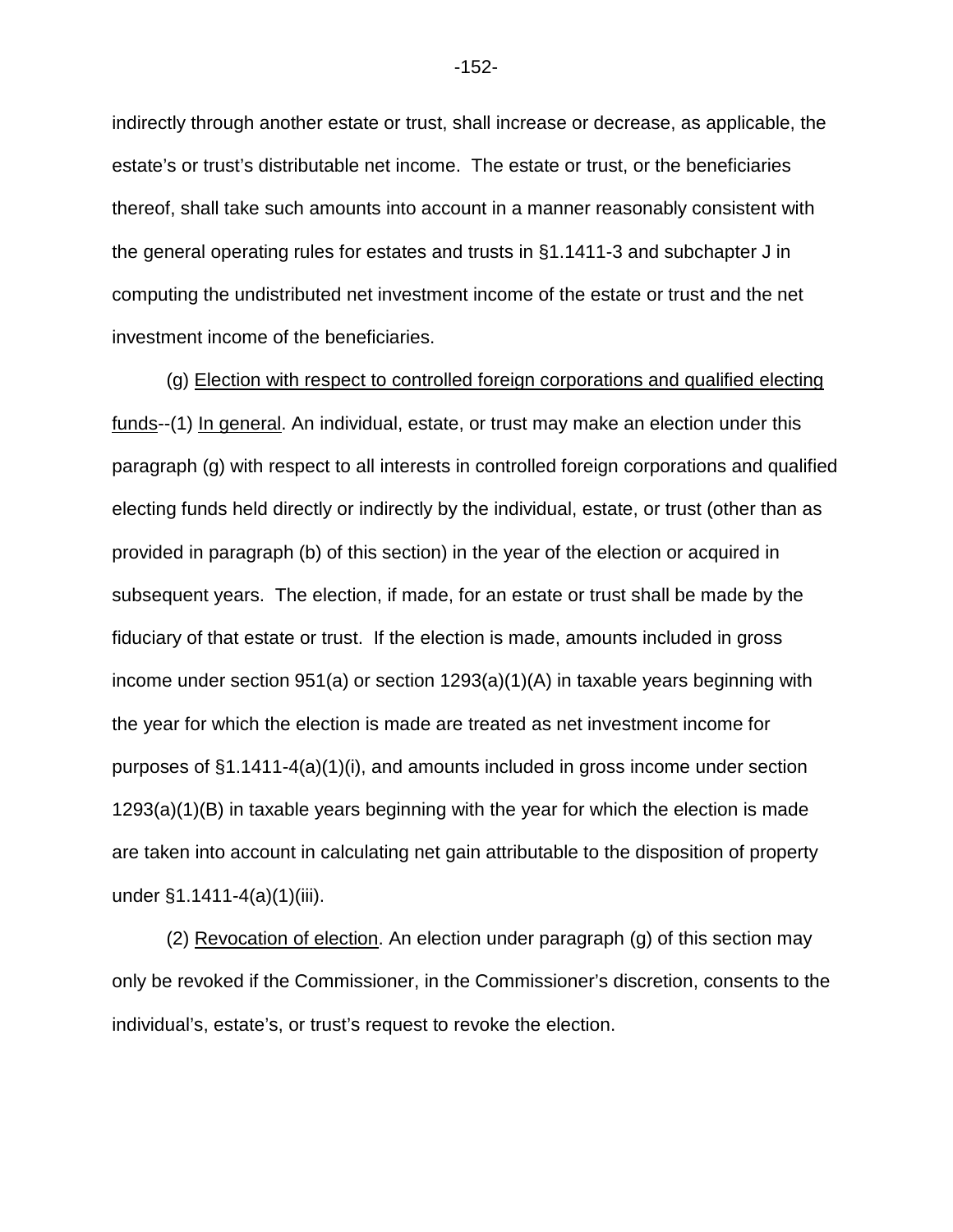indirectly through another estate or trust, shall increase or decrease, as applicable, the estate's or trust's distributable net income. The estate or trust, or the beneficiaries thereof, shall take such amounts into account in a manner reasonably consistent with the general operating rules for estates and trusts in §1.1411-3 and subchapter J in computing the undistributed net investment income of the estate or trust and the net investment income of the beneficiaries.

(g) Election with respect to controlled foreign corporations and qualified electing funds--(1) In general. An individual, estate, or trust may make an election under this paragraph (g) with respect to all interests in controlled foreign corporations and qualified electing funds held directly or indirectly by the individual, estate, or trust (other than as provided in paragraph (b) of this section) in the year of the election or acquired in subsequent years. The election, if made, for an estate or trust shall be made by the fiduciary of that estate or trust. If the election is made, amounts included in gross income under section 951(a) or section 1293(a)(1)(A) in taxable years beginning with the year for which the election is made are treated as net investment income for purposes of  $\S1.1411-4(a)(1)(i)$ , and amounts included in gross income under section 1293(a)(1)(B) in taxable years beginning with the year for which the election is made are taken into account in calculating net gain attributable to the disposition of property under §1.1411-4(a)(1)(iii).

(2) Revocation of election. An election under paragraph (g) of this section may only be revoked if the Commissioner, in the Commissioner's discretion, consents to the individual's, estate's, or trust's request to revoke the election.

-152-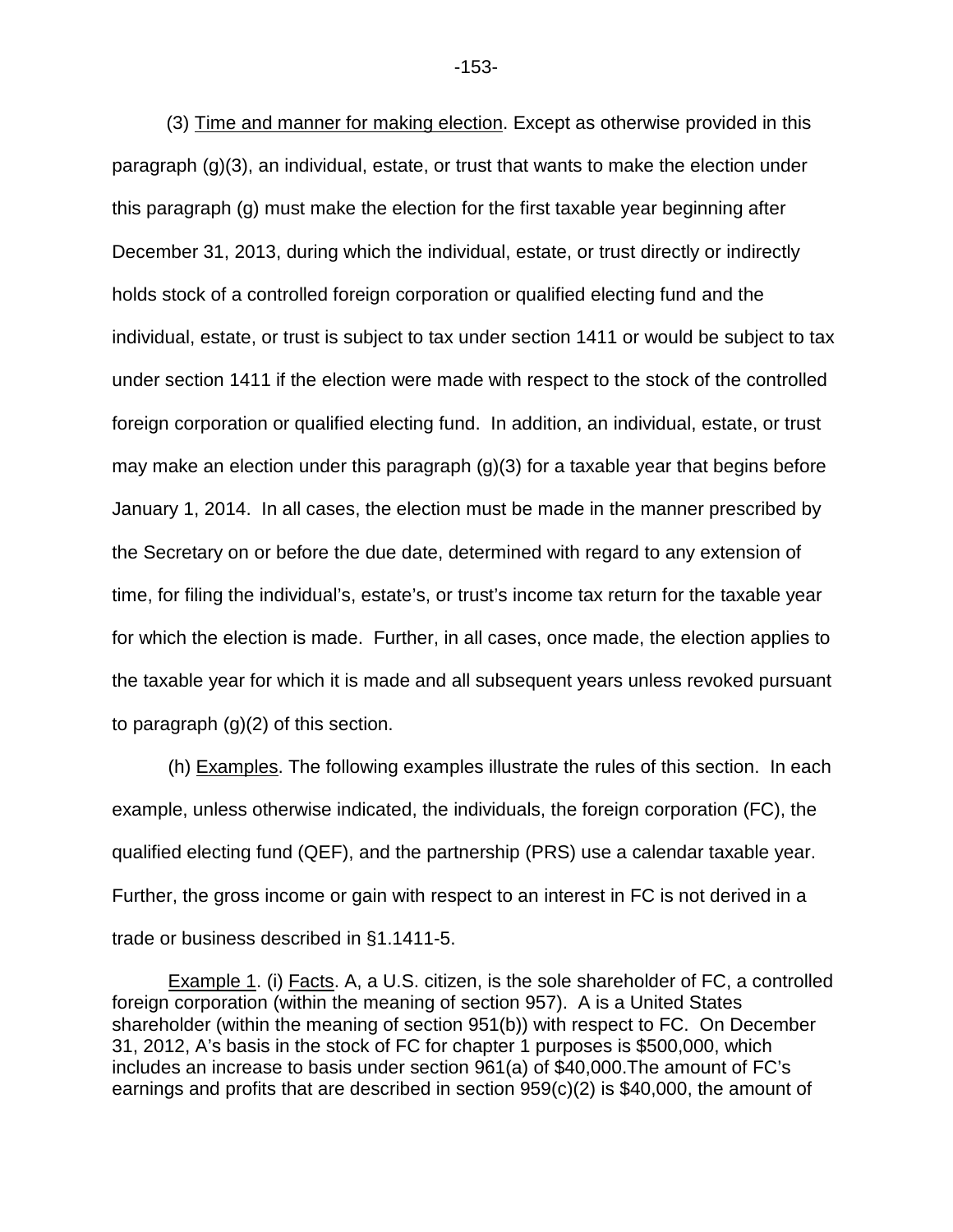(3) Time and manner for making election. Except as otherwise provided in this paragraph (g)(3), an individual, estate, or trust that wants to make the election under this paragraph (g) must make the election for the first taxable year beginning after December 31, 2013, during which the individual, estate, or trust directly or indirectly holds stock of a controlled foreign corporation or qualified electing fund and the individual, estate, or trust is subject to tax under section 1411 or would be subject to tax under section 1411 if the election were made with respect to the stock of the controlled foreign corporation or qualified electing fund. In addition, an individual, estate, or trust may make an election under this paragraph (g)(3) for a taxable year that begins before January 1, 2014. In all cases, the election must be made in the manner prescribed by the Secretary on or before the due date, determined with regard to any extension of time, for filing the individual's, estate's, or trust's income tax return for the taxable year for which the election is made. Further, in all cases, once made, the election applies to the taxable year for which it is made and all subsequent years unless revoked pursuant to paragraph (g)(2) of this section.

(h) Examples. The following examples illustrate the rules of this section. In each example, unless otherwise indicated, the individuals, the foreign corporation (FC), the qualified electing fund (QEF), and the partnership (PRS) use a calendar taxable year. Further, the gross income or gain with respect to an interest in FC is not derived in a trade or business described in §1.1411-5.

Example 1. (i) Facts. A, a U.S. citizen, is the sole shareholder of FC, a controlled foreign corporation (within the meaning of section 957). A is a United States shareholder (within the meaning of section 951(b)) with respect to FC. On December 31, 2012, A's basis in the stock of FC for chapter 1 purposes is \$500,000, which includes an increase to basis under section 961(a) of \$40,000.The amount of FC's earnings and profits that are described in section 959(c)(2) is \$40,000, the amount of

-153-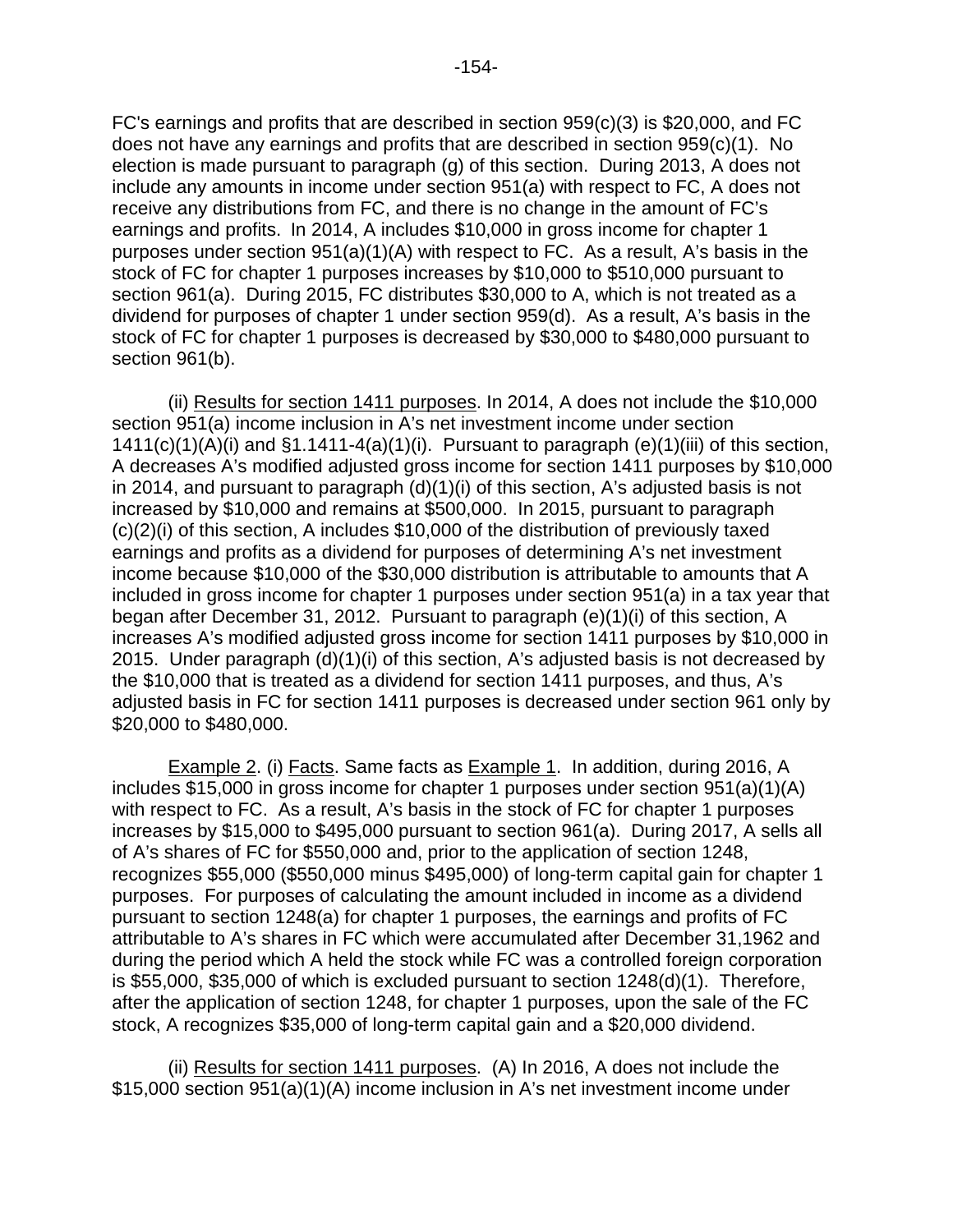FC's earnings and profits that are described in section 959(c)(3) is \$20,000, and FC does not have any earnings and profits that are described in section 959(c)(1). No election is made pursuant to paragraph (g) of this section. During 2013, A does not include any amounts in income under section 951(a) with respect to FC, A does not receive any distributions from FC, and there is no change in the amount of FC's earnings and profits. In 2014, A includes \$10,000 in gross income for chapter 1 purposes under section 951(a)(1)(A) with respect to FC. As a result, A's basis in the stock of FC for chapter 1 purposes increases by \$10,000 to \$510,000 pursuant to section 961(a). During 2015, FC distributes \$30,000 to A, which is not treated as a dividend for purposes of chapter 1 under section 959(d). As a result, A's basis in the stock of FC for chapter 1 purposes is decreased by \$30,000 to \$480,000 pursuant to section 961(b).

(ii) Results for section 1411 purposes. In 2014, A does not include the \$10,000 section 951(a) income inclusion in A's net investment income under section  $1411(c)(1)(A)(i)$  and  $§1.1411-4(a)(1)(i)$ . Pursuant to paragraph (e)(1)(iii) of this section, A decreases A's modified adjusted gross income for section 1411 purposes by \$10,000 in 2014, and pursuant to paragraph (d)(1)(i) of this section, A's adjusted basis is not increased by \$10,000 and remains at \$500,000. In 2015, pursuant to paragraph (c)(2)(i) of this section, A includes \$10,000 of the distribution of previously taxed earnings and profits as a dividend for purposes of determining A's net investment income because \$10,000 of the \$30,000 distribution is attributable to amounts that A included in gross income for chapter 1 purposes under section 951(a) in a tax year that began after December 31, 2012. Pursuant to paragraph (e)(1)(i) of this section, A increases A's modified adjusted gross income for section 1411 purposes by \$10,000 in 2015. Under paragraph (d)(1)(i) of this section, A's adjusted basis is not decreased by the \$10,000 that is treated as a dividend for section 1411 purposes, and thus, A's adjusted basis in FC for section 1411 purposes is decreased under section 961 only by \$20,000 to \$480,000.

Example 2. (i) Facts. Same facts as Example 1. In addition, during 2016, A includes \$15,000 in gross income for chapter 1 purposes under section 951(a)(1)(A) with respect to FC. As a result, A's basis in the stock of FC for chapter 1 purposes increases by \$15,000 to \$495,000 pursuant to section 961(a). During 2017, A sells all of A's shares of FC for \$550,000 and, prior to the application of section 1248, recognizes \$55,000 (\$550,000 minus \$495,000) of long-term capital gain for chapter 1 purposes. For purposes of calculating the amount included in income as a dividend pursuant to section 1248(a) for chapter 1 purposes, the earnings and profits of FC attributable to A's shares in FC which were accumulated after December 31,1962 and during the period which A held the stock while FC was a controlled foreign corporation is \$55,000, \$35,000 of which is excluded pursuant to section 1248(d)(1). Therefore, after the application of section 1248, for chapter 1 purposes, upon the sale of the FC stock, A recognizes \$35,000 of long-term capital gain and a \$20,000 dividend.

(ii) Results for section 1411 purposes. (A) In 2016, A does not include the \$15,000 section 951(a)(1)(A) income inclusion in A's net investment income under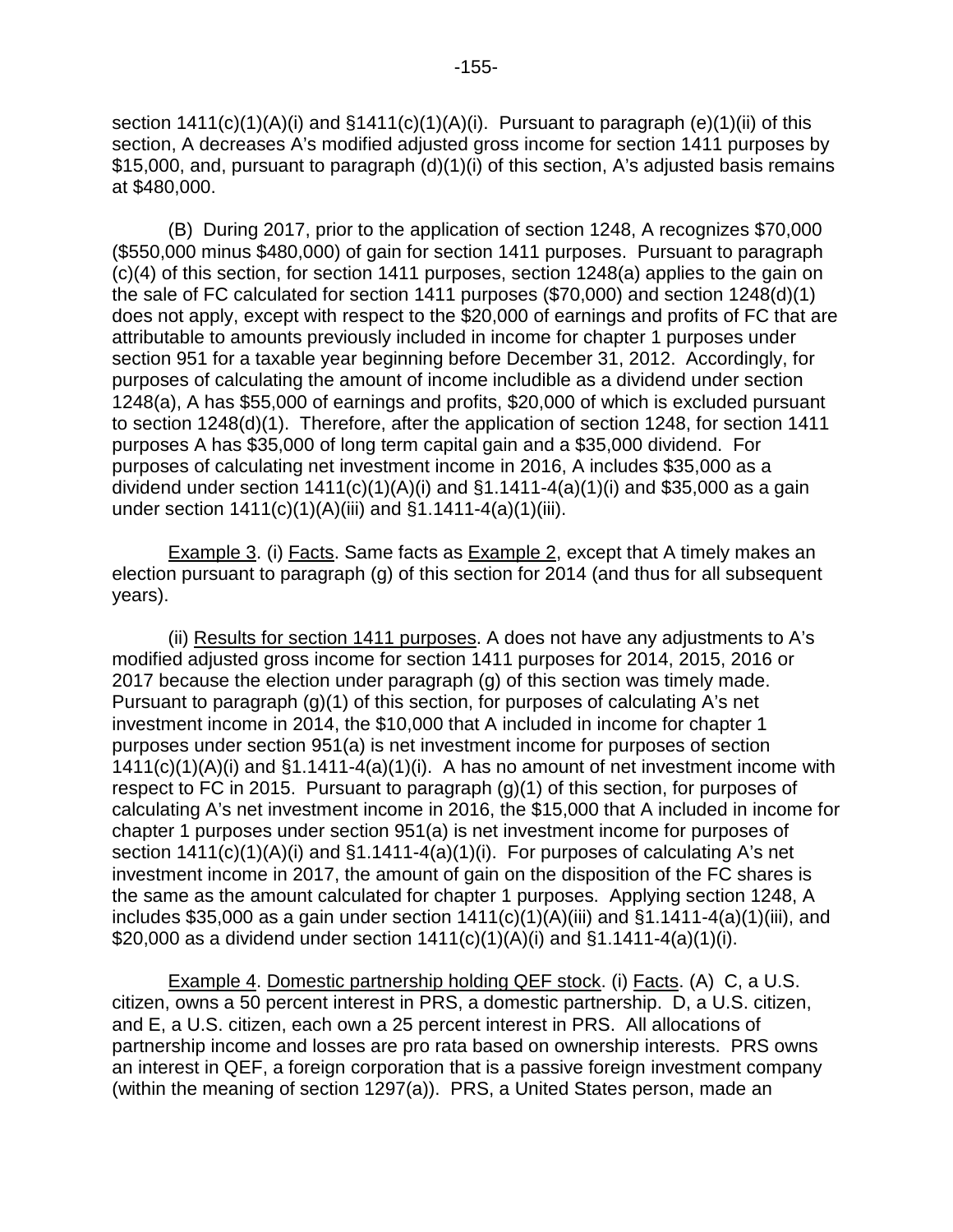section  $1411(c)(1)(A)(i)$  and  $§1411(c)(1)(A)(i)$ . Pursuant to paragraph (e)(1)(ii) of this section, A decreases A's modified adjusted gross income for section 1411 purposes by \$15,000, and, pursuant to paragraph (d)(1)(i) of this section, A's adjusted basis remains at \$480,000.

(B) During 2017, prior to the application of section 1248, A recognizes \$70,000 (\$550,000 minus \$480,000) of gain for section 1411 purposes. Pursuant to paragraph (c)(4) of this section, for section 1411 purposes, section 1248(a) applies to the gain on the sale of FC calculated for section 1411 purposes (\$70,000) and section 1248(d)(1) does not apply, except with respect to the \$20,000 of earnings and profits of FC that are attributable to amounts previously included in income for chapter 1 purposes under section 951 for a taxable year beginning before December 31, 2012. Accordingly, for purposes of calculating the amount of income includible as a dividend under section 1248(a), A has \$55,000 of earnings and profits, \$20,000 of which is excluded pursuant to section 1248(d)(1). Therefore, after the application of section 1248, for section 1411 purposes A has \$35,000 of long term capital gain and a \$35,000 dividend. For purposes of calculating net investment income in 2016, A includes \$35,000 as a dividend under section  $1411(c)(1)(A)(i)$  and  $§1.1411-4(a)(1)(i)$  and \$35,000 as a gain under section 1411(c)(1)(A)(iii) and §1.1411-4(a)(1)(iii).

Example 3. (i) Facts. Same facts as Example 2, except that A timely makes an election pursuant to paragraph (g) of this section for 2014 (and thus for all subsequent years).

(ii) Results for section 1411 purposes. A does not have any adjustments to A's modified adjusted gross income for section 1411 purposes for 2014, 2015, 2016 or 2017 because the election under paragraph (g) of this section was timely made. Pursuant to paragraph (g)(1) of this section, for purposes of calculating A's net investment income in 2014, the \$10,000 that A included in income for chapter 1 purposes under section 951(a) is net investment income for purposes of section  $1411(c)(1)(A)(i)$  and  $§1.1411-4(a)(1)(i)$ . A has no amount of net investment income with respect to FC in 2015. Pursuant to paragraph (g)(1) of this section, for purposes of calculating A's net investment income in 2016, the \$15,000 that A included in income for chapter 1 purposes under section 951(a) is net investment income for purposes of section 1411(c)(1)(A)(i) and §1.1411-4(a)(1)(i). For purposes of calculating A's net investment income in 2017, the amount of gain on the disposition of the FC shares is the same as the amount calculated for chapter 1 purposes. Applying section 1248, A includes \$35,000 as a gain under section  $1411(c)(1)(A)(iii)$  and  $§1.1411-4(a)(1)(iii)$ , and \$20,000 as a dividend under section  $1411(c)(1)(A)(i)$  and  $§1.1411-4(a)(1)(i)$ .

Example 4. Domestic partnership holding QEF stock. (i) Facts. (A) C, a U.S. citizen, owns a 50 percent interest in PRS, a domestic partnership. D, a U.S. citizen, and E, a U.S. citizen, each own a 25 percent interest in PRS. All allocations of partnership income and losses are pro rata based on ownership interests. PRS owns an interest in QEF, a foreign corporation that is a passive foreign investment company (within the meaning of section 1297(a)). PRS, a United States person, made an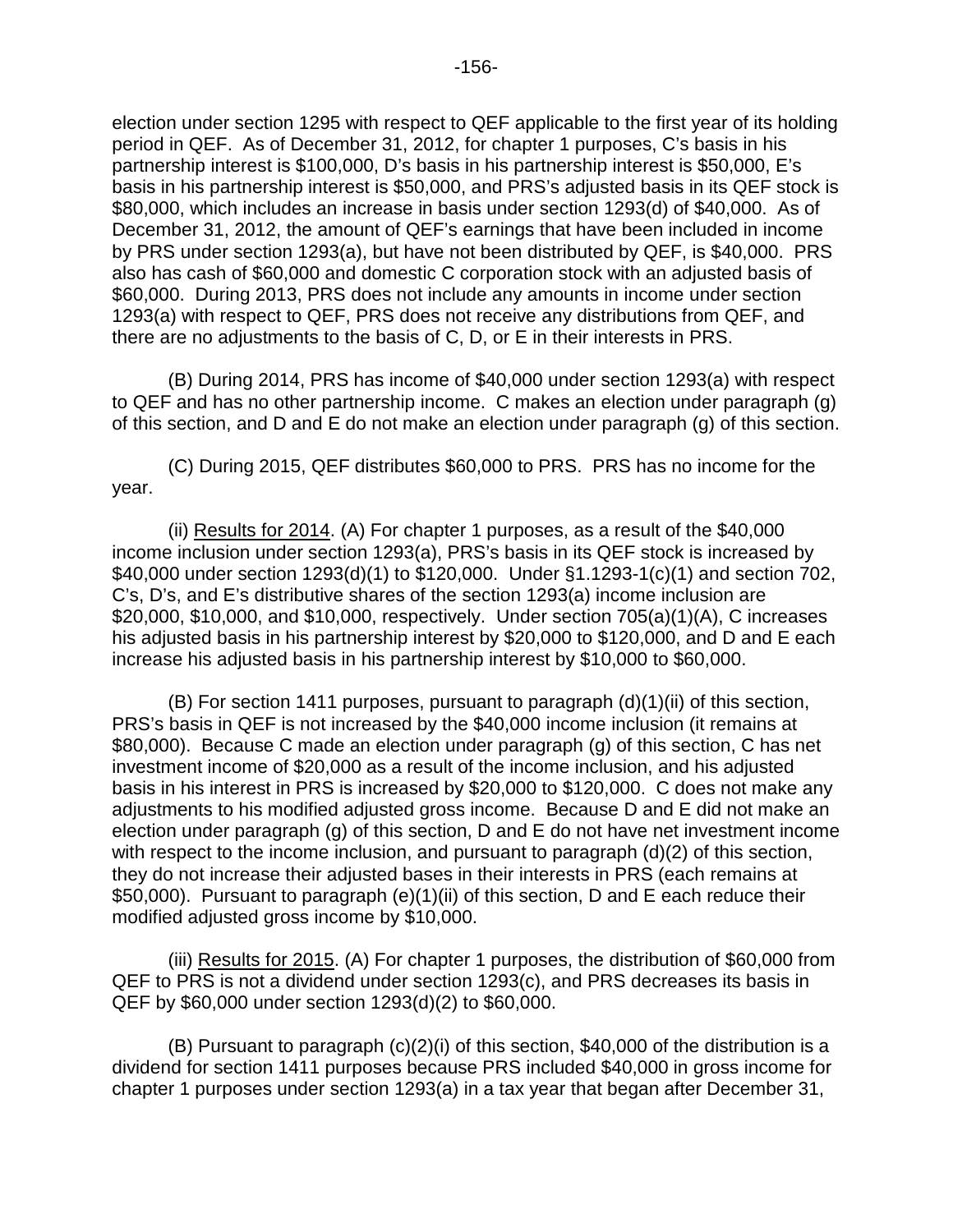election under section 1295 with respect to QEF applicable to the first year of its holding period in QEF. As of December 31, 2012, for chapter 1 purposes, C's basis in his partnership interest is \$100,000, D's basis in his partnership interest is \$50,000, E's basis in his partnership interest is \$50,000, and PRS's adjusted basis in its QEF stock is \$80,000, which includes an increase in basis under section 1293(d) of \$40,000. As of December 31, 2012, the amount of QEF's earnings that have been included in income by PRS under section 1293(a), but have not been distributed by QEF, is \$40,000. PRS also has cash of \$60,000 and domestic C corporation stock with an adjusted basis of \$60,000. During 2013, PRS does not include any amounts in income under section 1293(a) with respect to QEF, PRS does not receive any distributions from QEF, and there are no adjustments to the basis of C, D, or E in their interests in PRS.

(B) During 2014, PRS has income of \$40,000 under section 1293(a) with respect to QEF and has no other partnership income. C makes an election under paragraph (g) of this section, and D and E do not make an election under paragraph (g) of this section.

(C) During 2015, QEF distributes \$60,000 to PRS. PRS has no income for the year.

(ii) Results for 2014. (A) For chapter 1 purposes, as a result of the \$40,000 income inclusion under section 1293(a), PRS's basis in its QEF stock is increased by \$40,000 under section 1293(d)(1) to \$120,000. Under §1.1293-1(c)(1) and section 702, C's, D's, and E's distributive shares of the section 1293(a) income inclusion are \$20,000, \$10,000, and \$10,000, respectively. Under section 705(a)(1)(A), C increases his adjusted basis in his partnership interest by \$20,000 to \$120,000, and D and E each increase his adjusted basis in his partnership interest by \$10,000 to \$60,000.

(B) For section 1411 purposes, pursuant to paragraph (d)(1)(ii) of this section, PRS's basis in QEF is not increased by the \$40,000 income inclusion (it remains at \$80,000). Because C made an election under paragraph (g) of this section, C has net investment income of \$20,000 as a result of the income inclusion, and his adjusted basis in his interest in PRS is increased by \$20,000 to \$120,000. C does not make any adjustments to his modified adjusted gross income. Because D and E did not make an election under paragraph (g) of this section, D and E do not have net investment income with respect to the income inclusion, and pursuant to paragraph (d)(2) of this section, they do not increase their adjusted bases in their interests in PRS (each remains at \$50,000). Pursuant to paragraph (e)(1)(ii) of this section, D and E each reduce their modified adjusted gross income by \$10,000.

(iii) Results for 2015. (A) For chapter 1 purposes, the distribution of \$60,000 from QEF to PRS is not a dividend under section 1293(c), and PRS decreases its basis in QEF by \$60,000 under section 1293(d)(2) to \$60,000.

(B) Pursuant to paragraph (c)(2)(i) of this section, \$40,000 of the distribution is a dividend for section 1411 purposes because PRS included \$40,000 in gross income for chapter 1 purposes under section 1293(a) in a tax year that began after December 31,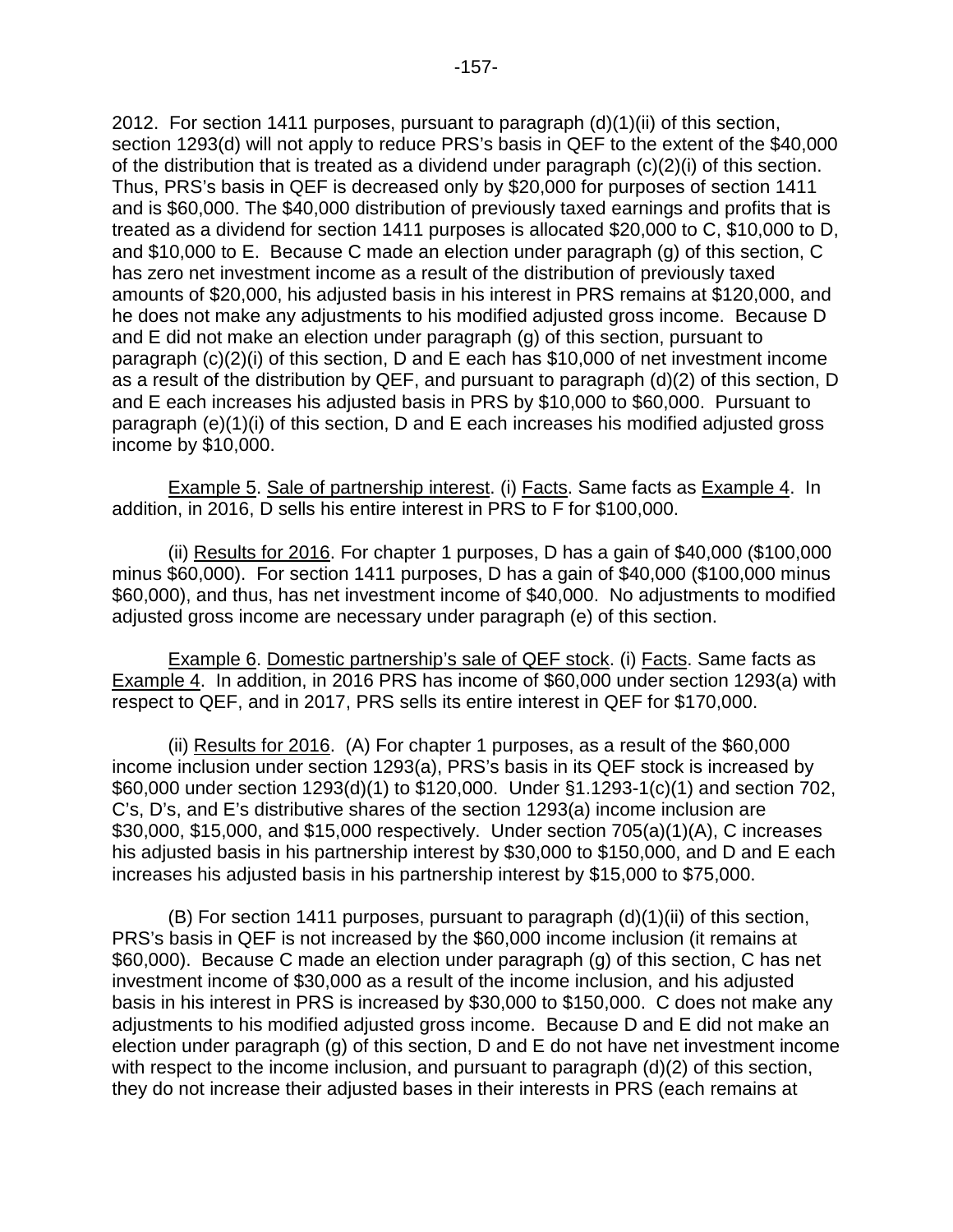2012. For section 1411 purposes, pursuant to paragraph (d)(1)(ii) of this section, section 1293(d) will not apply to reduce PRS's basis in QEF to the extent of the \$40,000 of the distribution that is treated as a dividend under paragraph (c)(2)(i) of this section. Thus, PRS's basis in QEF is decreased only by \$20,000 for purposes of section 1411 and is \$60,000. The \$40,000 distribution of previously taxed earnings and profits that is treated as a dividend for section 1411 purposes is allocated \$20,000 to C, \$10,000 to D, and \$10,000 to E. Because C made an election under paragraph (g) of this section, C has zero net investment income as a result of the distribution of previously taxed amounts of \$20,000, his adjusted basis in his interest in PRS remains at \$120,000, and he does not make any adjustments to his modified adjusted gross income. Because D and E did not make an election under paragraph (g) of this section, pursuant to paragraph (c)(2)(i) of this section, D and E each has \$10,000 of net investment income as a result of the distribution by QEF, and pursuant to paragraph (d)(2) of this section, D and E each increases his adjusted basis in PRS by \$10,000 to \$60,000. Pursuant to paragraph (e)(1)(i) of this section, D and E each increases his modified adjusted gross income by \$10,000.

Example 5. Sale of partnership interest. (i) Facts. Same facts as Example 4. In addition, in 2016, D sells his entire interest in PRS to F for \$100,000.

(ii) Results for 2016. For chapter 1 purposes, D has a gain of \$40,000 (\$100,000 minus \$60,000). For section 1411 purposes, D has a gain of \$40,000 (\$100,000 minus \$60,000), and thus, has net investment income of \$40,000. No adjustments to modified adjusted gross income are necessary under paragraph (e) of this section.

Example 6. Domestic partnership's sale of QEF stock. (i) Facts. Same facts as Example 4. In addition, in 2016 PRS has income of \$60,000 under section 1293(a) with respect to QEF, and in 2017, PRS sells its entire interest in QEF for \$170,000.

(ii) Results for 2016. (A) For chapter 1 purposes, as a result of the \$60,000 income inclusion under section 1293(a), PRS's basis in its QEF stock is increased by \$60,000 under section 1293(d)(1) to \$120,000. Under §1.1293-1(c)(1) and section 702, C's, D's, and E's distributive shares of the section 1293(a) income inclusion are \$30,000, \$15,000, and \$15,000 respectively. Under section 705(a)(1)(A), C increases his adjusted basis in his partnership interest by \$30,000 to \$150,000, and D and E each increases his adjusted basis in his partnership interest by \$15,000 to \$75,000.

(B) For section 1411 purposes, pursuant to paragraph (d)(1)(ii) of this section, PRS's basis in QEF is not increased by the \$60,000 income inclusion (it remains at \$60,000). Because C made an election under paragraph (g) of this section, C has net investment income of \$30,000 as a result of the income inclusion, and his adjusted basis in his interest in PRS is increased by \$30,000 to \$150,000. C does not make any adjustments to his modified adjusted gross income. Because D and E did not make an election under paragraph (g) of this section, D and E do not have net investment income with respect to the income inclusion, and pursuant to paragraph (d)(2) of this section, they do not increase their adjusted bases in their interests in PRS (each remains at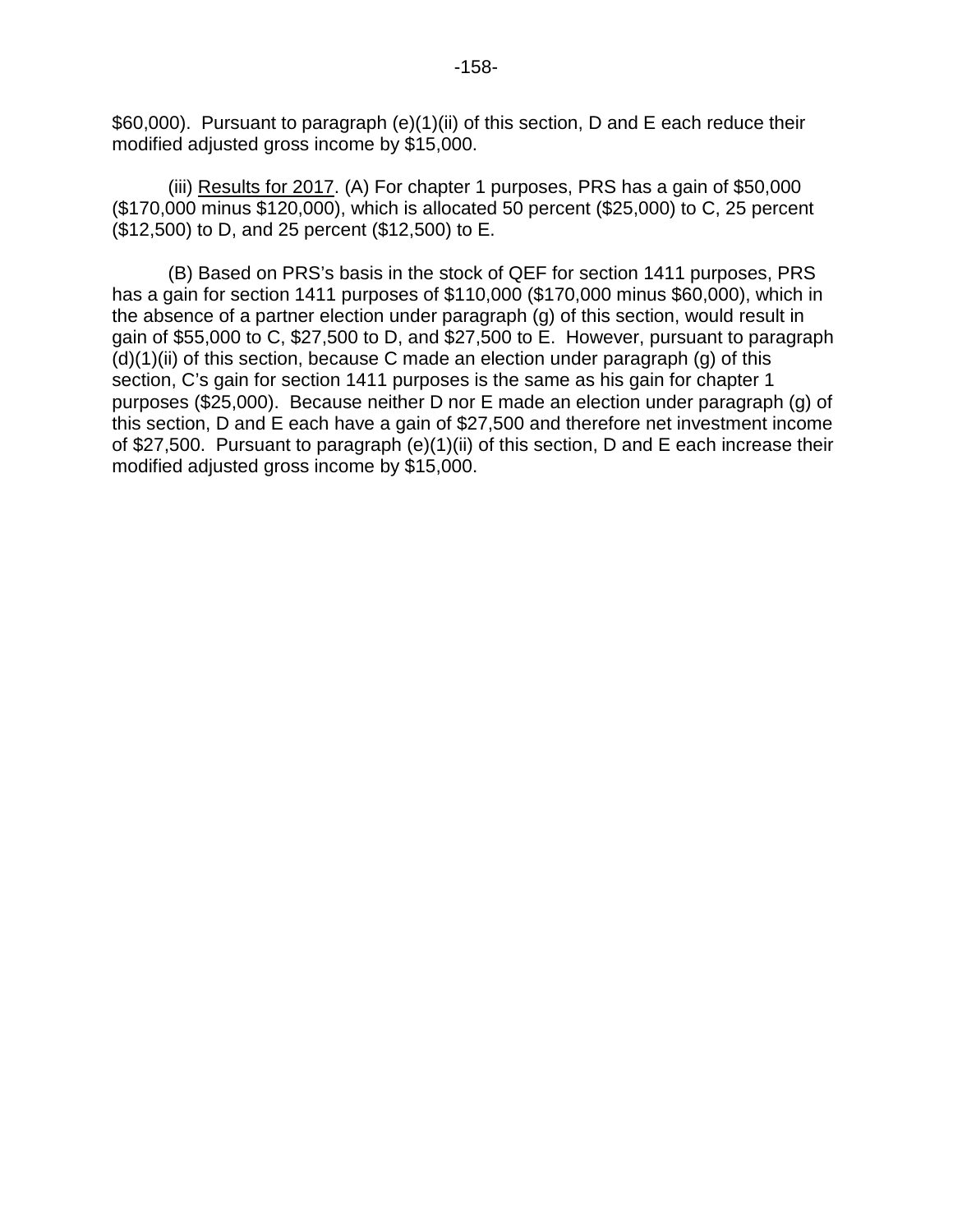\$60,000). Pursuant to paragraph (e)(1)(ii) of this section, D and E each reduce their modified adjusted gross income by \$15,000.

(iii) Results for 2017. (A) For chapter 1 purposes, PRS has a gain of \$50,000 (\$170,000 minus \$120,000), which is allocated 50 percent (\$25,000) to C, 25 percent (\$12,500) to D, and 25 percent (\$12,500) to E.

(B) Based on PRS's basis in the stock of QEF for section 1411 purposes, PRS has a gain for section 1411 purposes of \$110,000 (\$170,000 minus \$60,000), which in the absence of a partner election under paragraph (g) of this section, would result in gain of \$55,000 to C, \$27,500 to D, and \$27,500 to E. However, pursuant to paragraph  $(d)(1)(ii)$  of this section, because C made an election under paragraph  $(g)$  of this section, C's gain for section 1411 purposes is the same as his gain for chapter 1 purposes (\$25,000). Because neither D nor E made an election under paragraph (g) of this section, D and E each have a gain of \$27,500 and therefore net investment income of \$27,500. Pursuant to paragraph (e)(1)(ii) of this section, D and E each increase their modified adjusted gross income by \$15,000.